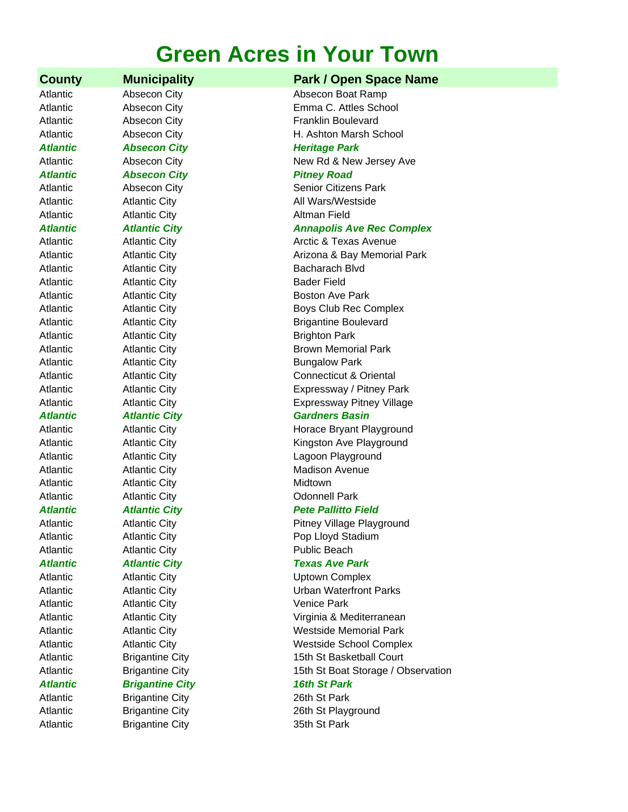# **Green Acres in Your Town**

**Atlantic Cabsecon City Channel Contract Absection Absection City Atlantic Heritage Park** *Atlantic Absecon City Pitney Road* Atlantic **Atlantic City Atlantic Atlantic City Altman Field** Atlantic **Atlantic City Bader Field** Atlantic **Atlantic City Brighton Park** Atlantic **Atlantic City Bungalow Park** Atlantic Atlantic City Expressway Pitney Village Atlantic **Atlantic City** Midtown Atlantic **Atlantic City Connell Park Atlantic City Connell Park** Atlantic **Atlantic City Public Beach** Atlantic **Atlantic City Atlantic City Venice Park** *Atlantic Brigantine City 16th St Park* Atlantic Brigantine City 26th St Park

# **County Municipality Park / Open Space Name**

Atlantic **Absecon City** Absection Absecon Boat Ramp Atlantic Absecon City Emma C. Attles School Atlantic **Absecon City Absection Example 2 Franklin Boulevard** Atlantic **Absecon City H. Ashton Marsh School** Atlantic Absecon City **Access Access** New Rd & New Jersey Ave Atlantic **Absecon City Contact Absection Citizens Park** Atlantic **Atlantic City** Atlantic All Wars/Westside *Atlantic Atlantic City Annapolis Ave Rec Complex* Atlantic **Atlantic City** Atlantic City **Arctic & Texas Avenue** Atlantic **Atlantic City Arizona & Bay Memorial Park** Atlantic **Atlantic City** Bacharach Blvd Atlantic **Atlantic City Boston Ave Park** Atlantic **Atlantic City Boys Club Rec Complex** 

Atlantic **Atlantic City Brigantine Boulevard** Atlantic **Atlantic City Brown Memorial Park** Atlantic Atlantic City Connecticut & Oriental Atlantic **Atlantic City Expressway / Pitney Park** 

# *Atlantic Atlantic City Gardners Basin*

Atlantic **Atlantic City Atlantic City Horace Bryant Playground** Atlantic Multimum Atlantic City **Kingston Ave Playground** Atlantic **Atlantic City Contained Atlantic City Lagoon Playground** Atlantic **Atlantic City** Madison Avenue

# *Atlantic Atlantic City Pete Pallitto Field*

Atlantic **Atlantic City Atlantic City Pitney Village Playground** Atlantic **Atlantic City Pop Lloyd Stadium** 

# *Atlantic Atlantic City Texas Ave Park*

Atlantic Atlantic City Uptown Complex Atlantic Atlantic City Urban Waterfront Parks Atlantic Atlantic City Virginia & Mediterranean Atlantic **Atlantic City Matter City Westside Memorial Park** Atlantic **Atlantic City Atlantic City Westside School Complex** Atlantic Brigantine City 15th St Basketball Court Atlantic **Brigantine City Brigantine City** 15th St Boat Storage / Observation

Atlantic Brigantine City 26th St Playground Atlantic Brigantine City 35th St Park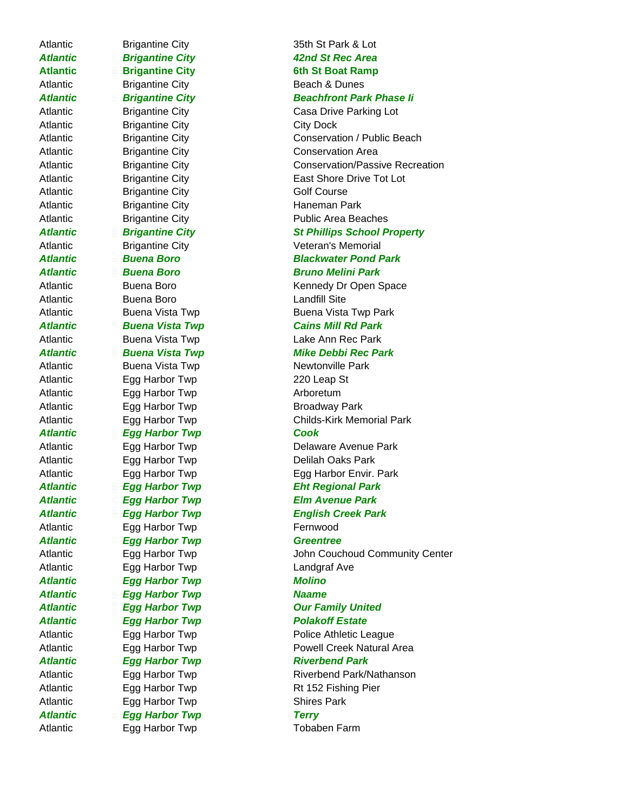Atlantic Brigantine City **City Dock** Atlantic Brigantine City **Golf Course** Atlantic Brigantine City **Haneman Park** Atlantic Buena Boro **Buena Boro Landfill Site** Atlantic Egg Harbor Twp 220 Leap St Atlantic **Egg Harbor Twp Arboretum** Atlantic Egg Harbor Twp **Broadway Park** *Atlantic Egg Harbor Twp Cook* Atlantic **Egg Harbor Twp Fernwood** *Atlantic Egg Harbor Twp Greentree* Atlantic Egg Harbor Twp Landgraf Ave *Atlantic Egg Harbor Twp Molino Atlantic Egg Harbor Twp Naame* Atlantic Egg Harbor Twp **Shires Park** *Atlantic Egg Harbor Twp Terry*

Atlantic Egg Harbor Twp Tobaben Farm

# Atlantic **Brigantine City Brigantine City** 35th St Park & Lot *Atlantic Brigantine City 42nd St Rec Area* Atlantic **Brigantine City** 6th St Boat Ramp Atlantic Brigantine City Beach & Dunes *Atlantic Brigantine City Beachfront Park Phase Ii* Atlantic Brigantine City **Casa Drive Parking Lot** Atlantic Brigantine City Conservation / Public Beach Atlantic Brigantine City Conservation Area Atlantic **Brigantine City** Conservation/Passive Recreation Atlantic **Example Brigantine City East Shore Drive Tot Lot** Atlantic Brigantine City **Public Area Beaches** *Atlantic Brigantine City St Phillips School Property* Atlantic Brigantine City Veteran's Memorial *Atlantic Buena Boro Blackwater Pond Park Atlantic Buena Boro Bruno Melini Park* Atlantic Buena Boro **Kennedy Dr Open Space** Atlantic Buena Vista Twp Buena Vista Twp Park *Atlantic Buena Vista Twp Cains Mill Rd Park* Atlantic Buena Vista Twp **Lake Ann Rec Park** *Atlantic Buena Vista Twp Mike Debbi Rec Park* Atlantic Buena Vista Twp Newtonville Park Atlantic Egg Harbor Twp Childs-Kirk Memorial Park Atlantic Egg Harbor Twp **Delaware Avenue Park** Atlantic Egg Harbor Twp Delilah Oaks Park Atlantic Egg Harbor Twp Egg Harbor Envir. Park *Atlantic Egg Harbor Twp Eht Regional Park Atlantic Egg Harbor Twp Elm Avenue Park Atlantic Egg Harbor Twp English Creek Park* Atlantic Egg Harbor Twp John Couchoud Community Center *Atlantic Egg Harbor Twp Our Family United Atlantic Egg Harbor Twp Polakoff Estate* Atlantic Egg Harbor Twp **Police Athletic League** Atlantic **Egg Harbor Twp Powell Creek Natural Area** *Atlantic Egg Harbor Twp Riverbend Park* Atlantic Egg Harbor Twp Riverbend Park/Nathanson Atlantic Egg Harbor Twp Rt 152 Fishing Pier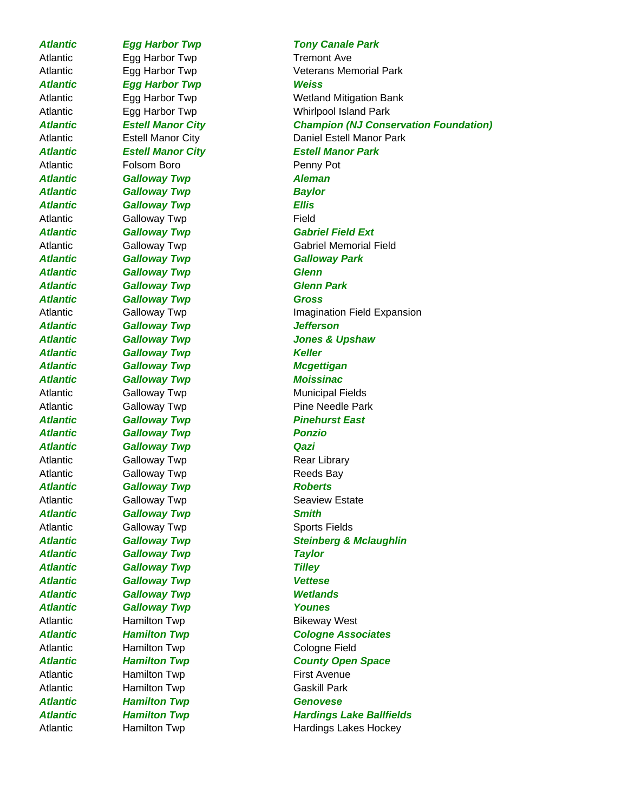Atlantic Egg Harbor Twp Tremont Ave *Atlantic Egg Harbor Twp Weiss* Atlantic **Folsom Boro Penny Pot** *Atlantic Galloway Twp Aleman Atlantic Galloway Twp Baylor Atlantic Galloway Twp Ellis* Atlantic Galloway Twp **Field** *Atlantic Galloway Twp Galloway Park Atlantic Galloway Twp Glenn Atlantic Galloway Twp Glenn Park Atlantic Galloway Twp Gross Atlantic Galloway Twp Jefferson Atlantic Galloway Twp Keller Atlantic Galloway Twp Mcgettigan Atlantic Galloway Twp Moissinac* Atlantic **Galloway Twp Municipal Fields Atlantic Galloway Twp Calloway Twp Pinehurst East** *Atlantic Galloway Twp Ponzio Atlantic Galloway Twp Qazi* Atlantic Galloway Twp Contract Rear Library Atlantic Galloway Twp Calloway Twp Reeds Bay *Atlantic Galloway Twp Roberts* Atlantic **Galloway Twp Seaview Estate** *Atlantic Galloway Twp Smith* Atlantic Galloway Twp Sports Fields *Atlantic Galloway Twp Taylor* **Atlantic Galloway Twp Tilley** *Atlantic Galloway Twp Vettese Atlantic Galloway Twp Wetlands Atlantic Galloway Twp Younes* Atlantic **Hamilton Twp Bikeway West** Atlantic **Hamilton Twp Cologne Field** Atlantic **Hamilton Twp First Avenue** Atlantic **Hamilton Twp Gaskill Park** *Atlantic Hamilton Twp Genovese*

# *Atlantic Egg Harbor Twp Tony Canale Park*

Atlantic **Egg Harbor Twp** Veterans Memorial Park Atlantic Egg Harbor Twp **Wetland Mitigation Bank** Atlantic Egg Harbor Twp Whirlpool Island Park *Atlantic Estell Manor City Champion (NJ Conservation Foundation)* Atlantic Estell Manor City Daniel Estell Manor Park *Atlantic Estell Manor City Estell Manor Park Atlantic Galloway Twp Gabriel Field Ext* Atlantic Galloway Twp Gabriel Memorial Field Atlantic **Galloway Twp Imagination Field Expansion** *Atlantic Galloway Twp Jones & Upshaw* Atlantic **Galloway Twp Pine Needle Park** *Atlantic Galloway Twp Steinberg & Mclaughlin Atlantic Hamilton Twp Cologne Associates Atlantic Hamilton Twp County Open Space Atlantic Hamilton Twp Hardings Lake Ballfields* Atlantic **Hamilton Twp** Hardings Lakes Hockey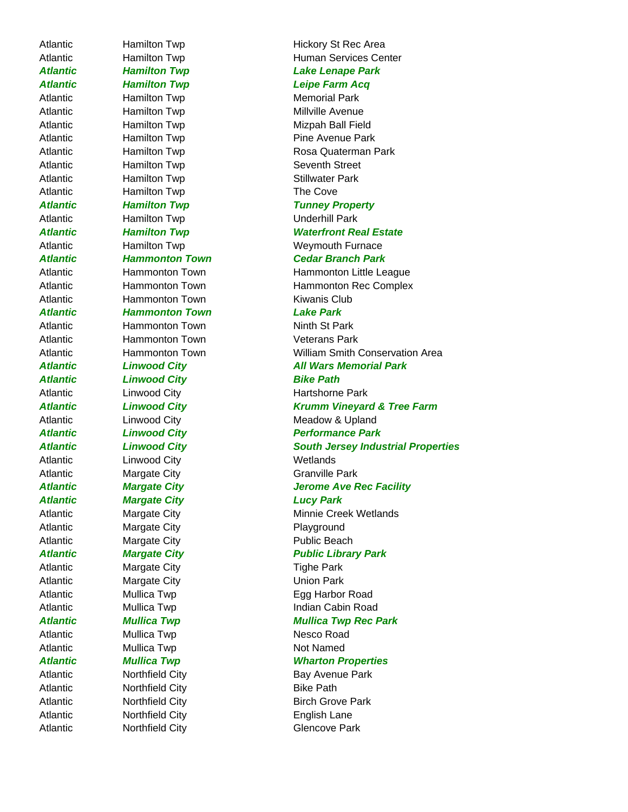Atlantic **Hamilton Twp** Hickory St Rec Area Atlantic **Hamilton Twp** Memorial Park Atlantic **Hamilton Twp** Millville Avenue Atlantic **Hamilton Twp** Seventh Street Atlantic **Hamilton Twp Example 20** Stillwater Park Atlantic **Hamilton Twp** The Cove Atlantic Hamilton Twp Underhill Park Atlantic **Hammonton Town** Kiwanis Club *Atlantic Hammonton Town Lake Park* Atlantic Hammonton Town Ninth St Park Atlantic Hammonton Town Veterans Park *Atlantic Linwood City Bike Path* Atlantic Linwood City **Example 20** Wetlands Atlantic Margate City Granville Park *Atlantic Margate City Lucy Park* Atlantic Margate City Playground Atlantic Margate City **Public Beach** Atlantic Margate City **Tighe Park** Atlantic Margate City **Margate City** Margate City Margate City Atlantic Mullica Twp Nesco Road Atlantic Mullica Twp Not Named Atlantic Morthfield City **Bike Path** Atlantic **Northfield City English Lane** 

Atlantic **Hamilton Twp** Human Services Center *Atlantic Hamilton Twp Lake Lenape Park Atlantic Hamilton Twp Leipe Farm Acq* Atlantic **Hamilton Twp** Mizpah Ball Field Atlantic **Hamilton Twp** Pine Avenue Park Atlantic **Hamilton Twp** Rosa Quaterman Park *Atlantic Hamilton Twp Tunney Property Atlantic Hamilton Twp Waterfront Real Estate* Atlantic Hamilton Twp **Weymouth Furnace** *Atlantic Hammonton Town Cedar Branch Park* Atlantic Hammonton Town Hammonton Little League Atlantic **Hammonton Town** Hammonton Rec Complex Atlantic Hammonton Town William Smith Conservation Area Atlantic Linwood City **All Wars Memorial Park** Atlantic **Linwood City Hartshorne Park** *Atlantic Linwood City Krumm Vineyard & Tree Farm* Atlantic **Linwood City Contains a Linux** Meadow & Upland *Atlantic Linwood City Performance Park Atlantic Linwood City South Jersey Industrial Properties Atlantic Margate City Jerome Ave Rec Facility* Atlantic Margate City **Minnie Creek Wetlands** *Atlantic Margate City Public Library Park* Atlantic Mullica Twp **Egg Harbor Road** Atlantic Mullica Twp **Indian Cabin Road** *Atlantic Mullica Twp Mullica Twp Rec Park Atlantic Mullica Twp Wharton Properties* Atlantic **Northfield City Bay Avenue Park** Atlantic Morthfield City **Birch Grove Park** Atlantic **Northfield City Glencove Park**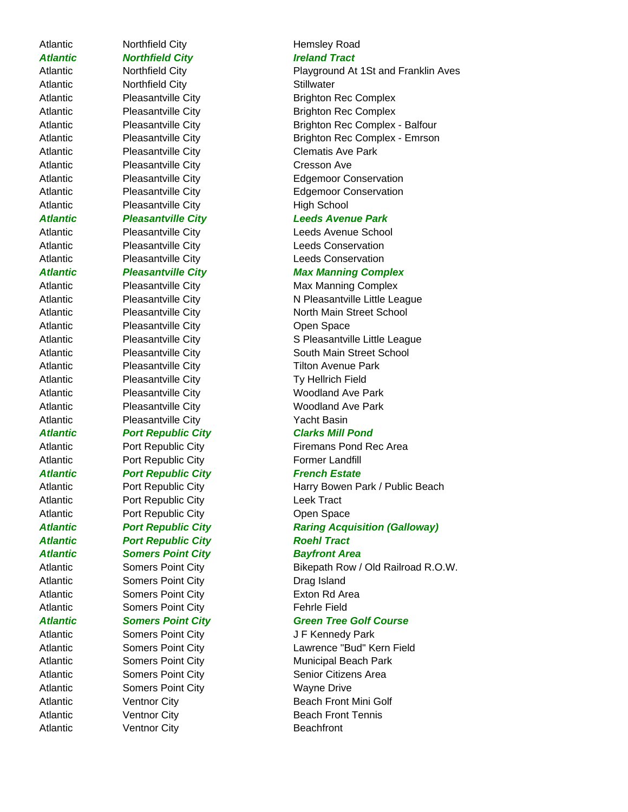# Atlantic Morthfield City **Hemsley Road**

Atlantic **Northfield City Northfield City Northfield City Stillwater** Atlantic Pleasantville City Cresson Ave Atlantic **Pleasantville City High School** 

Atlantic Pleasantville City **Charles Community** Open Space Atlantic Pleasantville City Tilton Avenue Park Atlantic Pleasantville City Ty Hellrich Field Atlantic **Pleasantville City Constants Woodland Ave Park** Atlantic Pleasantville City Woodland Ave Park Atlantic Pleasantville City **Property** Yacht Basin *Atlantic Port Republic City Clarks Mill Pond* Atlantic Port Republic City Firemans Pond Rec Area Atlantic **Port Republic City Former Landfill** Atlantic **Port Republic City** *Port Republic City Prench Estate* Atlantic **Port Republic City Leek Tract** Atlantic **Port Republic City Channel Community** Open Space *Atlantic Port Republic City Roehl Tract Atlantic Somers Point City Bayfront Area* Atlantic Somers Point City **Drag Island** Atlantic **Somers Point City** Exton Rd Area Atlantic Somers Point City Fehrle Field Atlantic **Somers Point City Glue Company Servers Company** J F Kennedy Park

Atlantic **Somers Point City Wayne Drive** Atlantic Ventnor City **Beachfront** 

Atlantic **Northfield City Integral 2016 In the United States Ireland Tract** 

Atlantic **Northfield City Playground At 1St and Franklin Aves** Atlantic Pleasantville City Brighton Rec Complex Atlantic Pleasantville City Brighton Rec Complex Atlantic **Pleasantville City** Brighton Rec Complex - Balfour Atlantic Pleasantville City Brighton Rec Complex - Emrson Atlantic **Pleasantville City** Clematis Ave Park Atlantic Pleasantville City Edgemoor Conservation Atlantic Pleasantville City **Edgemoor Conservation** 

# *Atlantic Pleasantville City Leeds Avenue Park*

Atlantic Pleasantville City **Leeds Avenue School** Atlantic **Pleasantville City Conservation Leeds Conservation** Atlantic **Pleasantville City Conservation Leeds Conservation** 

# *Atlantic Pleasantville City Max Manning Complex*

Atlantic Pleasantville City **Max Manning Complex** Atlantic Pleasantville City N Pleasantville Little League Atlantic Pleasantville City **North Main Street School** Atlantic Pleasantville City S Pleasantville Little League Atlantic **Pleasantville City** South Main Street School

Atlantic **Port Republic City Harry Bowen Park / Public Beach** Port Republic City

# *Atlantic Port Republic City Raring Acquisition (Galloway)*

Atlantic Somers Point City Bikepath Row / Old Railroad R.O.W.

# *Atlantic Somers Point City Green Tree Golf Course*

Atlantic **Somers Point City Lawrence "Bud" Kern Field** Atlantic **Somers Point City Municipal Beach Park** Atlantic Somers Point City Senior Citizens Area Atlantic **Ventnor City Beach Front Mini Golf** Atlantic **Ventnor City Beach Front Tennis**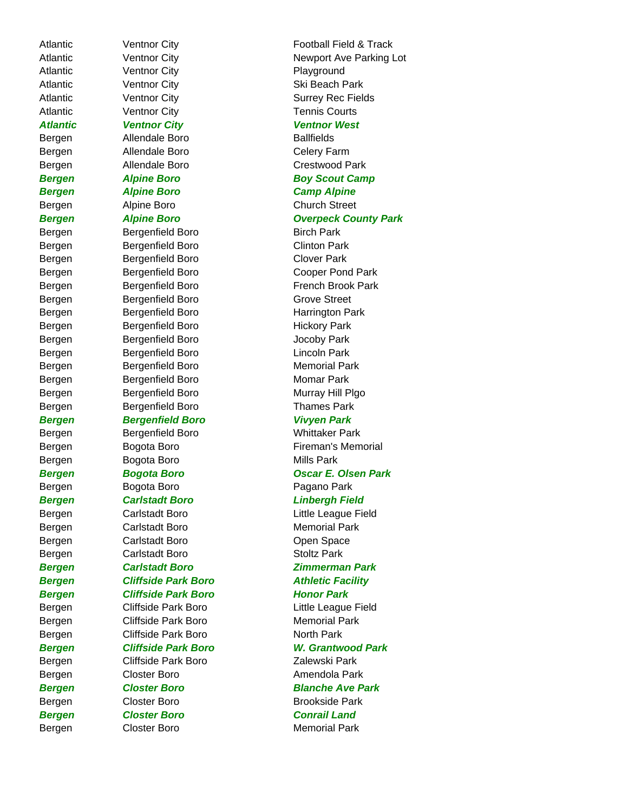Atlantic **Ventnor City Playground** Atlantic Ventnor City **Ski Beach Park** Atlantic Ventnor City **Surrey Rec Fields** Atlantic **Ventnor City Tennis Courts** *Atlantic Ventnor City Ventnor West* Bergen Allendale Boro Ballfields Bergen Allendale Boro Celery Farm Bergen Allendale Boro Crestwood Park *Bergen Alpine Boro Boy Scout Camp Bergen Alpine Boro Camp Alpine*  Bergen Alpine Boro **Church Street** Bergen Bergenfield Boro Birch Park Bergen Bergenfield Boro **Clinton Park** Bergen Bergenfield Boro **Clover Park** Bergen Bergenfield Boro Cooper Pond Park Bergen Bergenfield Boro **French Brook Park** Bergen Bergenfield Boro Grove Street Bergen Bergenfield Boro **Harrington Park** Bergen Bergenfield Boro Bergen Hickory Park Bergen Bergenfield Boro **Bergen** Jocoby Park Bergen Bergenfield Boro **Lincoln Park** Bergen Bergenfield Boro **Memorial Park** Bergen Bergenfield Boro **Momar Park** Bergen Bergenfield Boro **Murray Hill Plgo** Bergen Bergenfield Boro **Bergen** Thames Park *Bergen Bergenfield Boro Vivyen Park* Bergen Bergenfield Boro Whittaker Park Bergen Bogota Boro **Mills Park** Bergen Bogota Boro **Pagano Park** *Bergen Carlstadt Boro Linbergh Field* Bergen Carlstadt Boro Little League Field Bergen Carlstadt Boro Memorial Park Bergen Carlstadt Boro Carlstadt Boro Copen Space Bergen Carlstadt Boro Stoltz Park *Bergen Carlstadt Boro Zimmerman Park* **Bergen Cliffside Park Boro Facility Bergen Cliffside Park Boro Honor Park** Bergen Cliffside Park Boro Little League Field Bergen Cliffside Park Boro Memorial Park Bergen Cliffside Park Boro North Park Bergen Cliffside Park Boro Zalewski Park Bergen Closter Boro **Amendola Park** Bergen Closter Boro Brookside Park *Bergen Closter Boro Conrail Land*

Atlantic **Ventnor City Concernsive Containst Football Field & Track** Atlantic **Net Continue City** Newport Ave Parking Lot **Bergen Alpine Boro Communist County Park** Bergen Bogota Boro **Fireman's Memorial** *Bergen Bogota Boro Oscar E. Olsen Park Bergen Cliffside Park Boro W. Grantwood Park Bergen Closter Boro Blanche Ave Park* Bergen Closter Boro **Memorial Park**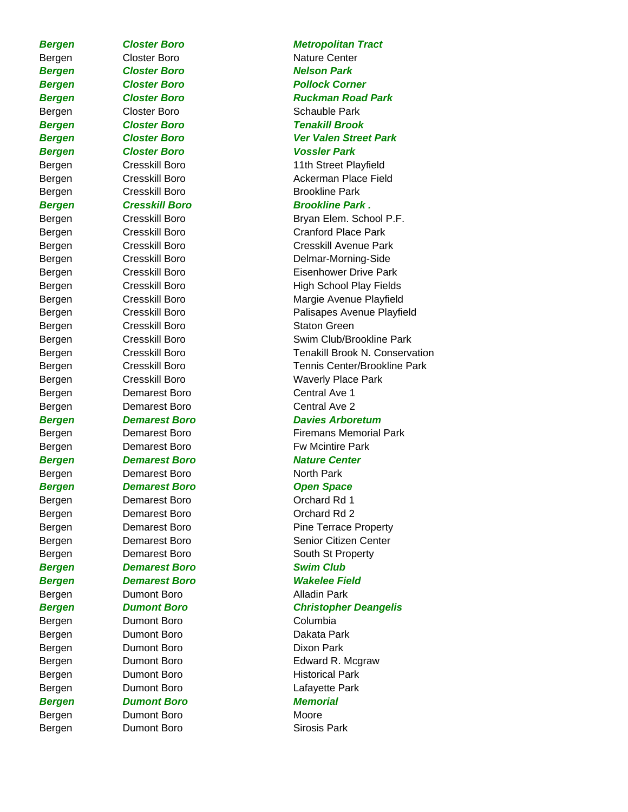**Bergen Closter Boro Contract Park** *Bergen Closter Boro Vossler Park* Bergen Cresskill Boro Staton Green Bergen **Demarest Boro** Central Ave 1 Bergen **Demarest Boro** Central Ave 2 Bergen Demarest Boro North Park *Bergen Demarest Boro Open Space* Bergen Demarest Boro **Demarest Boro Container Boro Demares** Orchard Rd 1 Bergen Demarest Boro **Demarest Boro Container Boro Demares** Orchard Rd 2 *Bergen Demarest Boro Swim Club* Bergen **Dumont Boro Communist Communist Communist Communist Communist Communist Communist Communist Communist Communist Communist Communist Communist Communist Communist Communist Communist Communist Communist Communist** Bergen Dumont Boro Columbia Bergen Dumont Boro Dakata Park Bergen Dumont Boro Dixon Park *Bergen Dumont Boro Memorial* Bergen Dumont Boro **Moore** 

# *Bergen Closter Boro Metropolitan Tract* Bergen Closter Boro Nature Center *Bergen Closter Boro Pollock Corner* **Bergen Closter Boro Ruckman Road Park** Bergen Closter Boro Schauble Park *Bergen Closter Boro Tenakill Brook Bergen Closter Boro Ver Valen Street Park* Bergen Cresskill Boro 11th Street Playfield Bergen Cresskill Boro **Ackerman Place Field** Bergen Cresskill Boro Brookline Park **Bergen Cresskill Boro Brookline Park.** Bergen Cresskill Boro Bryan Elem. School P.F. Bergen Cresskill Boro Cranford Place Park Bergen Cresskill Boro Cresskill Avenue Park Bergen Cresskill Boro Delmar-Morning-Side Bergen Cresskill Boro **Eisenhower Drive Park** Bergen Cresskill Boro High School Play Fields Bergen Cresskill Boro Margie Avenue Playfield Bergen Cresskill Boro Palisapes Avenue Playfield Bergen Cresskill Boro Swim Club/Brookline Park Bergen Cresskill Boro Tenakill Brook N. Conservation Bergen Cresskill Boro Tennis Center/Brookline Park Bergen Cresskill Boro Waverly Place Park *Bergen Demarest Boro Davies Arboretum* Bergen **Demarest Boro Firemans Memorial Park** Bergen **Demarest Boro Communisty Bergen F**w Mcintire Park *Bergen Demarest Boro Nature Center* Bergen **Demarest Boro Pine Terrace Property** Bergen **Demarest Boro Channel Center** Senior Citizen Center Bergen **Demarest Boro** South St Property *Bergen Demarest Boro Wakelee Field Bergen Dumont Boro Christopher Deangelis* Bergen Dumont Boro **Edward R. Mcgraw** Bergen Dumont Boro **Historical Park** Bergen Dumont Boro **Lafayette Park** Bergen **Dumont Boro Contract Single Sirosis Park**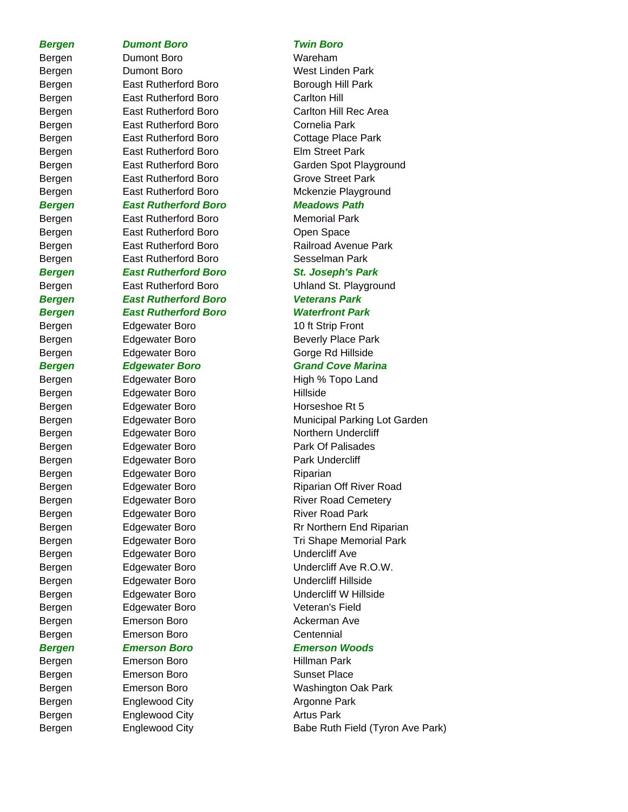# *Bergen Dumont Boro Twin Boro*

Bergen Dumont Boro **Wareham** Bergen Dumont Boro West Linden Park Bergen East Rutherford Boro Borough Hill Park Bergen East Rutherford Boro Carlton Hill Bergen East Rutherford Boro Cornelia Park Bergen East Rutherford Boro Cottage Place Park Bergen East Rutherford Boro Elm Street Park Bergen East Rutherford Boro Grove Street Park *Bergen East Rutherford Boro Meadows Path* Bergen **East Rutherford Boro** Memorial Park Bergen East Rutherford Boro **Open Space** Bergen East Rutherford Boro Sesselman Park *Bergen East Rutherford Boro St. Joseph's Park* Bergen East Rutherford Boro Uhland St. Playground *Bergen East Rutherford Boro Veterans Park Bergen East Rutherford Boro Waterfront Park* Bergen Edgewater Boro 10 ft Strip Front Bergen Edgewater Boro Beverly Place Park Bergen Edgewater Boro Gorge Rd Hillside *Bergen Edgewater Boro Grand Cove Marina* Bergen Edgewater Boro High % Topo Land Bergen Edgewater Boro **Hillside** Bergen Edgewater Boro Horseshoe Rt 5 Bergen Edgewater Boro Northern Undercliff Bergen **Edgewater Boro Park Of Palisades** Bergen Edgewater Boro Park Undercliff Bergen Edgewater Boro Riparian Bergen Edgewater Boro River Road Park Bergen Edgewater Boro **Undercliff Ave** Bergen Edgewater Boro Charles Undercliff Hillside Bergen Edgewater Boro Undercliff W Hillside Bergen Edgewater Boro Veteran's Field Bergen Emerson Boro **Ackerman Ave** Bergen Emerson Boro Centennial *Bergen Emerson Boro Emerson Woods* Bergen Emerson Boro **Hillman Park** Bergen Emerson Boro **Emerson Boro Sunset Place** Bergen Englewood City **Argonne Park** Bergen Englewood City **Artus Park** 

Bergen East Rutherford Boro Carlton Hill Rec Area Bergen East Rutherford Boro Garden Spot Playground Bergen East Rutherford Boro Mckenzie Playground

Bergen East Rutherford Boro Railroad Avenue Park

Bergen Edgewater Boro Municipal Parking Lot Garden Bergen Edgewater Boro **Riparian Off River Road** Bergen **Edgewater Boro River Road Cemetery** Bergen Edgewater Boro **Rr Northern End Riparian** Bergen Edgewater Boro Tri Shape Memorial Park Bergen Edgewater Boro Undercliff Ave R.O.W.

Bergen Emerson Boro Washington Oak Park Bergen Englewood City **Babe Ruth Field (Tyron Ave Park)**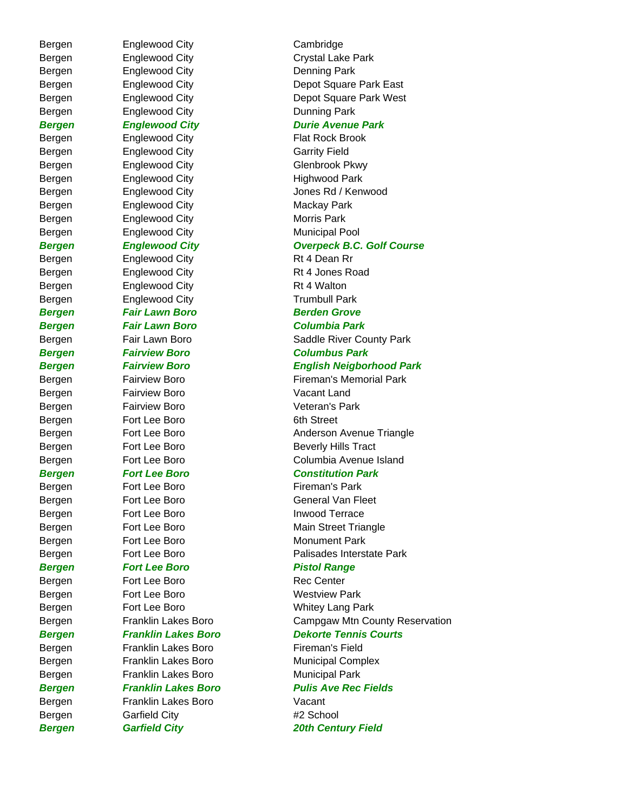Bergen Englewood City Cambridge Bergen Englewood City **Denning Park** Bergen Englewood City **Dunning Park** Bergen Englewood City Flat Rock Brook Bergen Englewood City Garrity Field Bergen Englewood City Glenbrook Pkwy Bergen Englewood City Highwood Park Bergen Englewood City **Mackay Park** Bergen Englewood City **Morris Park** Bergen Englewood City **Municipal Pool** Bergen Englewood City Rt 4 Dean Rr Bergen Englewood City Rt 4 Jones Road Bergen Englewood City Rt 4 Walton Bergen Englewood City **Trumbull Park Bergen Fair Lawn Boro Berden Grove** *Bergen Fair Lawn Boro Columbia Park Bergen Fairview Boro Columbus Park* Bergen Fairview Boro **Vacant Land** Bergen Fairview Boro **Veteran's Park** Bergen Fort Lee Boro 6th Street Bergen Fort Lee Boro Fireman's Park Bergen Fort Lee Boro **Inwood Terrace** Bergen Fort Lee Boro Monument Park **Bergen Fort Lee Boro Pistol Range** Bergen Fort Lee Boro Rec Center Bergen Fort Lee Boro **Westview Park** Bergen Franklin Lakes Boro Fireman's Field Bergen Franklin Lakes Boro Municipal Park Bergen Franklin Lakes Boro Vacant Bergen Garfield City **#2 School** 

Bergen Englewood City Crystal Lake Park Bergen Englewood City **Depot Square Park East** Bergen Englewood City Depot Square Park West *Bergen Englewood City Durie Avenue Park* Bergen Englewood City **Grad City** Jones Rd / Kenwood *Bergen Englewood City Overpeck B.C. Golf Course* Bergen Fair Lawn Boro **Fand County Park** Saddle River County Park *Bergen Fairview Boro English Neigborhood Park* Bergen Fairview Boro **Filteman's Memorial Park** Bergen Fort Lee Boro **Anderson Avenue Triangle** Bergen Fort Lee Boro Beverly Hills Tract Bergen Fort Lee Boro Columbia Avenue Island *Bergen Fort Lee Boro Constitution Park* Bergen Fort Lee Boro General Van Fleet Bergen Fort Lee Boro **Main Street Triangle** Bergen Fort Lee Boro Palisades Interstate Park Bergen Fort Lee Boro Whitey Lang Park Bergen Franklin Lakes Boro Campgaw Mtn County Reservation *Bergen Franklin Lakes Boro Dekorte Tennis Courts*

Bergen Franklin Lakes Boro Municipal Complex *Bergen Franklin Lakes Boro Pulis Ave Rec Fields*

*Bergen Garfield City 20th Century Field*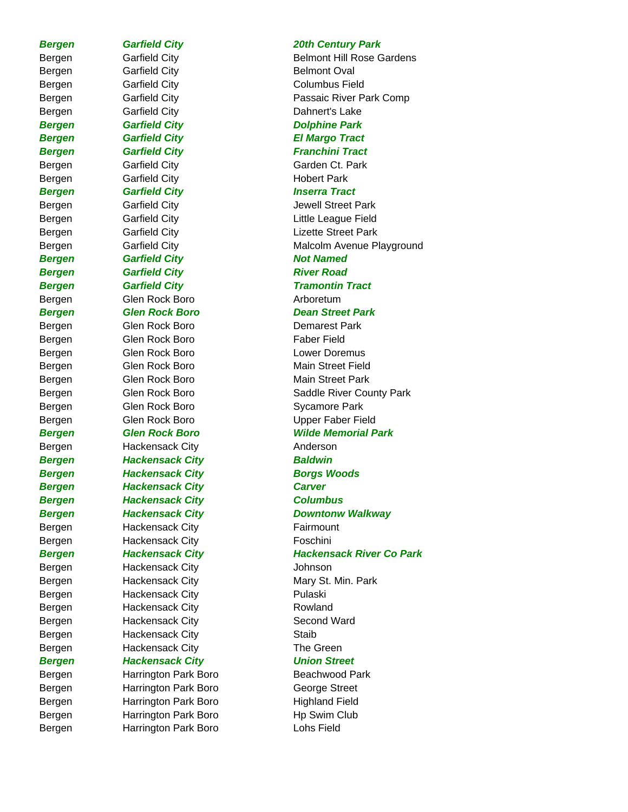# Bergen Garfield City **Belmont Oval** Bergen Garfield City Columbus Field Bergen Garfield City **Dahnert's Lake** *Bergen Garfield City Dolphine Park Bergen Garfield City El Margo Tract* **Bergen Garfield City Garget Community Franchini Tract** Bergen Garfield City Garden Ct. Park Bergen Garfield City **Garfield City Hobert Park Bergen Garfield City Communist Communist Communist Communist Communist Communist Communist Communist Communist Communist Communist Communist Communist Communist Communist Communist Communist Communist Communist Communist Bergen Garfield City Cancel Accord Providence Accord Providence Accord Providence Accord Providence Accord Providence Accord Providence Accord Providence Accord Providence Accord Providence Accord Providence Accord Provid Bergen Garfield City Communist River Road Communist River Road Art Ave Act Art Ave Bergen Garfield City Communist Communist Communist Communist Communist Communist Communist Communist Communist Communist Communist Communist Communist Communist Communist Communist Communist Communist Communist Communist** Bergen Glen Rock Boro **Arboretum** Bergen Glen Rock Boro **Demarest Park** Bergen Glen Rock Boro Faber Field Bergen Glen Rock Boro Collection Lower Doremus Bergen Glen Rock Boro Main Street Field Bergen Glen Rock Boro Main Street Park Bergen Glen Rock Boro Sycamore Park Bergen Glen Rock Boro Glen Collection Upper Faber Field Bergen Hackensack City **Anderson** *Bergen Hackensack City Baldwin* **Bergen Hackensack City Borgs Woods** *Bergen Hackensack City Carver Bergen Hackensack City Columbus* Bergen Hackensack City Fairmount Bergen Hackensack City Foschini Bergen Hackensack City Johnson Bergen Hackensack City **Pulaski** Bergen Hackensack City Rowland Bergen Hackensack City Second Ward Bergen Hackensack City **Staib** Bergen Hackensack City The Green *Bergen Hackensack City Union Street* Bergen **Harrington Park Boro** Beachwood Park

Bergen Harrington Park Boro George Street Bergen Harrington Park Boro Highland Field Bergen Harrington Park Boro Hp Swim Club Bergen Harrington Park Boro Lohs Field

# *Bergen Garfield City 20th Century Park*

Bergen Garfield City **Belmont Hill Rose Gardens** Bergen Garfield City Passaic River Park Comp Bergen Garfield City **Gargen** Jewell Street Park Bergen Garfield City **Cancel City** Little League Field Bergen Garfield City **Cancel City** Lizette Street Park Bergen Garfield City **Gargen Communist Communist Communist Communist Communist Communist Communist Communist Communist Communist Communist Communist Communist Communist Communist Communist Communist Communist Communist Com** *Bergen Glen Rock Boro Dean Street Park* Bergen Glen Rock Boro Saddle River County Park *Bergen Glen Rock Boro Wilde Memorial Park Bergen Hackensack City Downtonw Walkway Bergen Hackensack City Hackensack River Co Park* Bergen Hackensack City Mary St. Min. Park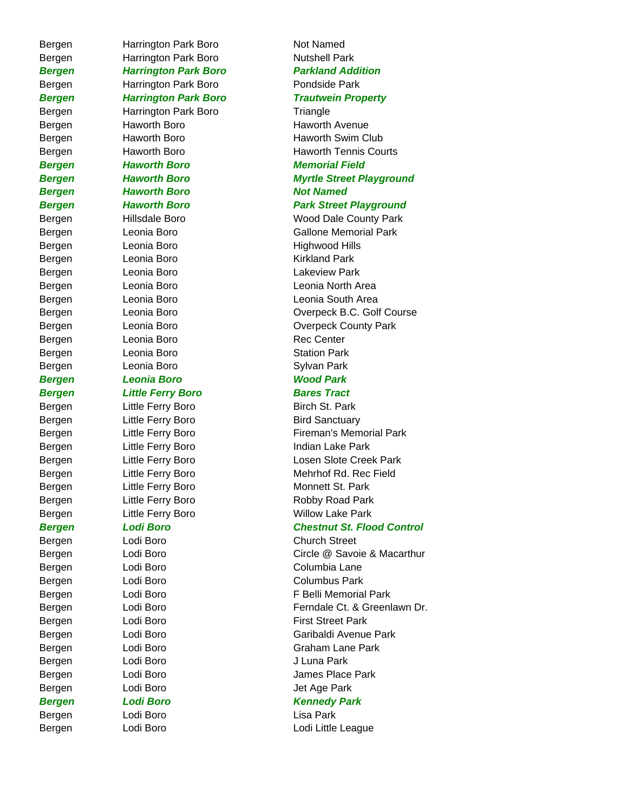Bergen Harrington Park Boro Not Named Bergen Harrington Park Boro Nutshell Park Bergen Harrington Park Boro Pondside Park Bergen Harrington Park Boro Triangle **Bergen Haworth Boro Not Named** Bergen Leonia Boro **Highwood Hills** Bergen Leonia Boro **Kirkland Park** Bergen Leonia Boro Lakeview Park Bergen Leonia Boro **Rec Center** Bergen Leonia Boro **Station Park** Bergen Leonia Boro **Carry Sylvan Park** *Bergen Leonia Boro Wood Park* **Bergen Little Ferry Boro Bares Tract** Bergen Little Ferry Boro Birch St. Park Bergen Little Ferry Boro Bird Sanctuary Bergen Lodi Boro Church Street Bergen Lodi Boro Columbia Lane Bergen Lodi Boro Columbus Park Bergen Lodi Boro **J** Luna Park Bergen Lodi Boro **Carry Communist Communist Communist Communist Communist Communist Communist Communist Communist Communist Communist Communist Communist Communist Communist Communist Communist Communist Communist Communis Bergen Lodi Boro Kennedy Park** Bergen Lodi Boro Lisa Park

# *Bergen Harrington Park Boro Parkland Addition Bergen Harrington Park Boro Trautwein Property* Bergen Haworth Boro Haworth Avenue Bergen Haworth Boro Haworth Swim Club Bergen Haworth Boro Haworth Tennis Courts *Bergen Haworth Boro Memorial Field Bergen Haworth Boro Myrtle Street Playground Bergen Haworth Boro Park Street Playground* Bergen Hillsdale Boro Wood Dale County Park Bergen Leonia Boro Gallone Memorial Park Bergen Leonia Boro Leonia North Area Bergen Leonia Boro Leonia South Area Bergen Leonia Boro Overpeck B.C. Golf Course Bergen Leonia Boro County Park Bergen Little Ferry Boro **Fireman's Memorial Park** Bergen Little Ferry Boro **Indian Lake Park** Bergen Little Ferry Boro **Losen Slote Creek Park** Bergen Little Ferry Boro Mehrhof Rd. Rec Field Bergen Little Ferry Boro Monnett St. Park Bergen Little Ferry Boro Robby Road Park Bergen Little Ferry Boro Willow Lake Park *Bergen Lodi Boro Chestnut St. Flood Control* Bergen Lodi Boro Circle @ Savoie & Macarthur Bergen Lodi Boro **F Belli Memorial Park** Bergen Lodi Boro **Ferndale Ct. & Greenlawn Dr.** Bergen Lodi Boro **First Street Park** Bergen Lodi Boro Garibaldi Avenue Park Bergen Lodi Boro Channel Craham Lane Park Bergen Lodi Boro **Camera Lodi Boro** Christian Mames Place Park Bergen Lodi Boro Lotter Lodi Little League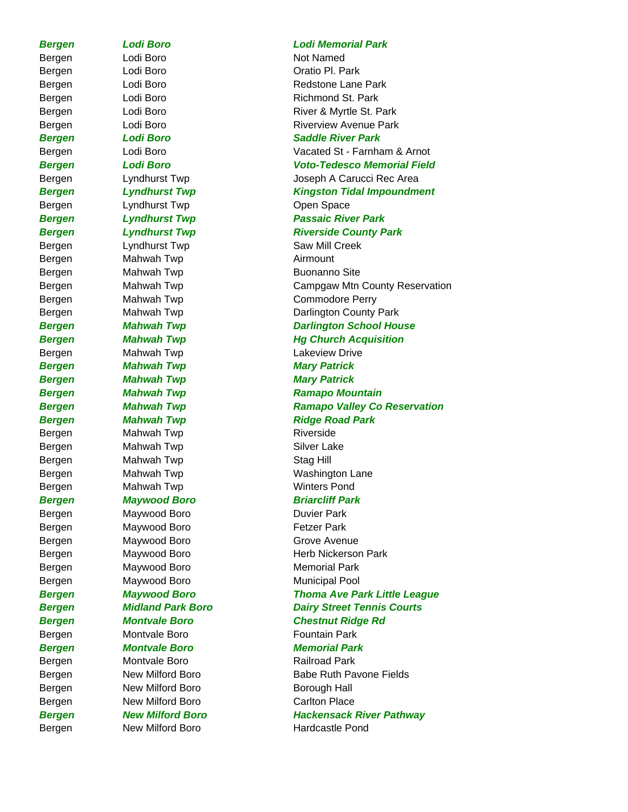Bergen Lodi Boro Not Named Bergen Lodi Boro Chatio Pl. Park Bergen Cyndhurst Twp Copen Space Bergen Cyndhurst Twp Saw Mill Creek Bergen Mahwah Twp **Airmount** Bergen Mahwah Twp **Buonanno Site** Bergen Mahwah Twp **Lakeview Drive Bergen Mahwah Twp Mary Patrick** *Bergen Mahwah Twp Mary Patrick*  Bergen Mahwah Twp Riverside Bergen Mahwah Twp **Silver Lake** Bergen Mahwah Twp Stag Hill Bergen Mahwah Twp **Winters Pond** *Bergen Maywood Boro Briarcliff Park* Bergen Maywood Boro **Duvier Park** Bergen Maywood Boro **Fetzer Park** Bergen Maywood Boro Grove Avenue Bergen Maywood Boro Memorial Park Bergen Maywood Boro Municipal Pool Bergen Montvale Boro **Fountain Park** *Bergen Montvale Boro Memorial Park* Bergen Montvale Boro Railroad Park Bergen New Milford Boro **Borough Hall** Bergen Mew Milford Boro **Carlton Place** 

# *Bergen Lodi Boro Lodi Memorial Park*

Bergen Lodi Boro **Redstone Lane Park** Bergen Lodi Boro Richmond St. Park Bergen Lodi Boro **River & Myrtle St. Park** Bergen Lodi Boro **Riverview Avenue Park** *Bergen Lodi Boro Saddle River Park* Bergen Lodi Boro Vacated St - Farnham & Arnot *Bergen Lodi Boro Voto-Tedesco Memorial Field* Bergen Lyndhurst Twp Joseph A Carucci Rec Area *Bergen Lyndhurst Twp Kingston Tidal Impoundment Bergen Lyndhurst Twp Passaic River Park* **Bergen Lyndhurst Twp Riverside County Park** Bergen Mahwah Twp Campgaw Mtn County Reservation Bergen Mahwah Twp Commodore Perry Bergen Mahwah Twp Darlington County Park **Bergen Mahwah Twp Darlington School House Bergen Mahwah Twp Hg Church Acquisition Bergen Mahwah Twp Ramapo Mountain** *Bergen Mahwah Twp Ramapo Valley Co Reservation* **Bergen Mahwah Twp Ridge Road Park** Bergen Mahwah Twp Washington Lane Bergen Maywood Boro Herb Nickerson Park *Bergen Maywood Boro Thoma Ave Park Little League Bergen Midland Park Boro Dairy Street Tennis Courts Bergen Montvale Boro Chestnut Ridge Rd* Bergen New Milford Boro Babe Ruth Pavone Fields **Bergen Mew Milford Boro Mackensack River Pathway** Bergen New Milford Boro Hardcastle Pond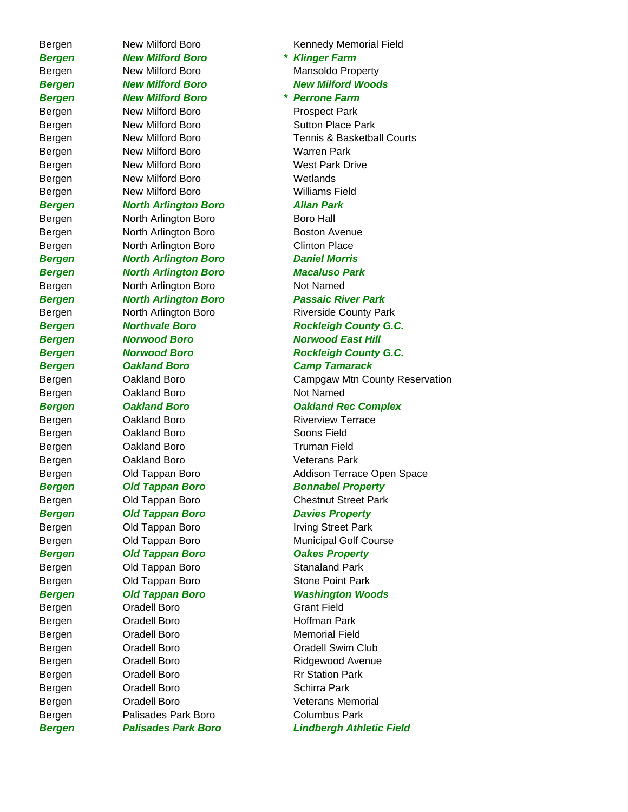*Bergen New Milford Boro \* Klinger Farm* Bergen Mew Milford Boro Mansoldo Property **Bergen Mew Milford Boro New Milford Woods** *Bergen New Milford Boro \* Perrone Farm* Bergen New Milford Boro **Prospect Park** Bergen New Milford Boro Sutton Place Park Bergen New Milford Boro New Warren Park Bergen New Milford Boro West Park Drive Bergen New Milford Boro Netlands Bergen New Milford Boro New Williams Field *Bergen North Arlington Boro Allan Park* Bergen **North Arlington Boro Boro Hall** Bergen Morth Arlington Boro Boston Avenue Bergen **North Arlington Boro** Clinton Place *Bergen North Arlington Boro Daniel Morris Bergen North Arlington Boro Macaluso Park* Bergen North Arlington Boro Not Named *Bergen North Arlington Boro Passaic River Park* **Bergen Morwood Boro Norwood East Hill** *Bergen Oakland Boro Camp Tamarack* Bergen Cakland Boro Not Named Bergen Cakland Boro Riverview Terrace Bergen Cakland Boro Soons Field Bergen **Cakland Boro Cakland Boro** Truman Field Bergen **Cakland Boro Veterans Park** *Bergen Old Tappan Boro Bonnabel Property* Bergen Cld Tappan Boro Chestnut Street Park **Bergen Cold Tappan Boro Cold Davies Property** Bergen **Old Tappan Boro** Irving Street Park Bergen Cld Tappan Boro Municipal Golf Course *Bergen Old Tappan Boro Oakes Property* Bergen **Old Tappan Boro Contact Stanaland Park** Bergen **Old Tappan Boro** Stone Point Park *Bergen Old Tappan Boro Washington Woods* Bergen Cradell Boro Grant Field Bergen Cradell Boro **Hoffman Park** Bergen Cradell Boro Memorial Field Bergen **Oradell Boro Canadia Cradell Swim Club** Bergen Cradell Boro Ridgewood Avenue Bergen Cradell Boro Rr Station Park Bergen **Oradell Boro Crack Contact Schirra Park** Bergen **Oradell Boro Veterans Memorial** Bergen Palisades Park Boro Columbus Park

Bergen Mew Milford Boro **Kennedy Memorial Field** Bergen New Milford Boro Tennis & Basketball Courts Bergen Morth Arlington Boro Riverside County Park **Bergen Morthvale Boro Rockleigh County G.C. Bergen Morwood Boro Rockleigh County G.C.** Bergen Oakland Boro Campgaw Mtn County Reservation *Bergen Oakland Boro Oakland Rec Complex* Bergen Cld Tappan Boro Clearen and Addison Terrace Open Space *Bergen Palisades Park Boro Lindbergh Athletic Field*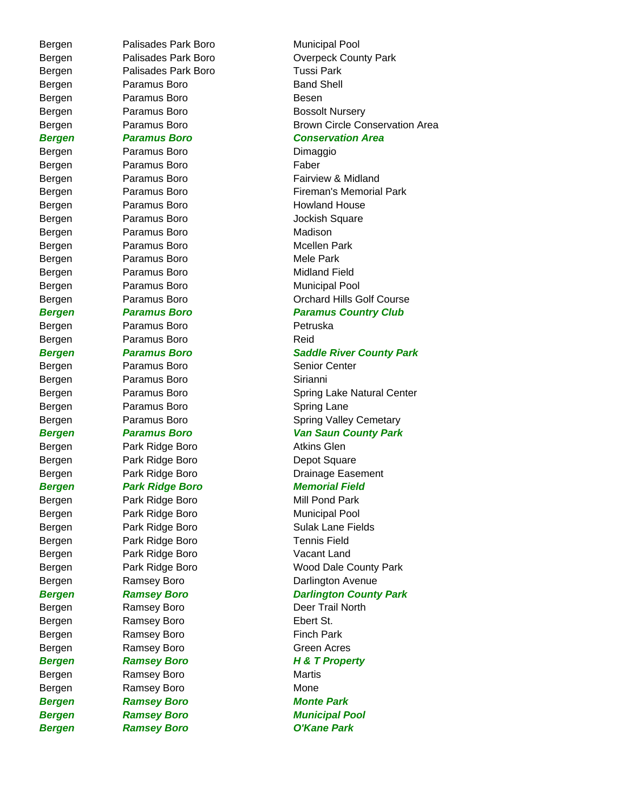Bergen Palisades Park Boro Municipal Pool Bergen Palisades Park Boro Tussi Park Bergen Paramus Boro **Band Shell** Bergen Paramus Boro **Besen** Bergen **Paramus Boro Paramus Boro Bossolt Nursery** Bergen Paramus Boro **Dimaggio** Bergen Paramus Boro **Faber** Bergen Paramus Boro **Howland House** Bergen Paramus Boro **Disk Contract Sergen** Jockish Square Bergen Paramus Boro **Madison** Bergen Paramus Boro **Mcellen Park** Bergen Paramus Boro **Mele Park** Bergen Paramus Boro **Midland Field** Bergen Paramus Boro **Municipal Pool** Bergen Paramus Boro **Petruska** Bergen Paramus Boro **Reid** Bergen Paramus Boro **Senior Center** Bergen Paramus Boro **Sirianni** Bergen Paramus Boro **Bridger Spring Lane** Bergen **Park Ridge Boro Park Ridge Boro Park Ridge Boro Park 1** Bergen Park Ridge Boro Depot Square *Bergen Park Ridge Boro Memorial Field* Bergen Park Ridge Boro Mill Pond Park Bergen Park Ridge Boro Municipal Pool Bergen Park Ridge Boro Tennis Field Bergen Park Ridge Boro Vacant Land Bergen Ramsey Boro **Deer Trail North** Bergen Ramsey Boro **Ebert St.** Bergen Ramsey Boro **Finch Park** Bergen Ramsey Boro **Green Acres** *Bergen Ramsey Boro H & T Property* Bergen Ramsey Boro **Martis** Bergen Ramsey Boro **Ramsey Boro Mone Bergen Ramsey Boro Monte Park** *Bergen Ramsey Boro Municipal Pool Bergen Ramsey Boro O'Kane Park*

Bergen Palisades Park Boro **County Park** Boro **Overpeck County Park** Bergen **Paramus Boro Paramus Boro Brown Circle Conservation Area** *Bergen Paramus Boro Conservation Area* Bergen **Paramus Boro Paramus Boro Paramus Boro Fairview & Midland** Bergen Paramus Boro Fireman's Memorial Park Bergen **Paramus Boro Paramus Boro Paramus Boro Paramus Boro Paramus Boro Paramus Boro Paramus Boro Paramus Boro Paramus Boro Paramus Boro Paramus Boro Paramus Boro Paramus Boro Paramus Boro Para** *Bergen Paramus Boro Paramus Country Club Bergen Paramus Boro Saddle River County Park* Bergen **Paramus Boro Paramus Boro** Spring Lake Natural Center Bergen **Paramus Boro Paramus Boro Spring Valley Cemetary** *Bergen Paramus Boro Van Saun County Park* Bergen Park Ridge Boro **Drainage Easement** Bergen **Park Ridge Boro Park Ridge Boro** Sulak Lane Fields Bergen Park Ridge Boro Wood Dale County Park Bergen Ramsey Boro **Darlington Avenue** *Bergen Ramsey Boro Darlington County Park*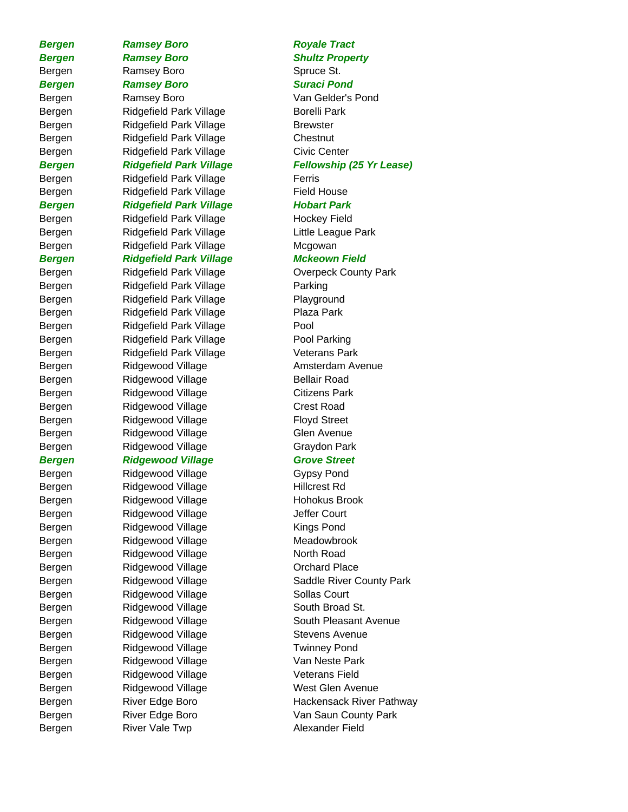Bergen River Vale Twp **Alexander Field** 

**Bergen Ramsey Boro Royale Tract** *Bergen Ramsey Boro Shultz Property* Bergen Ramsey Boro Spruce St. *Bergen Ramsey Boro Suraci Pond* Bergen Ramsey Boro Van Gelder's Pond Bergen Ridgefield Park Village Borelli Park Bergen Ridgefield Park Village Brewster Bergen Ridgefield Park Village Chestnut Bergen Ridgefield Park Village Civic Center Bergen Ridgefield Park Village Ferris Bergen Ridgefield Park Village Field House *Bergen Ridgefield Park Village Hobart Park* Bergen Ridgefield Park Village Hockey Field Bergen Ridgefield Park Village **Little League Park** Bergen Ridgefield Park Village Mcgowan *Bergen Ridgefield Park Village Mckeown Field* Bergen **Ridgefield Park Village County Park** Overpeck County Park Bergen Ridgefield Park Village Parking Bergen Ridgefield Park Village Playground Bergen Ridgefield Park Village Plaza Park Bergen Ridgefield Park Village Pool Bergen Ridgefield Park Village Pool Parking Bergen Ridgefield Park Village Veterans Park Bergen Ridgewood Village **Amsterdam Avenue** Bergen Ridgewood Village Bellair Road Bergen Ridgewood Village Citizens Park Bergen Ridgewood Village Crest Road Bergen Ridgewood Village **Floyd Street** Bergen Ridgewood Village Glen Avenue Bergen Ridgewood Village Graydon Park **Bergen Ridgewood Village Grove Street** Bergen Ridgewood Village Gypsy Pond Bergen Ridgewood Village Hillcrest Rd Bergen Ridgewood Village Hohokus Brook Bergen Ridgewood Village Jeffer Court Bergen Ridgewood Village Kings Pond Bergen Ridgewood Village Meadowbrook Bergen Ridgewood Village North Road Bergen Ridgewood Village Crchard Place Bergen Ridgewood Village Sollas Court Bergen Ridgewood Village South Broad St. Bergen Ridgewood Village South Pleasant Avenue Bergen Ridgewood Village Stevens Avenue Bergen Ridgewood Village Twinney Pond Bergen Ridgewood Village Van Neste Park Bergen Ridgewood Village Veterans Field Bergen Ridgewood Village West Glen Avenue Bergen River Edge Boro Nan Saun County Park

# *Bergen Ridgefield Park Village Fellowship (25 Yr Lease)* Bergen Ridgewood Village Saddle River County Park Bergen River Edge Boro Reserve Hackensack River Pathway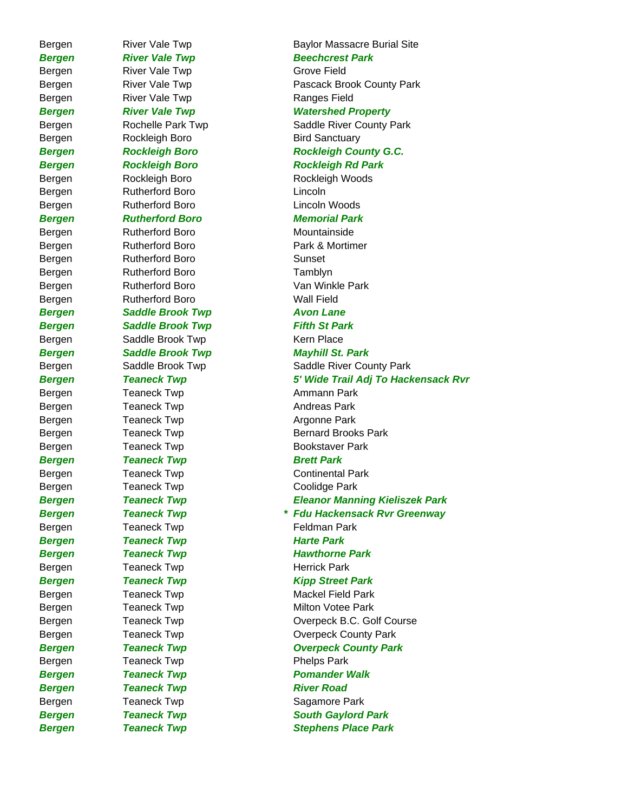Bergen River Vale Twp **Grove Field** Bergen River Vale Twp Ranges Field Bergen Rockleigh Boro Bird Sanctuary Bergen Rutherford Boro **Lincoln** Bergen Rutherford Boro Lincoln Woods *Bergen Rutherford Boro Memorial Park* Bergen Rutherford Boro Mountainside Bergen Rutherford Boro Sunset Bergen Rutherford Boro Tamblyn Bergen Rutherford Boro Nell Field **Bergen Saddle Brook Twp Avon Lane Bergen Saddle Brook Twp Fifth St Park** Bergen Saddle Brook Twp Kern Place Bergen Teaneck Twp Teaneck Twp Teaneck Twp Teaneck Twp Ammann Park Bergen Teaneck Twp Teaneck Twp Andreas Park Bergen Teaneck Twp Teaneck Twp Research Argonne Park **Bergen Teaneck Twp Brett Park** Bergen Teaneck Twp Coolidge Park Bergen Feaneck Twp Teaneck Twp Feldman Park **Bergen Teaneck Twp Teaneck Twp Harte Park** Bergen Teaneck Twp Teaneck Twp Herrick Park Bergen Teaneck Twp **Phelps Park Bergen Teaneck Twp River Road** Bergen Teaneck Twp **Sagamore Park** 

# Bergen River Vale Twp **Baylor Massacre Burial Site Bergen River Vale Twp Beechcrest Park** Bergen River Vale Twp **Pascack Brook County Park Bergen River Vale Twp Natershed Property** Bergen **Rochelle Park Twp** Saddle River County Park *Bergen Rockleigh Boro Rockleigh County G.C. Bergen Rockleigh Boro Rockleigh Rd Park* Bergen Rockleigh Boro Rockleigh Woods Bergen Rutherford Boro Park & Mortimer Bergen Rutherford Boro Van Winkle Park *Bergen Saddle Brook Twp Mayhill St. Park* Bergen Saddle Brook Twp Saddle River County Park *Bergen Teaneck Twp 5' Wide Trail Adj To Hackensack Rvr* Bergen Teaneck Twp Bernard Brooks Park Bergen Teaneck Twp **Bookstaver Park** Bergen Teaneck Twp Continental Park *Bergen Teaneck Twp Eleanor Manning Kieliszek Park Bergen Teaneck Twp \* Fdu Hackensack Rvr Greenway* **Bergen Teaneck Twp Teaneck Twp Hawthorne Park Bergen Teaneck Twp Teanet Type Ripp Street Park** Bergen Teaneck Twp Teaneck Twp Mackel Field Park Bergen Teaneck Twp Teaneck Twp Milton Votee Park Bergen Teaneck Twp Coverpeck B.C. Golf Course Bergen Teaneck Twp **Overpeck County Park Bergen Teaneck Twp Coverpeck County Park Bergen Teaneck Twp Teaneck Twp Pomander Walk Bergen Teaneck Twp South Gaylord Park Bergen Teaneck Twp Stephens Place Park**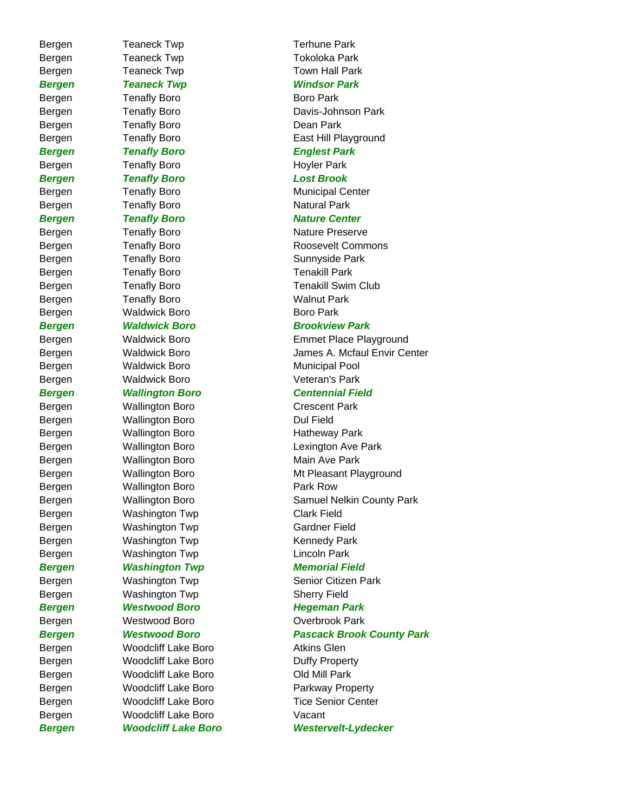Bergen Teaneck Twp Tokoloka Park Bergen Teaneck Twp Town Hall Park *Bergen Teaneck Twp Windsor Park* Bergen Tenafly Boro **Boro Park** Bergen Tenafly Boro Davis-Johnson Park Bergen Tenafly Boro **Dean Park** Bergen Tenafly Boro **East Hill Playground** *Bergen Tenafly Boro Englest Park*  Bergen Tenafly Boro **Hoyler Park** *Bergen Tenafly Boro Lost Brook* Bergen Tenafly Boro **Municipal Center** Bergen Tenafly Boro **Natural Park** *Bergen Tenafly Boro* Mature Center Bergen Tenafly Boro Nature Preserve Bergen Tenafly Boro **Sunnyside Park** Bergen Tenafly Boro Tenakill Park Bergen Tenafly Boro Tenakill Swim Club Bergen Tenafly Boro **Walnut Park** Bergen Waldwick Boro **Boro Boro Park Bergen Maldwick Boro Brookview Park** Bergen Maldwick Boro Municipal Pool Bergen Waldwick Boro **Veteran's Park** *Bergen Wallington Boro Centennial Field* Bergen Wallington Boro Crescent Park Bergen Wallington Boro **Dul Field** Bergen Wallington Boro Hatheway Park Bergen Wallington Boro **Lexington Ave Park** Bergen Wallington Boro Main Ave Park Bergen Wallington Boro **Park Row** Bergen Washington Twp Clark Field Bergen Washington Twp Gardner Field Bergen Washington Twp **Kennedy Park** Bergen Washington Twp Lincoln Park **Bergen Mashington Twp Memorial Field** Bergen Washington Twp Senior Citizen Park Bergen Washington Twp Sherry Field *Bergen Westwood Boro Hegeman Park* Bergen Westwood Boro **Overbrook Park** Bergen Woodcliff Lake Boro **Atkins Glen** Bergen Woodcliff Lake Boro Duffy Property Bergen **Woodcliff Lake Boro** Old Mill Park Bergen Woodcliff Lake Boro Parkway Property Bergen Woodcliff Lake Boro Tice Senior Center Bergen Woodcliff Lake Boro Vacant

Bergen Teaneck Twp Terhune Park Bergen Tenafly Boro Roosevelt Commons Bergen Waldwick Boro Emmet Place Playground Bergen Waldwick Boro James A. Mcfaul Envir Center Bergen Wallington Boro Mt Pleasant Playground Bergen Wallington Boro Samuel Nelkin County Park *Bergen Westwood Boro Pascack Brook County Park Bergen Woodcliff Lake Boro Westervelt-Lydecker*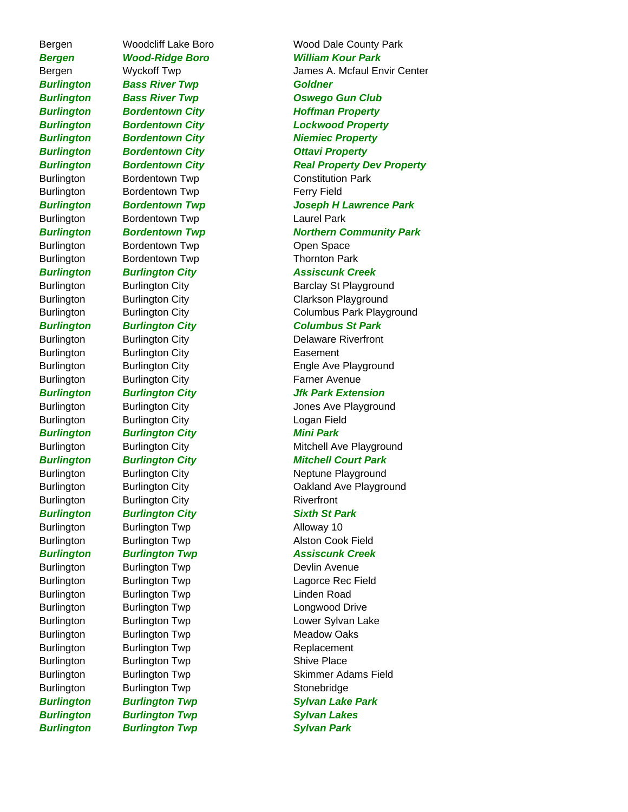**Burlington Bass River Twp Goldner** *Burlington Bordentown City Ottavi Property* Burlington Bordentown Twp Constitution Park Burlington Bordentown Twp **Ferry Field** Burlington Bordentown Twp Laurel Park Burlington Bordentown Twp **Communists** Open Space Burlington Bordentown Twp Thornton Park Burlington Burlington City **Easement** Burlington Burlington City **Farner Avenue** Burlington Burlington City Logan Field *Burlington Burlington City Mini Park* Burlington Burlington City Riverfront *Burlington Burlington City Sixth St Park* Burlington Burlington Twp Alloway 10 Burlington Burlington Twp **Alston Cook Field** Burlington Burlington Twp **Devlin Avenue** Burlington Burlington Twp Linden Road Burlington Burlington Twp Longwood Drive Burlington Burlington Twp Meadow Oaks Burlington Burlington Twp Replacement Burlington Burlington Twp Shive Place Burlington Burlington Twp Stonebridge **Burlington Burlington Twp Sylvan Lakes** 

Bergen Woodcliff Lake Boro Wood Dale County Park *Bergen Wood-Ridge Boro William Kour Park* Bergen Wyckoff Twp James A. Mcfaul Envir Center *Burlington Bass River Twp Oswego Gun Club* **Burlington Bordentown City Communist Constructs Hoffman Property** *Burlington Bordentown City Lockwood Property* **Burlington Bordentown City Michargo Research Property Burlington Bordentown City Real Property Dev Property** *Burlington Bordentown Twp Joseph H Lawrence Park* **Burlington Bordentown Twp Northern Community Park** *Burlington Burlington City Assiscunk Creek* Burlington Burlington City **Barclay St Playground** Burlington Burlington City Clarkson Playground Burlington Burlington City Columbus Park Playground *Burlington Burlington City Columbus St Park* Burlington Burlington City **Delaware Riverfront** Burlington Burlington City **Engle Ave Playground** *Burlington Burlington City Jfk Park Extension* Burlington Burlington City **Burlington City** Jones Ave Playground Burlington Burlington City **Mitchell Ave Playground** *Burlington Burlington City Mitchell Court Park* Burlington Burlington City Neptune Playground Burlington Burlington City Oakland Ave Playground *Burlington Burlington Twp Assiscunk Creek* Burlington Burlington Twp **Lagorce Rec Field** Burlington Burlington Twp **Lower Sylvan Lake** Burlington Burlington Twp Skimmer Adams Field *Burlington Burlington Twp Sylvan Lake Park Burlington Burlington Twp Sylvan Park*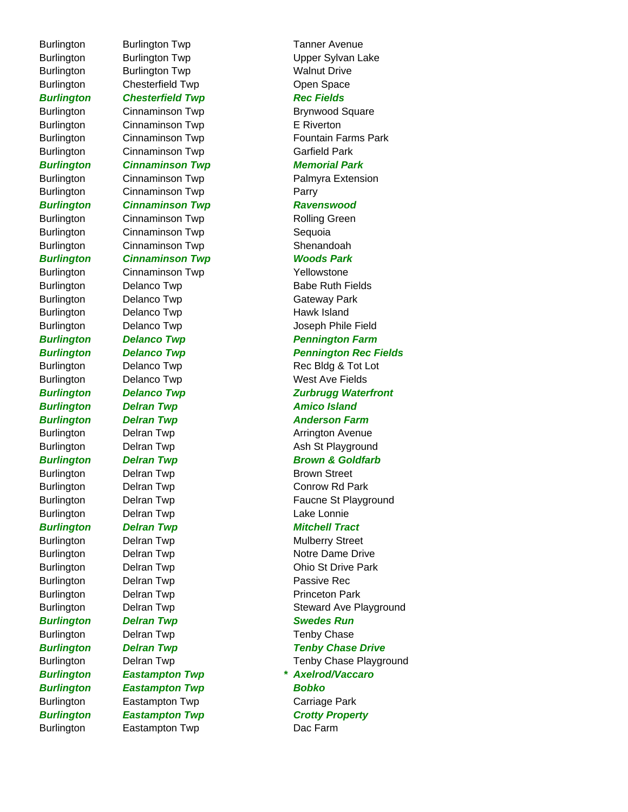Burlington Burlington Twp Tanner Avenue Burlington Burlington Twp Walnut Drive Burlington Chesterfield Twp Copen Space **Burlington Chesterfield Twp Rec Fields** Burlington Cinnaminson Twp **Brynwood Square** Burlington Cinnaminson Twp E Riverton Burlington Cinnaminson Twp Garfield Park *Burlington Cinnaminson Twp Memorial Park* Burlington Cinnaminson Twp **Parry** *Burlington Cinnaminson Twp Ravenswood* Burlington Cinnaminson Twp Rolling Green Burlington Cinnaminson Twp Sequoia Burlington Cinnaminson Twp Shenandoah *Burlington Cinnaminson Twp Woods Park* Burlington Cinnaminson Twp Yellowstone Burlington Delanco Twp **Babe Ruth Fields** Burlington Delanco Twp **Gateway Park** Burlington Delanco Twp **Hawk Island** Burlington Delanco Twp **West Ave Fields Burlington Delran Twp Communist Communist Property Amico Island Burlington Delran Twp Communist Communist Property Anderson Farm** Burlington Delran Twp **Arrington Avenue** Burlington Delran Twp **Brown Street** Burlington Delran Twp Conrow Rd Park Burlington Delran Twp **Lake Lonnie Burlington Delran Twp Dealth Control Mitchell Tract** Burlington Delran Twp **Mulberry Street** Burlington Delran Twp **Notre Dame Drive** Burlington Delran Twp **Passive Rec** Burlington Delran Twp **Princeton Park Burlington Delran Twp Swedes Run** Burlington Delran Twp **Tenby Chase** *Burlington Eastampton Twp \* Axelrod/Vaccaro Burlington Eastampton Twp Bobko* Burlington Eastampton Twp Carriage Park **Burlington Eastampton Twp Crotty Property** 

Burlington Burlington Twp Upper Sylvan Lake Burlington Cinnaminson Twp **Fountain Farms Park** Burlington Cinnaminson Twp **Palmyra Extension** Burlington Delanco Twp Joseph Phile Field **Burlington Delanco Twp Pennington Farm** *Burlington Delanco Twp Pennington Rec Fields* Burlington Delanco Twp Rec Bldg & Tot Lot **Burlington Delanco Twp Zurbrugg Waterfront** Burlington Delran Twp **Burlington** Ash St Playground **Burlington Delran Twp Brown & Goldfarb** Burlington Delran Twp **Faucne St Playground** Burlington Delran Twp **Delran Twp** Ohio St Drive Park Burlington Delran Twp **Steward Ave Playground Burlington Delran Twp Tenby Chase Drive Constructs** Burlington Delran Twp **Tenby Chase Playground** Burlington Eastampton Twp **Dac Farm**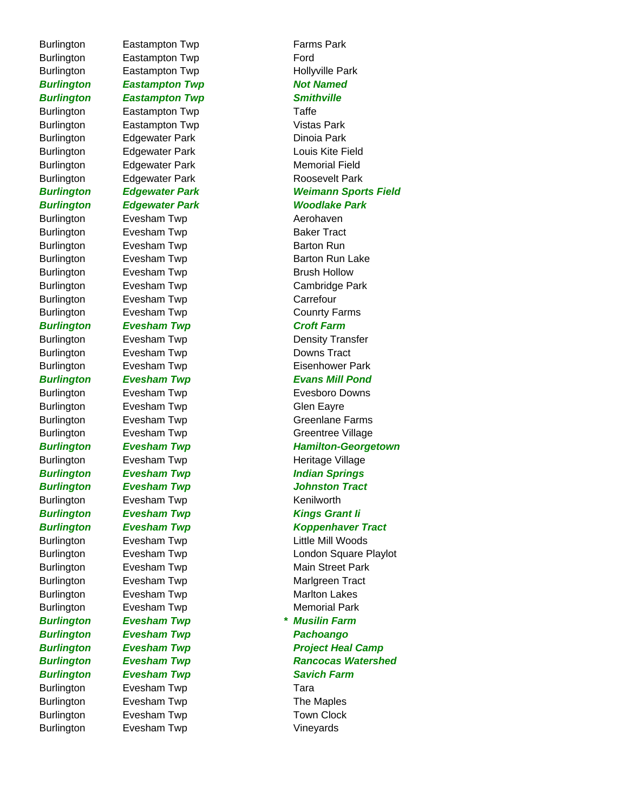Burlington Evesham Twp **Example 20** Vineyards

Burlington Eastampton Twp **Farms Park** Burlington Eastampton Twp Ford Burlington Eastampton Twp **Hollyville Park Burlington Eastampton Twp Not Named** *Burlington Eastampton Twp Smithville* Burlington Eastampton Twp Taffe Burlington Eastampton Twp **Vistas Park** Burlington Edgewater Park **Dinoia Park** Burlington Edgewater Park Memorial Field Burlington Edgewater Park **Roosevelt Park** Burlington Evesham Twp **Aerohaven** Burlington Evesham Twp **Baker Tract** Burlington Evesham Twp **Barton Run** Burlington Evesham Twp **Brush Hollow** Burlington Evesham Twp **Carrefour** Burlington Evesham Twp **County Farms Burlington Evesham Twp Croft Farm** Burlington Evesham Twp **Example 20** Downs Tract Burlington Evesham Twp **Glen Eayre** Burlington Evesham Twp **Kenilworth Burlington Evesham Twp Communist Communist Communist Communist Communist Communist Communist Communist Communist Communist Communist Communist Communist Communist Communist Communist Communist Communist Communist Communis** Burlington Evesham Twp **Marlton Lakes** Burlington Evesham Twp **Memorial Park** *Burlington Evesham Twp \* Musilin Farm Burlington Evesham Twp Pachoango* **Burlington Evesham Twp Savich Farm** Burlington Evesham Twp **Tara** Burlington Evesham Twp **The Maples** Burlington Evesham Twp **Town Clock** 

# Burlington Edgewater Park **Louis Kite Field** *Burlington Edgewater Park Weimann Sports Field Burlington Edgewater Park Woodlake Park* Burlington Evesham Twp **Barton Run Lake** Burlington Evesham Twp Cambridge Park Burlington Evesham Twp **Density Transfer** Burlington Evesham Twp **Example 20** Eisenhower Park *Burlington Evesham Twp Evans Mill Pond* Burlington Evesham Twp Evesboro Downs Burlington Evesham Twp Greenlane Farms Burlington Evesham Twp Greentree Village *Burlington Evesham Twp Hamilton-Georgetown* Burlington Evesham Twp **Example 20 Figure 10** Heritage Village **Burlington Evesham Twp Indian Springs** *Burlington Evesham Twp Johnston Tract Burlington Evesham Twp Koppenhaver Tract* Burlington Evesham Twp Little Mill Woods Burlington Evesham Twp London Square Playlot Burlington Evesham Twp **Main Street Park** Burlington Evesham Twp **Marlgreen Tract Burlington Evesham Twp Constructs Construct Project Heal Camp Burlington Evesham Twp Communist Rancocas Watershed**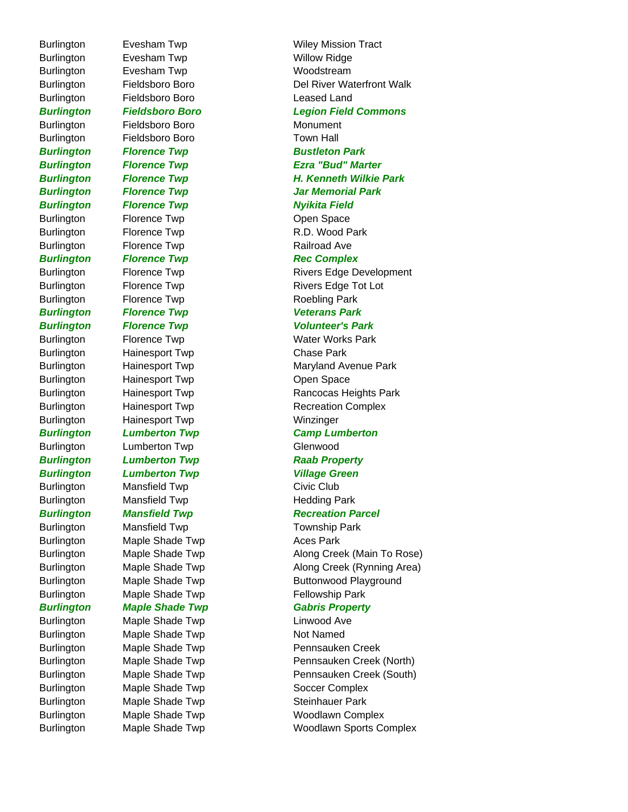Burlington Evesham Twp **Willow Ridge** Burlington Evesham Twp **Woodstream** Burlington Fieldsboro Boro Leased Land Burlington Fieldsboro Boro **Monument** Burlington Fieldsboro Boro Town Hall **Burlington Florence Twp Bustleton Park Burlington Florence Twp Transform Nyikita Field** Burlington Florence Twp **CODEN** Open Space Burlington Florence Twp R.D. Wood Park Burlington Florence Twp **Railroad Ave Burlington Florence Twp Rec Complex** Burlington Florence Twp **Roebling Park** *Burlington Florence Twp Veterans Park*  Burlington Hainesport Twp Chase Park Burlington Hainesport Twp **Communist Communist Communist Communist Communist Communist Communist Communist Communist Communist Communist Communist Communist Communist Communist Communist Communist Communist Communist Commu** Burlington Hainesport Twp **Winzinger** Burlington Lumberton Twp Glenwood *Burlington Lumberton Twp Raab Property* **Burlington Lumberton Twp Contains Contained Averture Contains Contains Contains Contains Contains Contains Conta** Burlington Mansfield Twp Civic Club Burlington Mansfield Twp **Hedding Park** Burlington Mansfield Twp Township Park Burlington Maple Shade Twp Maces Park Burlington Maple Shade Twp Fellowship Park **Burlington Maple Shade Twp Gabris Property** Burlington Maple Shade Twp Linwood Ave Burlington Maple Shade Twp Not Named Burlington Maple Shade Twp Soccer Complex Burlington Maple Shade Twp Steinhauer Park

Burlington Evesham Twp **Wiley Mission Tract** Burlington Fieldsboro Boro **Del River Waterfront Walk** *Burlington Fieldsboro Boro Legion Field Commons Burlington Florence Twp Ezra "Bud" Marter Burlington Florence Twp H. Kenneth Wilkie Park Burlington Florence Twp Jar Memorial Park* Burlington Florence Twp **Rivers Edge Development** Burlington Florence Twp Rivers Edge Tot Lot **Burlington Florence Twp Transform Colunteer's Park** Burlington Florence Twp **Water Works Park** Burlington Hainesport Twp Maryland Avenue Park Burlington **Hainesport Twp** Rancocas Heights Park Burlington Hainesport Twp Recreation Complex *Burlington Lumberton Twp Camp Lumberton* **Burlington Mansfield Twp Recreation Parcel** Burlington Maple Shade Twp **Along Creek (Main To Rose)** Burlington Maple Shade Twp Along Creek (Rynning Area) Burlington Maple Shade Twp **Buttonwood Playground** Burlington Maple Shade Twp **Pennsauken Creek** Burlington Maple Shade Twp **Pennsauken Creek (North)** Burlington Maple Shade Twp **Pennsauken Creek (South)** Burlington Maple Shade Twp Woodlawn Complex Burlington Maple Shade Twp Woodlawn Sports Complex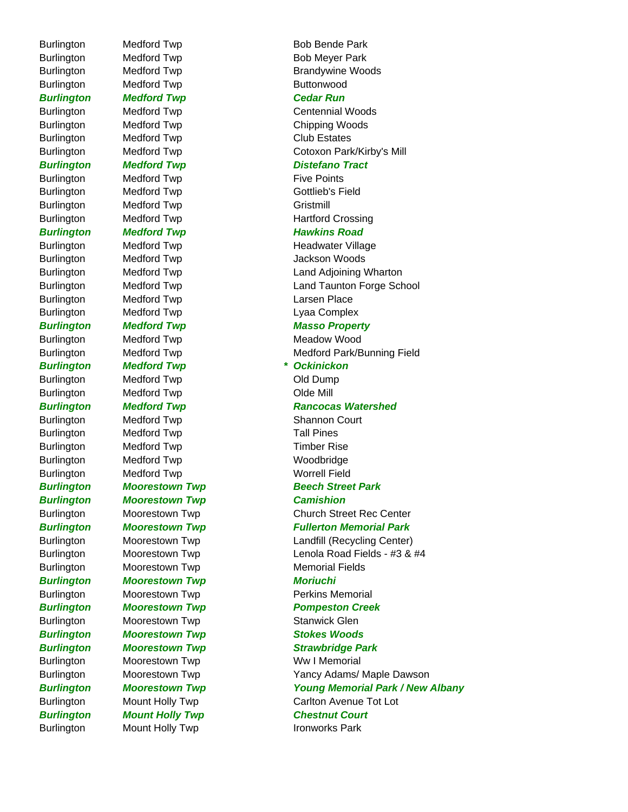Burlington Medford Twp **Bob Bende Park** Burlington Medford Twp **Bob Meyer Park** Burlington Medford Twp **Burlington** *Burlington Medford Twp Cedar Run* Burlington Medford Twp Chipping Woods Burlington Medford Twp Club Estates **Burlington Medford Twp Distefano Tract** Burlington Medford Twp **Five Points** Burlington Medford Twp **Gottlieb's Field** Burlington Medford Twp **Gristmill Burlington Medford Twp Mediciple Road** Burlington Medford Twp **Jackson Woods** Burlington Medford Twp **Contains Container Contains Contains Contains Contains Contains Contains Contains Conta** Burlington Medford Twp **Lyaa Complex** Burlington Medford Twp Meadow Wood *Burlington Medford Twp \* Ockinickon* Burlington Medford Twp **Contains Containers** Old Dump Burlington Medford Twp **Contains Communist Communist Communist Communist Communist Communist Communist Communist Communist Communist Communist Communist Communist Communist Communist Communist Communist Communist Communist** Burlington Medford Twp **Shannon Court** Burlington Medford Twp Tall Pines Burlington Medford Twp Timber Rise Burlington Medford Twp Woodbridge Burlington Medford Twp Method Number 2012 *Burlington Moorestown Twp Camishion* Burlington Moorestown Twp Memorial Fields *Burlington Moorestown Twp Moriuchi* Burlington Moorestown Twp **Stanwick Glen Burlington Moorestown Twp Stokes Woods** Burlington Moorestown Twp Ww I Memorial *Burlington Mount Holly Twp Chestnut Court*

# Burlington Medford Twp **Brandywine Woods** Burlington Medford Twp Centennial Woods Burlington Medford Twp Cotoxon Park/Kirby's Mill Burlington Medford Twp Hartford Crossing Burlington Medford Twp **Headwater Village** Burlington Medford Twp Land Adjoining Wharton Burlington Medford Twp **Land Taunton Forge School** *Burlington Medford Twp Masso Property* Burlington Medford Twp Medianus Medford Park/Bunning Field **Burlington Medford Twp Rancocas Watershed Burlington Moorestown Twp Beech Street Park** Burlington Moorestown Twp Church Street Rec Center *Burlington Moorestown Twp Fullerton Memorial Park* Burlington Moorestown Twp Landfill (Recycling Center) Burlington Moorestown Twp Lenola Road Fields - #3 & #4 Burlington Moorestown Twp **Perkins Memorial Burlington Moorestown Twp Pompeston Creek** *Burlington Moorestown Twp Strawbridge Park* Burlington Moorestown Twp Yancy Adams/ Maple Dawson *Burlington Moorestown Twp Young Memorial Park / New Albany* Burlington Mount Holly Twp Carlton Avenue Tot Lot Burlington Mount Holly Twp **Ironworks Park**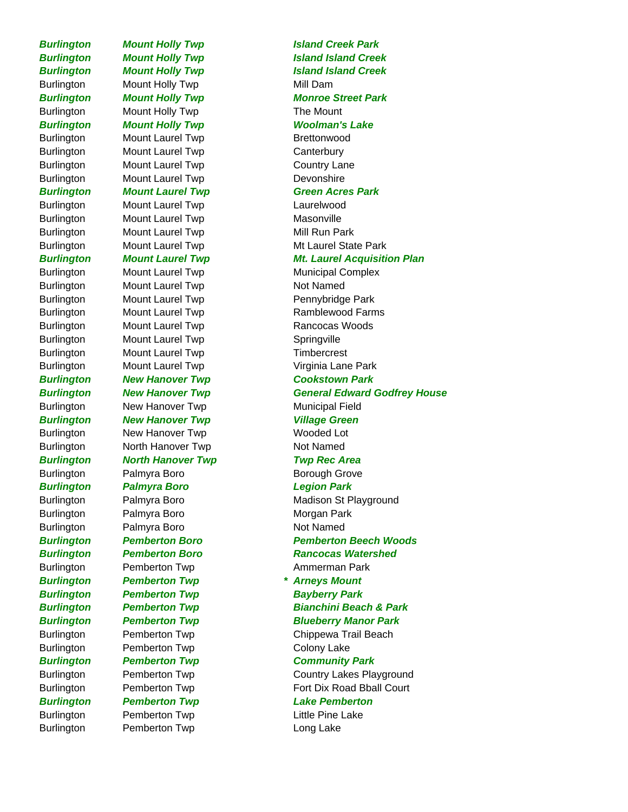Burlington Pemberton Twp **Long Lake** 

Burlington Mount Holly Twp Mill Dam Burlington Mount Holly Twp The Mount *Burlington Mount Holly Twp Woolman's Lake* Burlington Mount Laurel Twp **Brettonwood** Burlington Mount Laurel Twp Canterbury Burlington Mount Laurel Twp Country Lane Burlington Mount Laurel Twp Devonshire Burlington Mount Laurel Twp Laurelwood Burlington Mount Laurel Twp Masonville Burlington Mount Laurel Twp Mill Run Park Burlington Mount Laurel Twp Not Named Burlington Mount Laurel Twp **Pennybridge Park** Burlington Mount Laurel Twp **Rancocas Woods** Burlington Mount Laurel Twp Springville Burlington Mount Laurel Twp Timbercrest Burlington Mount Laurel Twp **Virginia Lane Park** *Burlington New Hanover Twp Cookstown Park* Burlington Mew Hanover Twp Municipal Field **Burlington Mew Hanover Twp Manus Constructs** Village Green Burlington New Hanover Twp Wooded Lot Burlington North Hanover Twp Not Named *Burlington North Hanover Twp Twp Rec Area* Burlington Palmyra Boro **Borough Grove** Borough Grove *Burlington Palmyra Boro Legion Park* Burlington Palmyra Boro **Morgan Park** Burlington Palmyra Boro Not Named Burlington Pemberton Twp **Ammerman Park** *Burlington Pemberton Twp \* Arneys Mount Burlington Pemberton Twp Bayberry Park* Burlington Pemberton Twp Colony Lake *Burlington Pemberton Twp Community Park Burlington Pemberton Twp Lake Pemberton* Burlington Pemberton Twp **Little Pine Lake** 

*Burlington Mount Holly Twp Island Creek Park Burlington Mount Holly Twp Island Island Creek* **Burlington Mount Holly Twp Island Island Creek** *Burlington Mount Holly Twp Monroe Street Park Burlington Mount Laurel Twp Green Acres Park* Burlington Mount Laurel Twp Mt Laurel State Park *Burlington Mount Laurel Twp Mt. Laurel Acquisition Plan* Burlington Mount Laurel Twp Municipal Complex Burlington Mount Laurel Twp Ramblewood Farms *Burlington New Hanover Twp General Edward Godfrey House* Burlington Palmyra Boro Madison St Playground *Burlington Pemberton Boro Pemberton Beech Woods Burlington Pemberton Boro Rancocas Watershed Burlington Pemberton Twp Bianchini Beach & Park Burlington Pemberton Twp Blueberry Manor Park* Burlington Pemberton Twp Chippewa Trail Beach Burlington Pemberton Twp Country Lakes Playground Burlington Pemberton Twp Fort Dix Road Bball Court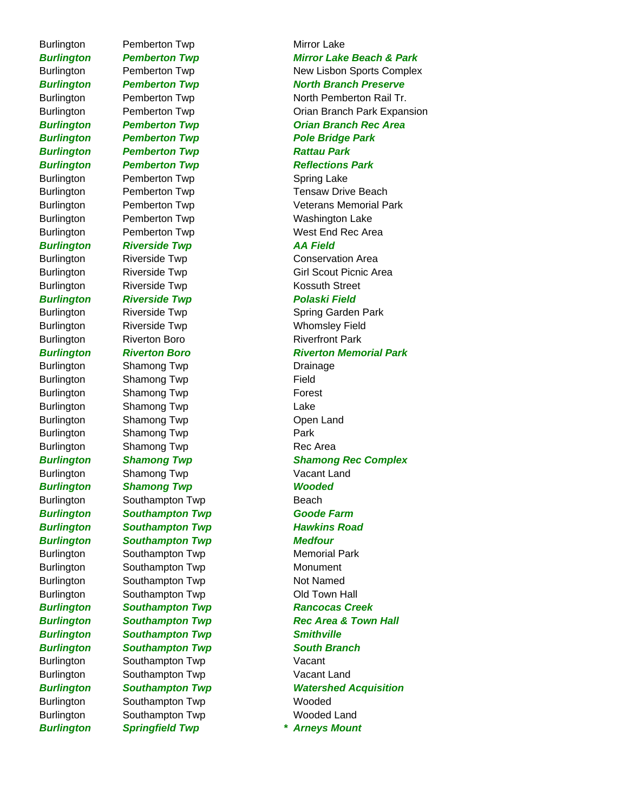Burlington Pemberton Twp **Mirror Lake** 

*Burlington Pemberton Twp Pole Bridge Park Burlington Pemberton Twp Rattau Park* **Burlington Pemberton Twp Reflections Park** Burlington Pemberton Twp **Spring Lake** Burlington Pemberton Twp Washington Lake *Burlington Riverside Twp AA Field* Burlington Riverside Twp **Conservation Area** Burlington Riverside Twp **Kossuth Street Burlington Riverside Twp Polaski Field** Burlington Riverside Twp Nicolas Metal Whomsley Field Burlington Riverton Boro Riverton Riverfront Park Burlington Shamong Twp **Drainage** Burlington Shamong Twp **Field** Burlington Shamong Twp **Forest** Burlington Shamong Twp Lake Burlington Shamong Twp Channel Chen Land Burlington Shamong Twp **Park** Burlington Shamong Twp **Rec Area** Burlington Shamong Twp **Vacant Land** *Burlington Shamong Twp Wooded* Burlington Southampton Twp Beach *Burlington Southampton Twp Goode Farm Burlington Southampton Twp Hawkins Road Burlington Southampton Twp Medfour* Burlington Southampton Twp Memorial Park Burlington Southampton Twp Monument Burlington Southampton Twp Not Named Burlington Southampton Twp Cold Town Hall **Burlington Southampton Twp Rancocas Creek** *Burlington Southampton Twp Smithville Burlington Southampton Twp South Branch* Burlington Southampton Twp Vacant Burlington Southampton Twp Vacant Land Burlington Southampton Twp Wooded Burlington Southampton Twp Wooded Land

*Burlington Pemberton Twp Mirror Lake Beach & Park* Burlington **Pemberton Twp** New Lisbon Sports Complex **Burlington Pemberton Twp North Branch Preserve** Burlington Pemberton Twp North Pemberton Rail Tr. Burlington Pemberton Twp Orian Branch Park Expansion *Burlington Pemberton Twp Orian Branch Rec Area* Burlington Pemberton Twp Tensaw Drive Beach Burlington Pemberton Twp Veterans Memorial Park Burlington Pemberton Twp West End Rec Area Burlington Riverside Twp Girl Scout Picnic Area Burlington Riverside Twp Spring Garden Park *Burlington Riverton Boro Riverton Memorial Park Burlington Shamong Twp Shamong Rec Complex* **Burlington Southampton Twp Rec Area & Town Hall** *Burlington Southampton Twp Watershed Acquisition Burlington Springfield Twp \* Arneys Mount*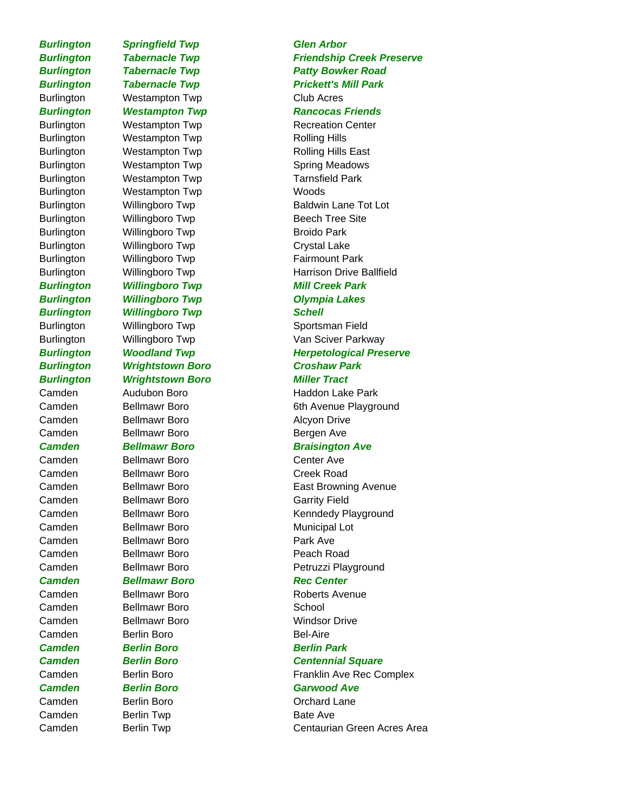# **Burlington Springfield Twp Glen Arbor**

Burlington Westampton Twp Club Acres Burlington Westampton Twp Rolling Hills Burlington Westampton Twp Rolling Hills East Burlington Westampton Twp **Spring Meadows** Burlington Westampton Twp Tarnsfield Park Burlington Westampton Twp Woods Burlington Willingboro Twp Beech Tree Site Burlington Willingboro Twp Broido Park Burlington Willingboro Twp Crystal Lake Burlington Willingboro Twp **Fairmount Park Burlington Willingboro Twp Mill Creek Park** *Burlington Willingboro Twp Olympia Lakes Burlington Willingboro Twp Schell* Burlington Willingboro Twp Sportsman Field *Burlington Wrightstown Boro Croshaw Park Burlington Wrightstown Boro Miller Tract*

Camden Bellmawr Boro **Alcyon Drive** Camden Bellmawr Boro Bergen Ave

Camden Bellmawr Boro Center Ave Camden Bellmawr Boro Creek Road Camden Bellmawr Boro Garrity Field Camden Bellmawr Boro **Municipal Lot** Camden Bellmawr Boro **Park Ave** Camden Bellmawr Boro **Peach Road** 

# **Camden Bellmawr Boro Branch Branch Rec Center**

Camden Bellmawr Boro **School** Camden Berlin Boro **Bel-Aire** *Camden Berlin Boro Berlin Park* Camden Berlin Twp **Bate Ave** 

**Burlington Tabernacle Twp Friendship Creek Preserve Burlington Tabernacle Twp Tager Patty Bowker Road Burlington Tabernacle Twp Tabernacle Twp Prickett's Mill Park Burlington Westampton Twp Rancocas Friends** Burlington Westampton Twp Recreation Center Burlington Willingboro Twp Baldwin Lane Tot Lot Burlington Willingboro Twp **Harrison Drive Ballfield** Burlington Willingboro Twp Van Sciver Parkway **Burlington Woodland Twp Menu Herpetological Preserve** Camden Audubon Boro Haddon Lake Park Camden Bellmawr Boro 6th Avenue Playground **Camden Bellmawr Boro Braisington Ave** Camden Bellmawr Boro **East Browning Avenue** Camden Bellmawr Boro Kenndedy Playground Camden Bellmawr Boro **Petruzzi Playground** Camden Bellmawr Boro **Roberts** Avenue Camden Bellmawr Boro **Windsor Drive** *Camden Berlin Boro Centennial Square* Camden Berlin Boro **Franklin Ave Rec Complex** *Camden Berlin Boro Garwood Ave* Camden Berlin Boro **Berlin Boro Camden** Dichard Lane Camden Berlin Twp Centaurian Green Acres Area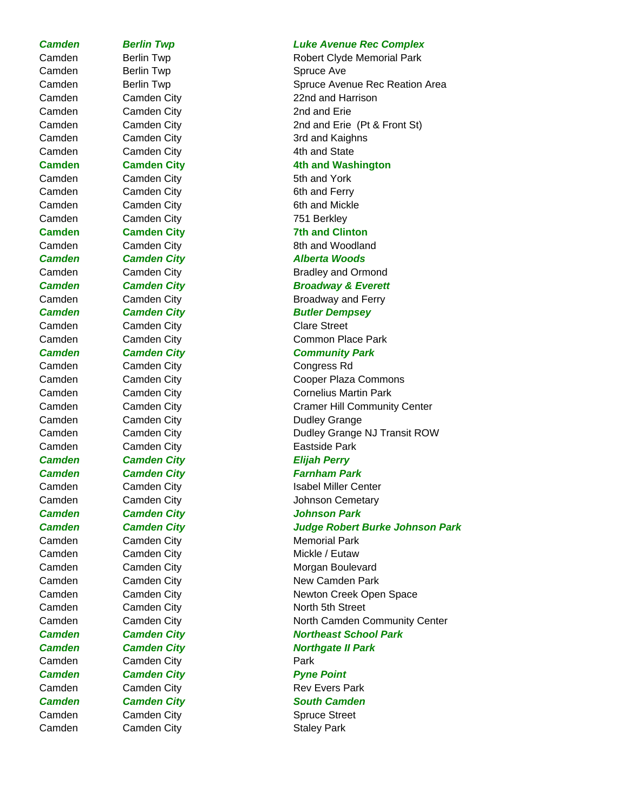Camden Berlin Twp **Spruce Ave** Camden Camden City Cambre 2nd and Erie Camden Camden City Cambre 2016 Camden Camden City **Cambridge Cambridge Cambridge Cambridge Cambridge Cambridge Cambridge Cambridge C** Camden Camden City **Cambridge Cambridge Cambridge Cambridge Cambridge Cambridge Cambridge Cambridge Cambridge C** Camden Camden City 751 Berkley Camden Camden City Clare Street Camden Camden City Congress Rd *Camden Camden City Elijah Perry* Camden Camden City **Cambridge Cambridge Cambridge Cambridge Cambridge Cambridge Cambridge Cambridge C Camden Camden City Cambridge Pyne Point** Camden Camden City Cambre Spruce Street Camden Camden City Cambre Staley Park

## *Camden Berlin Twp Luke Avenue Rec Complex*

Camden Berlin Twp **Robert Clyde Memorial Park** Camden Berlin Twp **System State Avenue Rec Reation Area** Camden Camden City **22nd and Harrison** Camden Camden City 2nd and Erie (Pt & Front St) Camden Camden City **3rd and Kaighns Camden Camden City Cambridge 11 Cambridge 14th and Washington** Camden Camden City **Cambridge Cambridge Cambridge Cambridge Cambridge Cambridge Cambridge Cambridge Cambridge C Camden Camden City Cambridge 12 Text 7th and Clinton** Camden Camden City **Cambridge Cambridge Cambridge Cambridge Cambridge Cambridge Cambridge Cambridge Cambridge C** *Camden Camden City Alberta Woods* Camden Camden City **Cambridge Cambridge Cambridge Cambridge Cambridge Cambridge Cambridge Cambridge Cambridge C Camden Camden City Cammer Campion Broadway & Everett** Camden Camden City Cambre Broadway and Ferry **Camden Camden City Cambridge Cambridge Butler Dempsey** Camden Camden City Cammon Place Park *Camden Camden City Community Park* Camden Camden City Cooper Plaza Commons Camden Camden City Cambre Cornelius Martin Park Camden Camden City Camer Hill Community Center Camden Camden City Cambre Dudley Grange Camden City Camden City Camber Culley Grange NJ Transit ROW Camden Camden City **Cambridge Cambridge Cambridge Castside Park** *Camden Camden City Farnham Park* Camden Camden City **Isabel Miller Center** Camden Camden City Johnson Cemetary *Camden Camden City Johnson Park Camden Camden City Judge Robert Burke Johnson Park* Camden Camden City Cambre Memorial Park Camden Camden City Cambre Mickle / Eutaw Camden Camden City Cambre Morgan Boulevard Camden Camden City Cambre 2014 New Camden Park Camden Camden City **Newton Creek Open Space** Camden Camden City Cambre 2014 North 5th Street Camden City Camden City **North Camden Community Center Camden Camden City Cammen City Cammen Cammen City Constant City Constant Constant Constant Constant Constant Constant Constant Constant Constant Constant Constant Constant Constant Constant Constant Constant Constant Cons Camden Camden City Cambridge Cambridge Campion Campion Campion City** Report Northgate II Park Camden Camden City Cambre Rev Evers Park **Camden Camden City** Cambre 2011 South Camden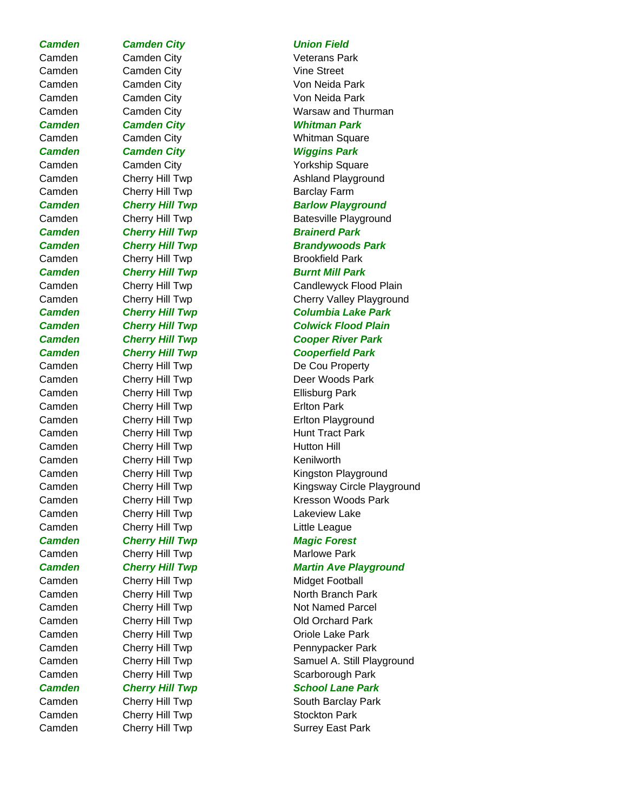Camden Camden City Cambre 2014 Camden Camden City **Cambridge Cambridge Cambridge Cambridge Cambridge Cambridge Cambridge Cambridge C** Camden Camden City **Cambridge Cambridge Cambridge Cambridge Cambridge Cambridge Cambridge Cambridge Cambridge C** Camden Camden City **Cambridge Cambridge Cambridge Cambridge Cambridge Cambridge Cambridge Cambridge Cambridge C** *Camden Camden City Whitman Park* Camden Camden City Whitman Square *Camden Camden City Wiggins Park* Camden Camden City **Cambridge Cambridge Cambridge Cambridge Cambridge Cambridge Cambridge Cambridge Cambridge C** Camden Cherry Hill Twp **Barclay Farm Camden Cherry Hill Twp Brainerd Park** Camden Cherry Hill Twp Brookfield Park **Camden Cherry Hill Twp Burnt Mill Park** Camden Cherry Hill Twp De Cou Property Camden Cherry Hill Twp **Ellisburg Park** Camden Cherry Hill Twp **Erlton Park** Camden Cherry Hill Twp **Hunt Tract Park** Camden Cherry Hill Twp **Hutton Hill** Camden Cherry Hill Twp Camden Kenilworth Camden Cherry Hill Twp Camden Lakeview Lake Camden Cherry Hill Twp Little League **Camden Cherry Hill Twp Magic Forest** Camden Cherry Hill Twp Camden Marlowe Park Camden Cherry Hill Twp Midget Football Camden Cherry Hill Twp Camden Canaden Cherry Hill Twp Camden Cherry Hill Twp Camden Stockton Park

# *Camden Camden City Union Field*

Camden Camden City Cambre 2014 Warsaw and Thurman Camden Cherry Hill Twp Camden Ashland Playground **Camden Cherry Hill Twp Barlow Playground** Camden Cherry Hill Twp Batesville Playground *Camden Cherry Hill Twp Brandywoods Park* Camden Cherry Hill Twp Candlewyck Flood Plain Camden Cherry Hill Twp Cherry Cherry Valley Playground *Camden Cherry Hill Twp Columbia Lake Park Camden Cherry Hill Twp Colwick Flood Plain Camden Cherry Hill Twp Cooper River Park Camden Cherry Hill Twp Cooperfield Park* Camden Cherry Hill Twp Cherrest Deer Woods Park Camden Cherry Hill Twp Erlton Playground Camden Cherry Hill Twp Kingston Playground Camden Cherry Hill Twp **Kingsway Circle Playground** Camden Cherry Hill Twp **Kresson Woods Park Camden Cherry Hill Twp Martin Ave Playground** Camden Cherry Hill Twp Camden North Branch Park Camden Cherry Hill Twp Not Named Parcel Camden Cherry Hill Twp Camden Cambre Cherry Hill Twp Camden Cherry Hill Twp **Pennypacker Park** Camden Cherry Hill Twp Samuel A. Still Playground Camden Cherry Hill Twp Scarborough Park **Camden Cherry Hill Twp School Lane Park** Camden Cherry Hill Twp South Barclay Park Camden Cherry Hill Twp Camden Cambia Cherry Hill Twp Surrey East Park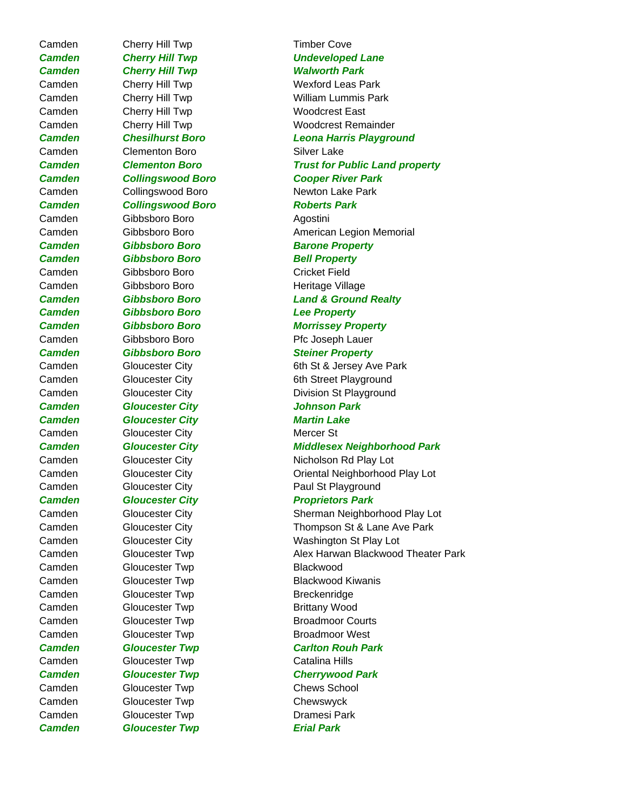Camden Cherry Hill Twp Timber Cove *Camden Cherry Hill Twp Walworth Park* Camden Cherry Hill Twp Woodcrest East Camden Clementon Boro Communist Cambre Clementon Boro *Camden Collingswood Boro Roberts Park* Camden Gibbsboro Boro **Agostini Camden Gibbsboro Boro Barone Property** *Camden Gibbsboro Boro Bell Property* Camden Gibbsboro Boro Cricket Field Camden Gibbsboro Boro **Heritage Village** *Camden Gibbsboro Boro Lee Property* Camden Gibbsboro Boro Pfc Joseph Lauer *Camden Gibbsboro Boro Steiner Property Camden Gloucester City Johnson Park Camden Gloucester City Martin Lake* Camden Gloucester City **Mercer St Camden Gloucester City Communist Proprietors Park** Camden Gloucester Twp Blackwood Camden Gloucester Twp Breckenridge Camden Gloucester Twp **Brittany Wood** Camden Gloucester Twp Broadmoor West Camden Gloucester Twp Catalina Hills Camden Gloucester Twp Chews School Camden Gloucester Twp Chewswyck Camden Gloucester Twp Camesi Park

# *Camden Cherry Hill Twp Undeveloped Lane* Camden Cherry Hill Twp Wexford Leas Park Camden Cherry Hill Twp William Lummis Park Camden Cherry Hill Twp Woodcrest Remainder *Camden Chesilhurst Boro Leona Harris Playground Camden Clementon Boro Trust for Public Land property Camden Collingswood Boro Cooper River Park* Camden Collingswood Boro Newton Lake Park Camden Gibbsboro Boro **American Legion Memorial** *Camden Gibbsboro Boro Land & Ground Realty Camden Gibbsboro Boro Morrissey Property* Camden Gloucester City 6th St & Jersey Ave Park Camden Gloucester City 6th Street Playground Camden Gloucester City Division St Playground *Camden Gloucester City Middlesex Neighborhood Park* Camden Gloucester City Nicholson Rd Play Lot Camden Gloucester City Cliental Neighborhood Play Lot Camden Gloucester City **Paul St Playground** Camden Gloucester City Sherman Neighborhood Play Lot Camden Gloucester City Thompson St & Lane Ave Park Camden Gloucester City Washington St Play Lot Camden Gloucester Twp Alex Harwan Blackwood Theater Park Camden Gloucester Twp Blackwood Kiwanis Camden Gloucester Twp Broadmoor Courts *Camden Gloucester Twp Carlton Rouh Park Camden Gloucester Twp Cherrywood Park Camden Gloucester Twp Erial Park*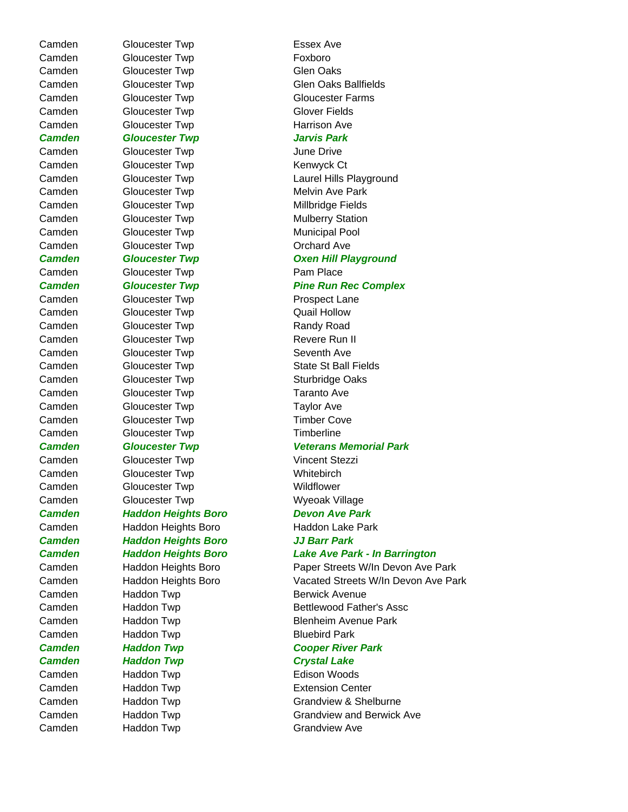Camden Gloucester Twp **Essex Ave** Camden Gloucester Twp Foxboro Camden Gloucester Twp Glen Oaks Camden Gloucester Twp Gloucester Farms Camden Gloucester Twp Glover Fields Camden Gloucester Twp **Harrison Ave** *Camden Gloucester Twp Jarvis Park*  Camden Gloucester Twp June Drive Camden Gloucester Twp **Kenwyck Ct** Camden Gloucester Twp Melvin Ave Park Camden Gloucester Twp Millbridge Fields Camden Gloucester Twp Mulberry Station Camden Gloucester Twp Municipal Pool Camden Gloucester Twp Camden Conchard Ave Camden Gloucester Twp **Pam Place** Camden Gloucester Twp **Prospect Lane** Camden Gloucester Twp Camden Quail Hollow Camden Gloucester Twp Randy Road Camden Gloucester Twp Revere Run II Camden Gloucester Twp Seventh Ave Camden Gloucester Twp State St Ball Fields Camden Gloucester Twp Sturbridge Oaks Camden Gloucester Twp Taranto Ave Camden Gloucester Twp Taylor Ave Camden Gloucester Twp Timber Cove Camden Gloucester Twp Timberline Camden Gloucester Twp Vincent Stezzi Camden Gloucester Twp **Whitebirch** Camden Gloucester Twp Camden Wildflower Camden Gloucester Twp Camden Wyeoak Village *Camden Haddon Heights Boro Devon Ave Park* Camden Haddon Heights Boro Haddon Lake Park *Camden Haddon Heights Boro JJ Barr Park* Camden Haddon Twp **Berwick Avenue** Camden Haddon Twp Bluebird Park *Camden Haddon Twp Cooper River Park Camden Haddon Twp Crystal Lake* Camden Haddon Twp **Edison Woods** Camden Haddon Twp **Extension Center** Camden Haddon Twp Grandview Ave

Camden Gloucester Twp Glen Oaks Ballfields Camden Gloucester Twp Laurel Hills Playground *Camden Gloucester Twp Oxen Hill Playground* **Camden Gloucester Twp Pine Run Rec Complex** *Camden Gloucester Twp Veterans Memorial Park Camden Haddon Heights Boro Lake Ave Park - In Barrington* Camden Haddon Heights Boro Paper Streets W/In Devon Ave Park Camden Haddon Heights Boro Vacated Streets W/In Devon Ave Park Camden Haddon Twp Bettlewood Father's Assc Camden Haddon Twp Blenheim Avenue Park Camden Haddon Twp Grandview & Shelburne Camden Haddon Twp Grandview and Berwick Ave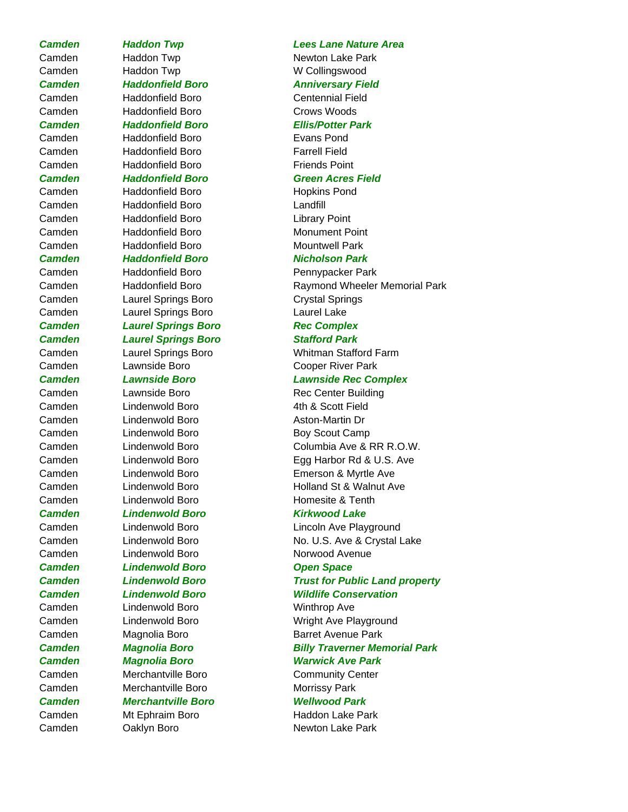Camden Haddon Twp W Collingswood

Camden Haddonfield Boro Centennial Field Camden Haddonfield Boro Crows Woods

# *Camden Haddonfield Boro Ellis/Potter Park*

Camden Haddonfield Boro Evans Pond Camden Haddonfield Boro Farrell Field Camden **Haddonfield Boro Friends Point** 

Camden Haddonfield Boro Hopkins Pond Camden Haddonfield Boro Landfill Camden Haddonfield Boro Library Point Camden Haddonfield Boro Monument Point Camden **Haddonfield Boro** Mountwell Park **Camden Haddonfield Boro Nicholson Park** 

Camden Haddonfield Boro Pennypacker Park Camden Laurel Springs Boro Crystal Springs Camden Laurel Springs Boro Laurel Lake **Camden Laurel Springs Boro Rec Complex** 

# *Camden Laurel Springs Boro Stafford Park*

Camden Laurel Springs Boro Whitman Stafford Farm Camden Lawnside Boro Cooper River Park

Camden Lawnside Boro Rec Center Building Camden Camden Lindenwold Boro Cambrell 4th & Scott Field Camden Lindenwold Boro Aston-Martin Dr Camden Lindenwold Boro Boy Scout Camp

# *Camden Lindenwold Boro Kirkwood Lake*

Camden Lindenwold Boro Norwood Avenue *Camden Lindenwold Boro Open Space* Camden **Lindenwold Boro** Winthrop Ave

Camden Magnolia Boro Barret Avenue Park

Camden Merchantville Boro Community Center Camden Merchantville Boro Morrissy Park *Camden Merchantville Boro Wellwood Park* Camden Mt Ephraim Boro Haddon Lake Park

# *Camden Haddon Twp Lees Lane Nature Area*

Camden Haddon Twp Newton Lake Park

### *Camden Haddonfield Boro Anniversary Field*

# *Camden Haddonfield Boro Green Acres Field*

Camden **Haddonfield Boro** Raymond Wheeler Memorial Park

# *Camden Lawnside Boro Lawnside Rec Complex*

Camden Lindenwold Boro Columbia Ave & RR R.O.W. Camden Lindenwold Boro Egg Harbor Rd & U.S. Ave Camden Lindenwold Boro Emerson & Myrtle Ave Camden Lindenwold Boro Holland St & Walnut Ave Camden Camben Lindenwold Boro Camben Homesite & Tenth

Camden Lindenwold Boro Lincoln Ave Playground Camden Lindenwold Boro No. U.S. Ave & Crystal Lake

*Camden Lindenwold Boro Trust for Public Land property Camden Lindenwold Boro Wildlife Conservation*

Camden Lindenwold Boro Wright Ave Playground

# *Camden Magnolia Boro Billy Traverner Memorial Park*

# *Camden Magnolia Boro Warwick Ave Park*

Camden Caklyn Boro Newton Lake Park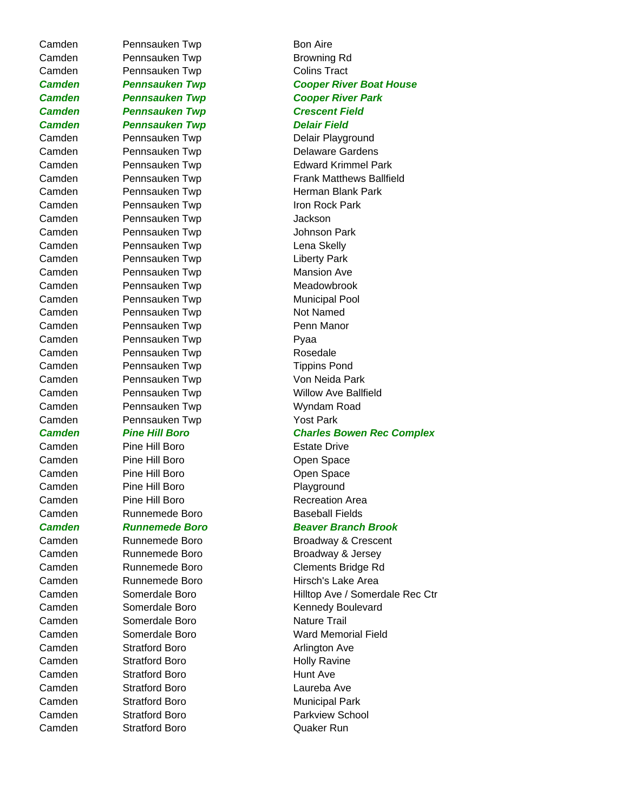Camden Pennsauken Twp Bon Aire Camden Pennsauken Twp **Browning Rd** Camden Pennsauken Twp Colins Tract *Camden Pennsauken Twp Crescent Field Camden Pennsauken Twp Delair Field* Camden Pennsauken Twp Delair Playground Camden Pennsauken Twp Delaware Gardens Camden Pennsauken Twp Iron Rock Park Camden Pennsauken Twp Jackson Camden Pennsauken Twp Johnson Park Camden Pennsauken Twp Camden Lena Skelly Camden Pennsauken Twp Liberty Park Camden Pennsauken Twp Mansion Ave Camden Pennsauken Twp Meadowbrook Camden Pennsauken Twp Municipal Pool Camden Pennsauken Twp Not Named Camden Pennsauken Twp Penn Manor Camden Pennsauken Twp Pyaa Camden Pennsauken Twp Rosedale Camden Pennsauken Twp Tippins Pond Camden Pennsauken Twp Von Neida Park Camden Pennsauken Twp Wyndam Road Camden Pennsauken Twp **Yost Park** Camden Pine Hill Boro **Estate Drive** Camden Pine Hill Boro **Cambridge Cambridge Constructs** Camden Pine Hill Boro **Cambridge Cambridge Cambridge Contract** Copen Space Camden Pine Hill Boro Playground Camden Pine Hill Boro **Recreation Area** Camden Runnemede Boro Baseball Fields Camden Runnemede Boro Hirsch's Lake Area Camden Somerdale Boro Nature Trail Camden Stratford Boro **Arlington Ave** Camden Stratford Boro **Holly Ravine** Camden Stratford Boro **Hunt Ave** Camden Stratford Boro Laureba Ave

*Camden Pennsauken Twp Cooper River Boat House Camden Pennsauken Twp Cooper River Park* Camden Pennsauken Twp **Edward Krimmel Park** Camden Pennsauken Twp Frank Matthews Ballfield Camden Pennsauken Twp Herman Blank Park Camden Pennsauken Twp Willow Ave Ballfield *Camden Pine Hill Boro Charles Bowen Rec Complex Camden Runnemede Boro Beaver Branch Brook* Camden Runnemede Boro Broadway & Crescent Camden Runnemede Boro Broadway & Jersey Camden Runnemede Boro Clements Bridge Rd Camden Somerdale Boro Hilltop Ave / Somerdale Rec Ctr Camden Somerdale Boro Kennedy Boulevard Camden Somerdale Boro Ward Memorial Field Camden Stratford Boro Municipal Park Camden Stratford Boro Parkview School Camden Stratford Boro Quaker Run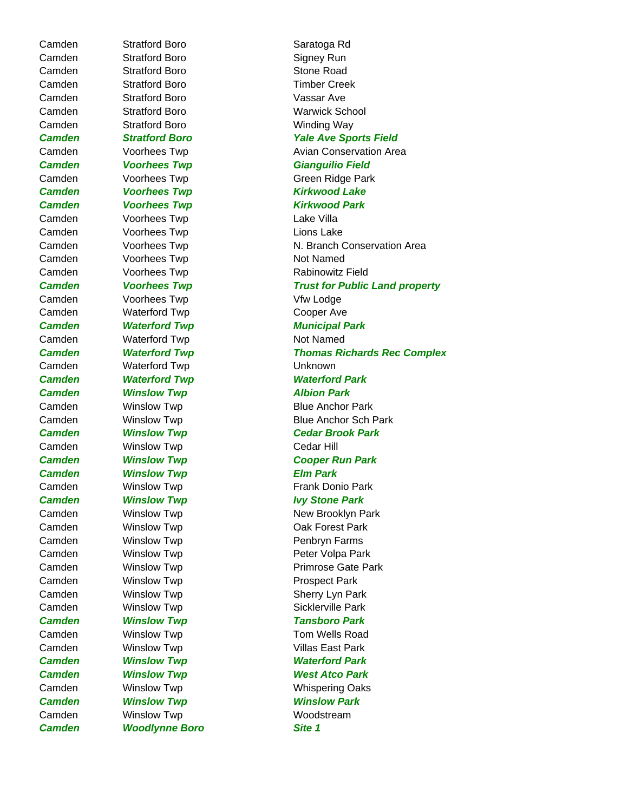**Camden Moodlynne Boro Site 1** 

Camden Stratford Boro Saratoga Rd Camden Stratford Boro Signey Run Camden Stratford Boro Stone Road Camden Stratford Boro Timber Creek Camden Stratford Boro Vassar Ave Camden Stratford Boro Warwick School Camden Stratford Boro Winding Way **Camden Voorhees Twp Camden Kirkwood Lake Camden Voorhees Twp Camden Kirkwood Park** Camden Voorhees Twp Camden Lake Villa Camden Voorhees Twp Camden Lions Lake Camden Voorhees Twp Not Named Camden Voorhees Twp **Rabinowitz Field** Camden Voorhees Twp Viw Lodge Camden Waterford Twp Cooper Ave **Camden Waterford Twp Municipal Park** Camden Waterford Twp Not Named Camden Waterford Twp Unknown *Camden Waterford Twp Waterford Park* **Camden Minslow Twp Minslow Park** Camden Winslow Twp Cedar Hill *Camden Winslow Twp Elm Park* **Camden Minslow Twp Ivy Stone Park** Camden Winslow Twp **Cambridge Cambridge Cambridge Care** Camden Winslow Twp **Penbryn Farms** Camden Winslow Twp **Prospect Park** Camden Winslow Twp **Sherry Lyn Park** Camden Winslow Twp **Sicklerville Park** *Camden Winslow Twp Tansboro Park* Camden Winslow Twp **The Camaden** Winslow Twp Tom Wells Road Camden Winslow Twp **Villas East Park** *Camden Winslow Twp Waterford Park Camden Winslow Twp West Atco Park Camden Winslow Twp Winslow Park* Camden Winslow Twp Woodstream

*Camden Stratford Boro Yale Ave Sports Field* Camden Voorhees Twp **Avian Conservation Area Camden Voorhees Twp Gianguilio Field** Camden Voorhees Twp Green Ridge Park Camden Voorhees Twp N. Branch Conservation Area *Camden Voorhees Twp Trust for Public Land property Camden Waterford Twp Thomas Richards Rec Complex* Camden Winslow Twp **Blue Anchor Park** Camden Winslow Twp **Blue Anchor Sch Park** *Camden Winslow Twp Cedar Brook Park Camden Winslow Twp Cooper Run Park* Camden **Winslow Twp Cambus** Prank Donio Park Camden Winslow Twp New Brooklyn Park Camden Winslow Twp **Peter Volpa Park** Camden Winslow Twp **Primrose Gate Park** Camden Winslow Twp **Winslow Two Whispering Oaks**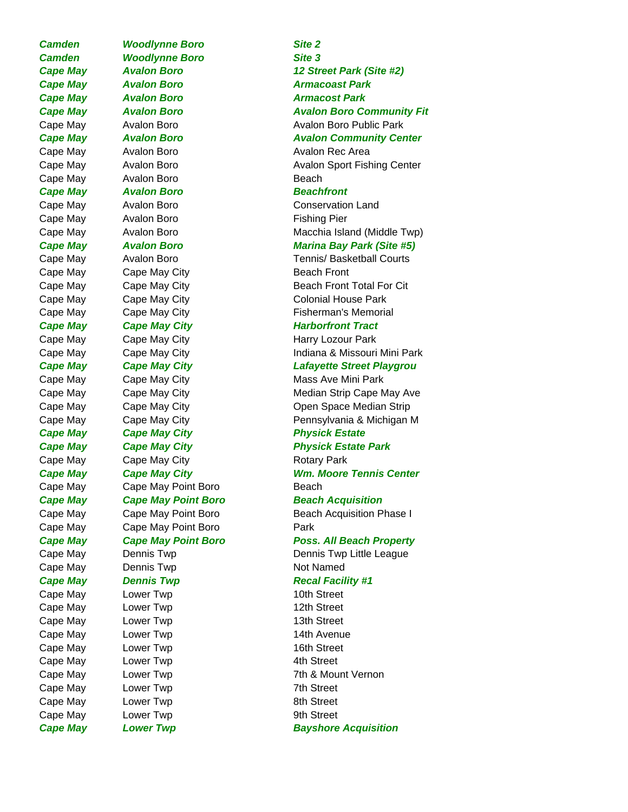**Camden** Woodlynne Boro Site 2 *Camden Woodlynne Boro Site 3* **Cape May Avalon Boro Armacoast Park Cape May Avalon Boro Armacost Park** Cape May Avalon Boro **Avalon Rec Area** Cape May Avalon Boro **Beach Cape May Avalon Boro Beachfront** Cape May Avalon Boro **Fishing Pier** Cape May Cape May City **Beach Front Cape May Cape May City Cape And All Physick Estate** Cape May Cape May City **Cape May City** Rotary Park Cape May Cape May Point Boro **Beach** Cape May Cape May Point Boro **Park** Cape May Dennis Twp Not Named **Cape May Dennis Twp Cape Accal Facility #1** Cape May Lower Twp 10th Street Cape May Lower Twp **12th Street** Cape May Lower Twp **13th Street** Cape May Lower Twp **14th Avenue** Cape May Lower Twp **16th Street** Cape May Lower Twp **4th Street** Cape May Lower Twp **7th Street** Cape May Lower Twp **8th Street** Cape May Lower Twp **Example 2018** 9th Street *Cape May Lower Twp Bayshore Acquisition*

# *Cape May Avalon Boro 12 Street Park (Site #2) Cape May Avalon Boro Avalon Boro Community Fit* Cape May Avalon Boro **Auxilian Boro Avalon Boro Public Park** *Cape May Avalon Boro Avalon Community Center* Cape May Avalon Boro **Avalon Sport Fishing Center** Cape May Avalon Boro **Conservation Land** Cape May Avalon Boro **Macchia Island (Middle Twp)** *Cape May Avalon Boro Marina Bay Park (Site #5)* Cape May Avalon Boro **Tennis/ Basketball Courts** Cape May Cape May City **Beach Front Total For Cit** Cape May Cape May City Cape Colonial House Park Cape May Cape May City **Fisherman's Memorial Cape May Cape May City Cape And All Cape Markorfront Tract** Cape May Cape May City **Fig. 2018** Harry Lozour Park Cape May Cape May City **Indiana & Missouri Mini Park** *Cape May Cape May City Lafayette Street Playgrou* Cape May Cape May City **Mass Ave Mini Park** Cape May Cape May City **Median Strip Cape May Ave** Cape May Cape May City **Cape Cape May City** Open Space Median Strip Cape May Cape May City Pennsylvania & Michigan M **Cape May Cape May City Cape And Access Physick Estate Park** Cape May Cape May City **WM. Moore Tennis Center Cape May Cape May Point Boro Beach Acquisition** Cape May Cape May Point Boro **Beach Acquisition Phase I** Cape May **Cape May Point Boro Free Assame Poss. All Beach Property** Cape May Dennis Twp Dennis Twp Little League Cape May Lower Twp **2008** 2th & Mount Vernon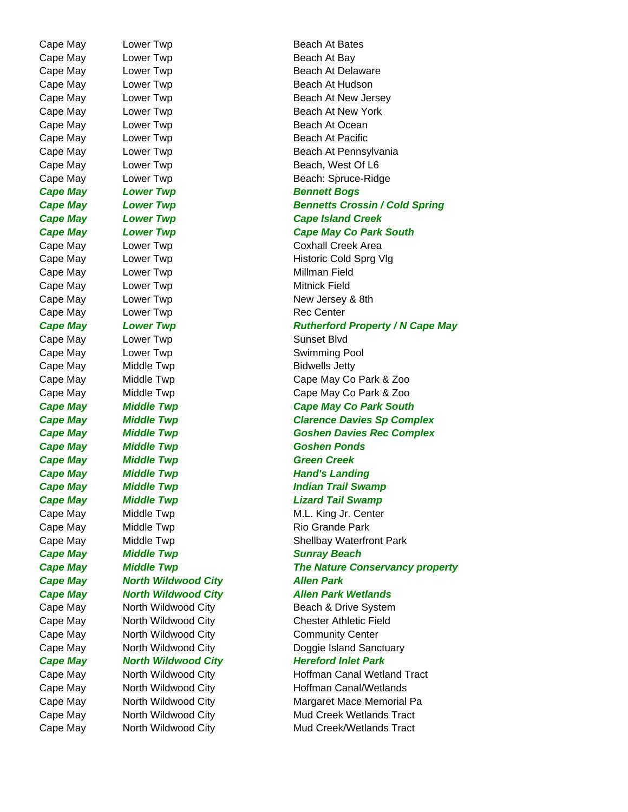Cape May Lower Twp **Beach At Bay** Cape May Lower Twp **Beach At Ocean** Cape May Lower Twp **Beach At Pacific Cape May Lower Twp Cape May Accord Bogs** Cape May Lower Twp **Cape Millman Field** Cape May Lower Twp **Cape Mitnick Field** Cape May Lower Twp **Cape May** Lower Twp Cape May Lower Twp **Sunset Blvd** Cape May Lower Twp **Swimming Pool** Cape May Middle Twp **Bidwells Jetty** *Cape May Middle Twp Goshen Ponds* **Cape May Middle Twp Green Creek Cape May Middle Twp Cape Mand's Landing** Cape May Middle Twp **Rio Grande Park** Rio Grande Park **Cape May Middle Twp Sunray Beach** *Cape May North Wildwood City Allen Park* 

Cape May Lower Twp **Beach At Bates** Cape May Lower Twp **Beach At Delaware** Cape May Lower Twp **Beach At Hudson** Cape May Lower Twp **Beach At New Jersey** Cape May Lower Twp **Beach At New York** Cape May Lower Twp **Beach At Pennsylvania** Cape May Lower Twp **Beach, West Of L6** Cape May Lower Twp **Beach: Spruce-Ridge** *Cape May Lower Twp Bennetts Crossin / Cold Spring Cape May Lower Twp Cape Island Creek* Cape May **Lower Twp Cape May Co Park South** Cape May Lower Twp Coxhall Creek Area Cape May Lower Twp **Example 20 Traveller** Historic Cold Sprg Vlg Cape May Lower Twp **Cape May Lower Twp** New Jersey & 8th Cape May **Lower Twp Cape May Cape May Cape May** Cape May Middle Twp Cape May Co Park & Zoo Cape May Middle Twp Cape May Co Park & Zoo Cape May Middle Twp **Cape May Co Park South** *Cape May Middle Twp Clarence Davies Sp Complex Cape May Middle Twp Goshen Davies Rec Complex* **Cape May Indian Trail Swamp Cape May Indian Trail Swamp** *Cape May Middle Twp Lizard Tail Swamp* Cape May Middle Twp Microsoft Cape M.L. King Jr. Center Cape May Middle Twp Shellbay Waterfront Park *Cape May Middle Twp The Nature Conservancy property Cape May North Wildwood City Allen Park Wetlands* Cape May North Wildwood City **Beach & Drive System** Cape May North Wildwood City Chester Athletic Field Cape May North Wildwood City Community Center Cape May Morth Wildwood City **Doggie Island Sanctuary** *Cape May North Wildwood City Hereford Inlet Park* Cape May North Wildwood City **Hoffman Canal Wetland Tract** Cape May Morth Wildwood City **Hoffman Canal/Wetlands** Cape May North Wildwood City Margaret Mace Memorial Pa Cape May North Wildwood City Mud Creek Wetlands Tract Cape May North Wildwood City **Mud Creek/Wetlands Tract**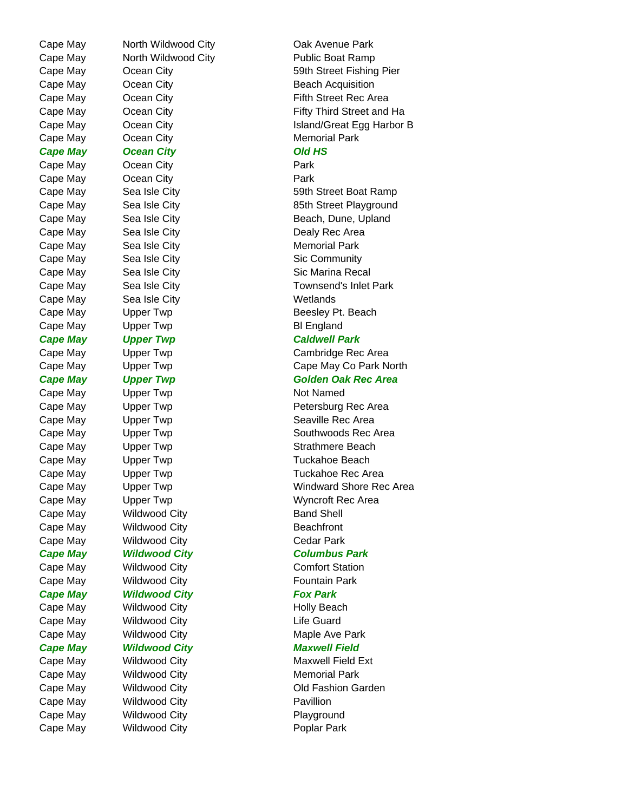Cape May Coean City **Cape Memorial Park** *Cape May Ocean City Old HS* Cape May Coean City **Park** Cape May Coean City **Park** Cape May Sea Isle City **Memorial Park** Cape May Sea Isle City **Seams** Wetlands Cape May Upper Twp **Bl England** *Cape May Upper Twp Caldwell Park* Cape May Upper Twp Not Named Cape May Wildwood City **Band Shell** Cape May Wildwood City **Beachfront** Cape May Wildwood City Cape Mark Cape May Wildwood City **Fountain Park** *Cape May Wildwood City Fox Park* Cape May Mildwood City **Holly Beach** Cape May Wildwood City **Life Guard Cape May 6.1 Wildwood City Cape Maxwell Field** Cape May Mildwood City **Memorial Park** Cape May Wildwood City **Pavillion** Cape May Wildwood City **Playground** Cape May Wildwood City **Poplar Park** 

Cape May Morth Wildwood City **Cannel Cak Avenue Park** Cape May North Wildwood City **Public Boat Ramp** Cape May Coean City **59th Street Fishing Pier** Cape May Coean City **Beach Acquisition** Cape May Coean City **Cape May Coean City Fifth Street Rec Area** Cape May Coean City **Fifty Third Street and Ha** Cape May Coean City **Island/Great Egg Harbor B** Cape May Sea Isle City 69th Street Boat Ramp Cape May Sea Isle City **85th Street Playground** Cape May Sea Isle City **Beach, Dune, Upland** Cape May Sea Isle City **Cape May Sea Isle City** Cape Nealy Rec Area Cape May Sea Isle City **Sic Community** Cape May Sea Isle City **Sic Marina Recal** Cape May Sea Isle City **Townsend's Inlet Park** Cape May Upper Twp **Beesley Pt. Beach** Cape May Upper Twp Cambridge Rec Area Cape May Upper Twp Cape May Co Park North *Cape May Upper Twp Golden Oak Rec Area* Cape May Upper Twp **Petersburg Rec Area** Cape May Copper Twp Cape Seaville Rec Area Cape May Upper Twp Southwoods Rec Area Cape May Compact Twp Strathmere Beach Cape May Upper Twp Tuckahoe Beach Cape May Upper Twp Tuckahoe Rec Area Cape May Computer Twp Windward Shore Rec Area Cape May Upper Twp Number 2012 Wyncroft Rec Area *Cape May Wildwood City Columbus Park* Cape May Wildwood City Cape May Comfort Station Cape May Mildwood City **Maple Ave Park** Cape May Mildwood City **Maxwell Field Ext** Cape May Wildwood City **Cape May Access Wildwood City** Cape May Old Fashion Garden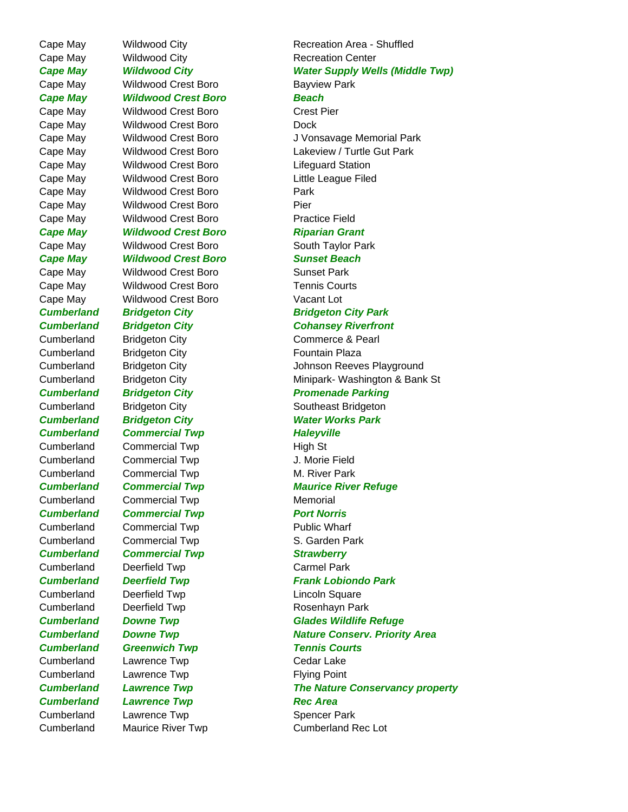Cape May Wildwood City **Recreation Center** Cape May Wildwood Crest Boro **Bayview Park** *Cape May Wildwood Crest Boro Beach* Cape May Wildwood Crest Boro Crest Pier Cape May Wildwood Crest Boro **Dock** Cape May Wildwood Crest Boro Lifeguard Station Cape May Wildwood Crest Boro Little League Filed Cape May Wildwood Crest Boro **Park** Cape May Wildwood Crest Boro **Pier** Cape May Wildwood Crest Boro **Practice Field** *Cape May Wildwood Crest Boro Riparian Grant* Cape May Care Wildwood Crest Boro Cress South Taylor Park *Cape May Wildwood Crest Boro Sunset Beach* Cape May Wildwood Crest Boro Sunset Park Cape May Wildwood Crest Boro Tennis Courts Cape May Wildwood Crest Boro Vacant Lot Cumberland Bridgeton City **Fountain Plaza Cumberland Commercial Twp Commercial Figure 10 Haleyville** Cumberland Commercial Twp High St Cumberland Commercial Twp J. Morie Field Cumberland Commercial Twp M. River Park Cumberland Commercial Twp Memorial **Cumberland Commercial Twp Port Norris** Cumberland Commercial Twp Public Wharf Cumberland Commercial Twp S. Garden Park **Cumberland Commercial Twp Strawberry** Cumberland Deerfield Twp Carmel Park Cumberland Deerfield Twp Lincoln Square Cumberland Deerfield Twp **Rosenhayn Park Cumberland Greenwich Twp Tennis Courts** Cumberland Lawrence Twp Cedar Lake Cumberland Lawrence Twp **Flying Point Cumberland Lawrence Twp Canadian Rec Area** Cumberland Lawrence Twp Cumberland Cumberland Lawrence Twp

Cape May Cape Mildwood City **Recreation Area - Shuffled** *Cape May Wildwood City Water Supply Wells (Middle Twp)* Cape May Wildwood Crest Boro J Vonsavage Memorial Park Cape May Wildwood Crest Boro Lakeview / Turtle Gut Park *Cumberland Bridgeton City Bridgeton City Park Cumberland Bridgeton City Cohansey Riverfront* Cumberland Bridgeton City Commerce & Pearl Cumberland Bridgeton City Johnson Reeves Playground Cumberland Bridgeton City Minipark- Washington & Bank St **Cumberland Bridgeton City Cumber Promenade Parking** Cumberland Bridgeton City **Southeast Bridgeton** *Cumberland Bridgeton City Water Works Park Cumberland Commercial Twp Maurice River Refuge Cumberland Deerfield Twp Frank Lobiondo Park Cumberland Downe Twp Glades Wildlife Refuge Cumberland Downe Twp Nature Conserv. Priority Area Cumberland Lawrence Twp The Nature Conservancy property* Cumberland Maurice River Twp Cumberland Rec Lot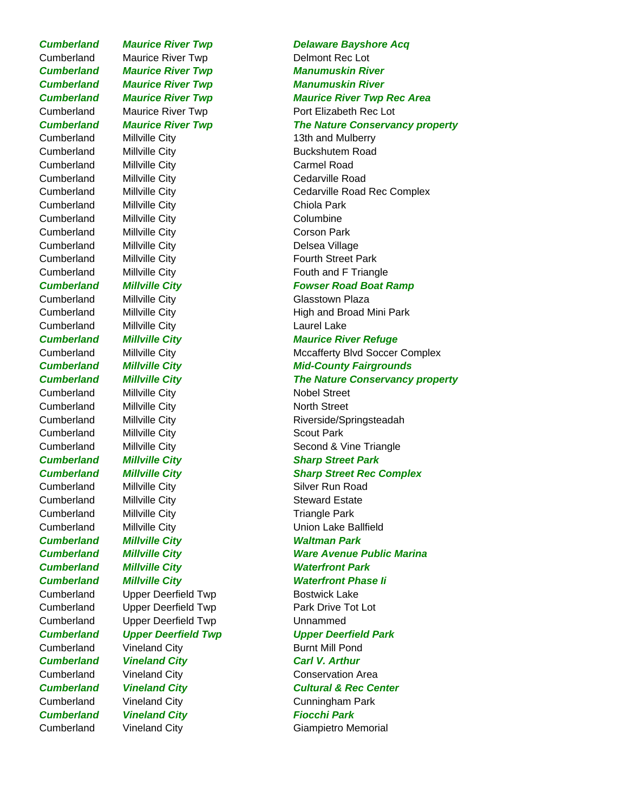Cumberland Maurice River Twp Delmont Rec Lot Cumberland Millville City 13th and Mulberry Cumberland Millville City **Buckshutem Road** Cumberland Millville City Carmel Road Cumberland Millville City Cumberland Millville City Cumberland Millville City Chiola Park Cumberland Millville City Columbine Cumberland Millville City Corson Park Cumberland Millville City **Delsea Village** Cumberland Millville City **Fourth Street Park** Cumberland Millville City Glasstown Plaza Cumberland Millville City **Laurel Lake** Cumberland Millville City Nobel Street Cumberland Millville City North Street Cumberland Millville City Scout Park Cumberland Millville City Silver Run Road Cumberland Millville City Steward Estate Cumberland Millville City **Triangle Park Cumberland Millville City Millow Waltman Park** *Cumberland Millville City Waterfront Park* Cumberland Upper Deerfield Twp Bostwick Lake Cumberland Upper Deerfield Twp Park Drive Tot Lot Cumberland Upper Deerfield Twp Unnammed Cumberland Vineland City **Burnt Mill Pond Cumberland Vineland City Carl V. Arthur** Cumberland Vineland City Conservation Area Cumberland Vineland City Cunningham Park *Cumberland Vineland City Fiocchi Park* Cumberland Vineland City Giampietro Memorial

## **Cumberland Maurice River Twp Delaware Bayshore Acq** *Cumberland Maurice River Twp Manumuskin River Cumberland Maurice River Twp Manumuskin River Cumberland Maurice River Twp Maurice River Twp Rec Area* Cumberland Maurice River Twp Port Elizabeth Rec Lot *Cumberland Maurice River Twp The Nature Conservancy property* Cumberland Millville City **CED** Cedarville Road Rec Complex Cumberland Millville City **Fouth and F** Triangle *Cumberland Millville City Fowser Road Boat Ramp* Cumberland Millville City **High and Broad Mini Park** *Cumberland Millville City Maurice River Refuge* Cumberland Millville City Microsoft Microsofterty Blvd Soccer Complex **Cumberland Millville City Mid-County Fairgrounds** *Cumberland Millville City The Nature Conservancy property* Cumberland Millville City **Riverside/Springsteadah** Cumberland Millville City **Second & Vine Triangle** Second & Vine Triangle *Cumberland Millville City Sharp Street Park* **Cumberland Millville City Sharp Street Rec Complex** Cumberland Millville City Union Lake Ballfield *Cumberland Millville City Ware Avenue Public Marina Cumberland Millville City Waterfront Phase Ii Cumberland Upper Deerfield Twp Upper Deerfield Park* **Cumberland Vineland City Cultural & Rec Center**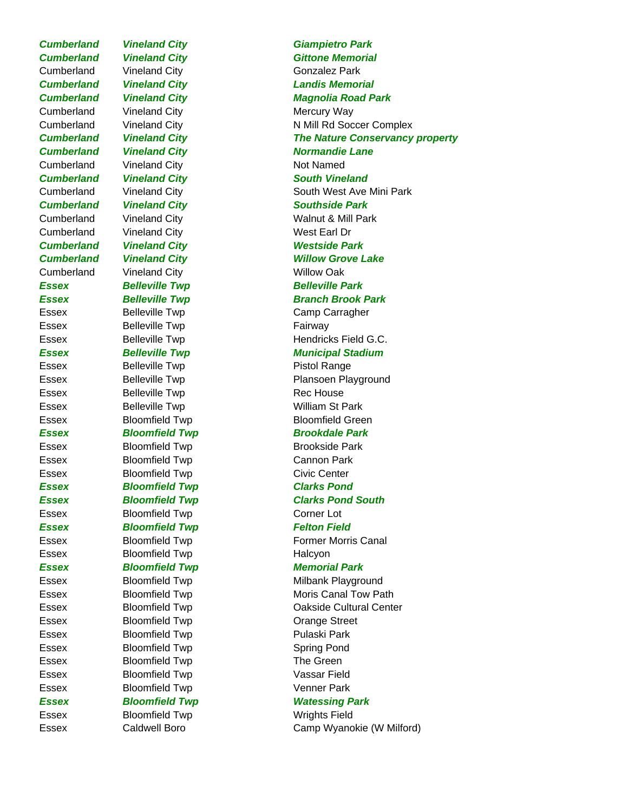Cumberland Vineland City Gonzalez Park Cumberland Vineland City **Mercury Way** Cumberland Vineland City Not Named Cumberland Vineland City West Earl Dr *Cumberland Vineland City Westside Park* Cumberland Vineland City **Willow Oak** *Essex Belleville Twp Belleville Park* Essex Belleville Twp **Fairway** Essex Belleville Twp **Pistol Range** Essex Belleville Twp Rec House Essex Belleville Twp **William St Park** Essex Bloomfield Twp Brookside Park Essex Bloomfield Twp Cannon Park Essex Bloomfield Twp Civic Center *Essex Bloomfield Twp Clarks Pond* Essex Bloomfield Twp Corner Lot **Essex Bloomfield Twp Felton Field** Essex Bloomfield Twp Halcyon *Essex Bloomfield Twp Memorial Park* Essex Bloomfield Twp Crange Street Essex Bloomfield Twp Pulaski Park Essex Bloomfield Twp Spring Pond Essex Bloomfield Twp The Green Essex Bloomfield Twp **Vassar Field** Essex Bloomfield Twp Venner Park Essex Bloomfield Twp Wrights Field

*Cumberland Vineland City Giampietro Park* **Cumberland Vineland City Cumber City Constrains Gittone Memorial** *Cumberland Vineland City Landis Memorial Cumberland Vineland City Magnolia Road Park* Cumberland Vineland City N Mill Rd Soccer Complex *Cumberland Vineland City The Nature Conservancy property* **Cumberland Vineland City Communist Communist Communist Communist Came Cumberland Vineland City South Vineland** Cumberland Vineland City South West Ave Mini Park *Cumberland Vineland City Southside Park* Cumberland Vineland City Walnut & Mill Park **Cumberland Vineland City Willow Grove Lake Essex Belleville Twp Branch Brook Park** Essex Belleville Twp Camp Carragher Essex Belleville Twp Hendricks Field G.C. **Essex Belleville Twp Municipal Stadium** Essex Belleville Twp **Plansoen Playground** Essex Bloomfield Twp Bloomfield Green **Essex Bloomfield Twp Brookdale Park** *Essex Bloomfield Twp Clarks Pond South* Essex Bloomfield Twp Former Morris Canal Essex Bloomfield Twp Milbank Playground Essex Bloomfield Twp Moris Canal Tow Path Essex Bloomfield Twp Cakside Cultural Center *Essex Bloomfield Twp Watessing Park* Essex Caldwell Boro Camp Wyanokie (W Milford)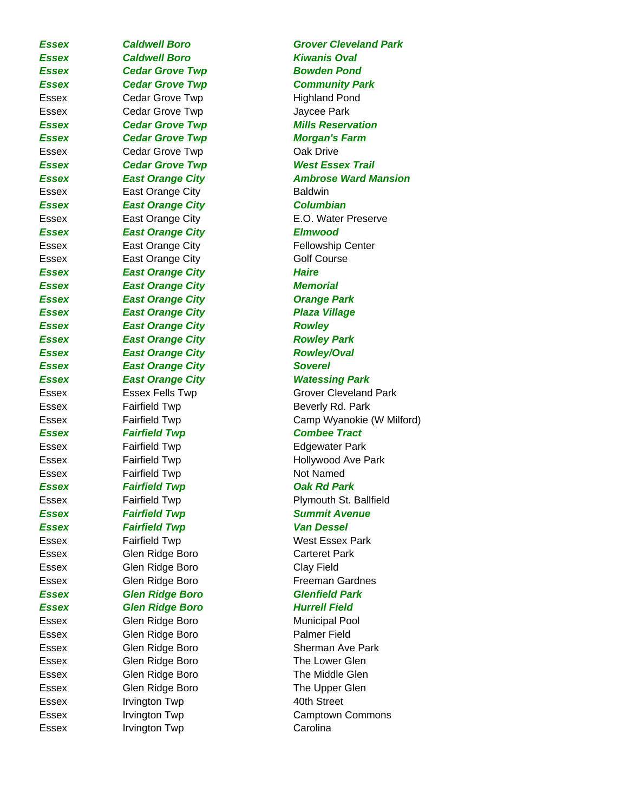Essex Irvington Twp Carolina

*Essex Caldwell Boro Kiwanis Oval* **Essex Cedar Grove Twp Bowden Pond** *Essex Cedar Grove Twp Community Park* Essex Cedar Grove Twp Fighland Pond Essex Cedar Grove Twp Contains the Jaycee Park *Essex Cedar Grove Twp Morgan's Farm* Essex Cedar Grove Twp Coak Drive *Essex Cedar Grove Twp West Essex Trail* Essex East Orange City **Baldwin** *Essex East Orange City Columbian Essex East Orange City Elmwood* Essex **East Orange City Example 2** Fellowship Center Essex East Orange City Golf Course **Essex East Orange City Frankline** Haire *Essex East Orange City Memorial Essex East Orange City Orange Park Essex East Orange City Plaza Village Essex East Orange City Rowley Essex East Orange City Rowley Park Essex East Orange City Rowley/Oval* **Essex East Orange City Soverel** *Essex East Orange City Watessing Park* Essex Fairfield Twp **Beverly Rd. Park** *Essex Fairfield Twp Combee Tract* Essex Fairfield Twp **Edgewater Park** Essex Fairfield Twp Not Named *Essex Fairfield Twp Oak Rd Park* **Essex Fairfield Twp Summit Avenue** *Essex Fairfield Twp Van Dessel* Essex Fairfield Twp Fairfield Twp Fairfield Twp Resex Park Essex Glen Ridge Boro Carteret Park Essex Glen Ridge Boro Clay Field Essex Glen Ridge Boro Freeman Gardnes *Essex Glen Ridge Boro Glenfield Park Essex Glen Ridge Boro Hurrell Field* Essex Glen Ridge Boro Municipal Pool Essex Glen Ridge Boro Palmer Field Essex Glen Ridge Boro The Lower Glen Essex Glen Ridge Boro The Middle Glen Essex Glen Ridge Boro The Upper Glen Essex Irvington Twp 40th Street

**Essex Caldwell Boro Grover Cleveland Park** *Essex Cedar Grove Twp Mills Reservation Essex East Orange City Ambrose Ward Mansion* Essex East Orange City **E.O. Water Preserve** Essex Essex Fells Twp Grover Cleveland Park Essex Fairfield Twp Camp Wyanokie (W Milford) Essex Fairfield Twp **Fairfield Twp** Hollywood Ave Park Essex Fairfield Twp **Property** Plymouth St. Ballfield Essex Glen Ridge Boro Sherman Ave Park Essex Irvington Twp Camptown Commons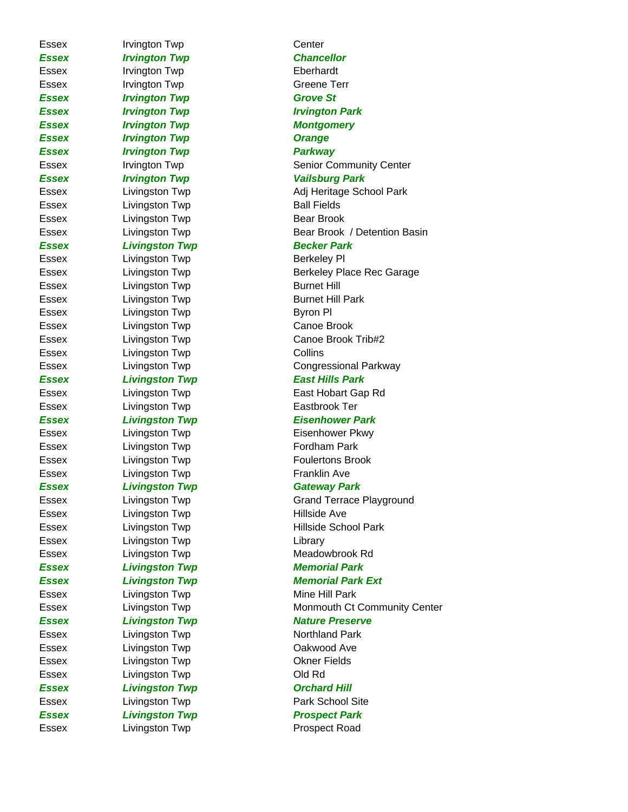Essex Irvington Twp Center *Essex Irvington Twp Chancellor* Essex Irvington Twp **Eberhardt** Essex Irvington Twp Creene Terr *Essex Irvington Twp Grove St Essex Irvington Twp Irvington Park* **Essex Irvington Twp Montgomery Essex Irvington Twp Constant Constant Constant Constant Constant Constant Constant Constant Constant Constant Constant Constant Constant Constant Constant Constant Constant Constant Constant Constant Constant Constant Con** *Essex Irvington Twp Parkway Essex Irvington Twp Vailsburg Park* Essex Livingston Twp **Ball Fields** Essex Livingston Twp Bear Brook **Essex Livingston Twp Becker Park** Essex Livingston Twp **Berkeley Pl** Essex Livingston Twp **Burnet Hill** Essex Livingston Twp **Burnet Hill Park** Essex Livingston Twp **Byron Pl** Essex Livingston Twp Canoe Brook Essex Livingston Twp Collins *Essex Livingston Twp East Hills Park* Essex Livingston Twp **Eastbrook Ter** Essex Livingston Twp **Eisenhower Pkwy** Essex Livingston Twp **Fordham Park** Essex Livingston Twp **Foulertons** Brook Essex Livingston Twp **Franklin** Ave *Essex Livingston Twp Gateway Park* Essex Livingston Twp **Hillside Ave** Essex Livingston Twp Library Essex Livingston Twp Meadowbrook Rd **Essex Livingston Twp Memorial Park** Essex Livingston Twp **Mine Hill Park Essex Livingston Twp Nature Preserve** Essex Livingston Twp Northland Park Essex Livingston Twp Cakwood Ave Essex Livingston Twp Charles Communication Communication Communication Communication Communication Communication Communication Communication Communication Communication Communication Communication Communication Communicati Essex Livingston Twp Cld Rd **Essex Livingston Twp Conducts Conduct Conducts** Conducts Conducts Conducts Conducts Conducts Conducts Conducts Conducts Conducts Conducts Conducts Conducts Conducts Conducts Conducts Conducts Conducts Conducts Conducts Co Essex Livingston Twp **Park School Site Essex Livingston Twp Prospect Park** 

Essex Irvington Twp **Senior Community Center** Community Center Essex Livingston Twp **Adj Heritage School Park** Essex **Example 2** Livingston Twp **Bear Brook** / Detention Basin Essex Livingston Twp Berkeley Place Rec Garage Essex Livingston Twp Canoe Brook Trib#2 Essex Livingston Twp Congressional Parkway Essex Livingston Twp **East Hobart Gap Rd** *Essex Livingston Twp Eisenhower Park* Essex **Livingston Twp** Grand Terrace Playground Essex **Livingston Twp Hillside School Park** *Essex Livingston Twp Memorial Park Ext* Essex **Livingston Twp Community Center** Monmouth Ct Community Center Essex Livingston Twp **Prospect Road**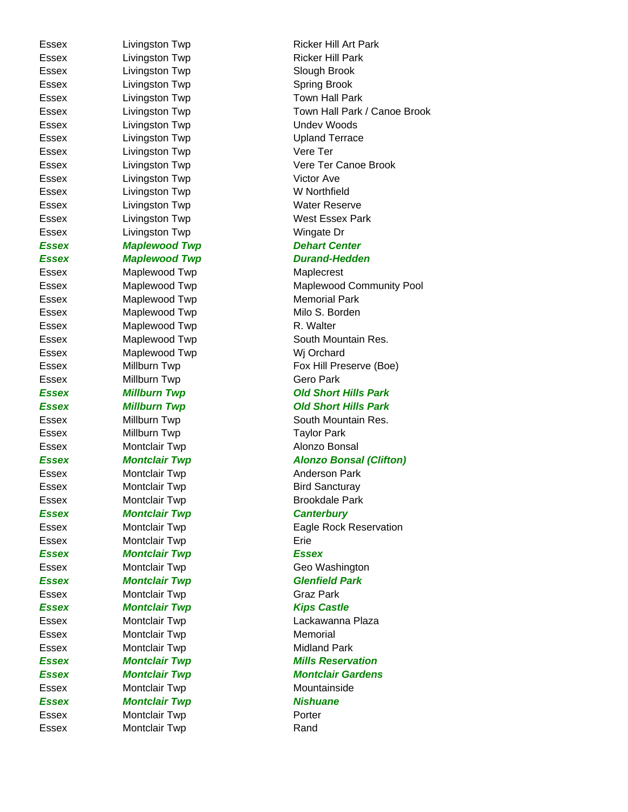Essex Livingston Twp Contract Contract Slough Brook Essex Livingston Twp Contract Spring Brook Essex Livingston Twp Town Hall Park Essex Livingston Twp Contract Contract Undev Woods Essex Livingston Twp Contract Upland Terrace Essex Livingston Twp **Vere Ter** Essex Livingston Twp **Victor Ave** Essex Livingston Twp W Northfield Essex Livingston Twp **Water Reserve** Essex Livingston Twp **Wingate Dr** *Essex Maplewood Twp Dehart Center* Essex Maplewood Twp Maplecrest Essex Maplewood Twp Memorial Park Essex Maplewood Twp Milo S. Borden Essex Maplewood Twp R. Walter Essex Maplewood Twp Wig Orchard Essex Millburn Twp Gero Park Essex Millburn Twp Taylor Park Essex Montclair Twp **Alonzo Bonsal** Essex Montclair Twp **Anderson Park** Essex **Montclair Twp** Bird Sancturay Essex Montclair Twp Brookdale Park *Essex Montclair Twp Canterbury* Essex Montclair Twp **Example 2018** Erie *Essex Montclair Twp Essex Essex Montclair Twp Glenfield Park* Essex Montclair Twp Graz Park **Essex Montclair Twp Kips Castle** Essex Montclair Twp Memorial Essex Montclair Twp Midland Park Essex Montclair Twp Mountainside **Essex Montclair Twp Nishuane** Essex Montclair Twp **Porter** Essex Montclair Twp **Rand** 

Essex Livingston Twp Ricker Hill Art Park Essex Livingston Twp **Ricker Hill Park** Essex Livingston Twp Town Hall Park / Canoe Brook Essex Livingston Twp **Vere Ter Canoe Brook** Essex Livingston Twp West Essex Park *Essex Maplewood Twp Durand-Hedden* Essex Maplewood Twp Maplewood Community Pool Essex Maplewood Twp South Mountain Res. Essex Millburn Twp Fox Hill Preserve (Boe) *Essex Millburn Twp Old Short Hills Park Essex Millburn Twp Old Short Hills Park*  Essex Millburn Twp South Mountain Res. *Essex Montclair Twp Alonzo Bonsal (Clifton)* Essex Montclair Twp Eagle Rock Reservation Essex Montclair Twp Geo Washington Essex Montclair Twp **Lackawanna Plaza Essex Montclair Twp Mills Reservation** *Essex Montclair Twp Montclair Gardens*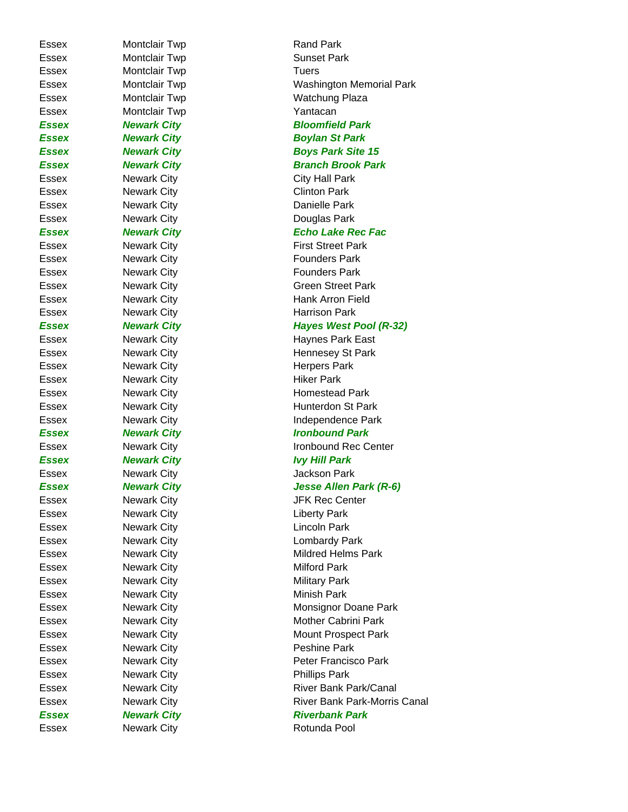Essex Newark City **Newark City** Rotunda Pool

Essex Montclair Twp **Rand Park** Essex Montclair Twp Sunset Park Essex Montclair Twp Tuers Essex Montclair Twp Washington Memorial Park Essex Montclair Twp Watchung Plaza Essex Montclair Twp **Yantacan** *Essex Newark City Bloomfield Park Essex Newark City Boylan St Park* **Essex Mewark City Boys Park Site 15 Essex Mewark City Channel Branch Brook Park** Essex Newark City City City Hall Park Essex Newark City **Clinton Park** Essex Newark City **Danielle Park** Essex Newark City **Douglas Park** *Essex Newark City Echo Lake Rec Fac* Essex Newark City **First Street Park** Essex Newark City **Founders** Park Essex Newark City **Founders** Park Essex Mewark City Green Street Park Essex Newark City **Hank Arron Field** Essex Newark City **Harrison Park** *Essex Newark City Hayes West Pool (R-32)* Essex Newark City **Haynes Park East** Essex Newark City **Hennesey St Park** Essex Newark City **Newark City** Newark City **Herpers Park** Essex Newark City **Newark City** Newark City Essex Newark City **Homestead Park** Essex Newark City **Hunterdon St Park** Essex Mewark City **Independence Park** *Essex Newark City Ironbound Park* Essex Newark City **Ironbound Rec Center** *Essex Newark City Ivy Hill Park* Essex Mewark City **Charles Access** Jackson Park *Essex Newark City Jesse Allen Park (R-6)* Essex Newark City **In the Search City** JFK Rec Center Essex Newark City **Contact City** Liberty Park Essex Newark City Lincoln Park Essex Newark City **Lombardy Park** Essex Mewark City **Mildred Helms Park** Essex Newark City **Newark City** Milford Park Essex Newark City **Newark City** Newark City Essex Newark City **Newark City** Newark City **Minish Park** Essex Newark City Monsignor Doane Park Essex Mewark City **Mother Cabrini Park** Essex Mewark City Mount Prospect Park Essex Newark City **Peshine Park** Essex Newark City **Peter Francisco Park** Essex Newark City **Phillips Park** Essex Mewark City **River Bank Park/Canal** Essex **Newark City River Bank Park-Morris Canal Essex Mewark City Channel Riverbank Park**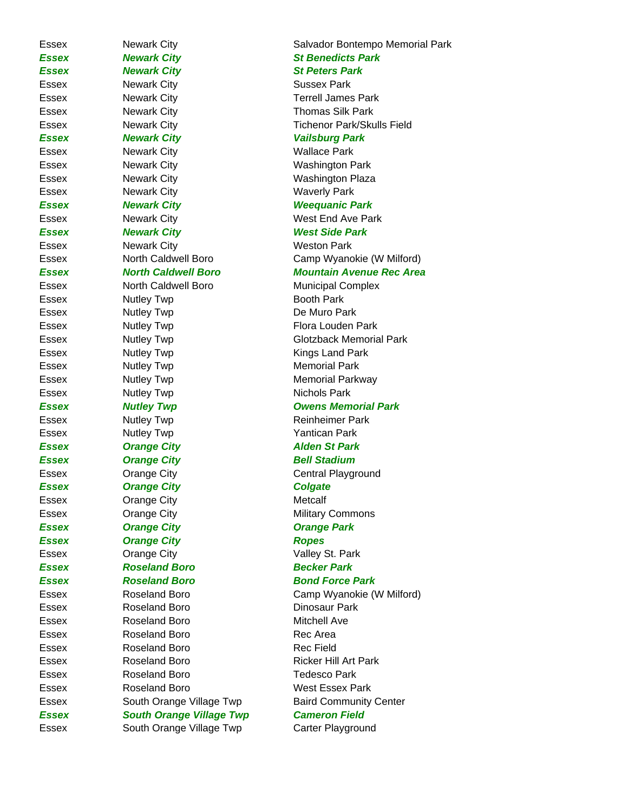**Essex Mewark City St Benedicts Park Essex Mewark City Communist Communist St Peters Park** Essex Newark City **Sussex Park** Essex Newark City **Terrell James Park** Essex Newark City **Newark City** Newark City **Thomas Silk Park** *Essex Newark City Vailsburg Park* Essex Newark City Wallace Park Essex Mewark City Newark City Newark City News News News Mashington Park Essex Mewark City Newark City Number 2012 News News Mexicon Number 2013 Essex Newark City Waverly Park *Essex Newark City Weequanic Park* Essex Newark City Newark City Nest End Ave Park *Essex Newark City West Side Park* Essex Newark City Newark City Essex Morth Caldwell Boro Municipal Complex Essex Nutley Twp **Booth Park** Essex Nutley Twp **De Muro Park** Essex Mutley Twp **Flora Louden Park** Essex Nutley Twp **Kings Land Park** Essex Mutley Twp Memorial Park Essex Mutley Twp Memorial Parkway Essex Nutley Twp Nichols Park Essex Nutley Twp **Reinheimer Park** Essex Nutley Twp **Yantican Park** *Essex Orange City Alden St Park* **Essex Orange City Community Bell Stadium** Essex **Cange City** Central Playground **Essex Colgate City Colgate** Essex Orange City Communication Metcalf Essex **Orange City Military Commons** *Essex Orange City Orange Park Essex Orange City Ropes* Essex **Orange City Valley St. Park** *Essex Roseland Boro Becker Park* **Essex Roseland Boro Bond Force Park** Essex Roseland Boro **Dinosaur Park** Essex Roseland Boro **Mitchell** Ave Essex Roseland Boro Rec Area Essex Roseland Boro Rec Field Essex Roseland Boro Ricker Hill Art Park Essex Roseland Boro Tedesco Park Essex Roseland Boro West Essex Park *Essex South Orange Village Twp Cameron Field*

Essex **Newark City Newark City** Salvador Bontempo Memorial Park Essex Newark City **Tichenor Park/Skulls Field** Essex **North Caldwell Boro** Camp Wyanokie (W Milford) *Essex North Caldwell Boro Mountain Avenue Rec Area* Essex **Mutley Twp** Glotzback Memorial Park **Essex Mutley Twp Communist Communist Communist Communist Communist Communist Communist Communist Communist Communist Communist Communist Communist Communist Communist Communist Communist Communist Communist Communist Comm** 

Essex Roseland Boro Camp Wyanokie (W Milford) Essex South Orange Village Twp Baird Community Center Essex South Orange Village Twp Carter Playground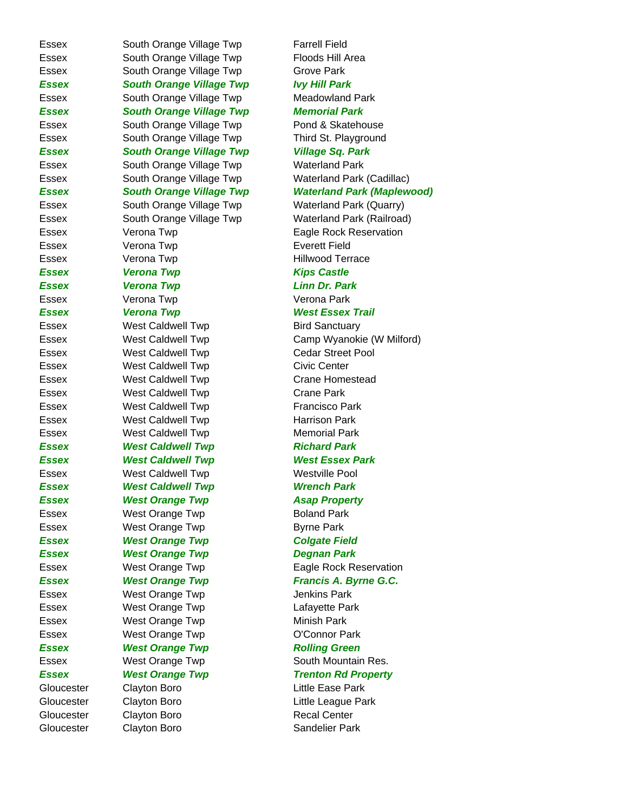Essex South Orange Village Twp Floods Hill Area Essex South Orange Village Twp Grove Park *Essex South Orange Village Twp Ivy Hill Park Essex South Orange Village Twp Memorial Park Essex South Orange Village Twp Village Sq. Park* Essex South Orange Village Twp Waterland Park Essex Verona Twp **Example 2018** Everett Field Essex Verona Twp **Hillwood Terrace Essex Verona Twp Kips Castle** *Essex Verona Twp Linn Dr. Park* Essex Verona Twp Verona Park Essex **West Caldwell Twp** Bird Sanctuary Essex West Caldwell Twp Civic Center Essex West Caldwell Twp Crane Park Essex **West Caldwell Twp Francisco Park** Essex West Caldwell Twp Harrison Park Essex West Caldwell Twp Memorial Park **Essex 6. In the West Caldwell Twp 6. In the Richard Park** Essex West Caldwell Twp Westville Pool *Essex West Caldwell Twp Wrench Park* **Essex Mest Orange Twp Asap Property** Essex West Orange Twp **Boland Park** Essex **West Orange Twp** Byrne Park **Essex Constructs West Orange Twp Colgate Field** *Essex West Orange Twp Degnan Park* Essex **West Orange Twp** Jenkins Park Essex West Orange Twp Lafayette Park Essex **West Orange Twp** Minish Park Essex West Orange Twp **O'Connor Park Essex 6 West Orange Twp 6 Arrow Rolling Green** Gloucester Clayton Boro Little Ease Park Gloucester Clayton Boro Clayton Boro Recal Center Gloucester Clayton Boro Sandelier Park

Essex South Orange Village Twp Farrell Field Essex South Orange Village Twp Meadowland Park Essex South Orange Village Twp Pond & Skatehouse Essex South Orange Village Twp Third St. Playground Essex South Orange Village Twp Waterland Park (Cadillac) *Essex South Orange Village Twp Waterland Park (Maplewood)* Essex South Orange Village Twp Waterland Park (Quarry) Essex South Orange Village Twp Waterland Park (Railroad) Essex **Eagle Rock Reservation Verona Twp Eagle Rock Reservation Essex Verona Twp West Essex Trail** Essex West Caldwell Twp Camp Wyanokie (W Milford) Essex West Caldwell Twp Cedar Street Pool Essex West Caldwell Twp Crane Homestead *Essex West Caldwell Twp West Essex Park* Essex **West Orange Twp Club Constructs** Eagle Rock Reservation **Essex 6 West Orange Twp 6 G.C.** Francis A. Byrne G.C. Essex West Orange Twp South Mountain Res. **Essex 6. In the West Orange Twp 6. In the Trenton Rd Property** Gloucester Clayton Boro Clayton Boro Little League Park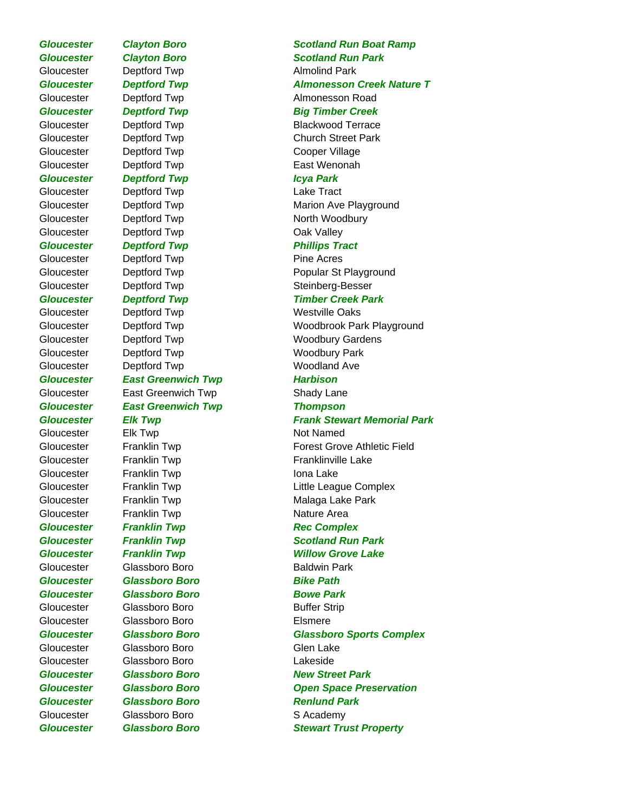*Gloucester Glassboro Boro Stewart Trust Property*

Gloucester Deptford Twp **Almolind Park** Gloucester Deptford Twp Cooper Village Gloucester Deptford Twp **East Wenonah** *Gloucester Deptford Twp Icya Park* Gloucester Deptford Twp Lake Tract Gloucester Deptford Twp North Woodbury Gloucester Deptford Twp Cak Valley **Gloucester Deptford Twp Contains Phillips Tract** Gloucester Deptford Twp **Pine Acres** Gloucester Deptford Twp Westville Oaks Gloucester Deptford Twp Woodbury Park Gloucester Deptford Twp Woodland Ave *Gloucester East Greenwich Twp Harbison* Gloucester East Greenwich Twp **Shady Lane** *Gloucester East Greenwich Twp Thompson* Gloucester Elk Twp Not Named Gloucester Franklin Twp **Internal Contact Contact Contact Contact Contact Contact Contact Contact Contact Conta** Gloucester Franklin Twp **Nature Area Gloucester Franklin Twp Rec Complex** Gloucester Glassboro Boro **Baldwin Park** *Gloucester Glassboro Boro Bike Path Gloucester Glassboro Boro Bowe Park* Gloucester Glassboro Boro Boro Buffer Strip Gloucester Glassboro Boro Elsmere Gloucester Glassboro Boro Glen Lake Gloucester Glassboro Boro Lakeside *Gloucester Glassboro Boro Renlund Park* Gloucester Glassboro Boro SAcademy

## *Gloucester Clayton Boro Scotland Run Boat Ramp Gloucester Clayton Boro Scotland Run Park Gloucester Deptford Twp Almonesson Creek Nature T* Gloucester Deptford Twp **Almonesson Road Gloucester Deptford Twp Big Timber Creek** Gloucester Deptford Twp Blackwood Terrace Gloucester Deptford Twp Church Street Park Gloucester Deptford Twp **Marion Ave Playground** Gloucester Deptford Twp **Popular St Playground** Gloucester Deptford Twp Steinberg-Besser *Gloucester Deptford Twp Timber Creek Park* Gloucester Deptford Twp Woodbrook Park Playground Gloucester Deptford Twp Woodbury Gardens **Gloucester Fig. 7 Elk Twp Frank Stewart Memorial Park** Gloucester Franklin Twp Forest Grove Athletic Field Gloucester Franklin Twp Franklinville Lake Gloucester Franklin Twp Little League Complex Gloucester Franklin Twp **Malaga Lake Park Gloucester Franklin Twp Scotland Run Park** *Gloucester Franklin Twp Willow Grove Lake Gloucester Glassboro Boro Glassboro Sports Complex Gloucester Glassboro Boro New Street Park Gloucester Glassboro Boro Open Space Preservation*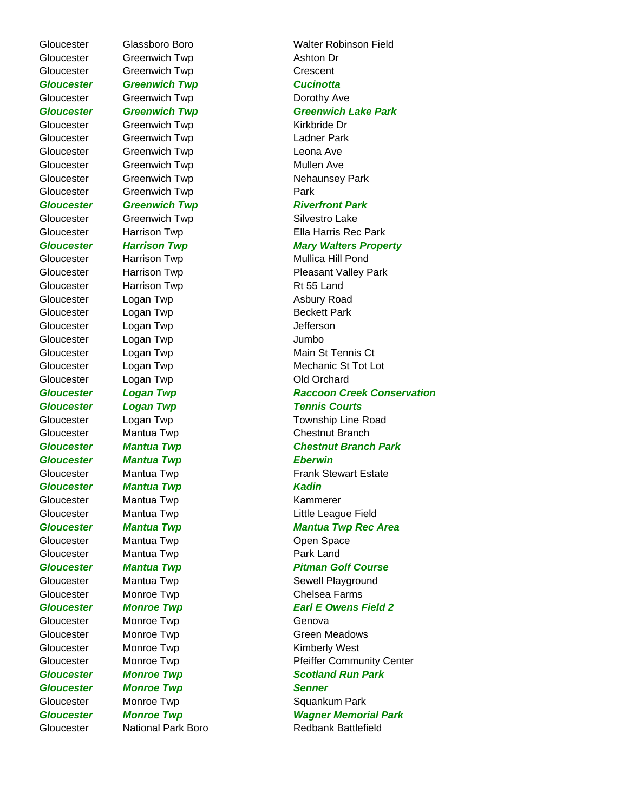Gloucester Glassboro Boro Walter Robinson Field Gloucester Greenwich Twp **Ashton Dr** Gloucester Greenwich Twp Crescent *Gloucester Greenwich Twp Cucinotta* Gloucester Greenwich Twp **Dorothy Ave** Gloucester Greenwich Twp **Kirkbride Dr** Gloucester Greenwich Twp Ladner Park Gloucester Greenwich Twp Leona Ave Gloucester Greenwich Twp **Mullen** Ave Gloucester Greenwich Twp **Park** Gloucester Greenwich Twp Silvestro Lake Gloucester Harrison Twp **Rt 55 Land** Gloucester Logan Twp **Asbury Road** Gloucester Logan Twp **Beckett Park** Gloucester Logan Twp **Jefferson** Gloucester Logan Twp Jumbo Gloucester Logan Twp Cloucester Cloucester Logan Twp *Gloucester Mantua Twp Eberwin Gloucester Mantua Twp Kadin* Gloucester Mantua Twp **Kammerer** Gloucester Mantua Twp **Constanting Community** Open Space Gloucester Mantua Twp **Park Land** Gloucester Monroe Twp **Genova Gloucester Monroe Twp Senner** 

*Gloucester Greenwich Twp Greenwich Lake Park* Gloucester Greenwich Twp **Nehaunsey Park** *Gloucester Greenwich Twp Riverfront Park* Gloucester Harrison Twp **Ella Harris Rec Park** *Gloucester Harrison Twp Mary Walters Property* Gloucester Harrison Twp **Mullica Hill Pond** Gloucester Harrison Twp **Pleasant Valley Park** Gloucester Logan Twp **Main St Tennis Ct** Gloucester Logan Twp **Mechanic St Tot Lot** *Gloucester Logan Twp Raccoon Creek Conservation* **Gloucester Logan Twp Tennis Courts** Gloucester Logan Twp **Township Line Road** Gloucester Mantua Twp Chestnut Branch *Gloucester Mantua Twp Chestnut Branch Park*  Gloucester Mantua Twp **Frank Stewart Estate** Gloucester Mantua Twp **Little League Field** *Gloucester Mantua Twp Mantua Twp Rec Area Gloucester Mantua Twp Pitman Golf Course* Gloucester Mantua Twp Sewell Playground Gloucester Monroe Twp Chelsea Farms **Gloucester Monroe Twp Earl E Owens Field 2** Gloucester Monroe Twp Green Meadows Gloucester Monroe Twp **Kimberly West** Gloucester Monroe Twp **Pfeiffer Community Center** *Gloucester Monroe Twp Scotland Run Park* Gloucester Monroe Twp **Squankum Park** *Gloucester Monroe Twp Wagner Memorial Park* Gloucester National Park Boro Redbank Battlefield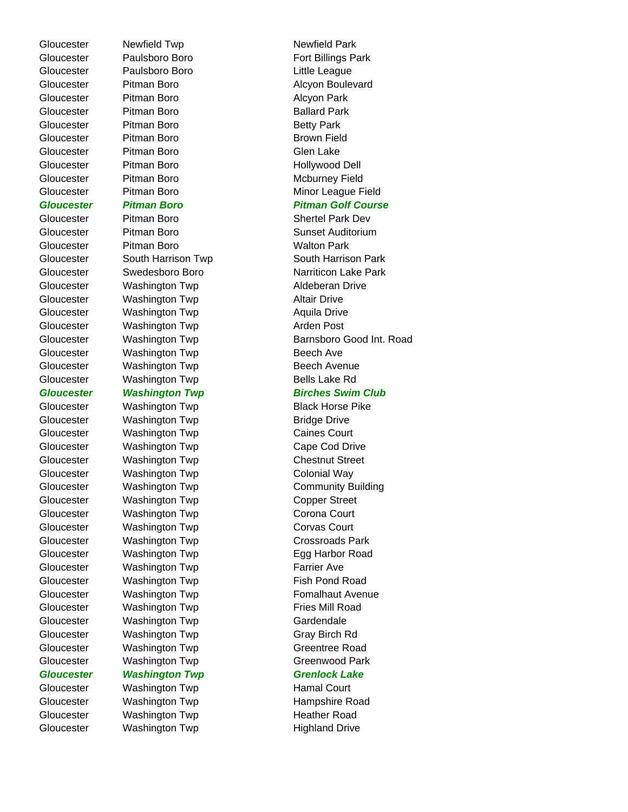Gloucester Paulsboro Boro **Fort Billings Park** Gloucester Paulsboro Boro **Communist Cloucester** Paulsboro Boro Gloucester Pitman Boro **Alcyon Park** Gloucester Pitman Boro **Ballard Park** Gloucester Pitman Boro **Betty Park** Gloucester Pitman Boro **Brown Field** Gloucester Pitman Boro **Gloucester** Pitman Boro Gloucester Pitman Boro **Hollywood Dell** Gloucester Pitman Boro **Mcburney Field** Gloucester Pitman Boro Walton Park Gloucester Washington Twp **Aldeberan Drive** Gloucester Washington Twp **Altair Drive** Gloucester Washington Twp **Aquila Drive** Gloucester Washington Twp **Arden Post** Gloucester Washington Twp **Beech Ave** Gloucester Washington Twp **Beech Avenue** Gloucester Washington Twp **Bells Lake Rd** Gloucester Washington Twp **Bridge Drive** Gloucester Washington Twp Caines Court Gloucester Washington Twp Cape Cod Drive Gloucester Washington Twp Chestnut Street Gloucester Washington Twp Colonial Way Gloucester Washington Twp Copper Street Gloucester Washington Twp Corona Court Gloucester Washington Twp Corvas Court Gloucester Washington Twp Crossroads Park Gloucester Washington Twp **Farrier Ave** Gloucester Washington Twp **Fish Pond Road** Gloucester Washington Twp **Fries Mill Road** Gloucester Washington Twp Gardendale Gloucester Washington Twp Gray Birch Rd Gloucester Washington Twp Greentree Road Gloucester Washington Twp Greenwood Park *Gloucester Washington Twp Grenlock Lake* Gloucester Washington Twp **Hamal Court** Gloucester Washington Twp **Heather Road** Gloucester Washington Twp **Highland Drive** 

Gloucester Newfield Twp Newfield Park Gloucester Pitman Boro **Alcyon Boulevard** Gloucester Pitman Boro **Minor League Field** *Gloucester Pitman Boro Pitman Golf Course* Gloucester Pitman Boro Shertel Park Dev Gloucester Pitman Boro **Sunset Auditorium** Gloucester South Harrison Twp **South Harrison Park** Gloucester Swedesboro Boro Narriticon Lake Park Gloucester **Washington Twp** Barnsboro Good Int. Road **Gloucester Washington Twp Birches Swim Club** Gloucester Washington Twp **Black Horse Pike** Gloucester Washington Twp Community Building Gloucester Washington Twp Egg Harbor Road Gloucester Washington Twp **Fomalhaut Avenue** Gloucester Washington Twp **Hampshire Road**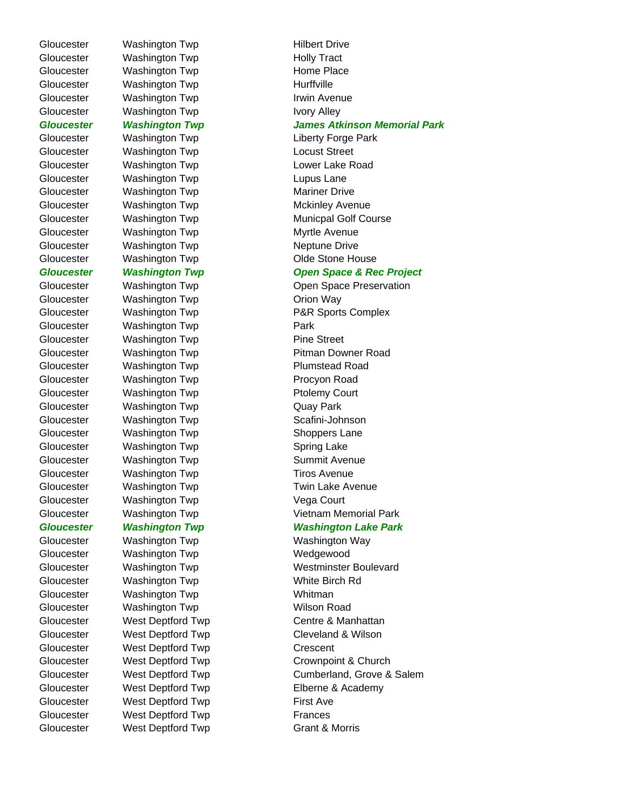Gloucester Washington Twp **Hilbert Drive** 

Gloucester Washington Twp **Park** 

Gloucester Washington Twp **Procyon Road** Gloucester Washington Twp **Ptolemy Court** Gloucester Washington Twp **CAUCA COVACAUTS** Quay Park Gloucester Washington Twp **Scafini-Johnson** Gloucester Washington Twp **Shoppers Lane** Gloucester Washington Twp Spring Lake Gloucester Washington Twp **Summit Avenue** Gloucester Washington Twp Tiros Avenue Gloucester Washington Twp **Vega Court** Gloucester Washington Twp Wedgewood Gloucester Washington Twp White Birch Rd Gloucester Washington Twp Whitman Gloucester Washington Twp **Wilson Road** Gloucester West Deptford Twp Crescent Gloucester West Deptford Twp **First Ave** Gloucester West Deptford Twp Frances

Gloucester Washington Twp **Holly Tract** Gloucester Washington Twp **Home Place** Gloucester Washington Twp **Hurffville** Gloucester Washington Twp **Irwin Avenue** Gloucester Washington Twp **IVOR** Ivory Alley *Gloucester Washington Twp James Atkinson Memorial Park* Gloucester Washington Twp Liberty Forge Park Gloucester Washington Twp Locust Street Gloucester Washington Twp **Lupus Lane** Gloucester Washington Twp Mariner Drive Gloucester Washington Twp **Myrtle Avenue** Gloucester Washington Twp Neptune Drive

Gloucester Washington Twp Lower Lake Road Gloucester Washington Twp Mckinley Avenue Gloucester Washington Twp Municpal Golf Course Gloucester Washington Twp Cloucester Cloucester Washington Twp *Gloucester Washington Twp Open Space & Rec Project* Gloucester Washington Twp **Charles Communist Communist Communist Communist Communist Communist Communist Communist Communist Communist Communist Communist Communist Communist Communist Communist Communist Communist Communi** Gloucester Washington Twp **CHACK CONSTRESS** Orion Way Gloucester Washington Twp **P&R** Sports Complex Gloucester Washington Twp **Pine Street** Gloucester Washington Twp **Pitman Downer Road** Gloucester Washington Twp **Plumstead Road** Gloucester Washington Twp Twin Lake Avenue Gloucester Washington Twp Vietnam Memorial Park *Gloucester Washington Twp Washington Lake Park* Gloucester Washington Twp Washington Way Gloucester Washington Twp Westminster Boulevard Gloucester West Deptford Twp Centre & Manhattan Gloucester West Deptford Twp Cleveland & Wilson Gloucester West Deptford Twp Crownpoint & Church Gloucester West Deptford Twp Cumberland, Grove & Salem Gloucester West Deptford Twp **Elberne & Academy** Gloucester West Deptford Twp Grant & Morris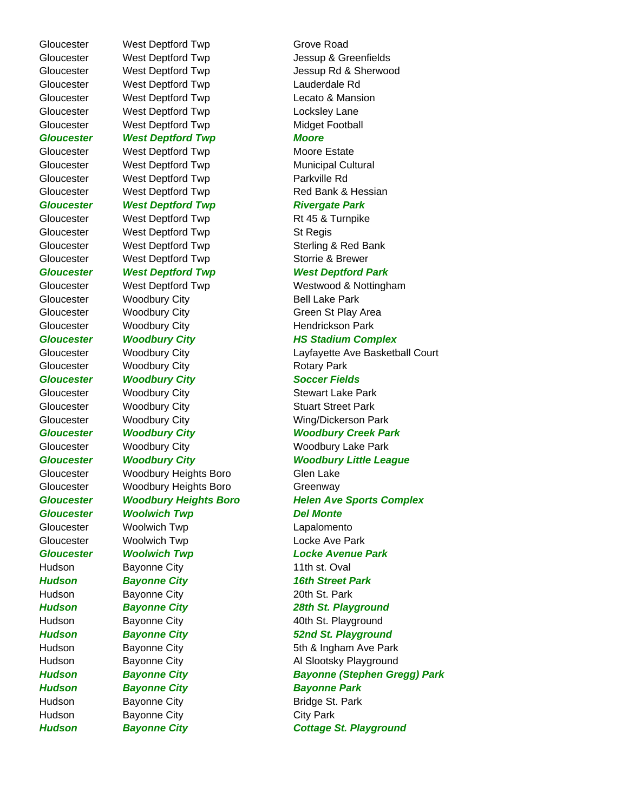Gloucester West Deptford Twp Grove Road Gloucester West Deptford Twp Lauderdale Rd Gloucester West Deptford Twp Lecato & Mansion Gloucester West Deptford Twp Locksley Lane Gloucester West Deptford Twp Midget Football *Gloucester West Deptford Twp Moore* Gloucester West Deptford Twp Moore Estate Gloucester West Deptford Twp Municipal Cultural Gloucester West Deptford Twp **Parkville Rd Gloucester West Deptford Twp Mest Rivergate Park** Gloucester West Deptford Twp Rt 45 & Turnpike Gloucester West Deptford Twp St Regis Gloucester West Deptford Twp Storrie & Brewer Gloucester Woodbury City **Bell Lake Park** Gloucester Woodbury City **Hendrickson Park** Gloucester Woodbury City **Rotary Park Gloucester Woodbury City Soccer Fields** Gloucester Woodbury City **Stewart Lake Park** Gloucester Woodbury City **Stuart Street Park** Gloucester Woodbury Heights Boro Glen Lake Gloucester Woodbury Heights Boro Greenway *Gloucester Woolwich Twp Del Monte* Gloucester Woolwich Twp Lapalomento Gloucester Woolwich Twp **Locke Ave Park** Hudson Bayonne City **11th st. Oval** *Hudson Bayonne City 16th Street Park* Hudson Bayonne City **20th St. Park** *Hudson Bayonne City Bayonne Park* Hudson Bayonne City Bridge St. Park Hudson Bayonne City **City Park** 

Gloucester West Deptford Twp Jessup & Greenfields Gloucester West Deptford Twp Jessup Rd & Sherwood Gloucester West Deptford Twp Red Bank & Hessian Gloucester West Deptford Twp Sterling & Red Bank *Gloucester West Deptford Twp West Deptford Park* Gloucester West Deptford Twp Westwood & Nottingham Gloucester Woodbury City Green St Play Area *Gloucester Woodbury City HS Stadium Complex* Gloucester **Woodbury City Layfayette Ave Basketball Court** Gloucester Woodbury City Wing/Dickerson Park *Gloucester Woodbury City Woodbury Creek Park* Gloucester Woodbury City Woodbury Woodbury Lake Park *Gloucester Woodbury City Woodbury Little League Gloucester Woodbury Heights Boro Helen Ave Sports Complex Gloucester Woolwich Twp Locke Avenue Park Hudson Bayonne City 28th St. Playground* Hudson Bayonne City **40th St. Playground** *Hudson Bayonne City 52nd St. Playground* Hudson Bayonne City **5th & Ingham Ave Park** Hudson Bayonne City **Al Slootsky Playground** *Hudson Bayonne City Bayonne (Stephen Gregg) Park Hudson Bayonne City Cottage St. Playground*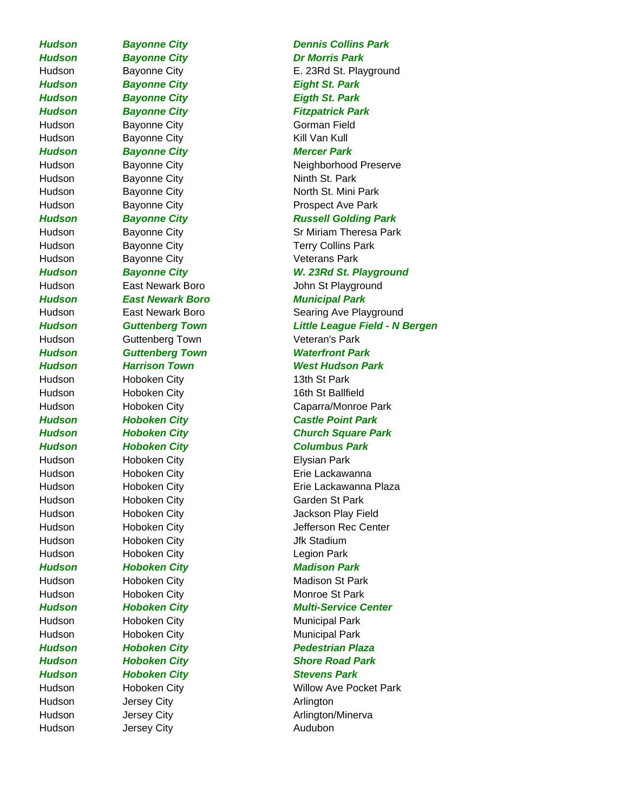*Hudson Bayonne City Dr Morris Park Hudson Bayonne City Eight St. Park Hudson Bayonne City Eigth St. Park* Hudson Bayonne City **Gorman Field** Hudson Bayonne City **Kill Van Kull** *Hudson Bayonne City Mercer Park* Hudson Bayonne City **Ninth St. Park** Hudson Bayonne City **Bayonne City Bayonne City** Bushell Veterans Park Hudson Guttenberg Town Veteran's Park Hudson Hoboken City **13th St Park** Hudson Hoboken City 16th St Ballfield Hudson Hoboken City **Elysian Park** Hudson Hoboken City Garden St Park Hudson Hoboken City **Hoboken City** Jfk Stadium Hudson Hoboken City **Legion Park** *Hudson Hoboken City Madison Park*  Hudson Hoboken City **Monroe St Park** Hudson Hoboken City **Municipal Park** Hudson Hoboken City **Municipal Park Hudson Hoboken City Stevens Park** Hudson Jersey City **Arlington** Hudson Jersey City **Audubon** 

## *Hudson Bayonne City Dennis Collins Park* Hudson Bayonne City **E. 23Rd St. Playground** *Hudson Bayonne City Fitzpatrick Park* Hudson Bayonne City **Neighborhood Preserve** Hudson Bayonne City **North St. Mini Park** Hudson Bayonne City **Prospect Ave Park** *Hudson Bayonne City Russell Golding Park* Hudson Bayonne City Sr Miriam Theresa Park Hudson Bayonne City **Terry Collins Park** *Hudson Bayonne City W. 23Rd St. Playground* Hudson East Newark Boro **Fast Newark Boro** John St Playground *Hudson East Newark Boro Municipal Park* Hudson East Newark Boro Searing Ave Playground *Hudson Guttenberg Town Little League Field - N Bergen Hudson Guttenberg Town Waterfront Park Hudson Harrison Town West Hudson Park* Hudson Hoboken City Caparra/Monroe Park *Hudson Hoboken City Castle Point Park Hudson Hoboken City Church Square Park Hudson Hoboken City Columbus Park* Hudson Hoboken City **Example 20 Hoboken City** Erie Lackawanna Hudson **Hoboken City Election Erie Lackawanna Plaza** Hudson Hoboken City **Hoboken City** Jackson Play Field Hudson Hoboken City Jefferson Rec Center Hudson Hoboken City **Madison St Park Hudson Hoboken City Multi-Service Center** *Hudson Hoboken City Pedestrian Plaza Hudson Hoboken City Shore Road Park* Hudson Hoboken City **Willow Ave Pocket Park** Hudson Jersey City **Arlington/Minerva**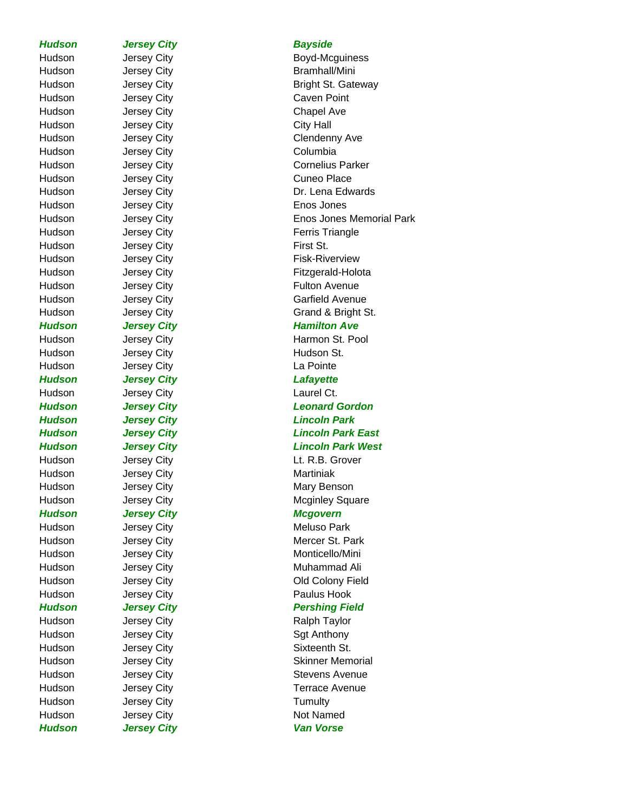**Hudson Jersey City Bayside** 

Hudson Jersey City **Chapel Ave** Hudson Jersey City City Hall Hudson Jersey City **Columbia** Hudson Jersey City **Cuneo Place** Hudson Jersey City Enos Jones Hudson Jersey City **First St.** Hudson Jersey City **Hudson St.** Hudson Jersey City **La Pointe** *Hudson Jersey City Lafayette* Hudson Jersey City **Laurel Ct.** Hudson Jersey City **Martiniak** *Hudson Jersey City Mcgovern* Hudson Jersey City **Meluso Park** Hudson Jersey City **Paulus Hook** Hudson Jersey City **Access 19 Taylor** Ralph Taylor Hudson Jersey City **Sgt Anthony** Hudson Jersey City **Sixteenth St.** Hudson Jersey City **Tumulty** Hudson Jersey City **Not Named** *Hudson Jersey City Van Vorse*

Hudson Jersey City **Boyd-Mcguiness** Hudson Jersey City **Bramhall/Mini** Hudson Jersey City **Bright St. Gateway** Hudson Jersey City **Caven Point** Hudson Jersey City **Clendenny Ave** Hudson Jersey City **Cornelius Parker** Hudson Jersey City **Dr. Lena Edwards** Hudson **Jersey City Enos Jones Memorial Park** Hudson Jersey City **Ferris Triangle** Hudson Jersey City **Fisk-Riverview** Hudson Jersey City **Fitzgerald-Holota** Hudson Jersey City **Fulton Avenue** Hudson Jersey City **Garfield Avenue** Hudson Jersey City Grand & Bright St. **Hudson Jersey City Jersey Community Hamilton Ave** Hudson Jersey City **Harmon St. Pool** *Hudson Jersey City Leonard Gordon Hudson Jersey City Lincoln Park Hudson Jersey City Lincoln Park East Hudson Jersey City Lincoln Park West* Hudson Jersey City **Lt. R.B. Grover** Hudson **Jersey City Mary Benson** Hudson Jersey City **Mcginley Square** Mcginley Square Hudson Jersey City **Mercer St. Park** Hudson Jersey City **Monticello/Mini** Hudson Jersey City **Muhammad Ali** Hudson Jersey City **Charles Colony Field** Old Colony Field **Hudson Jersey City Community Pershing Field** Hudson Jersey City **Skinner Memorial** Hudson Jersey City **Stevens Avenue** Hudson Jersey City **Terrace Avenue**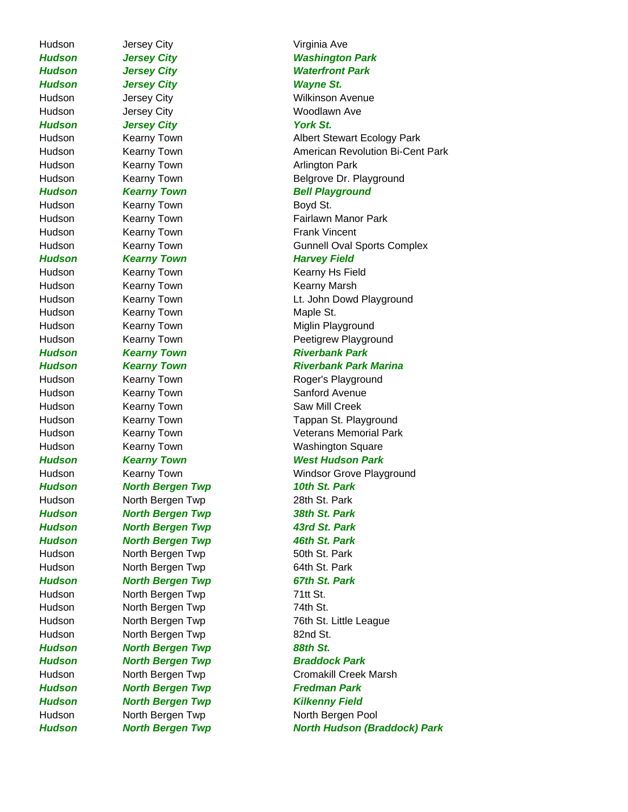Hudson Jersey City **Virginia Ave** *Hudson Jersey City Washington Park Hudson Jersey City Waterfront Park Hudson Jersey City Wayne St.* Hudson **Jersey City Wilkinson Avenue** Hudson Jersey City **Woodlawn** Ave *Hudson* Jersey City **The Contract City** York St. Hudson Kearny Town **Arlington Park Hudson Kearny Town Bell Playground** Hudson Kearny Town **Boyd St.** Hudson Kearny Town **Frank Vincent Hudson Kearny Town Kearny Harvey Field** Hudson Kearny Town Kearny Kearny Hs Field Hudson Kearny Town **Kearny Kearny Marsh** Hudson Kearny Town **Maple St.** Hudson Kearny Town **Miglin Playground** *Hudson Kearny Town Riverbank Park* Hudson Kearny Town Roger's Playground Hudson Kearny Town **Sanford Avenue** Hudson Kearny Town Saw Mill Creek *Hudson Kearny Town West Hudson Park* Hudson Kearny Town Windsor Grove Playground *Hudson North Bergen Twp 10th St. Park* Hudson North Bergen Twp 28th St. Park *Hudson North Bergen Twp 38th St. Park Hudson North Bergen Twp 43rd St. Park Hudson North Bergen Twp 46th St. Park* Hudson North Bergen Twp 50th St. Park Hudson North Bergen Twp 64th St. Park *Hudson North Bergen Twp 67th St. Park* Hudson North Bergen Twp 71tt St. Hudson **North Bergen Twp** 74th St. Hudson North Bergen Twp 82nd St. *Hudson North Bergen Twp 88th St. Hudson North Bergen Twp Braddock Park Hudson North Bergen Twp Fredman Park Hudson North Bergen Twp Kilkenny Field* Hudson North Bergen Twp North Bergen Pool

Hudson **Kearny Town Albert Stewart Ecology Park** Hudson **Kearny Town American Revolution Bi-Cent Park** Hudson Kearny Town **Belgrove Dr. Playground** 

Hudson Kearny Town **Fairlawn Manor Park** Hudson Kearny Town Gunnell Oval Sports Complex

Hudson Kearny Town **Lt. John Dowd Playground** Hudson Kearny Town **Peetigrew Playground** 

## *Hudson Kearny Town Riverbank Park Marina*

Hudson Kearny Town Tappan St. Playground Hudson Kearny Town Veterans Memorial Park Hudson Kearny Town **Washington Square** 

Hudson North Bergen Twp 76th St. Little League Hudson North Bergen Twp Cromakill Creek Marsh

*Hudson North Bergen Twp North Hudson (Braddock) Park*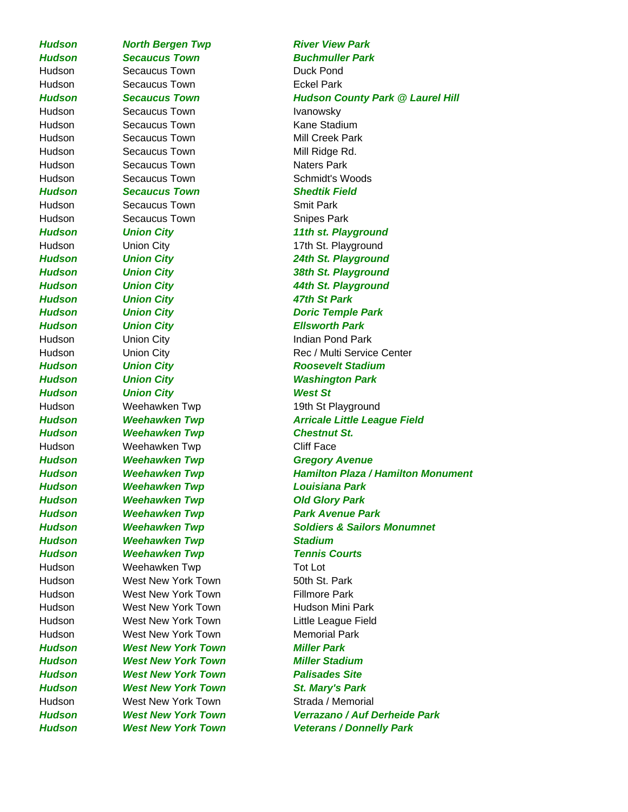*Hudson Secaucus Town Buchmuller Park* Hudson Secaucus Town Duck Pond Hudson Secaucus Town **Eckel Park** Hudson Secaucus Town **Ivanowsky** Hudson Secaucus Town **Kane Stadium** Hudson Secaucus Town Mill Creek Park Hudson Secaucus Town Mill Ridge Rd. Hudson Secaucus Town Secaucus Naters Park Hudson Secaucus Town Schmidt's Woods *Hudson Secaucus Town Shedtik Field* Hudson Secaucus Town Smit Park Hudson Secaucus Town Secaucus Town Shipes Park *Hudson Union City 11th st. Playground* Hudson Union City 17th St. Playground *Hudson Union City 24th St. Playground Hudson Union City 38th St. Playground Hudson Union City 44th St. Playground Hudson Union City 47th St Park Hudson Union City Doric Temple Park Hudson Union City Ellsworth Park* Hudson Union City **Indian Pond Park** *Hudson Union City Roosevelt Stadium Hudson Union City Washington Park Hudson Union City West St*  Hudson Weehawken Twp 19th St Playground *Hudson Weehawken Twp Chestnut St.* Hudson Weehawken Twp Cliff Face *Hudson Weehawken Twp Gregory Avenue Hudson Weehawken Twp Louisiana Park Hudson Weehawken Twp Old Glory Park Hudson Weehawken Twp Park Avenue Park Hudson Weehawken Twp Stadium Hudson Weehawken Twp Tennis Courts*  Hudson Weehawken Twp Tot Lot Hudson West New York Town 50th St. Park Hudson West New York Town Fillmore Park Hudson **West New York Town** Hudson Mini Park Hudson West New York Town Little League Field Hudson West New York Town Memorial Park *Hudson West New York Town Miller Park Hudson West New York Town Miller Stadium Hudson West New York Town Palisades Site Hudson West New York Town St. Mary's Park* Hudson West New York Town Strada / Memorial

**Hudson Morth Bergen Twp River View Park** *Hudson Secaucus Town Hudson County Park @ Laurel Hill* Hudson **Markt Union City Contract Center** Rec / Multi Service Center *Hudson Weehawken Twp Arricale Little League Field Hudson Weehawken Twp Hamilton Plaza / Hamilton Monument Hudson Weehawken Twp Soldiers & Sailors Monumnet Hudson West New York Town Verrazano / Auf Derheide Park Hudson West New York Town Veterans / Donnelly Park*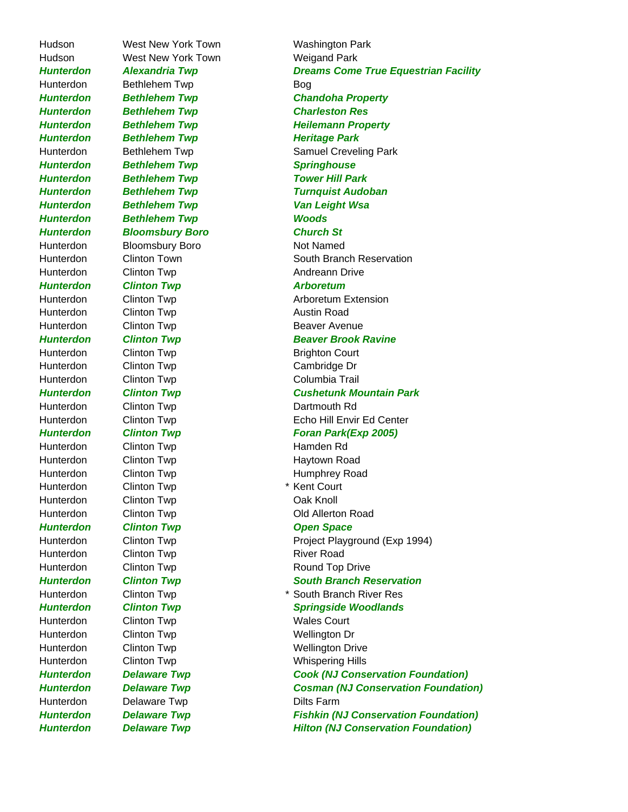Hudson West New York Town Weigand Park Hunterdon Bethlehem Twp **Bog Hunterdon Bethlehem Twp Heritage Park** *Hunterdon Bethlehem Twp Springhouse Hunterdon Bethlehem Twp Woods Hunterdon Bloomsbury Boro Church St* Hunterdon Bloomsbury Boro Not Named Hunterdon Clinton Twp Clinton Two Clinton Cultum Clinton Cultum Andreann Drive *Hunterdon Clinton Twp Arboretum* Hunterdon Clinton Twp Clinton Twp Austin Road Hunterdon Clinton Twp Clinton Twp Beaver Avenue Hunterdon Clinton Twp Clinton Court Hunterdon Clinton Twp Cambridge Dr Hunterdon Clinton Twp Columbia Trail Hunterdon Clinton Twp Clinton Two Clinton Cummouth Rd Hunterdon Clinton Twp Clinton Twp Hamden Rd Hunterdon Clinton Twp Clinton Twp Haytown Road Hunterdon Clinton Twp **\*** Kent Court Hunterdon Clinton Twp Clinton Two Clinton Two Clinton Clinton Clinton Clinton Clinton Clinton Clinton Clinton C *Hunterdon Clinton Twp Conference Clinton Twp Conference Clinton Twp Conference Clinton Change Change Change Change Change Change Change Change Change Change Change Change Change Change Change Change Change Change Change* Hunterdon Clinton Twp Clinton Twp River Road Hunterdon Clinton Twp Clinton Twp Wales Court Hunterdon Clinton Twp Clinton Two Wellington Dr Hunterdon Delaware Twp Dilts Farm

Hudson West New York Town Washington Park *Hunterdon Alexandria Twp Dreams Come True Equestrian Facility Hunterdon Bethlehem Twp Chandoha Property Hunterdon Bethlehem Twp Charleston Res* **Hunterdon Bethlehem Twp Fig. 2018 Heilemann Property** Hunterdon Bethlehem Twp Samuel Creveling Park *Hunterdon Bethlehem Twp Tower Hill Park Hunterdon Bethlehem Twp Turnquist Audoban Hunterdon Bethlehem Twp Van Leight Wsa* Hunterdon Clinton Town South Branch Reservation Hunterdon Clinton Twp Clinton Twp Arboretum Extension *Hunterdon Clinton Twp Beaver Brook Ravine Hunterdon Clinton Twp Cushetunk Mountain Park* Hunterdon Clinton Twp **Echo Hill Envir Ed Center Hunterdon Clinton Twp Foran Park(Exp 2005)** Hunterdon Clinton Twp Clinton Twp Humphrey Road Hunterdon Clinton Twp Clinton Twp Clinton Road Hunterdon Clinton Twp **Project Playground (Exp 1994)** Hunterdon Clinton Twp Clinton Twp Round Top Drive **Hunterdon** Clinton Twp **Cultimate Clinton Twp** South Branch Reservation Hunterdon Clinton Twp \* South Branch River Res **Hunterdon Clinton Twp Community Springside Woodlands** Hunterdon Clinton Twp Clinton Twp Wellington Drive Hunterdon Clinton Twp Whispering Hills *Hunterdon Delaware Twp Cook (NJ Conservation Foundation) Hunterdon Delaware Twp Cosman (NJ Conservation Foundation) Hunterdon Delaware Twp Fishkin (NJ Conservation Foundation) Hunterdon Delaware Twp Hilton (NJ Conservation Foundation)*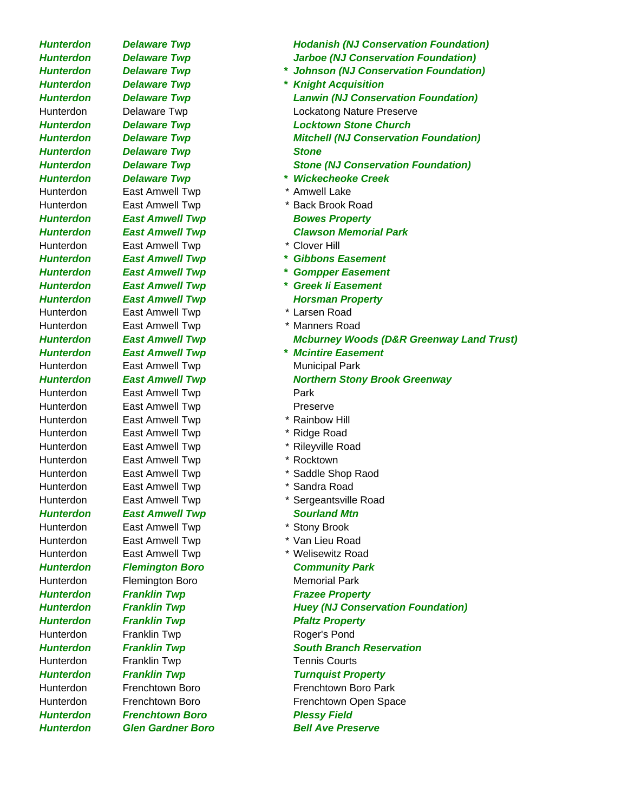**Hunterdon Delaware Twp Stone** *Hunterdon Delaware Twp \* Wickecheoke Creek* Hunterdon East Amwell Twp \* Amwell Lake Hunterdon East Amwell Twp \* Back Brook Road **Hunterdon East Amwell Twp Bowes Property** *Hunterdon East Amwell Twp Clawson Memorial Park* Hunterdon East Amwell Twp \* Clover Hill Hunterdon East Amwell Twp \* Larsen Road Hunterdon East Amwell Twp \* Manners Road *Hunterdon East Amwell Twp \* Mcintire Easement* Hunterdon East Amwell Twp **Municipal Park** Hunterdon East Amwell Twp **Park** Hunterdon East Amwell Twp **Preserve** Hunterdon East Amwell Twp \* Rainbow Hill Hunterdon East Amwell Twp \* Ridge Road Hunterdon East Amwell Twp \* Rileyville Road Hunterdon East Amwell Twp \* Rocktown Hunterdon East Amwell Twp \* Saddle Shop Raod Hunterdon East Amwell Twp \* Sandra Road **Hunterdon East Amwell Twp Sourland Mtn** Hunterdon East Amwell Twp \* Stony Brook Hunterdon East Amwell Twp \* Yan Lieu Road Hunterdon East Amwell Twp \* Welisewitz Road *Hunterdon Flemington Boro Community Park* Hunterdon Flemington Boro Memorial Park **Hunterdon Franklin Twp Franklin Frazee Property Hunterdon Franklin Twp Pfaltz Property** Hunterdon Franklin Twp **Roger's Pond** Hunterdon Franklin Twp Tennis Courts *Hunterdon Franklin Twp Turnquist Property* Hunterdon Frenchtown Boro Frenchtown Boro Park *Hunterdon Frenchtown Boro Plessy Field* 

*Hunterdon Delaware Twp Hodanish (NJ Conservation Foundation) Hunterdon Delaware Twp Jarboe (NJ Conservation Foundation)*

- *Hunterdon Delaware Twp \* Johnson (NJ Conservation Foundation) Hunterdon Delaware Twp \* Knight Acquisition Hunterdon Delaware Twp Lanwin (NJ Conservation Foundation)* Hunterdon Delaware Twp Lockatong Nature Preserve *Hunterdon Delaware Twp Locktown Stone Church Hunterdon Delaware Twp Mitchell (NJ Conservation Foundation) Hunterdon Delaware Twp Stone (NJ Conservation Foundation)*
	-
	-
	-
	-
- *Hunterdon East Amwell Twp \* Gibbons Easement*
- *Hunterdon East Amwell Twp \* Gompper Easement*
- *Hunterdon East Amwell Twp \* Greek Ii Easement*
- **Hunterdon East Amwell Twp Fig. 2018 Forward Property** 
	-
	-
- *Hunterdon East Amwell Twp Mcburney Woods (D&R Greenway Land Trust)*
	-
	-
- *Hunterdon East Amwell Twp Northern Stony Brook Greenway*
	-
	-
	-
	-
	-
	-
	-
	-
- Hunterdon East Amwell Twp \* Sergeantsville Road

- 
- 
- 
- 

- 
- *Hunterdon Franklin Twp Huey (NJ Conservation Foundation)*

- 
- **Hunterdon Franklin Twp South Branch Reservation**

Hunterdon Frenchtown Boro Frenchtown Open Space

*Hunterdon Glen Gardner Boro Bell Ave Preserve*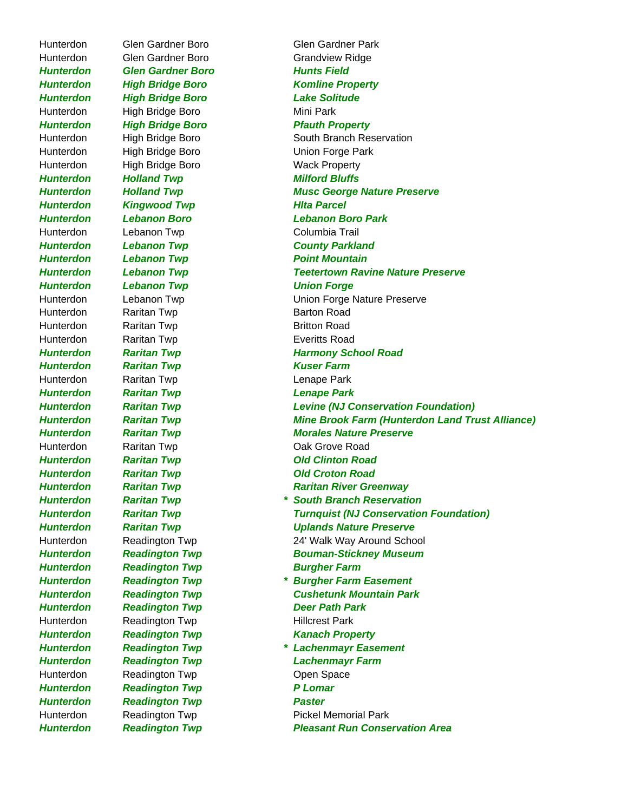Hunterdon Glen Gardner Boro Grandview Ridge **Hunterdon Glen Gardner Boro Francisco Hunts Field** *Hunterdon High Bridge Boro Lake Solitude* Hunterdon High Bridge Boro Mini Park **Hunterdon** High Bridge Boro **Pfauth Property** Hunterdon High Bridge Boro **High Bridge Boro** Union Forge Park Hunterdon High Bridge Boro Wack Property *Hunterdon Holland Twp Milford Bluffs Hunterdon Kingwood Twp Hlta Parcel* Hunterdon Lebanon Twp Columbia Trail *Hunterdon Lebanon Twp County Parkland* **Hunterdon Lebanon Twp Communist Point Mountain** *Hunterdon Lebanon Twp Union Forge* Hunterdon Raritan Twp **Barton Road** Hunterdon Raritan Twp **Britton Road** Hunterdon Raritan Twp Everitts Road *Hunterdon Raritan Twp Kuser Farm* Hunterdon Raritan Twp Lenape Park *Hunterdon Raritan Twp Lenape Park*  Hunterdon Raritan Twp Cak Grove Road *Hunterdon Raritan Twp Old Clinton Road Hunterdon Raritan Twp Old Croton Road* **Hunterdon** Readington Twp **Burgher Farm** *Hunterdon Readington Twp Deer Path Park* Hunterdon Readington Twp **Hillcrest Park** *Hunterdon Readington Twp Kanach Property* Hunterdon Readington Twp **Communist Communist Communist Communist Communist Communist Communist Communist Communist Communist Communist Communist Communist Communist Communist Communist Communist Communist Communist Commun** *Hunterdon Readington Twp P Lomar Hunterdon Readington Twp Paster*

Hunterdon Glen Gardner Boro Glen Gardner Park *Hunterdon High Bridge Boro Komline Property* Hunterdon High Bridge Boro South Branch Reservation **Hunterdon Holland Twp Musc George Nature Preserve** *Hunterdon Lebanon Boro Lebanon Boro Park Hunterdon Lebanon Twp Teetertown Ravine Nature Preserve* Hunterdon Lebanon Twp Union Forge Nature Preserve *Hunterdon Raritan Twp Harmony School Road Hunterdon Raritan Twp Levine (NJ Conservation Foundation) Hunterdon Raritan Twp Mine Brook Farm (Hunterdon Land Trust Alliance) Hunterdon Raritan Twp Morales Nature Preserve Hunterdon Raritan Twp Raritan River Greenway Hunterdon Raritan Twp \* South Branch Reservation Hunterdon Raritan Twp Turnquist (NJ Conservation Foundation) Hunterdon Raritan Twp Uplands Nature Preserve* Hunterdon Readington Twp 24' Walk Way Around School *Hunterdon Readington Twp Bouman-Stickney Museum Hunterdon Readington Twp \* Burgher Farm Easement Hunterdon Readington Twp Cushetunk Mountain Park Hunterdon Readington Twp \* Lachenmayr Easement Hunterdon Readington Twp Lachenmayr Farm* Hunterdon Readington Twp **Pickel Memorial Park** *Hunterdon Readington Twp Pleasant Run Conservation Area*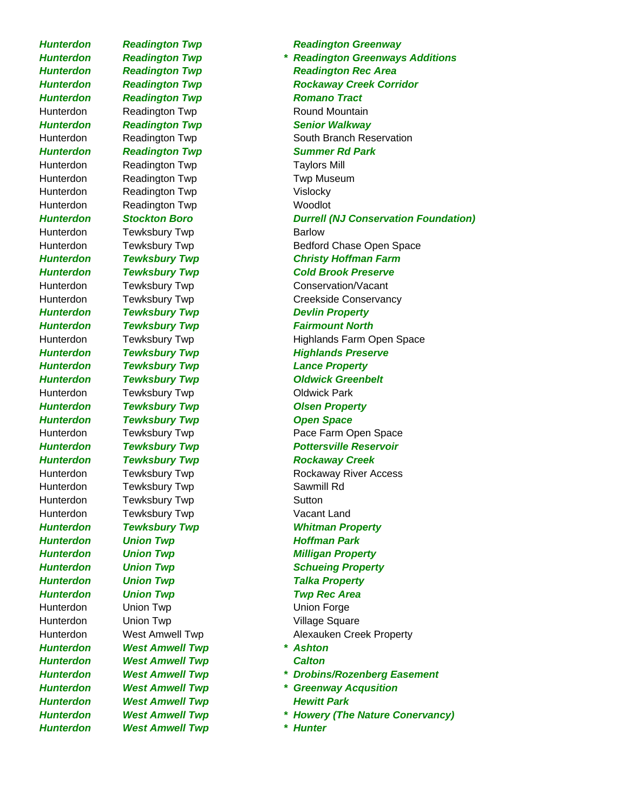*Hunterdon West Amwell Twp \* Hunter*

*Hunterdon Readington Twp Romano Tract* Hunterdon Readington Twp Round Mountain **Hunterdon Readington Twp Senior Walkway** Hunterdon Readington Twp Taylors Mill Hunterdon Readington Twp **Twing Twing Twing** Twp Museum Hunterdon Readington Twp **Vislocky** Hunterdon Readington Twp Woodlot Hunterdon Tewksbury Twp **Barlow** *Hunterdon Tewksbury Twp Devlin Property* **Hunterdon Tewksbury Twp Fairmount North** *Hunterdon Tewksbury Twp Lance Property* Hunterdon Tewksbury Twp **Contains Constructs** Oldwick Park *Hunterdon Tewksbury Twp Olsen Property* **Hunterdon Tewksbury Twp Concept Consumer Space** Hunterdon Tewksbury Twp **Sawmill Rd** Hunterdon Tewksbury Twp **Sutton** Hunterdon Tewksbury Twp **Vacant Land Hunterdon Union Twp Communist Communist Communist Park** *Hunterdon Union Twp Talka Property Hunterdon Union Twp Twp Rec Area* Hunterdon Union Twp Union Contact Union Forge Hunterdon Union Twp **Village Square** *Hunterdon West Amwell Twp \* Ashton Hunterdon West Amwell Twp Calton* **Hunterdon West Amwell Twp Mewitt Park** 

*Hunterdon Readington Twp Readington Greenway Hunterdon Readington Twp \* Readington Greenways Additions Hunterdon Readington Twp Readington Rec Area Hunterdon Readington Twp Rockaway Creek Corridor* Hunterdon Readington Twp South Branch Reservation *Hunterdon Readington Twp Summer Rd Park Hunterdon Stockton Boro Durrell (NJ Conservation Foundation)* Hunterdon Tewksbury Twp **Bedford Chase Open Space** *Hunterdon Tewksbury Twp Christy Hoffman Farm Hunterdon Tewksbury Twp Cold Brook Preserve* Hunterdon Tewksbury Twp Conservation/Vacant Hunterdon Tewksbury Twp Creekside Conservancy Hunterdon Tewksbury Twp **Highlands Farm Open Space Hunterdon Tewksbury Twp Team Accord Highlands Preserve** *Hunterdon Tewksbury Twp Oldwick Greenbelt* Hunterdon Tewksbury Twp **Pace Farm Open Space** *Hunterdon Tewksbury Twp Pottersville Reservoir Hunterdon Tewksbury Twp Rockaway Creek* Hunterdon Tewksbury Twp **Rockaway River Access** *Hunterdon Tewksbury Twp Whitman Property Hunterdon Union Twp Milligan Property* **Hunterdon Union Twp Schueing Property** Hunterdon West Amwell Twp **Alexauken Creek Property** *Hunterdon West Amwell Twp \* Drobins/Rozenberg Easement Hunterdon West Amwell Twp \* Greenway Acqusition Hunterdon West Amwell Twp \* Howery (The Nature Conervancy)*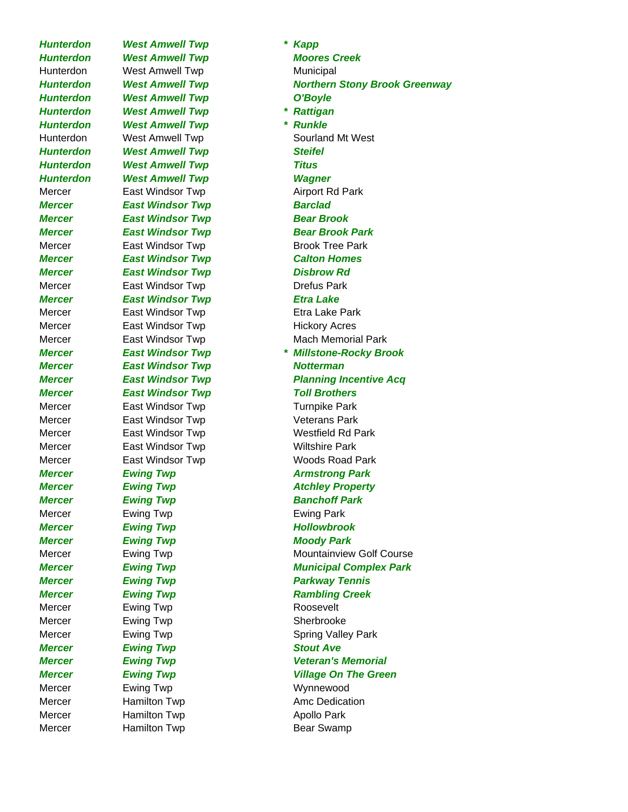*Hunterdon West Amwell Twp \* Kapp Hunterdon West Amwell Twp Moores Creek* Hunterdon West Amwell Twp Municipal *Hunterdon West Amwell Twp O'Boyle Hunterdon West Amwell Twp \* Rattigan Hunterdon West Amwell Twp \* Runkle Hunterdon West Amwell Twp Steifel Hunterdon West Amwell Twp Titus Hunterdon West Amwell Twp Wagner* Mercer East Windsor Twp **Airport Rd Park Mercer** East Windsor Twp **Barclad Mercer East Windsor Twp Bear Brook** Mercer East Windsor Twp **Brook Tree Park** *Mercer East Windsor Twp Calton Homes Mercer East Windsor Twp Disbrow Rd* Mercer **East Windsor Twp** Drefus Park *Mercer East Windsor Twp Etra Lake* Mercer East Windsor Twp Etra Lake Park Mercer East Windsor Twp **Hickory Acres** *Mercer East Windsor Twp Notterman Mercer East Windsor Twp Toll Brothers* Mercer **East Windsor Twp** Turnpike Park Mercer **East Windsor Twp Veterans Park** Mercer **East Windsor Twp Wiltshire Park** *Mercer Ewing Twp <b>Armstrong Park Mercer Ewing Twp Banchoff Park* Mercer Ewing Twp Ewing Park *Mercer Ewing Twp Hollowbrook Mercer Ewing Twp Moody Park Mercer Ewing Twp Parkway Tennis Mercer Ewing Twp Rambling Creek* Mercer Ewing Twp Ewing Hercer Roosevelt Mercer Ewing Twp Ewing Twp Sherbrooke **Mercer Ewing Twp Example 2008 Stout Ave** Mercer Ewing Twp Ewing Twp Wynnewood Mercer **Hamilton Twp Ame Dedication** Mercer **Hamilton Twp Apollo Park** 

*Hunterdon West Amwell Twp Northern Stony Brook Greenway* Hunterdon West Amwell Twp Sourland Mt West *Mercer East Windsor Twp Bear Brook Park* Mercer **East Windsor Twp** Mach Memorial Park *Mercer East Windsor Twp \* Millstone-Rocky Brook Mercer East Windsor Twp Planning Incentive Acq* Mercer East Windsor Twp Westfield Rd Park Mercer East Windsor Twp Woods Road Park *Mercer Ewing Twp Atchley Property* Mercer Ewing Twp **Mountainview Golf Course** *Mercer Ewing Twp Municipal Complex Park* Mercer Ewing Twp Ewing Spring Valley Park *Mercer Ewing Twp Veteran's Memorial Mercer Ewing Twp Village On The Green* Mercer **Hamilton Twp** Bear Swamp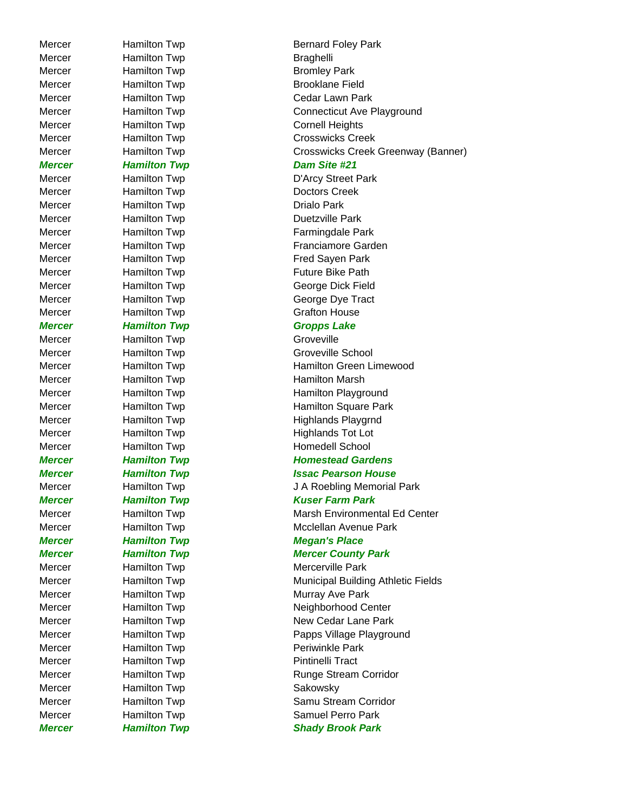Mercer Hamilton Twp **Braghelli** Mercer Hamilton Twp **Bromley Park** Mercer Hamilton Twp Cornell Heights *Mercer Hamilton Twp Dam Site #21* Mercer Hamilton Twp **Doctors Creek** Mercer **Hamilton Twp Drialo Park** Mercer Hamilton Twp **Duetzville Park** Mercer Hamilton Twp Grafton House *Mercer Hamilton Twp Gropps Lake* Mercer Hamilton Twp Groveville Mercer **Hamilton Twp Homedell School** *Mercer Hamilton Twp Megan's Place* Mercer **Hamilton Twp** Mercerville Park Mercer **Hamilton Twp Pintinelli Tract** Mercer Hamilton Twp **Sakowsky** 

Mercer **Hamilton Twp Bernard Foley Park** Mercer Hamilton Twp **Brooklane Field** Mercer **Hamilton Twp** Cedar Lawn Park Mercer **Hamilton Twp** Connecticut Ave Playground Mercer **Hamilton Twp** Crosswicks Creek Mercer Hamilton Twp Crosswicks Creek Greenway (Banner) Mercer **Hamilton Twp** D'Arcy Street Park Mercer Hamilton Twp Farmingdale Park Mercer **Hamilton Twp Franciamore Garden** Mercer **Hamilton Twp Fred Sayen Park** Mercer **Hamilton Twp Future Bike Path** Mercer Hamilton Twp George Dick Field Mercer **Hamilton Twp** George Dye Tract Mercer **Hamilton Twp** Groveville School Mercer Hamilton Twp Hamilton Green Limewood Mercer **Hamilton Twp** Hamilton Marsh Mercer Hamilton Twp Hamilton Playground Mercer Hamilton Twp Hamilton Square Park Mercer Hamilton Twp Highlands Playgrnd

Mercer Hamilton Twp Highlands Tot Lot

## *Mercer* Hamilton Twp **Homestead Gardens**

### *Mercer Hamilton Twp Issac Pearson House*

Mercer Hamilton Twp J A Roebling Memorial Park *Mercer Hamilton Twp Kuser Farm Park* Mercer **Hamilton Twp** Marsh Environmental Ed Center Mercer **Hamilton Twp** Mcclellan Avenue Park

## *Mercer Hamilton Twp Mercer County Park*

Mercer **Hamilton Twp** Municipal Building Athletic Fields Mercer **Hamilton Twp** Murray Ave Park Mercer Hamilton Twp Neighborhood Center Mercer Hamilton Twp New Cedar Lane Park Mercer **Hamilton Twp Papps Village Playground** Mercer Hamilton Twp **Periminkle Park** Mercer **Hamilton Twp** Runge Stream Corridor Mercer **Hamilton Twp** Samu Stream Corridor Mercer **Hamilton Twp** Samuel Perro Park **Mercer Familton Twp Shady Brook Park**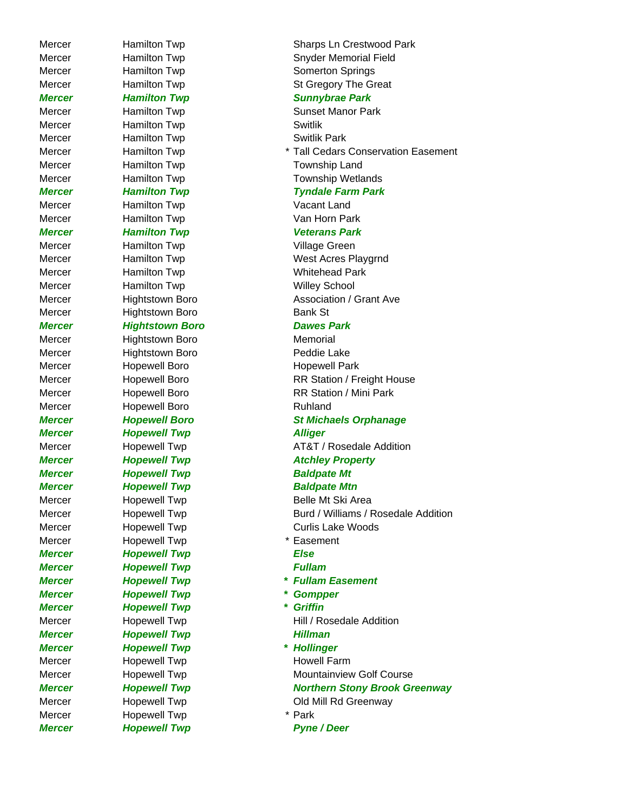*Mercer* Hamilton Twp **Sunnybrae Park** Mercer **Hamilton Twp Switlik** Mercer **Hamilton Twp Switlik Park** Mercer Hamilton Twp Township Land Mercer **Hamilton Twp** Township Wetlands Mercer **Hamilton Twp Vacant Land** Mercer Hamilton Twp **Van Horn Park** *Mercer Hamilton Twp Veterans Park* Mercer **Hamilton Twp Village Green** Mercer **Hamilton Twp** Mercer Whitehead Park Mercer Hamilton Twp Willey School Mercer Hightstown Boro Bank St *Mercer Hightstown Boro Dawes Park* Mercer Hightstown Boro Memorial Mercer Hightstown Boro **Peddie Lake** Mercer Hopewell Boro Hopewell Park Mercer **Hopewell Boro Ruhland** *Mercer Hopewell Twp Alliger Mercer Hopewell Twp Baldpate Mt Mercer Hopewell Twp Baldpate Mtn* Mercer **Hopewell Twp** \* Easement *Mercer Hopewell Twp Else Mercer Hopewell Twp Fullam Mercer Hopewell Twp \* Gompper Mercer Hopewell Twp \* Griffin* **Mercer Hopewell Twp Hillman** *Mercer Hopewell Twp \* Hollinger* Mercer Hopewell Twp Howell Farm Mercer **Hopewell Twp** \* Park

Mercer **Hamilton Twp** Sharps Ln Crestwood Park Mercer **Hamilton Twp** Snyder Memorial Field Mercer **Hamilton Twp Somerton Springs** Mercer Hamilton Twp St Gregory The Great

# Mercer **Hamilton Twp Sunset Manor Park** Mercer **Hamilton Twp \* Tall Cedars Conservation Easement**

### *Mercer Hamilton Twp Tyndale Farm Park*

Mercer **Hamilton Twp** West Acres Playgrnd Mercer **Hightstown Boro Association / Grant Ave** 

Mercer **Hopewell Boro RR Station / Freight House** Mercer **Hopewell Boro** RR Station / Mini Park

## *Mercer Hopewell Boro St Michaels Orphanage*

Mercer **Hopewell Twp AT&T** / Rosedale Addition *Mercer Hopewell Twp Atchley Property*

Mercer **Hopewell Twp** Belle Mt Ski Area Mercer **Hopewell Twp** Burd / Williams / Rosedale Addition Mercer Hopewell Twp Curlis Lake Woods

- 
- 
- *Mercer Hopewell Twp \* Fullam Easement*
	-
	-

Mercer **Hopewell Twp** Hill / Rosedale Addition

Mercer **Hopewell Twp** Mountainview Golf Course *Mercer Hopewell Twp Northern Stony Brook Greenway* Mercer **Hopewell Twp COLOGY COLOGY Old Mill Rd Greenway** 

*Mercer* Hopewell Twp **Pyne / Deer**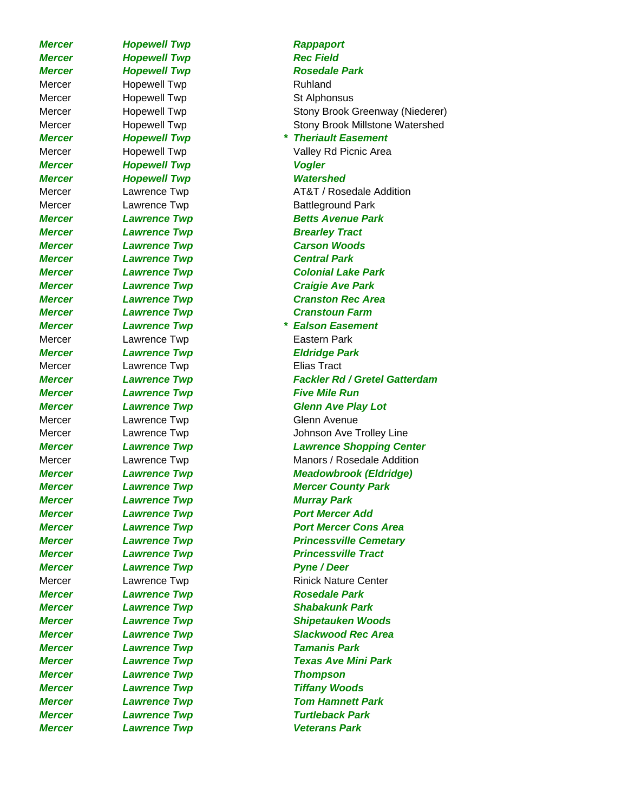*Mercer Lawrence Twp Veterans Park*

*Mercer Hopewell Twp Rappaport* **Mercer Hopewell Twp Rec Field** *Mercer Hopewell Twp Rosedale Park* Mercer **Hopewell Twp Ruhland** Mercer Hopewell Twp St Alphonsus *Mercer Hopewell Twp Vogler Mercer Hopewell Twp Watershed Mercer* Lawrence Twp **Brearley Tract** *Mercer Lawrence Twp Central Park* Mercer **Lawrence Twp Eastern Park** *Mercer Lawrence Twp Eldridge Park* Mercer **Lawrence Twp Elias Tract** *Mercer* **Lawrence Twp Five Mile Run** Mercer Lawrence Twp Clenn Avenue *Mercer Lawrence Twp Murray Park Mercer* Lawrence Twp **Pyne / Deer** *Mercer Lawrence Twp Rosedale Park Mercer Lawrence Twp Tamanis Park Mercer Lawrence Twp Thompson Mercer Lawrence Twp Tiffany Woods*

## Mercer **Hopewell Twp Stony Brook Greenway (Niederer)** Stony Brook Greenway (Niederer) Mercer **Hopewell Twp Stony Brook Millstone Watershed** *Mercer Hopewell Twp \* Theriault Easement* Mercer **Hopewell Twp Valley Rd Picnic Area** Mercer **Lawrence Twp AT&T** / Rosedale Addition Mercer **Lawrence Twp** Battleground Park *Mercer* Lawrence Twp **Betts Avenue Park** *Mercer Lawrence Twp Carson Woods Mercer Lawrence Twp Colonial Lake Park Mercer Lawrence Twp Craigie Ave Park Mercer Lawrence Twp Cranston Rec Area Mercer Lawrence Twp Cranstoun Farm Mercer Lawrence Twp \* Ealson Easement Mercer Lawrence Twp Fackler Rd / Gretel Gatterdam Mercer Lawrence Twp Glenn Ave Play Lot* Mercer Lawrence Twp **Interpreterate Contains Ave Trolley Line** *Mercer Lawrence Twp Lawrence Shopping Center* Mercer **Lawrence Twp Manors / Rosedale Addition** *Mercer Lawrence Twp Meadowbrook (Eldridge) Mercer Lawrence Twp Mercer County Park* **Mercer Camerage Calculation Control Lawrence Twp Control Control Port Mercer Add** *Mercer* **Lawrence Twp** *Port Mercer Cons Area* **Mercer Calcular Lawrence Twp Contract Contract Princessville Cemetary Mercer Cause 2018** Lawrence Twp **Cause 2018** Princessville Tract Mercer **Lawrence Twp** Rinick Nature Center *Mercer Lawrence Twp Shabakunk Park Mercer Lawrence Twp Shipetauken Woods Mercer Lawrence Twp Slackwood Rec Area Mercer Lawrence Twp Texas Ave Mini Park Mercer Lawrence Twp Tom Hamnett Park Mercer Lawrence Twp Turtleback Park*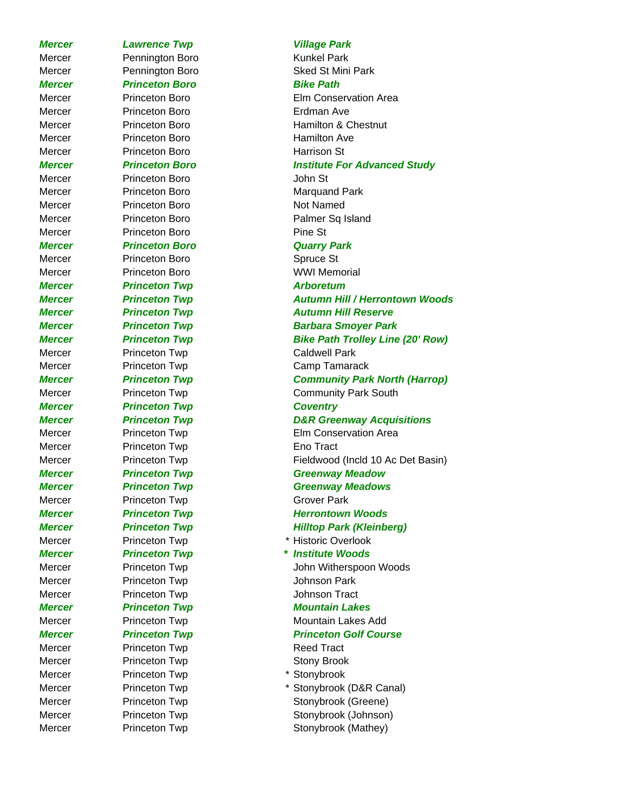*Mercer Lawrence Twp Village Park*  Mercer **Pennington Boro Pennington Boro Runkel Park** Mercer Pennington Boro Sked St Mini Park *Mercer Princeton Boro Bike Path* Mercer Princeton Boro Erdman Ave Mercer Princeton Boro **Hamilton Ave** Mercer Princeton Boro **Harrison St** Mercer Princeton Boro **Department Control** John St Mercer Princeton Boro **Marquand Park** Mercer **Princeton Boro** Not Named Mercer Princeton Boro Property Palmer Sq Island Mercer Princeton Boro Pine St *Mercer Princeton Boro Quarry Park* Mercer Princeton Boro **Spruce St** Mercer Princeton Boro WWI Memorial *Mercer Princeton Twp Arboretum* Mercer Princeton Twp **Caldwell Park** Mercer Princeton Twp **Camp Tamarack** *Mercer Princeton Twp Coventry* Mercer Princeton Twp **Eno Tract** Mercer Princeton Twp Grover Park Mercer Princeton Twp \* Historic Overlook Mercer Princeton Twp **Information** Johnson Park Mercer Princeton Twp **Information** Johnson Tract **Mercer Construction Twp Mountain Lakes** Mercer **Princeton Twp** Mountain Lakes Add *Mercer Princeton Twp Princeton Golf Course* Mercer Princeton Twp **Reed Tract** Mercer **Princeton Twp CONFIDENT Stony Brook** Mercer **Princeton Twp** \* Stonybrook

Mercer Princeton Boro Elm Conservation Area Mercer **Princeton Boro Hamilton & Chestnut** 

### *Mercer Princeton Boro Institute For Advanced Study*

*Mercer Princeton Twp Autumn Hill / Herrontown Woods Mercer Princeton Twp Autumn Hill Reserve Mercer Princeton Twp Barbara Smoyer Park Mercer Princeton Twp Bike Path Trolley Line (20' Row) Mercer Princeton Twp Community Park North (Harrop)* Mercer **Princeton Twp Community Park South** *Mercer Princeton Twp D&R Greenway Acquisitions* Mercer Princeton Twp Elm Conservation Area

Mercer Princeton Twp Fieldwood (Incld 10 Ac Det Basin) **Mercer Case Princeton Twp CREEN CREENWAY Meadow** 

### *Mercer Princeton Twp Greenway Meadows*

**Mercer Princeton Twp Herrontown Woods** *Mercer Princeton Twp Hilltop Park (Kleinberg)*

*Mercer Princeton Twp \* Institute Woods*

Mercer **Princeton Twp Communist Communist Communist Communist Communist Communist Princeton Twp** 

Mercer Princeton Twp \* Stonybrook (D&R Canal) Mercer Princeton Twp Stonybrook (Greene) Mercer Princeton Twp Stonybrook (Johnson) Mercer Princeton Twp **Stonybrook** (Mathey)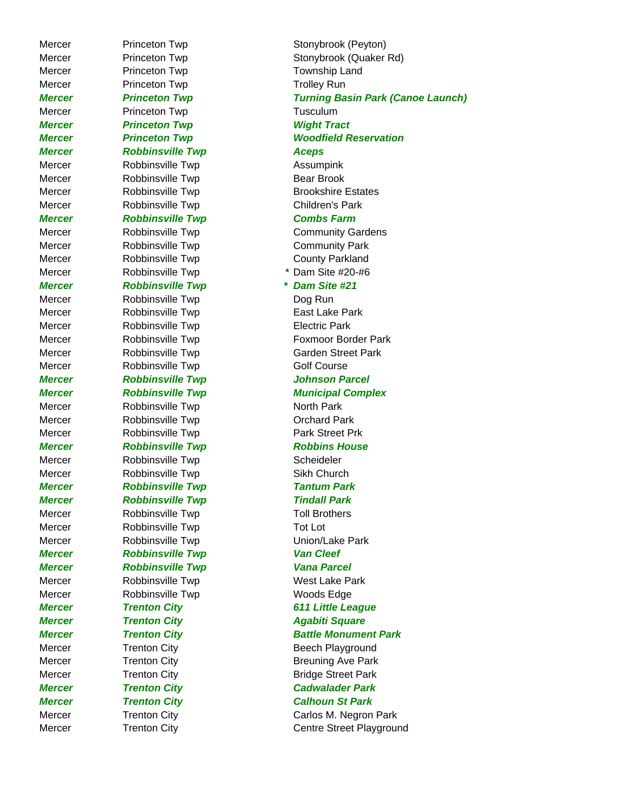Mercer Princeton Twp **Township Land** Mercer Princeton Twp **Trolley Run** Mercer **Princeton Twp Tusculum** *Mercer Princeton Twp Wight Tract Mercer Robbinsville Twp Aceps* Mercer Robbinsville Twp **Assumpink** Mercer Robbinsville Twp Bear Brook Mercer **Robbinsville Twp** Children's Park *Mercer Robbinsville Twp Combs Farm* Mercer **Robbinsville Twp** Community Park Mercer Robbinsville Twp County Parkland Mercer Robbinsville Twp \* Dam Site #20-#6 *Mercer Robbinsville Twp \* Dam Site #21* Mercer Robbinsville Twp **Dog Run** Mercer Robbinsville Twp **East Lake Park** Mercer Robbinsville Twp **Electric Park** Mercer Robbinsville Twp Golf Course *Mercer Robbinsville Twp Johnson Parcel* Mercer Robbinsville Twp North Park Mercer Robbinsville Twp Corchard Park Mercer Robbinsville Twp Park Street Prk *Mercer Robbinsville Twp Robbins House* Mercer Robbinsville Twp Scheideler Mercer Robbinsville Twp Sikh Church *Mercer Robbinsville Twp Tantum Park Mercer Robbinsville Twp Tindall Park* Mercer Robbinsville Twp Toll Brothers Mercer Robbinsville Twp Tot Lot Mercer Robbinsville Twp **Union/Lake Park** *Mercer Robbinsville Twp Van Cleef Mercer Robbinsville Twp Vana Parcel* Mercer Robbinsville Twp West Lake Park Mercer Robbinsville Twp **Woods Edge Mercer Trenton City Communist Agabiti Square** 

Mercer Princeton Twp Stonybrook (Peyton) Mercer Princeton Twp Stonybrook (Quaker Rd) *Mercer Princeton Twp Turning Basin Park (Canoe Launch) Mercer Princeton Twp Woodfield Reservation* Mercer **Robbinsville Twp** Brookshire Estates Mercer Robbinsville Twp Community Gardens Mercer Robbinsville Twp Foxmoor Border Park Mercer Robbinsville Twp Garden Street Park **Mercer Complex Robbinsville Twp Municipal Complex** *Mercer Trenton City 611 Little League Mercer Trenton City Battle Monument Park* Mercer Trenton City **Beech Playground** Mercer Trenton City **Breuning Ave Park** Mercer **Trenton City Bridge Street Park** *Mercer Trenton City Cadwalader Park Mercer Trenton City Calhoun St Park* Mercer Trenton City Carlos M. Negron Park Mercer Trenton City Centre Street Playground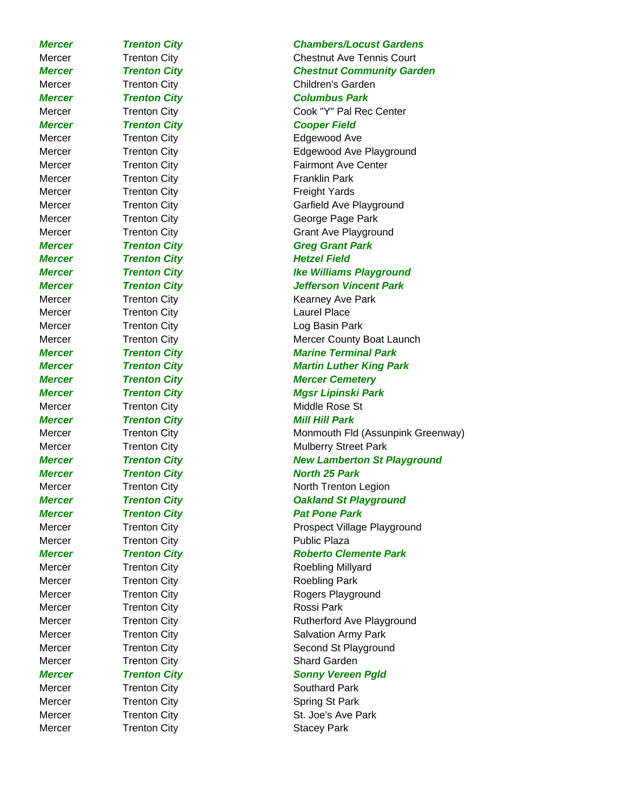**Mercer Trenton City Mercer Trenton City Hetzel Field** Mercer Trenton City **Laurel Place** Mercer Trenton City **Public Plaza** Mercer Trenton City **Rossi Park** 

*Mercer Trenton City Chambers/Locust Gardens* Mercer Trenton City Chestnut Ave Tennis Court *Mercer Trenton City Chestnut Community Garden* Mercer Trenton City Children's Garden *Mercer Trenton City Columbus Park* Mercer Trenton City Cook "Y" Pal Rec Center *Mercer Trenton City Cooper Field* Mercer Trenton City **Edgewood Ave** Mercer Trenton City **Edgewood Ave Playground** Mercer Trenton City **Fairmont Ave Center** Mercer Trenton City **Tranklin Park** Mercer Trenton City **Transform City** Freight Yards Mercer Trenton City Garfield Ave Playground Mercer Trenton City George Page Park Mercer Trenton City Grant Ave Playground *Mercer Trenton City Greg Grant Park* **Mercer Trenton City In the Williams Playground** *Mercer Trenton City Jefferson Vincent Park* Mercer Trenton City **Trenton City** Kearney Ave Park Mercer Trenton City **Log Basin Park** Mercer **Trenton City Mercer County Boat Launch** *Mercer Trenton City Marine Terminal Park Mercer Trenton City Martin Luther King Park Mercer Trenton City Mercer Cemetery Mercer Trenton City Mgsr Lipinski Park* Mercer Trenton City **Middle Rose St** *Mercer Trenton City Mill Hill Park* Mercer Trenton City **Monmouth Fld (Assunpink Greenway)** Mercer **Trenton City Mulberry Street Park** *Mercer Trenton City New Lamberton St Playground Mercer Trenton City* North 25 Park Mercer Trenton City North Trenton Legion *Mercer Trenton City Oakland St Playground Mercer Trenton City* Pat Pone Park Mercer **Trenton City Prospect Village Playground** *Mercer* Trenton City **Roberto Clemente Park** Mercer **Trenton City Tranton City Roebling Millyard** Mercer Trenton City **Transform City** Roebling Park Mercer Trenton City **Rogers Playground** Mercer Trenton City **Trenton City** Rutherford Ave Playground Mercer Trenton City **Salvation Army Park** Mercer Trenton City **Second St Playground** Mercer Trenton City **Shard Garden Mercer Trenton City Sonny Vereen Pgld** Mercer Trenton City **Southard Park** Mercer Trenton City **Spring St Park** Spring St Park Mercer Trenton City **St. Joe's Ave Park** Mercer Trenton City **Stacey Park**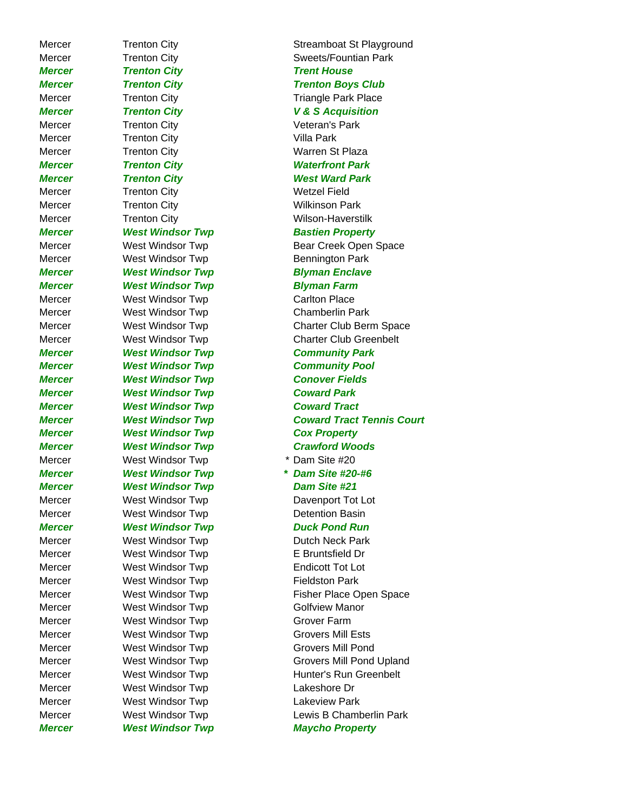*Mercer West Windsor Twp Maycho Property*

*Mercer Trenton City Trent House* Mercer Trenton City Triangle Park Place *Mercer Trenton City V & S Acquisition* Mercer Trenton City **Tranton City** Veteran's Park Mercer Trenton City **Transform City** Villa Park Mercer Trenton City **Warren St Plaza** *Mercer Trenton City Waterfront Park Mercer Trenton City West Ward Park* Mercer Trenton City **Wetzel Field** Mercer Trenton City **Wilkinson Park** Mercer Trenton City **Wilson-Haverstilk** *Mercer West Windsor Twp Bastien Property* Mercer West Windsor Twp **Bennington Park** *Mercer West Windsor Twp Blyman Enclave Mercer West Windsor Twp Blyman Farm* Mercer **West Windsor Twp** Carlton Place Mercer **West Windsor Twp** Chamberlin Park *Mercer West Windsor Twp Community Park Mercer West Windsor Twp Community Pool Mercer West Windsor Twp Conover Fields Mercer West Windsor Twp Coward Park Mercer West Windsor Twp Coward Tract Mercer West Windsor Twp Cox Property Mercer West Windsor Twp Crawford Woods* Mercer West Windsor Twp **\*** Dam Site #20 *Mercer West Windsor Twp \* Dam Site #20-#6 Mercer West Windsor Twp Dam Site #21* Mercer **West Windsor Twp** Davenport Tot Lot Mercer West Windsor Twp Detention Basin *Mercer West Windsor Twp Duck Pond Run* Mercer West Windsor Twp **Dutch Neck Park** Mercer West Windsor Twp **E** Bruntsfield Dr Mercer West Windsor Twp **Endicott Tot Lot** Mercer **West Windsor Twp Fieldston Park** Mercer **West Windsor Twp** Golfview Manor Mercer **West Windsor Twp** Grover Farm Mercer **West Windsor Twp** Grovers Mill Ests Mercer **West Windsor Twp** Grovers Mill Pond Mercer West Windsor Twp **Lakeshore Dr** Mercer **West Windsor Twp Lakeview Park** 

Mercer Trenton City **Streamboat St Playground** Mercer Trenton City **Sweets/Fountian Park** *Mercer Trenton City Trenton Boys Club* Mercer **West Windsor Twp** Bear Creek Open Space Mercer West Windsor Twp Charter Club Berm Space Mercer **West Windsor Twp** Charter Club Greenbelt *Mercer West Windsor Twp Coward Tract Tennis Court* Mercer **West Windsor Twp Fisher Place Open Space** Mercer **West Windsor Twp** Grovers Mill Pond Upland Mercer **West Windsor Twp Hunter's Run Greenbelt** Mercer West Windsor Twp Lewis B Chamberlin Park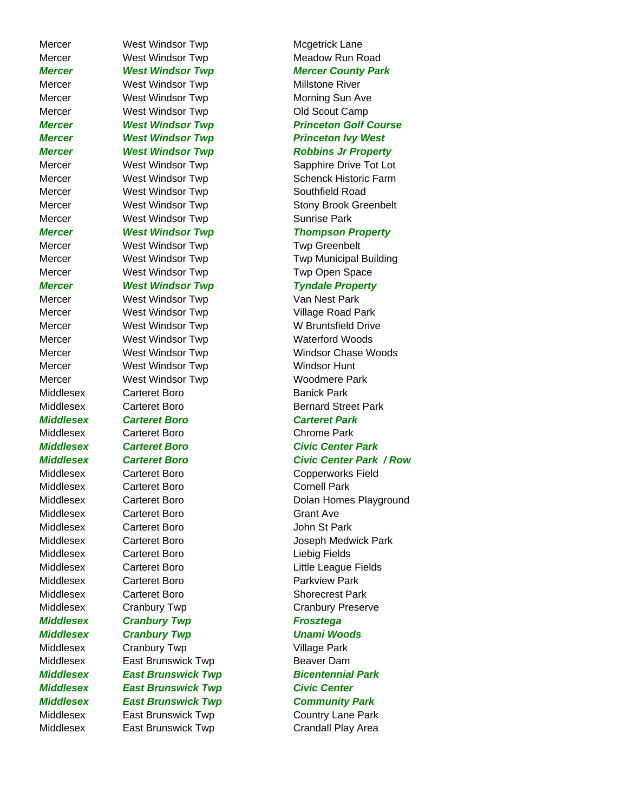Mercer **West Windsor Twp** Mcgetrick Lane Mercer **West Windsor Twp** Meadow Run Road Mercer **West Windsor Twp** Millstone River Mercer **West Windsor Twp** Morning Sun Ave Mercer West Windsor Twp **Camp** Old Scout Camp Mercer **West Windsor Twp** Southfield Road Mercer West Windsor Twp **Sunrise Park** Mercer West Windsor Twp **Twp Greenbelt** Mercer West Windsor Twp **Twp Open Space** *Mercer West Windsor Twp Tyndale Property* Mercer West Windsor Twp Van Nest Park Mercer West Windsor Twp Village Road Park Mercer West Windsor Twp W Bruntsfield Drive Mercer West Windsor Twp Waterford Woods Mercer West Windsor Twp **Windsor Hunt** Mercer West Windsor Twp Woodmere Park Middlesex Carteret Boro Banick Park *Middlesex Carteret Boro Carteret Park* Middlesex Carteret Boro Chrome Park *Middlesex Carteret Boro Civic Center Park* Middlesex Carteret Boro Copperworks Field Middlesex Carteret Boro Cornell Park Middlesex Carteret Boro Grant Ave Middlesex Carteret Boro **Carteret Boro Cancel Accomponent Carter** John St Park Middlesex Carteret Boro Carteret Boro Liebig Fields Middlesex Carteret Boro Little League Fields Middlesex Carteret Boro **Parkview Park** Middlesex Carteret Boro Shorecrest Park Middlesex Cranbury Twp Cranbury Cranbury Preserve *Middlesex Cranbury Twp Frosztega Middlesex Cranbury Twp Unami Woods* Middlesex Cranbury Twp **Village Park** Middlesex East Brunswick Twp **Beaver Dam** *Middlesex East Brunswick Twp Bicentennial Park Middlesex East Brunswick Twp Civic Center Middlesex East Brunswick Twp Community Park* Middlesex East Brunswick Twp Country Lane Park Middlesex East Brunswick Twp Crandall Play Area

# *Mercer West Windsor Twp Mercer County Park Mercer West Windsor Twp Princeton Golf Course Mercer West Windsor Twp Princeton Ivy West Mercer West Windsor Twp Robbins Jr Property* Mercer **Mest Windsor Twp** Sapphire Drive Tot Lot Mercer **Mest Windsor Twp Schenck Historic Farm** Mercer **West Windsor Twp Stony Brook Greenbelt** *Mercer West Windsor Twp Thompson Property* Mercer **West Windsor Twp Twp Municipal Building** Mercer West Windsor Twp Windsor Chase Woods Middlesex Carteret Boro **Bernard Street Park** *Middlesex Carteret Boro Civic Center Park / Row* Middlesex Carteret Boro Carteret Boro Dolan Homes Playground Middlesex Carteret Boro Joseph Medwick Park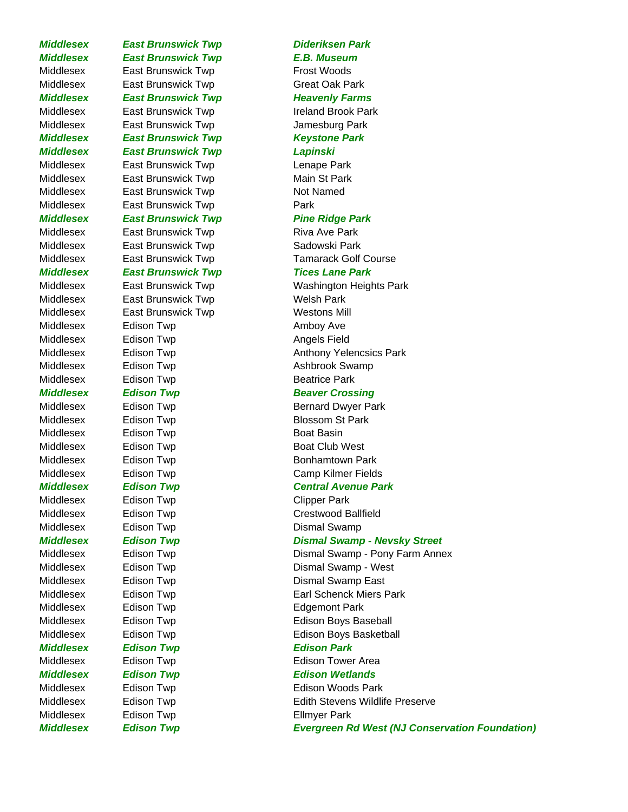## *Middlesex East Brunswick Twp E.B. Museum* Middlesex East Brunswick Twp Frost Woods Middlesex East Brunswick Twp Great Oak Park **Middlesex East Brunswick Twp Farms** Middlesex East Brunswick Twp Ireland Brook Park Middlesex East Brunswick Twp **Internal Communist Communist Communist Communist Communist Communist Communist Communist Communist Communist Communist Communist Communist Communist Communist Communist Communist Communist Com** *Middlesex East Brunswick Twp Keystone Park Middlesex East Brunswick Twp Lapinski* Middlesex East Brunswick Twp Lenape Park Middlesex East Brunswick Twp Main St Park Middlesex East Brunswick Twp Not Named Middlesex East Brunswick Twp **Park** *Middlesex East Brunswick Twp Pine Ridge Park* Middlesex East Brunswick Twp **East Brunswick Twp** Riva Ave Park Middlesex East Brunswick Twp **Sadowski Park** *Middlesex East Brunswick Twp Tices Lane Park* Middlesex East Brunswick Twp Welsh Park Middlesex East Brunswick Twp Westons Mill Middlesex Edison Twp **Example 20** Amboy Ave Middlesex Edison Twp **Angels Field** Middlesex Edison Twp **Ashbrook** Swamp Middlesex Edison Twp **Example 20** Beatrice Park **Middlesex Edison Twp Edition Example 20 Beaver Crossing** Middlesex Edison Twp **Blossom St Park** Middlesex Edison Twp **Boat Basin** Middlesex Edison Twp **Example 20 Edison Twp** Boat Club West Middlesex Edison Twp **Edison Twp** Bonhamtown Park Middlesex Edison Twp **Example 20** Clipper Park Middlesex Edison Twp **Example 20** Dismal Swamp Middlesex Edison Twp **Edgemont Park** *Middlesex Edison Twp Edison Park* Middlesex Edison Twp **Ellmyer Park**

## *Middlesex East Brunswick Twp Dideriksen Park*

Middlesex East Brunswick Twp Tamarack Golf Course

Middlesex East Brunswick Twp Washington Heights Park Middlesex Edison Twp **Anthony Yelencsics Park** 

Middlesex Edison Twp **Bernard Dwyer Park** Middlesex Edison Twp **Camp Kilmer Fields** 

## *Middlesex Edison Twp Central Avenue Park*

Middlesex Edison Twp Crestwood Ballfield

## *Middlesex Edison Twp Dismal Swamp - Nevsky Street*

Middlesex Edison Twp **Example 2** Dismal Swamp - Pony Farm Annex Middlesex Edison Twp **Dismal Swamp** - West Middlesex Edison Twp **Dismal Swamp East** Middlesex Edison Twp **Earl Schenck Miers Park** Middlesex Edison Twp Edition Boys Baseball Middlesex Edison Twp **Example 20** Edison Boys Basketball Middlesex Edison Twp **Edison Tower Area** *Middlesex Edison Twp Edison Wetlands* Middlesex Edison Twp **Edison Contact Edison Woods Park** Middlesex Edison Twp Edith Stevens Wildlife Preserve *Middlesex Edison Twp Evergreen Rd West (NJ Conservation Foundation)*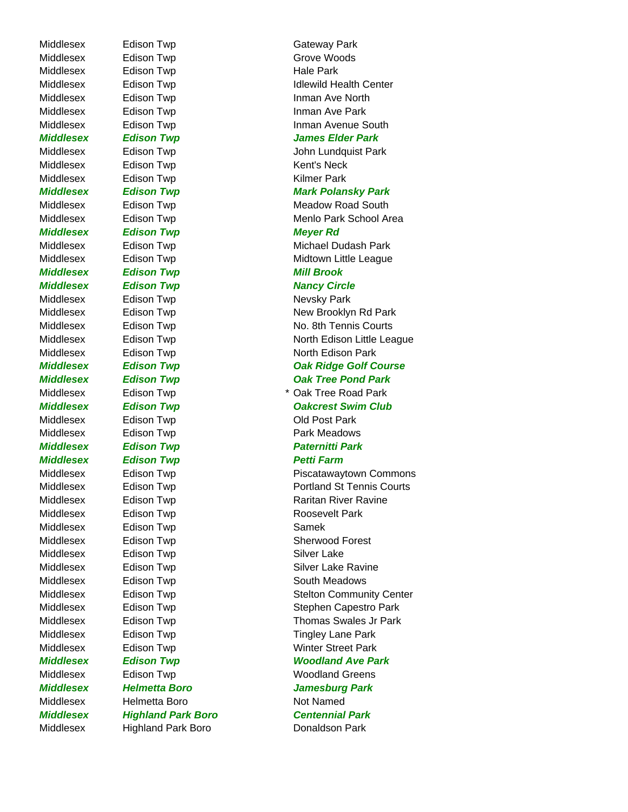Middlesex Highland Park Boro **Donaldson Park** 

Middlesex Edison Twp **Example 20** Gateway Park Middlesex Edison Twp Grove Woods Middlesex Edison Twp **Example 20** Hale Park Middlesex Edison Twp **Inman Ave Park** Middlesex Edison Twp **Kent's Neck** Middlesex Edison Twp **Example 20** Kilmer Park *Middlesex Edison Twp Meyer Rd Middlesex Edison Twp Mill Brook* **Middlesex Edison Twp Edition Control Property Circle** Middlesex Edison Twp **Network** Nevsky Park Middlesex Edison Twp Cld Post Park Middlesex Edison Twp **Example 20 For Allen Park Meadows** *Middlesex Edison Twp Paternitti Park Middlesex Edison Twp Petti Farm* Middlesex Edison Twp **Example 20 Roosevelt Park** Middlesex Edison Twp **Samek** Middlesex Edison Twp **Example 20** Silver Lake Middlesex Edison Twp **Example 20** South Meadows Middlesex Helmetta Boro Not Named

Middlesex Edison Twp Idlewild Health Center Middlesex Edison Twp **Inman Ave North** Middlesex Edison Twp **Inman Avenue South** *Middlesex Edison Twp James Elder Park* Middlesex Edison Twp **Internal Communist** John Lundquist Park *Middlesex Edison Twp Mark Polansky Park* Middlesex Edison Twp **Meadow Road South** Middlesex Edison Twp **Menlo Park School Area** Middlesex Edison Twp **Michael Dudash Park** Middlesex Edison Twp **Midtown Little League** Middlesex Edison Twp New Brooklyn Rd Park Middlesex Edison Twp No. 8th Tennis Courts Middlesex Edison Twp North Edison Little League Middlesex Edison Twp **North Edison Park Middlesex Edison Twp Community Community Community Community Community Community Community Community Community** *Middlesex Edison Twp Oak Tree Pond Park* Middlesex Edison Twp **\* 2008** Edison Twp **\* Oak Tree Road Park** *Middlesex Edison Twp Oakcrest Swim Club* Middlesex Edison Twp **Piscatawaytown Commons** Middlesex Edison Twp **Edison Twp** Portland St Tennis Courts Middlesex Edison Twp **Edison Twp** Raritan River Ravine Middlesex Edison Twp **Example 20** Sherwood Forest Middlesex Edison Twp **Example 20** Silver Lake Ravine Middlesex Edison Twp **Stelton Community Center** Middlesex Edison Twp **Stephen Capestro Park** Middlesex Edison Twp Thomas Swales Jr Park Middlesex Edison Twp **Example 1** Tingley Lane Park Middlesex Edison Twp **Winter Street Park** *Middlesex Edison Twp Woodland Ave Park* Middlesex Edison Twp **Woodland Greens** *Middlesex Helmetta Boro Jamesburg Park Middlesex Highland Park Boro Centennial Park*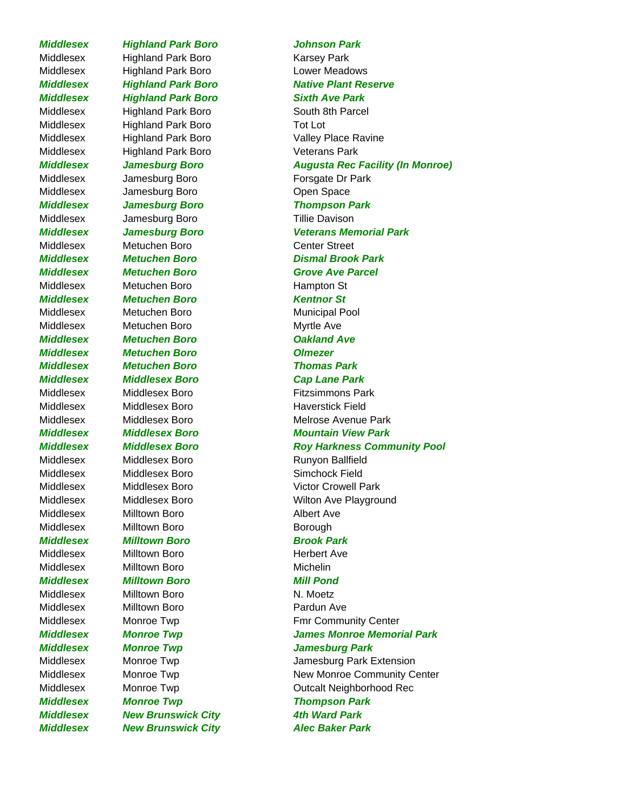Middlesex Highland Park Boro Karsey Park Middlesex Highland Park Boro **Lower Meadows** *Middlesex Highland Park Boro Sixth Ave Park* Middlesex Highland Park Boro South 8th Parcel Middlesex Highland Park Boro Tot Lot Middlesex Highland Park Boro Veterans Park Middlesex Jamesburg Boro Forsgate Dr Park Middlesex Jamesburg Boro **Communist Communist Communist Communist Communist Communist Communist Communist Communist Communist Communist Communist Communist Communist Communist Communist Communist Communist Communist Commun** *Middlesex Jamesburg Boro Thompson Park* Middlesex Jamesburg Boro Tillie Davison Middlesex Metuchen Boro Center Street Middlesex Metuchen Boro Hampton St *Middlesex Metuchen Boro Kentnor St* Middlesex Metuchen Boro Municipal Pool Middlesex Metuchen Boro Myrtle Ave *Middlesex Metuchen Boro Oakland Ave Middlesex Metuchen Boro Olmezer Middlesex Metuchen Boro Thomas Park Middlesex Middlesex Boro Cap Lane Park* Middlesex Middlesex Boro **Fitzsimmons Park** Middlesex Middlesex Boro Haverstick Field Middlesex Middlesex Boro Runyon Ballfield Middlesex Middlesex Boro Simchock Field Middlesex Milltown Boro **Albert Ave** Middlesex Milltown Boro **Borough** *Middlesex Milltown Boro Brook Park* Middlesex Milltown Boro Nulltown Herbert Ave Middlesex Milltown Boro Michelin *Middlesex Milltown Boro Mill Pond* Middlesex Milltown Boro N. Moetz Middlesex Milltown Boro **Pardun Ave** *Middlesex Monroe Twp Jamesburg Park Middlesex Monroe Twp Thompson Park Middlesex New Brunswick City 4th Ward Park Middlesex New Brunswick City Alec Baker Park*

# *Middlesex Highland Park Boro Johnson Park* **Middlesex Highland Park Boro Native Plant Reserve** Middlesex Highland Park Boro Valley Place Ravine *Middlesex Jamesburg Boro Augusta Rec Facility (In Monroe) Middlesex Jamesburg Boro Veterans Memorial Park Middlesex Metuchen Boro Dismal Brook Park* **Middlesex Metuchen Boro Grove Ave Parcel** Middlesex Middlesex Boro Melrose Avenue Park *Middlesex Middlesex Boro Mountain View Park Middlesex Middlesex Boro Roy Harkness Community Pool* Middlesex Middlesex Boro Victor Crowell Park Middlesex Middlesex Boro Wilton Ave Playground Middlesex Monroe Twp **Fmr Community Center** *Middlesex Monroe Twp James Monroe Memorial Park* Middlesex Monroe Twp **Jamesburg Park Extension** Middlesex Monroe Twp New Monroe Community Center Middlesex Monroe Twp **Canadiates** Outcalt Neighborhood Rec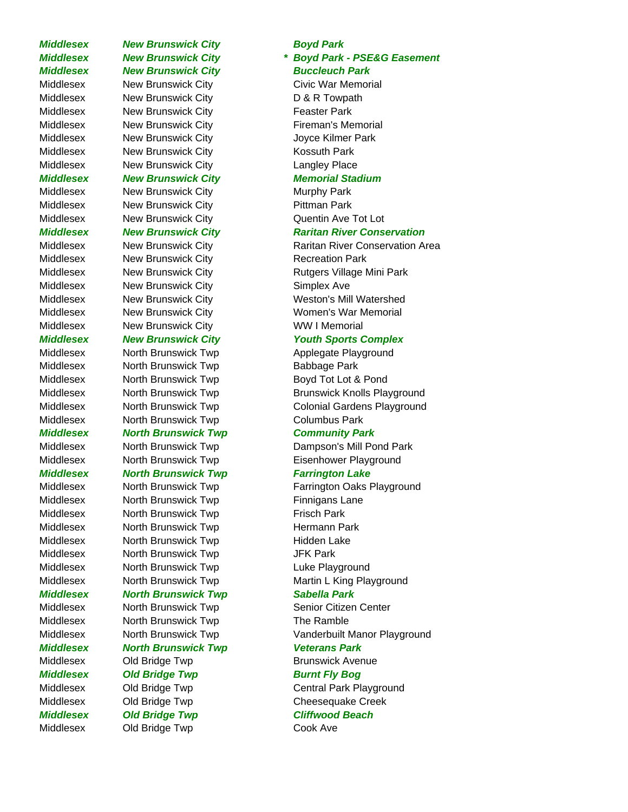# *Middlesex New Brunswick City Boyd Park*

Middlesex New Brunswick City Civic War Memorial Middlesex New Brunswick City D & R Towpath Middlesex New Brunswick City **Feaster Park** Middlesex New Brunswick City **Fireman's Memorial** Middlesex Mew Brunswick City **Middlesex** Joyce Kilmer Park Middlesex New Brunswick City **Kossuth Park** Middlesex New Brunswick City Langley Place

## *Middlesex New Brunswick City Memorial Stadium*

Middlesex New Brunswick City Murphy Park Middlesex New Brunswick City **Pittman Park** 

Middlesex New Brunswick City Recreation Park Middlesex New Brunswick City Simplex Ave Middlesex New Brunswick City WW I Memorial

Middlesex North Brunswick Twp Applegate Playground Middlesex North Brunswick Twp **Babbage Park** Middlesex North Brunswick Twp Boyd Tot Lot & Pond Middlesex North Brunswick Twp Columbus Park

## *Middlesex North Brunswick Twp Community Park*

Middlesex North Brunswick Twp Finnigans Lane Middlesex North Brunswick Twp Frisch Park Middlesex North Brunswick Twp Hermann Park Middlesex North Brunswick Twp Hidden Lake Middlesex North Brunswick Twp JFK Park Middlesex North Brunswick Twp Luke Playground

## *Middlesex North Brunswick Twp Sabella Park*

Middlesex Morth Brunswick Twp Senior Citizen Center Middlesex North Brunswick Twp The Ramble *Middlesex North Brunswick Twp Veterans Park* Middlesex Old Bridge Twp Brunswick Avenue **Middlesex Old Bridge Twp Burnt Fly Bog** Middlesex Old Bridge Twp Central Park Playground Middlesex Old Bridge Twp Cheesequake Creek *Middlesex Old Bridge Twp Cliffwood Beach* Middlesex Old Bridge Twp Cook Ave

*Middlesex New Brunswick City \* Boyd Park - PSE&G Easement Middlesex New Brunswick City Buccleuch Park*

Middlesex New Brunswick City **Quentin Ave Tot Lot** 

## **Middlesex Mew Brunswick City Middlesex Arritan River Conservation**

Middlesex Mew Brunswick City **Raritan River Conservation Area** Middlesex New Brunswick City **Rutgers Village Mini Park** Middlesex New Brunswick City **Weston's Mill Watershed** Middlesex New Brunswick City **Women's War Memorial** 

## *Middlesex New Brunswick City Youth Sports Complex*

Middlesex North Brunswick Twp **Brunswick Knolls Playground** Middlesex North Brunswick Twp Colonial Gardens Playground

Middlesex North Brunswick Twp Dampson's Mill Pond Park Middlesex North Brunswick Twp Eisenhower Playground

## *Middlesex North Brunswick Twp Farrington Lake*

Middlesex North Brunswick Twp Farrington Oaks Playground Middlesex North Brunswick Twp Martin L King Playground

Middlesex North Brunswick Twp Vanderbuilt Manor Playground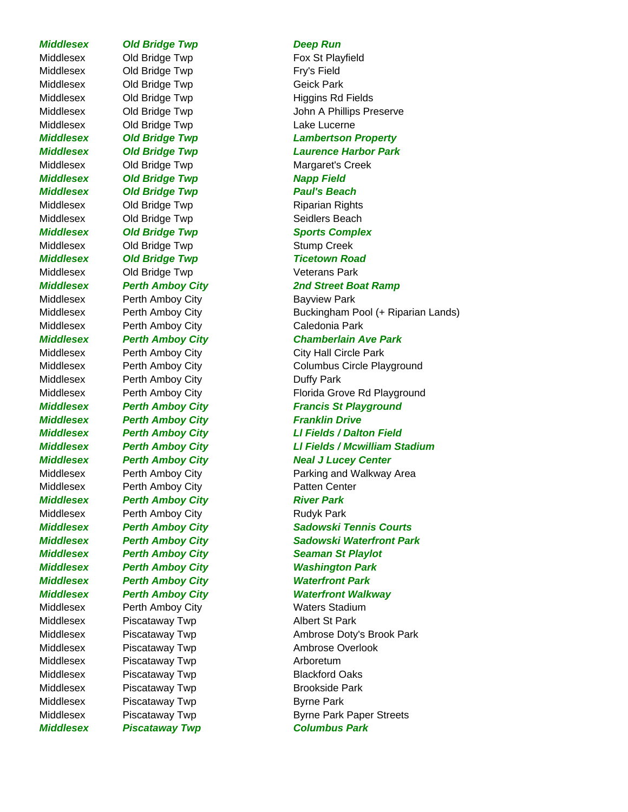### *Middlesex Old Bridge Twp Deep Run*

Middlesex Old Bridge Twp Fry's Field Middlesex Old Bridge Twp Geick Park Middlesex Old Bridge Twp Lake Lucerne **Middlesex Old Bridge Twp Napp Field** *Middlesex Old Bridge Twp Paul's Beach* Middlesex Old Bridge Twp **Riparian Rights** Middlesex Old Bridge Twp Seidlers Beach Middlesex Old Bridge Twp Stump Creek **Middlesex Old Bridge Twp Ticetown Road** Middlesex Old Bridge Twp Veterans Park Middlesex Perth Amboy City **Bayview Park** Middlesex Perth Amboy City Caledonia Park Middlesex Perth Amboy City **Duffy Park Middlesex Perth Amboy City Franklin Drive** Middlesex Perth Amboy City **Patten Center** *Middlesex Perth Amboy City River Park* Middlesex Perth Amboy City **Rudyk Park** *Middlesex Perth Amboy City Waterfront Park* Middlesex Perth Amboy City **Waters Stadium** Middlesex Piscataway Twp **Albert St Park** Middlesex Piscataway Twp **Arboretum** Middlesex Piscataway Twp **Blackford Oaks** Middlesex Piscataway Twp **Brookside Park** Middlesex Piscataway Twp **Byrne Park** 

Middlesex Old Bridge Twp Fox St Playfield Middlesex Old Bridge Twp Higgins Rd Fields Middlesex Old Bridge Twp John A Phillips Preserve *Middlesex Old Bridge Twp Lambertson Property Middlesex Old Bridge Twp Laurence Harbor Park* Middlesex Old Bridge Twp Margaret's Creek **Middlesex Old Bridge Twp Sports Complex** *Middlesex Perth Amboy City 2nd Street Boat Ramp* Middlesex **Perth Amboy City** Buckingham Pool (+ Riparian Lands) *Middlesex Perth Amboy City Chamberlain Ave Park* Middlesex Perth Amboy City City City Hall Circle Park Middlesex Perth Amboy City Columbus Circle Playground Middlesex **Perth Amboy City Florida Grove Rd Playground Middlesex Perth Amboy City Francis St Playground** *Middlesex Perth Amboy City Ll Fields / Dalton Field Middlesex Perth Amboy City Ll Fields / Mcwilliam Stadium Middlesex Perth Amboy City Neal J Lucey Center* Middlesex Perth Amboy City **Parking and Walkway Area** *Middlesex Perth Amboy City Sadowski Tennis Courts Middlesex Perth Amboy City Sadowski Waterfront Park Middlesex Perth Amboy City Seaman St Playlot Middlesex Perth Amboy City Washington Park Middlesex Perth Amboy City Waterfront Walkway* Middlesex Piscataway Twp **Ambrose Doty's Brook Park** Middlesex Piscataway Twp **Ambrose Overlook** Middlesex Piscataway Twp Byrne Park Paper Streets *Middlesex Piscataway Twp Columbus Park*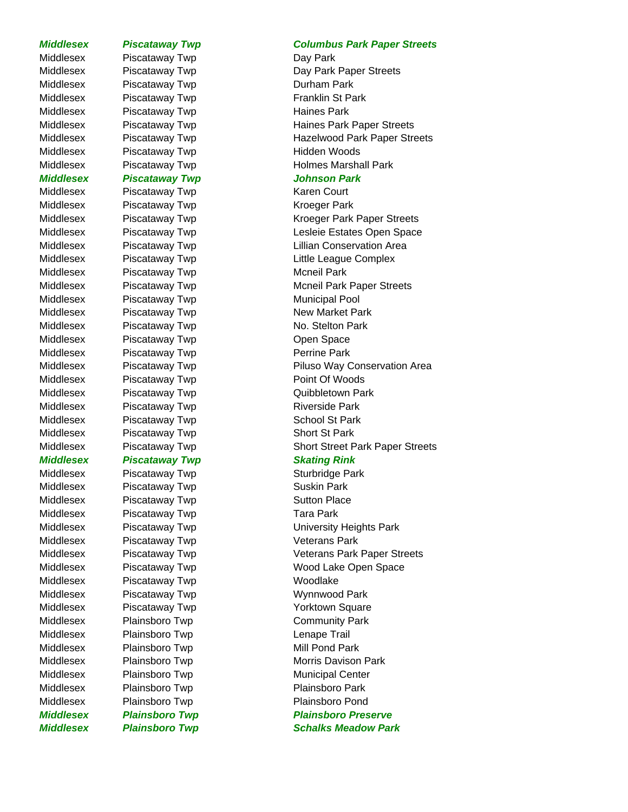Middlesex Piscataway Twp Day Park Middlesex Piscataway Twp **Durham Park** Middlesex Piscataway Twp Franklin St Park Middlesex Piscataway Twp **Haines Park** Middlesex Piscataway Twp **Hidden Woods** *Middlesex Piscataway Twp Johnson Park* Middlesex Piscataway Twp **Karen Court** Middlesex Piscataway Twp **Example 20 Kroeger Park** Middlesex Piscataway Twp Mcneil Park Middlesex Piscataway Twp **Municipal Pool** Middlesex Piscataway Twp New Market Park Middlesex Piscataway Twp No. Stelton Park Middlesex Piscataway Twp **Charles** Open Space Middlesex Piscataway Twp **Perrine Park** Middlesex Piscataway Twp Point Of Woods Middlesex Piscataway Twp **Calculation Community** Quibbletown Park Middlesex Piscataway Twp **Riverside Park** Middlesex Piscataway Twp **School St Park** Middlesex Piscataway Twp **Short St Park Middlesex Piscataway Twp Skating Rink** Middlesex Piscataway Twp **Example 20** Sturbridge Park Middlesex Piscataway Twp **Suskin Park** Middlesex Piscataway Twp **Sutton Place** Middlesex Piscataway Twp Tara Park Middlesex Piscataway Twp **Veterans Park** Middlesex Piscataway Twp **Woodlake** Middlesex Piscataway Twp Wynnwood Park Middlesex Piscataway Twp **Yorktown Square** Middlesex Plainsboro Twp Community Park Middlesex Plainsboro Twp Lenape Trail Middlesex Plainsboro Twp Mill Pond Park Middlesex Plainsboro Twp Municipal Center Middlesex Plainsboro Twp Plainsboro Park Middlesex Plainsboro Twp Plainsboro Pond *Middlesex Plainsboro Twp Schalks Meadow Park*

### *Middlesex Piscataway Twp Columbus Park Paper Streets*

Middlesex Piscataway Twp Day Park Paper Streets Middlesex Piscataway Twp Haines Park Paper Streets Middlesex Piscataway Twp **Hazelwood Park Paper Streets** Middlesex Piscataway Twp **Holmes Marshall Park** 

Middlesex Piscataway Twp **Kroeger Park Paper Streets** Middlesex Piscataway Twp Lesleie Estates Open Space Middlesex Piscataway Twp **Lillian Conservation Area** Middlesex Piscataway Twp **Little League Complex** Middlesex Piscataway Twp Mcneil Park Paper Streets Middlesex Piscataway Twp **Piluso Way Conservation Area** Middlesex Piscataway Twp Short Street Park Paper Streets

Middlesex Piscataway Twp **University Heights Park** Middlesex Piscataway Twp Veterans Park Paper Streets Middlesex Piscataway Twp Wood Lake Open Space Middlesex Plainsboro Twp Morris Davison Park *Middlesex Plainsboro Twp Plainsboro Preserve*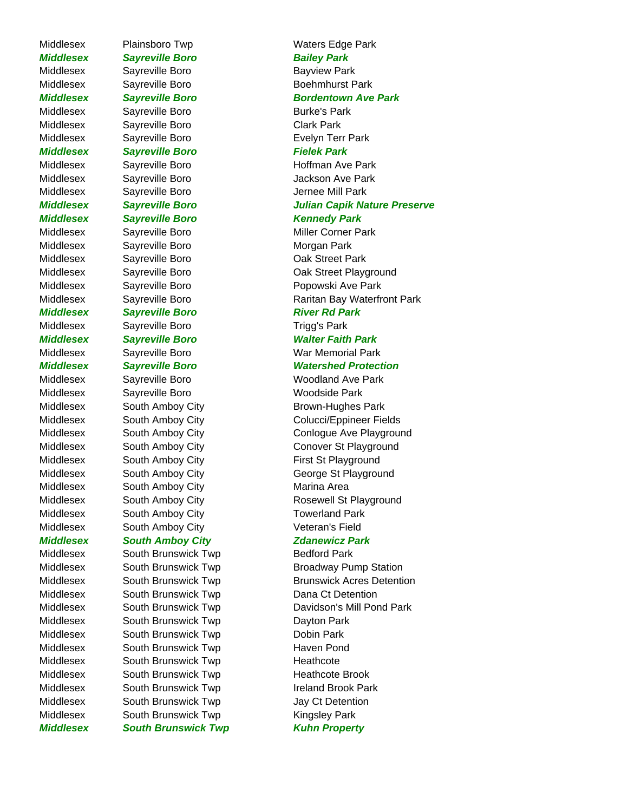Middlesex Sayreville Boro Burke's Park Middlesex Sayreville Boro Clark Park Middlesex Sayreville Boro Evelyn Terr Park *Middlesex Sayreville Boro Fielek Park* Middlesex Sayreville Boro Sayreville Boro Jernee Mill Park *Middlesex Sayreville Boro Kennedy Park* Middlesex Sayreville Boro **Morgan Park** Middlesex Sayreville Boro Cak Street Park **Middlesex Sayreville Boro River Rd Park** Middlesex Sayreville Boro Trigg's Park Middlesex Sayreville Boro Woodside Park Middlesex South Amboy City **Marina Area** 

Middlesex South Brunswick Twp Bedford Park Middlesex South Brunswick Twp Dana Ct Detention Middlesex South Brunswick Twp Dayton Park Middlesex South Brunswick Twp Dobin Park Middlesex South Brunswick Twp **Haven Pond** Middlesex South Brunswick Twp Heathcote Middlesex South Brunswick Twp Heathcote Brook Middlesex South Brunswick Twp Ireland Brook Park Middlesex South Brunswick Twp Jay Ct Detention Middlesex South Brunswick Twp Kingsley Park

Middlesex Plainsboro Twp Waters Edge Park **Middlesex Sayreville Boro Bailey Park** Middlesex Sayreville Boro Bayview Park Middlesex Sayreville Boro Boehmhurst Park *Middlesex Sayreville Boro Bordentown Ave Park* Middlesex Sayreville Boro Bushell Hoffman Ave Park Middlesex Sayreville Boro Jackson Ave Park *Middlesex Sayreville Boro Julian Capik Nature Preserve* Middlesex Sayreville Boro Miller Corner Park Middlesex Sayreville Boro Oak Street Playground Middlesex Sayreville Boro Popowski Ave Park Middlesex Sayreville Boro Raritan Bay Waterfront Park *Middlesex Sayreville Boro Walter Faith Park* Middlesex Sayreville Boro War Memorial Park *Middlesex Sayreville Boro Watershed Protection* Middlesex Sayreville Boro Woodland Ave Park Middlesex South Amboy City **Brown-Hughes Park** Middlesex South Amboy City Colucci/Eppineer Fields Middlesex South Amboy City Conlogue Ave Playground Middlesex South Amboy City Conover St Playground Middlesex South Amboy City First St Playground Middlesex South Amboy City George St Playground Middlesex South Amboy City **Rosewell St Playground** Middlesex South Amboy City **Towerland Park** Middlesex South Amboy City **Veteran's Field** *Middlesex South Amboy City Zdanewicz Park* Middlesex South Brunswick Twp Broadway Pump Station Middlesex South Brunswick Twp **Brunswick Acres Detention** Middlesex South Brunswick Twp Davidson's Mill Pond Park **Middlesex South Brunswick Twp Kuhn Property**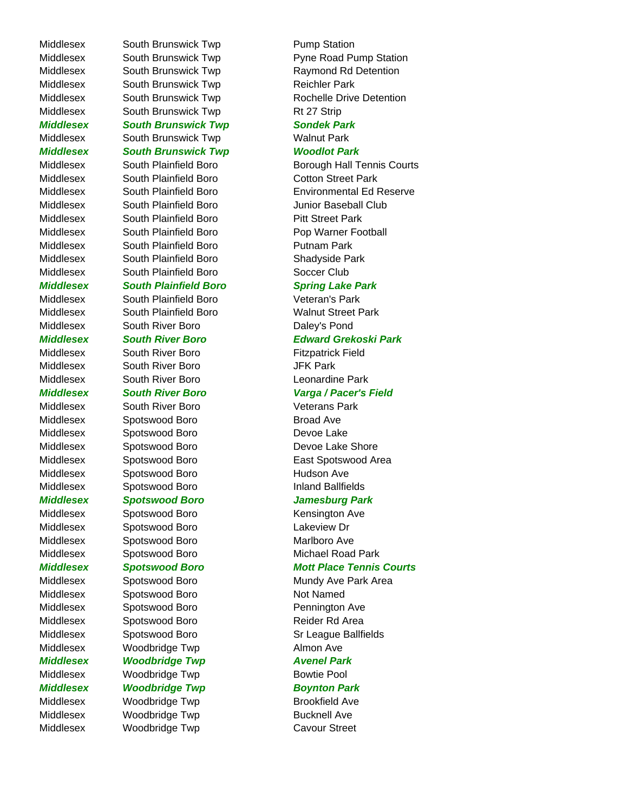Middlesex South Brunswick Twp Rt 27 Strip

*Middlesex South Brunswick Twp Sondek Park* Middlesex South Brunswick Twp Walnut Park *Middlesex South Brunswick Twp Woodlot Park*

Middlesex South Plainfield Boro Cotton Street Park Middlesex South Plainfield Boro Junior Baseball Club Middlesex South Plainfield Boro Pitt Street Park Middlesex South Plainfield Boro Pop Warner Football Middlesex South Plainfield Boro **Putnam Park** Middlesex South Plainfield Boro Shadyside Park Middlesex South Plainfield Boro Soccer Club

# *Middlesex South Plainfield Boro Spring Lake Park*

Middlesex South Plainfield Boro Veteran's Park Middlesex South Plainfield Boro Walnut Street Park Middlesex South River Boro **Daley's Pond** 

Middlesex South River Boro **Fitzpatrick Field** Middlesex South River Boro **JFK Park** Middlesex South River Boro Leonardine Park

Middlesex South River Boro **Veterans Park** Middlesex Spotswood Boro Broad Ave Middlesex Spotswood Boro **Devoe Lake** Middlesex Spotswood Boro **Hudson Ave** Middlesex Spotswood Boro **Inland Ballfields** 

Middlesex Spotswood Boro **Lakeview Dr** Middlesex Spotswood Boro Marlboro Ave

Middlesex Spotswood Boro Not Named Middlesex Spotswood Boro **Pennington Ave** Middlesex Spotswood Boro Reider Rd Area Middlesex Woodbridge Twp **Almon Ave Middlesex Woodbridge Twp Middlesex Avenel Park** Middlesex Woodbridge Twp **Bowtie Pool** 

**Middlesex Woodbridge Twp Boynton Park** Middlesex Woodbridge Twp Brookfield Ave Middlesex Woodbridge Twp **Bucknell Ave** Middlesex Woodbridge Twp Cavour Street

Middlesex South Brunswick Twp **Pump Station** Middlesex South Brunswick Twp Pyne Road Pump Station Middlesex South Brunswick Twp Raymond Rd Detention Middlesex South Brunswick Twp Reichler Park Middlesex South Brunswick Twp Rochelle Drive Detention

Middlesex South Plainfield Boro **Borough Hall Tennis Courts** Middlesex South Plainfield Boro Environmental Ed Reserve

# *Middlesex South River Boro Edward Grekoski Park*

# *Middlesex South River Boro Varga / Pacer's Field*

Middlesex Spotswood Boro Devoe Lake Shore Middlesex Spotswood Boro East Spotswood Area

# *Middlesex Spotswood Boro Jamesburg Park*

Middlesex Spotswood Boro Kensington Ave Middlesex Spotswood Boro Michael Road Park

# *Middlesex Spotswood Boro Mott Place Tennis Courts*

Middlesex Spotswood Boro Mundy Ave Park Area Middlesex Spotswood Boro Sr League Ballfields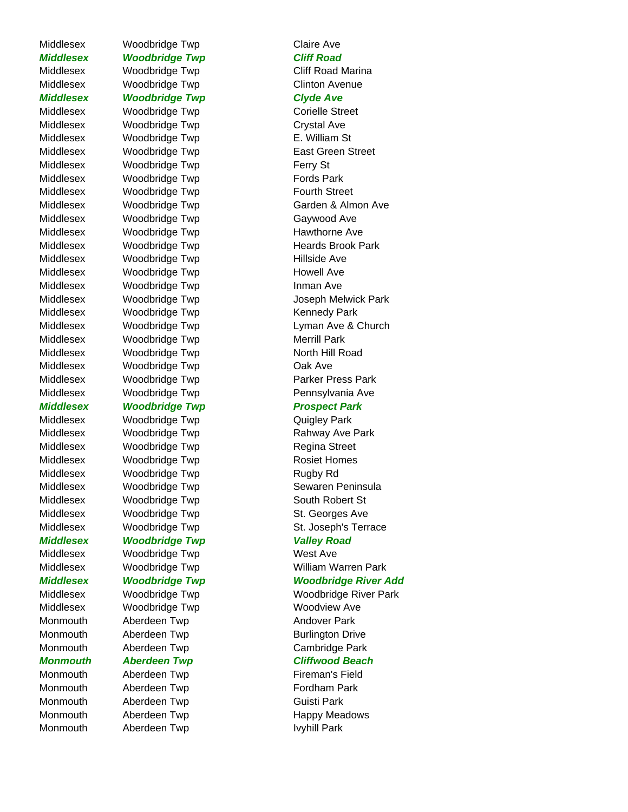Middlesex Woodbridge Twp Claire Ave *Middlesex Woodbridge Twp Cliff Road* Middlesex Woodbridge Twp Cliff Road Marina Middlesex Woodbridge Twp Clinton Avenue *Middlesex Woodbridge Twp Clyde Ave* Middlesex Woodbridge Twp Corielle Street Middlesex Woodbridge Twp Crystal Ave Middlesex Woodbridge Twp **E. William St** Middlesex Woodbridge Twp **East Green Street** Middlesex Woodbridge Twp Ferry St Middlesex Woodbridge Twp **Fords Park** Middlesex Woodbridge Twp **Fourth Street** Middlesex Woodbridge Twp Gaywood Ave Middlesex Woodbridge Twp Hawthorne Ave Middlesex Woodbridge Twp **Heards Brook Park** Middlesex Woodbridge Twp Middlesex Hillside Ave Middlesex Woodbridge Twp Middlesex Howell Ave Middlesex Woodbridge Twp Inman Ave Middlesex Woodbridge Twp Kennedy Park Middlesex Woodbridge Twp Merrill Park Middlesex Moodbridge Twp North Hill Road Middlesex Woodbridge Twp Cak Ave Middlesex Woodbridge Twp **Parker Press Park** Middlesex Woodbridge Twp **Pennsylvania Ave Middlesex Woodbridge Twp Prospect Park** Middlesex Woodbridge Twp **Canadia Contract Contract Contract Contract Contract Contract Contract Contract Contract Contract Contract Contract Contract Contract Contract Contract Contract Contract Contract Contract Contract** Middlesex Woodbridge Twp Rahway Ave Park

Middlesex Woodbridge Twp Regina Street Middlesex Woodbridge Twp **Rosiet Homes** Middlesex Woodbridge Twp **Rugby Rd** Middlesex Woodbridge Twp South Robert St Middlesex Woodbridge Twp St. Georges Ave *Middlesex Woodbridge Twp Valley Road* Middlesex Woodbridge Twp West Ave

Middlesex Woodbridge Twp Woodview Ave Monmouth Aberdeen Twp **Andover Park** Monmouth Aberdeen Twp **Burlington Drive** Monmouth Aberdeen Twp Cambridge Park

# *Monmouth Aberdeen Twp Cliffwood Beach*

Monmouth Aberdeen Twp **Fireman's Field** Monmouth Aberdeen Twp **Fordham Park** Monmouth Aberdeen Twp **Guisti Park** Monmouth Aberdeen Twp **IVyhill Park** 

Middlesex Moodbridge Twp Garden & Almon Ave Middlesex Woodbridge Twp Joseph Melwick Park Middlesex Woodbridge Twp Lyman Ave & Church Middlesex Moodbridge Twp Sewaren Peninsula Middlesex Woodbridge Twp St. Joseph's Terrace Middlesex Woodbridge Twp William Warren Park *Middlesex Woodbridge Twp Woodbridge River Add* Middlesex Woodbridge Twp Woodbridge River Park

Monmouth Aberdeen Twp **Happy Meadows**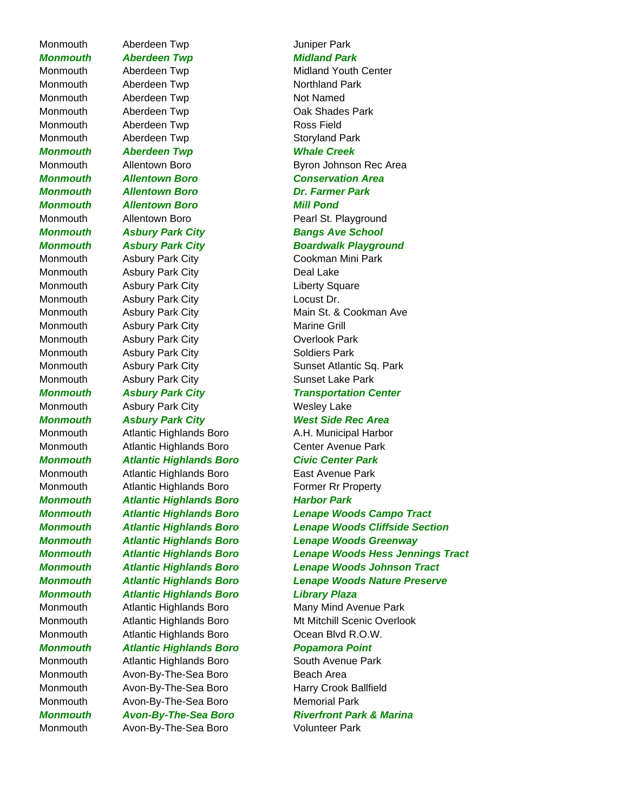# Monmouth Aberdeen Twp **Interpretent Aberdeen** Twp

Monmouth Aberdeen Twp Northland Park Monmouth Aberdeen Twp Not Named Monmouth Aberdeen Twp **Ross Field** Monmouth Aberdeen Twp **Storyland Park** *Monmouth Aberdeen Twp Whale Creek Monmouth Allentown Boro Dr. Farmer Park Monmouth Allentown Boro Mill Pond*

Monmouth Asbury Park City **Charles Assumed Assumed Assumed Assumed Assumed Assumed Assumed Assumed Assumed Assumed Assumed Assumed Assumed Assumed Assumed Assumed Assumed Assumed Assumed Assumed Assumed Assumed Assumed Ass** Monmouth Asbury Park City **Liberty Square** Monmouth Asbury Park City **Locust Dr.** Monmouth Asbury Park City **Marine Grill** Monmouth Asbury Park City **Contains Assume Contains Assume Contains A** Monmouth Asbury Park City **Soldiers Park** Monmouth Asbury Park City **Sunset Lake Park** 

Monmouth Atlantic Highlands Boro A.H. Municipal Harbor Monmouth Atlantic Highlands Boro Center Avenue Park *Monmouth Atlantic Highlands Boro Civic Center Park* Monmouth Atlantic Highlands Boro East Avenue Park Monmouth Atlantic Highlands Boro **Former Rr** Property *Monmouth Atlantic Highlands Boro Harbor Park Monmouth Atlantic Highlands Boro Library Plaza* Monmouth Atlantic Highlands Boro Many Mind Avenue Park

Monmouth Atlantic Highlands Boro **Comet Comet Account Atlantic Highlands Boro** Dean Blvd R.O.W. *Monmouth Atlantic Highlands Boro Popamora Point*

Monmouth Atlantic Highlands Boro South Avenue Park Monmouth Avon-By-The-Sea Boro Beach Area Monmouth Avon-By-The-Sea Boro Harry Crook Ballfield Monmouth Avon-By-The-Sea Boro Memorial Park Monmouth Avon-By-The-Sea Boro Volunteer Park

# **Monmouth Aberdeen Twp Midland Park**

Monmouth Aberdeen Twp Midland Youth Center Monmouth Aberdeen Twp **Cak Shades Park** Monmouth Allentown Boro **Byron Johnson Rec Area** *Monmouth Allentown Boro Conservation Area* Monmouth Allentown Boro **Pearl St. Playground Monmouth Asbury Park City Bangs Ave School Monmouth Asbury Park City Boardwalk Playground** Monmouth Asbury Park City Cookman Mini Park Monmouth Asbury Park City **Main St. & Cookman Ave** Monmouth Asbury Park City **Sunset Atlantic Sq. Park** *Monmouth Asbury Park City Transportation Center* Monmouth Asbury Park City **Monmouth** Asbury Park City **Monmouth Asbury Park City Charlott Charlott West Side Rec Area** *Monmouth Atlantic Highlands Boro Lenape Woods Campo Tract Monmouth Atlantic Highlands Boro Lenape Woods Cliffside Section Monmouth Atlantic Highlands Boro Lenape Woods Greenway Monmouth Atlantic Highlands Boro Lenape Woods Hess Jennings Tract Monmouth Atlantic Highlands Boro Lenape Woods Johnson Tract Monmouth Atlantic Highlands Boro Lenape Woods Nature Preserve* Monmouth Atlantic Highlands Boro Mt Mitchill Scenic Overlook

*Monmouth Avon-By-The-Sea Boro Riverfront Park & Marina*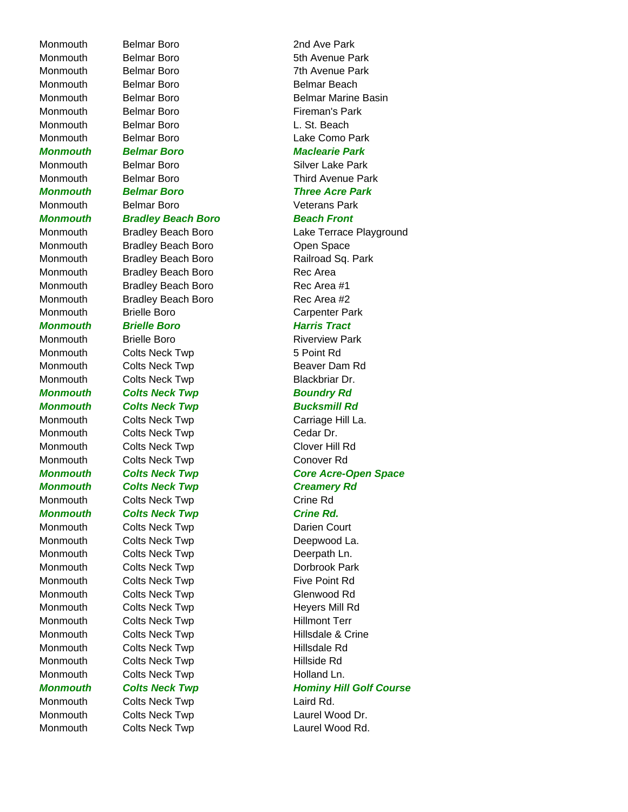Monmouth Belmar Boro 2nd Ave Park Monmouth Belmar Boro **6th Avenue Park** Monmouth Belmar Boro 7th Avenue Park Monmouth Belmar Boro Belmar Beach Monmouth Belmar Boro **Firman's Park** Monmouth Belmar Boro **L. St. Beach** Monmouth Belmar Boro Lake Como Park *Monmouth Belmar Boro Maclearie Park* Monmouth Belmar Boro **Silver Lake Park** *Monmouth Belmar Boro Three Acre Park* Monmouth Belmar Boro **Veterans Park** *Monmouth Bradley Beach Boro Beach Front* Monmouth Bradley Beach Boro **Commouth** Bradley Beach Boro Monmouth Bradley Beach Boro Rec Area Monmouth Bradley Beach Boro Rec Area #1 Monmouth Bradley Beach Boro Rec Area #2 Monmouth Brielle Boro **Carpenter Park** *Monmouth Brielle Boro Harris Tract* Monmouth Brielle Boro **Riverview Park** Monmouth Colts Neck Twp 5 Point Rd Monmouth Colts Neck Twp **Beaver Dam Rd** Monmouth Colts Neck Twp **Blackbriar Dr. Monmouth Colts Neck Twp Collect Control Boundry Rd Monmouth Colts Neck Twp Colts August 2016** Monmouth Colts Neck Twp Carriage Hill La. Monmouth Colts Neck Twp Cedar Dr. Monmouth Colts Neck Twp Clover Hill Rd Monmouth Colts Neck Twp Conover Rd **Monmouth Colts Neck Twp Creamery Rd** Monmouth Colts Neck Twp Crine Rd **Monmouth Colts Neck Twp Crine Rd.** Monmouth Colts Neck Twp **Darien Court** Monmouth Colts Neck Twp **Deepwood La.** Monmouth Colts Neck Twp **Deerpath Ln.** Monmouth Colts Neck Twp **Dorbrook Park** Monmouth Colts Neck Twp **Five Point Rd** Monmouth Colts Neck Twp Collect Collection Collect Collect Collect Collect Collect Collect Collect Collect Collect Collect Collect Collect Collect Collect Collect Collect Collect Collect Collect Collect Collect Collect Col Monmouth Colts Neck Twp **Heyers Mill Rd** Monmouth Colts Neck Twp **Hillmont Terr** Monmouth Colts Neck Twp **Hillsdale & Crine** Monmouth Colts Neck Twp **Hillsdale Rd** Monmouth Colts Neck Twp **Hillside Rd** Monmouth Colts Neck Twp **Holland Ln.** Monmouth Colts Neck Twp Colse Laird Rd. Monmouth Colts Neck Twp Colts According Laurel Wood Dr. Monmouth Colts Neck Twp **Laurel Wood Rd.** 

# Monmouth Belmar Boro **Belmar Belmar Marine Basin** Monmouth Belmar Boro **Third Avenue Park** Monmouth Bradley Beach Boro **Lake Terrace Playground** Monmouth Bradley Beach Boro **Railroad Sq. Park** *Monmouth Colts Neck Twp Core Acre-Open Space* **Monmouth Colts Neck Twp Fig. 2018 Hominy Hill Golf Course**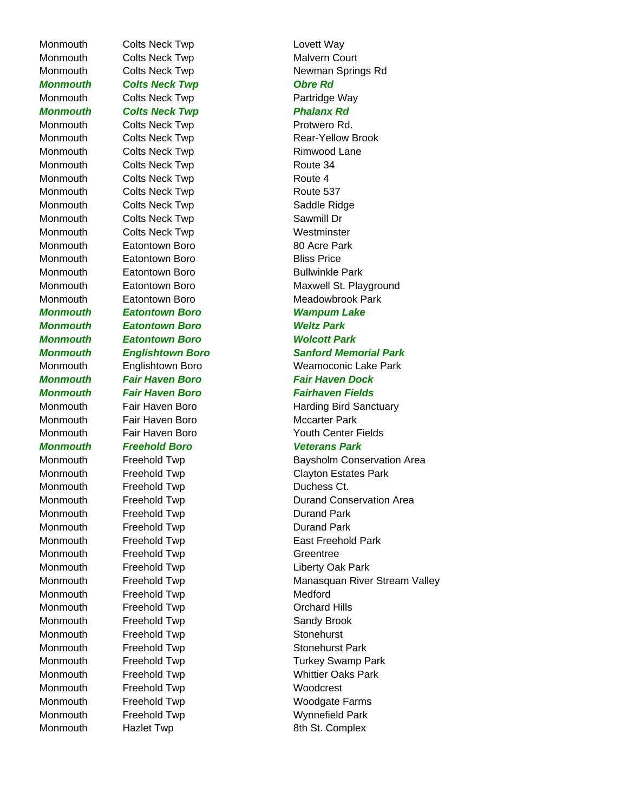Monmouth Colts Neck Twp Coltect Way Monmouth Colts Neck Twp **Malvern Court Monmouth Colts Neck Twp Colts And Accept Colts And Accept Colts Accept Colts Accept** Monmouth Colts Neck Twp **Partridge Way Monmouth Colts Neck Twp Collect Contract Phalanx Rd** Monmouth Colts Neck Twp **Protwero Rd.** Monmouth Colts Neck Twp **Rimwood Lane** Monmouth Colts Neck Twp **Route 34** Monmouth Colts Neck Twp **Route 4** Monmouth Colts Neck Twp **Route 537** Monmouth Colts Neck Twp Colts Saddle Ridge Monmouth Colts Neck Twp Colts Sawmill Dr Monmouth Colts Neck Twp **Westminster** Monmouth Eatontown Boro **80** Acre Park Monmouth Eatontown Boro **Bliss Price** Monmouth Eatontown Boro **Bullwinkle Park** *Monmouth Eatontown Boro Wampum Lake Monmouth Eatontown Boro Weltz Park Monmouth Eatontown Boro Wolcott Park* Monmouth Fair Haven Boro **Mccarter Park** *Monmouth Freehold Boro Veterans Park* Monmouth Freehold Twp **Duchess Ct.** Monmouth Freehold Twp **Durand Park** Monmouth Freehold Twp **Durand Park** Monmouth Freehold Twp Greentree Monmouth Freehold Twp **Liberty Oak Park** Monmouth Freehold Twp **Medford** Monmouth Freehold Twp **Canadia Containst Container** Orchard Hills Monmouth Freehold Twp **Sandy Brook** Monmouth Freehold Twp **Stonehurst** Monmouth Freehold Twp **Stonehurst Park** Monmouth Freehold Twp **Woodcrest** Monmouth Freehold Twp **Woodgate Farms** Monmouth Freehold Twp Wynnefield Park

Monmouth Colts Neck Twp **Newman Springs Rd** Monmouth Colts Neck Twp **Rear-Yellow Brook** Monmouth Eatontown Boro **Maxwell St. Playground** Monmouth Eatontown Boro **Meadowbrook Park** *Monmouth Englishtown Boro Sanford Memorial Park* Monmouth Englishtown Boro Weamoconic Lake Park *Monmouth Fair Haven Boro Fair Haven Dock Monmouth Fair Haven Boro Fairhaven Fields* Monmouth Fair Haven Boro **Harding Bird Sanctuary** Monmouth Fair Haven Boro Youth Center Fields Monmouth Freehold Twp **Baysholm Conservation Area** Monmouth Freehold Twp Clayton Estates Park Monmouth Freehold Twp **Durand Conservation Area** Monmouth Freehold Twp **East Freehold Park** Monmouth Freehold Twp **Manasquan River Stream Valley** Monmouth Freehold Twp Turkey Swamp Park Monmouth Freehold Twp Whittier Oaks Park Monmouth Hazlet Twp **Example 3th St. Complex**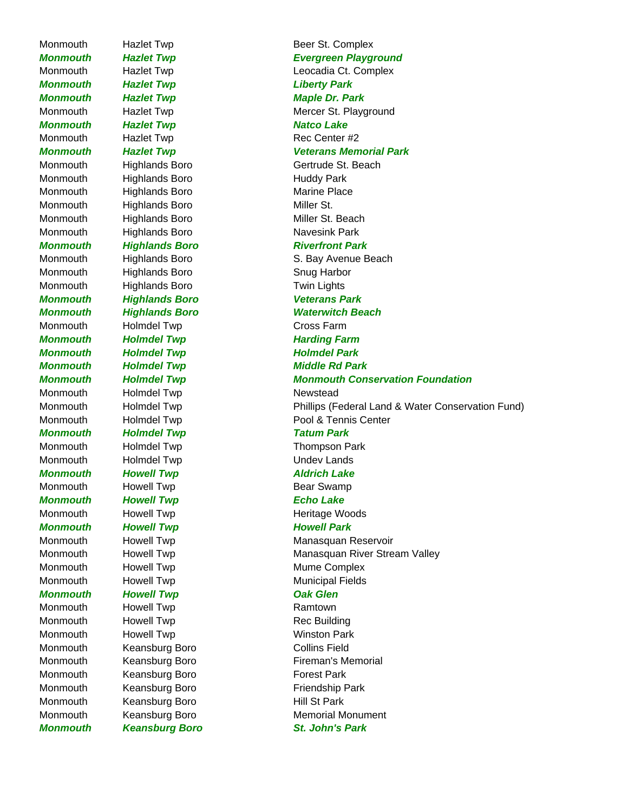*Monmouth Hazlet Twp Liberty Park Monmouth Hazlet Twp Maple Dr. Park Monmouth* Hazlet Twp **Natco Lake** Monmouth Hazlet Twp Rec Center #2 Monmouth Highlands Boro **Huddy Park** Monmouth Highlands Boro Marine Place Monmouth Highlands Boro Miller St. Monmouth Highlands Boro Miller St. Beach Monmouth Highlands Boro Navesink Park **Monmouth** Highlands Boro Riverfront Park Monmouth Highlands Boro Snug Harbor Monmouth Highlands Boro Twin Lights *Monmouth Highlands Boro Veterans Park* Monmouth Holmdel Twp **Cross Farm Monmouth Holmdel Twp Harding Farm Monmouth Holmdel Twp Holmdel Park Monmouth Holmdel Twp Middle Rd Park** Monmouth Holmdel Twp Newstead *Monmouth Holmdel Twp Tatum Park*  Monmouth Holmdel Twp Thompson Park Monmouth Holmdel Twp **Undev Lands** *Monmouth Howell Twp Aldrich Lake* Monmouth Howell Twp **Bear Swamp** *Monmouth Howell Twp Echo Lake* Monmouth Howell Twp **Heritage Woods** *Monmouth* Howell Twp **Howell Park** Monmouth Howell Twp **Mume Complex** Monmouth Howell Twp **Municipal Fields** *Monmouth* Howell Twp **Cak Glen** Monmouth Howell Twp **Ramtown** Monmouth Howell Twp **Rec Building** Monmouth Howell Twp **Monmouth** Howell Twp **Winston Park** Monmouth Keansburg Boro Collins Field Monmouth Keansburg Boro **Forest Park** Monmouth Keansburg Boro **Friendship Park** Monmouth Keansburg Boro **Hill St Park** *Monmouth Keansburg Boro St. John's Park* 

Monmouth Hazlet Twp **Beer St. Complex** *Monmouth Hazlet Twp Evergreen Playground* Monmouth Hazlet Twp **Leocadia Ct. Complex** Monmouth Hazlet Twp Mercer St. Playground *Monmouth Hazlet Twp Veterans Memorial Park* Monmouth Highlands Boro Gertrude St. Beach Monmouth Highlands Boro S. Bay Avenue Beach *Monmouth Highlands Boro Waterwitch Beach Monmouth Holmdel Twp Monmouth Conservation Foundation* Monmouth Holmdel Twp **Phillips (Federal Land & Water Conservation Fund)** Monmouth Holmdel Twp **Pool & Tennis Center** Monmouth Howell Twp **Manasquan Reservoir** Monmouth Howell Twp **Manasquan River Stream Valley** Monmouth Keansburg Boro **Fireman's Memorial** Monmouth Keansburg Boro Memorial Monument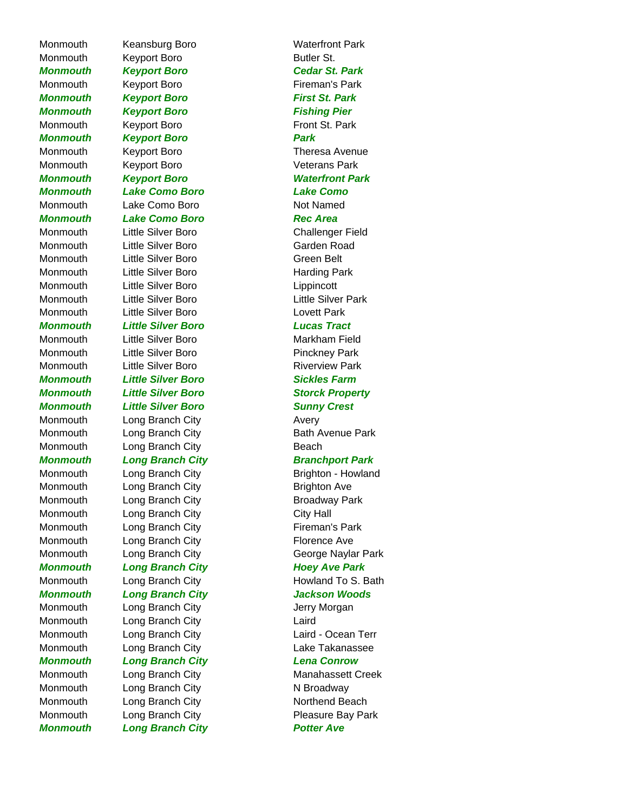Monmouth Keansburg Boro **Waterfront Park** Monmouth Keyport Boro **Butler St.** Butler St. *Monmouth Keyport Boro Cedar St. Park* Monmouth Keyport Boro **Fireman's Park Monmouth Keyport Boro First St. Park Monmouth Keyport Boro Fishing Pier** Monmouth Keyport Boro **Front St. Park** *Monmouth Keyport Boro Park* Monmouth Keyport Boro **Theresa Avenue** Monmouth Keyport Boro **Veterans Park** *Monmouth Lake Como Boro Lake Como* Monmouth Lake Como Boro Not Named *Monmouth Lake Como Boro Rec Area* Monmouth Little Silver Boro Challenger Field Monmouth Little Silver Boro **Garden Road** Monmouth Little Silver Boro **Green Belt** Monmouth Little Silver Boro **Harding Park** Monmouth Little Silver Boro Lippincott Monmouth Little Silver Boro **Little Silver Park** Monmouth Little Silver Boro Lovett Park *Monmouth Little Silver Boro Lucas Tract* Monmouth Little Silver Boro **Markham Field** Monmouth Little Silver Boro **Pinckney Park** Monmouth Little Silver Boro **Riverview Park** *Monmouth Little Silver Boro Sickles Farm Monmouth Little Silver Boro Sunny Crest* Monmouth Long Branch City **Avery** Monmouth Long Branch City **Beach** Monmouth Long Branch City **Brighton Ave** Monmouth Long Branch City **Broadway Park** Monmouth Long Branch City City Hall Monmouth Long Branch City **Fireman's Park** Monmouth Long Branch City **Florence Ave Monmouth Long Branch City Changes Ave Park** *Monmouth Long Branch City Jackson Woods* Monmouth Long Branch City **Constant City** Jerry Morgan Monmouth Long Branch City Laird *Monmouth Long Branch City Lena Conrow* Monmouth Long Branch City N Broadway Monmouth Long Branch City Northend Beach

*Monmouth Keyport Boro Waterfront Park Monmouth Little Silver Boro Storck Property* Monmouth Long Branch City **Bath Avenue Park** *Monmouth* Long Branch City **Branch Branchport Park** Monmouth Long Branch City **Brighton - Howland** Monmouth Long Branch City **George Naylar Park** Monmouth Long Branch City **Howland To S. Bath** Monmouth Long Branch City Laird - Ocean Terr Monmouth Long Branch City Lake Takanassee Monmouth Long Branch City **Manahassett Creek** Monmouth Long Branch City **Pleasure Bay Park Monmouth Long Branch City Charles Avenue Rotter Ave**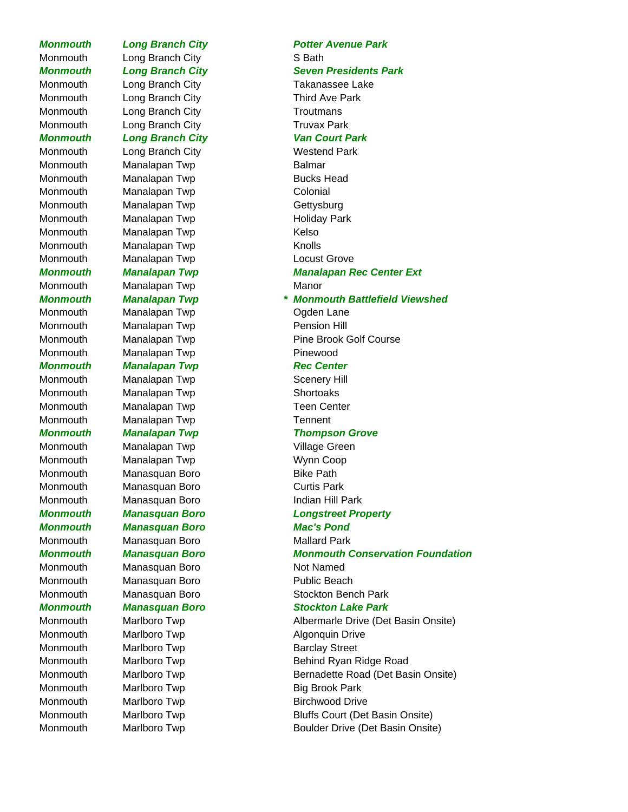Monmouth Long Branch City S Bath Monmouth Long Branch City **Third Ave Park** Monmouth Long Branch City **Troutmans** Monmouth Long Branch City **Truvax Park** *Monmouth* Long Branch City **Van Court Park** Monmouth Long Branch City **Westend Park** Monmouth Manalapan Twp **Balmar** Monmouth Manalapan Twp **Bucks Head** Monmouth Manalapan Twp Colonial Monmouth Manalapan Twp Gettysburg Monmouth Manalapan Twp **Holiday Park** Monmouth Manalapan Twp **Kelso** Monmouth Manalapan Twp **Knolls** Monmouth Manalapan Twp **Locust Grove** Monmouth Manalapan Twp Manor Monmouth Manalapan Twp **Canadian Contact Contact Contact Contact Contact Contact Contact Contact Contact Contact Contact Contact Contact Contact Contact Contact Contact Contact Contact Contact Contact Contact Contact Conta** Monmouth Manalapan Twp **Pension Hill** Monmouth Manalapan Twp **Pinewood Monmouth Manalapan Twp Manalapan Rec Center** Monmouth Manalapan Twp **Scenery Hill** Monmouth Manalapan Twp Shortoaks Monmouth Manalapan Twp Teen Center Monmouth Manalapan Twp Tennent Monmouth Manalapan Twp **Village Green** Monmouth Manalapan Twp Monmouth Manalapan Twp Monmouth Manasquan Boro **Bike Path** Monmouth Manasquan Boro Curtis Park Monmouth Manasquan Boro **Indian Hill Park** *Monmouth Manasquan Boro Mac's Pond* Monmouth Manasquan Boro Mallard Park Monmouth Manasquan Boro Not Named Monmouth Manasquan Boro **Public Beach** Monmouth Marlboro Twp **Algonquin Drive** Monmouth Marlboro Twp **Barclay Street** Monmouth Marlboro Twp Big Brook Park Monmouth Marlboro Twp **Birchwood Drive** 

# *Monmouth Long Branch City Potter Avenue Park* **Monmouth Long Branch City Seven Presidents Park** Monmouth Long Branch City **Takanassee Lake** *Monmouth Manalapan Twp Manalapan Rec Center Ext Monmouth Manalapan Twp \* Monmouth Battlefield Viewshed* Monmouth Manalapan Twp **Pine Brook Golf Course** *Monmouth Manalapan Twp Thompson Grove Monmouth Manasquan Boro Longstreet Property Monmouth Manasquan Boro Monmouth Conservation Foundation* Monmouth Manasquan Boro Stockton Bench Park *Monmouth Manasquan Boro Stockton Lake Park* Monmouth Marlboro Twp **Albermarle Drive (Det Basin Onsite)** Monmouth Marlboro Twp **Behind Ryan Ridge Road** Monmouth Marlboro Twp **Bernadette Road (Det Basin Onsite)** Bernadette Road (Det Basin Onsite) Monmouth Marlboro Twp **Bluffs Court (Det Basin Onsite)** Monmouth Marlboro Twp **Boulder Drive (Det Basin Onsite)**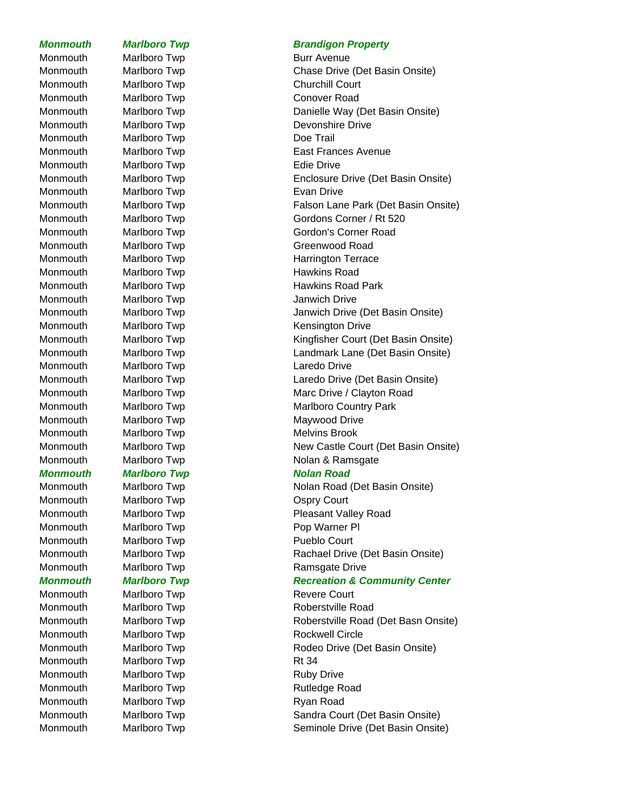Monmouth Marlboro Twp **Burr Avenue** Monmouth Marlboro Twp Churchill Court Monmouth Marlboro Twp Conover Road Monmouth Marlboro Twp **Doe Trail** Monmouth Marlboro Twp **Edie Drive** Monmouth Marlboro Twp **Evan Drive** Monmouth Marlboro Twp **Hawkins Road** Monmouth Marlboro Twp **Janwich Drive** Monmouth Marlboro Twp **Laredo Drive** Monmouth Marlboro Twp Melvins Brook **Monmouth Marlboro Twp Nolan Road** Monmouth Marlboro Twp **COUT COUT COUT** Monmouth Marlboro Twp **Pop Warner Pl** Monmouth Marlboro Twp **Pueblo Court** Monmouth Marlboro Twp **Revere Court** Monmouth Marlboro Twp **Rt 34** Monmouth Marlboro Twp **Ruby Drive** Monmouth Marlboro Twp **Rutledge Road** Monmouth Marlboro Twp **Ryan Road** 

# **Monmouth Marlboro Twp Brandigon Property**

Monmouth Marlboro Twp Chase Drive (Det Basin Onsite) Monmouth Marlboro Twp Danielle Way (Det Basin Onsite) Monmouth Marlboro Twp Devonshire Drive Monmouth Marlboro Twp **East Frances Avenue** Monmouth Marlboro Twp Enclosure Drive (Det Basin Onsite) Monmouth Marlboro Twp **Falson Lane Park (Det Basin Onsite)** Monmouth Marlboro Twp Gordons Corner / Rt 520 Monmouth Marlboro Twp Gordon's Corner Road Monmouth Marlboro Twp Commouth Marlboro Twp Greenwood Road Monmouth Marlboro Twp **Harrington Terrace** Monmouth Marlboro Twp **Hawkins Road Park** Monmouth Marlboro Twp Janwich Drive (Det Basin Onsite) Monmouth Marlboro Twp **Kensington Drive** Monmouth Marlboro Twp **Kingfisher Court (Det Basin Onsite)** Monmouth Marlboro Twp **Landmark Lane (Det Basin Onsite)** Monmouth Marlboro Twp Laredo Drive (Det Basin Onsite) Monmouth Marlboro Twp Marc Drive / Clayton Road Monmouth Marlboro Twp Marlboro Country Park Monmouth Marlboro Twp Maywood Drive Monmouth Marlboro Twp New Castle Court (Det Basin Onsite) Monmouth Marlboro Twp Nolan & Ramsgate Monmouth Marlboro Twp Nolan Road (Det Basin Onsite)

Monmouth Marlboro Twp **Pleasant Valley Road** Monmouth Marlboro Twp Rachael Drive (Det Basin Onsite) Monmouth Marlboro Twp **Ramsgate Drive** 

# *Monmouth Marlboro Twp Recreation & Community Center*

Monmouth Marlboro Twp **Roberstville Road** Monmouth Marlboro Twp Roberstville Road (Det Basn Onsite) Monmouth Marlboro Twp **Rockwell Circle** Monmouth Marlboro Twp **Rodeo Drive (Det Basin Onsite)** Monmouth Marlboro Twp Sandra Court (Det Basin Onsite) Monmouth Marlboro Twp **Seminole Drive (Det Basin Onsite)** Seminole Drive (Det Basin Onsite)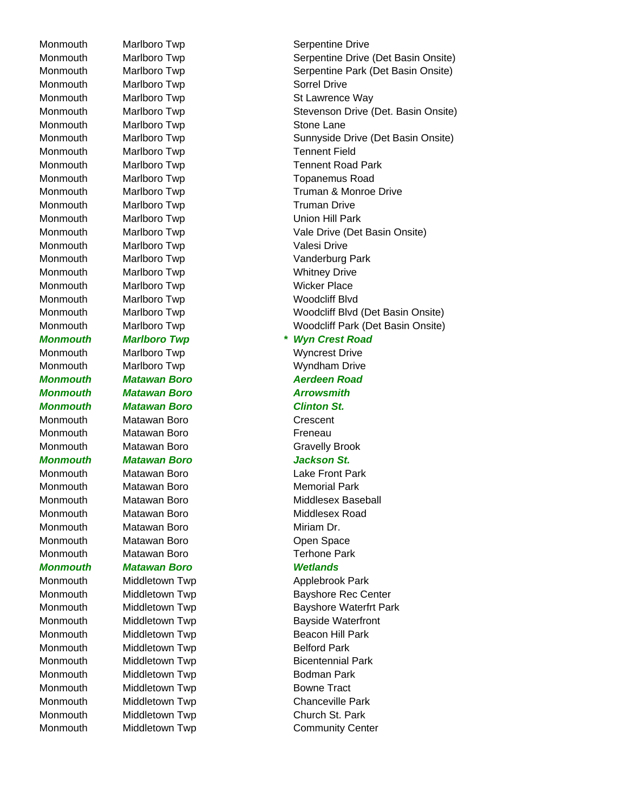Monmouth Marlboro Twp **Sorrel Drive** Monmouth Marlboro Twp **Stone Lane** Monmouth Marlboro Twp Tennent Field Monmouth Marlboro Twp Truman Drive Monmouth Marlboro Twp **Union Hill Park** Monmouth Marlboro Twp **Valesi** Drive Monmouth Marlboro Twp **Whitney Drive** Monmouth Marlboro Twp **Wicker Place** Monmouth Marlboro Twp Woodcliff Blvd Monmouth Marlboro Twp **Wyncrest Drive** Monmouth Marlboro Twp Wyndham Drive *Monmouth Matawan Boro Aerdeen Road Monmouth Matawan Boro Arrowsmith Monmouth Matawan Boro Clinton St.* Monmouth Matawan Boro **Crescent** Monmouth Matawan Boro **Freneau** Monmouth Matawan Boro Gravelly Brook *Monmouth Matawan Boro Jackson St.* Monmouth Matawan Boro Lake Front Park Monmouth Matawan Boro **Matawan Boro Memorial Park** Monmouth Matawan Boro **Miriam Dr.** Monmouth Matawan Boro **Commouth** Matawan Boro Monmouth Matawan Boro **Terhone Park** *Monmouth Matawan Boro Wetlands* Monmouth Middletown Twp **Belford Park** Monmouth Middletown Twp **Bodman Park** Monmouth Middletown Twp **Bowne Tract** Monmouth Middletown Twp Church St. Park

Monmouth Marlboro Twp **Serpentine Drive** Monmouth Marlboro Twp **Serpentine Drive (Det Basin Onsite)** Serpentine Drive (Det Basin Onsite) Monmouth Marlboro Twp **Serpentine Park (Det Basin Onsite)** Serpentine Park (Det Basin Onsite) Monmouth Marlboro Twp St Lawrence Way Monmouth Marlboro Twp **Stevenson Drive (Det. Basin Onsite)** Stevenson Drive (Det. Basin Onsite) Monmouth Marlboro Twp Sunnyside Drive (Det Basin Onsite) Monmouth Marlboro Twp Tennent Road Park Monmouth Marlboro Twp Topanemus Road Monmouth Marlboro Twp Truman & Monroe Drive Monmouth Marlboro Twp Vale Drive (Det Basin Onsite) Monmouth Marlboro Twp **Vanderburg Park** Monmouth Marlboro Twp Woodcliff Blvd (Det Basin Onsite) Monmouth Marlboro Twp Woodcliff Park (Det Basin Onsite) *Monmouth Marlboro Twp \* Wyn Crest Road*  Monmouth Matawan Boro Middlesex Baseball Monmouth Matawan Boro Middlesex Road Monmouth Middletown Twp Middletown Twp Applebrook Park Monmouth Middletown Twp Bayshore Rec Center Monmouth Middletown Twp **Bayshore Waterfrt Park** Monmouth Middletown Twp **Bayside Waterfront** Monmouth Middletown Twp **Beacon Hill Park** Monmouth Middletown Twp **Bicentennial Park** Monmouth Middletown Twp Chanceville Park Monmouth Middletown Twp Community Center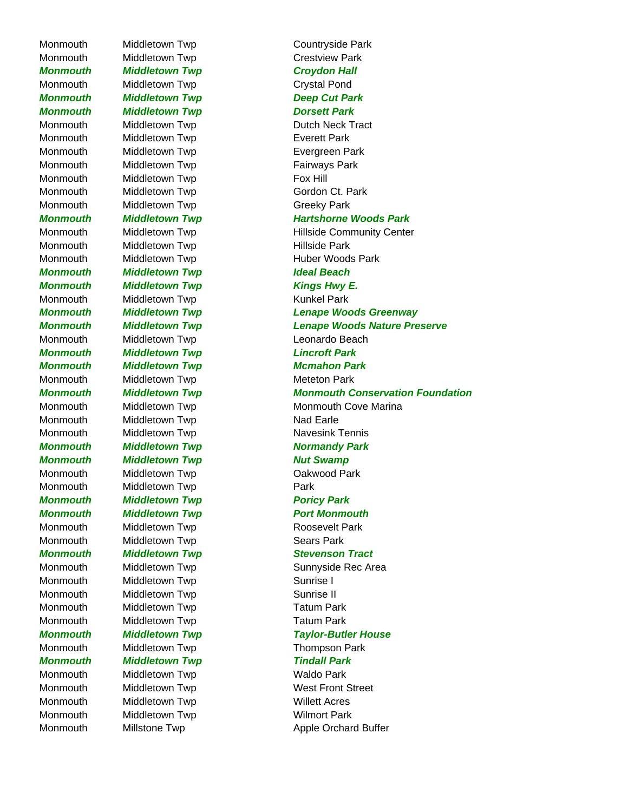Monmouth Middletown Twp Countryside Park Monmouth Middletown Twp Crestview Park **Monmouth Middletown Twp Middletown Twp Croydon Hall** Monmouth Middletown Twp Crystal Pond *Monmouth Middletown Twp Deep Cut Park Monmouth Middletown Twp Dorsett Park* Monmouth Middletown Twp **Exerett Park** Monmouth Middletown Twp **Exergreen Park** Monmouth Middletown Twp **Fairways Park** Monmouth Middletown Twp **Fox Hill** Monmouth Middletown Twp Gordon Ct. Park Monmouth Middletown Twp Greeky Park Monmouth Middletown Twp **Hillside Park** *Monmouth Middletown Twp Ideal Beach* **Monmouth Middletown Twp Middletown Full Accomputer Middle Hurtown Accomputer Accomputer Middle Hurtown Accomputer** Monmouth Middletown Twp Microsoft Munkel Park Monmouth Middletown Twp **Leonardo Beach** *Monmouth Middletown Twp Lincroft Park Monmouth Middletown Twp Mcmahon Park* Monmouth Middletown Twp Microsoft Meteton Park Monmouth Middletown Twp Nad Earle Monmouth Middletown Twp Navesink Tennis *Monmouth Middletown Twp Normandy Park Monmouth Middletown Twp Nut Swamp* Monmouth Middletown Twp **Cakwood Park** Monmouth Middletown Twp **Park** *Monmouth Middletown Twp Poricy Park* **Monmouth Middletown Twp Middletown Full Accomputation Monmouth** Monmouth Middletown Twp **Roosevelt Park** Monmouth Middletown Twp **Sears Park** Monmouth Middletown Twp Microsoft Sunrise I Monmouth Middletown Twp **Sunrise II** Monmouth Middletown Twp Tatum Park Monmouth Middletown Twp Tatum Park Monmouth Middletown Twp Thompson Park **Monmouth Middletown Twp Tindall Park** Monmouth Middletown Twp **Waldo Park** Monmouth Middletown Twp Millett Acres Monmouth Middletown Twp Milmort Park

Monmouth Middletown Twp Dutch Neck Tract *Monmouth Middletown Twp Hartshorne Woods Park* Monmouth Middletown Twp Millside Community Center Monmouth Middletown Twp Huber Woods Park *Monmouth Middletown Twp Lenape Woods Greenway Monmouth Middletown Twp Lenape Woods Nature Preserve Monmouth Middletown Twp Monmouth Conservation Foundation* Monmouth Middletown Twp Monmouth Cove Marina *Monmouth Middletown Twp Stevenson Tract* Monmouth Middletown Twp Middletown Twp Sunnyside Rec Area *Monmouth Middletown Twp Taylor-Butler House* Monmouth Middletown Twp Microsoft Mest Front Street Monmouth Millstone Twp Millstone Twp Apple Orchard Buffer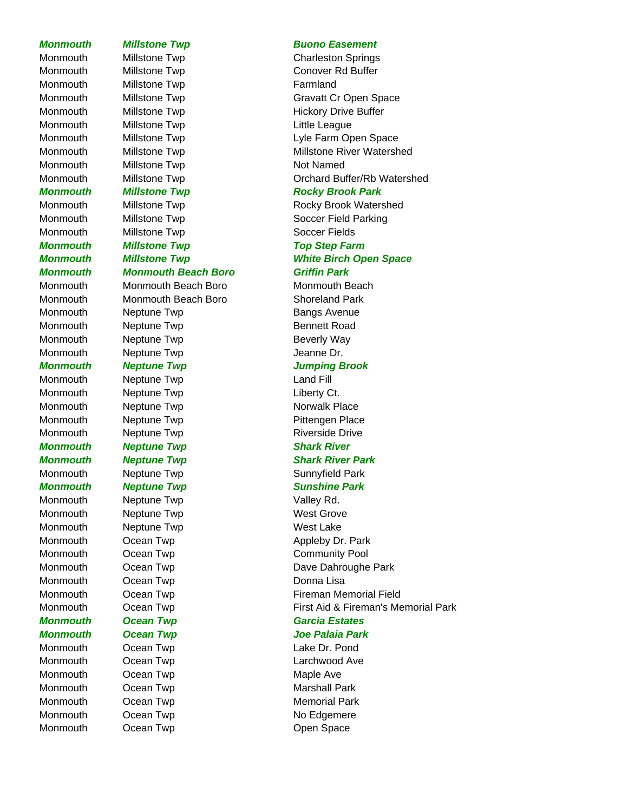# Monmouth Millstone Twp **Farmland** Monmouth Millstone Twp Not Named

Monmouth Millstone Twp **Soccer Fields** *Monmouth Monmouth Beach Boro Griffin Park* Monmouth Meptune Twp **Beverly Way** Monmouth Meptune Twp **Internal Contract Contract According Contract Contract According Contract Contract Contract Contract Organization** Monmouth Neptune Twp Land Fill Monmouth Meptune Twp **Liberty Ct.** *Monmouth* Neptune Twp **Shark River** *Monmouth Neptune Twp Shark River Park* Monmouth Neptune Twp **Valley Rd.** Monmouth Meptune Twp Nest Grove Monmouth Neptune Twp Nest Lake Monmouth Ocean Twp **Donna Lisa Monmouth Ocean Twp Garcia Estates** Monmouth Ocean Twp **Maple Ave** 

# **Monmouth Millstone Twp Buono Easement**

Monmouth Millstone Twp Charleston Springs Monmouth Millstone Twp Conover Rd Buffer Monmouth Millstone Twp Gravatt Cr Open Space Monmouth Millstone Twp **Hickory Drive Buffer** Monmouth Millstone Twp **Little League** Monmouth Millstone Twp Lyle Farm Open Space Monmouth Millstone Twp Millstone River Watershed Monmouth Millstone Twp **Contained Buffer/Rb Watershed** 

# **Monmouth Millstone Twp Rocky Brook Park**

Monmouth Millstone Twp **Rocky Brook Watershed** Monmouth Millstone Twp Soccer Field Parking

# *Monmouth Millstone Twp Top Step Farm*

*Monmouth Millstone Twp White Birch Open Space*

Monmouth Monmouth Beach Boro Monmouth Beach Monmouth Monmouth Beach Boro Shoreland Park Monmouth Meptune Twp **Bangs Avenue** Monmouth Meptune Twp **Bennett Road** 

# *Monmouth Neptune Twp Jumping Brook*

Monmouth Meptune Twp Norwalk Place Monmouth Meptune Twp **Pittengen Place** Monmouth Meptune Twp **Riverside Drive** Riverside Drive

# Monmouth Meptune Twp **Sunnyfield Park**

# *Monmouth* Neptune Twp **Neptune Twp Sunshine Park**

Monmouth Ocean Twp Cocan Two Appleby Dr. Park Monmouth Ocean Twp Community Pool Monmouth Ocean Twp **Dave Dahroughe Park** Monmouth Ocean Twp **Fireman Memorial Field** Monmouth Ocean Twp **First Aid & Fireman's Memorial Park** 

# *Monmouth Ocean Twp Joe Palaia Park*

Monmouth Ocean Twp **Lake Dr. Pond** Monmouth Ocean Twp **Larchwood Ave** Monmouth Ocean Twp **Marshall Park** Monmouth Ocean Twp **Memorial Park** Monmouth Ocean Twp No Edgemere Monmouth Ocean Twp **Confluential Contract Confluential Contract Contract Contract Contract Contract Contract Contract Contract Contract Contract Contract Contract Contract Contract Contract Contract Contract Contract Contr**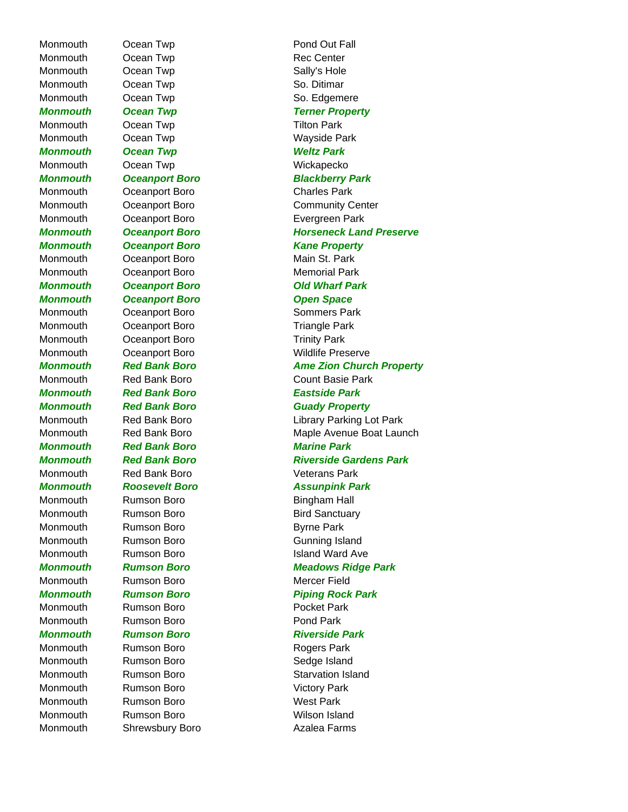Monmouth Ocean Twp **Pond Out Fall** Monmouth Ocean Twp **Rec** Center Monmouth Ocean Twp Cocan Two Sally's Hole Monmouth Ocean Twp Correct Control Continues So. Ditimar Monmouth Ocean Twp So. Edgemere Monmouth Ocean Twp **Tilton Park** Monmouth Ocean Twp **Wayside Park** *Monmouth Ocean Twp Weltz Park* Monmouth Ocean Twp **Monmouth** Ocean Twp Monmouth Oceanport Boro Charles Park *Monmouth Oceanport Boro Kane Property* Monmouth Oceanport Boro **Main St. Park** Monmouth Oceanport Boro **Memorial Park** *Monmouth Oceanport Boro Open Space* Monmouth Oceanport Boro **Sommers Park** Monmouth Oceanport Boro **Triangle Park** Monmouth Oceanport Boro **Trinity Park** *Monmouth Red Bank Boro Eastside Park Monmouth Red Bank Boro Marine Park* Monmouth Red Bank Boro **Veterans Park** Monmouth Rumson Boro **Bingham Hall** Monmouth Rumson Boro **Bird Sanctuary** Monmouth Rumson Boro **Byrne Park** Monmouth Rumson Boro **Gunning Island** Monmouth Rumson Boro **Mercer Field** Monmouth Rumson Boro **Rumson Boro Pocket Park** Monmouth Rumson Boro **Rumson Boro Pond Park** Monmouth Rumson Boro **Rogers Park** Monmouth Rumson Boro **National Sedge Island** Monmouth Rumson Boro **Nictory Park** Monmouth Rumson Boro **Nest Park** Monmouth Rumson Boro **Night Constructs** Wilson Island

**Monmouth Ocean Twp Terner Property** *Monmouth Oceanport Boro Blackberry Park* Monmouth Oceanport Boro Community Center Monmouth Oceanport Boro **Evergreen Park Monmouth Oceanport Boro Channel Boro Horseneck Land Preserve** *Monmouth Oceanport Boro Old Wharf Park* Monmouth Oceanport Boro **Montana Commouth** Oceanport Boro **Monmouth Red Bank Boro Ame Zion Church Property** Monmouth Red Bank Boro Count Basie Park **Monmouth Red Bank Boro Guady Property** Monmouth Red Bank Boro **Library Parking Lot Park** Monmouth Red Bank Boro Maple Avenue Boat Launch **Monmouth Red Bank Boro Riverside Gardens Park** *Monmouth Roosevelt Boro Assunpink Park* Monmouth Rumson Boro **Island Ward Ave** *Monmouth Rumson Boro Meadows Ridge Park Monmouth* Rumson Boro **Piping Rock Park Monmouth Rumson Boro Riverside Park** Monmouth Rumson Boro **Non-Rumson Boro Rumson Boro Research** Starvation Island Monmouth Shrewsbury Boro **Azalea Farms**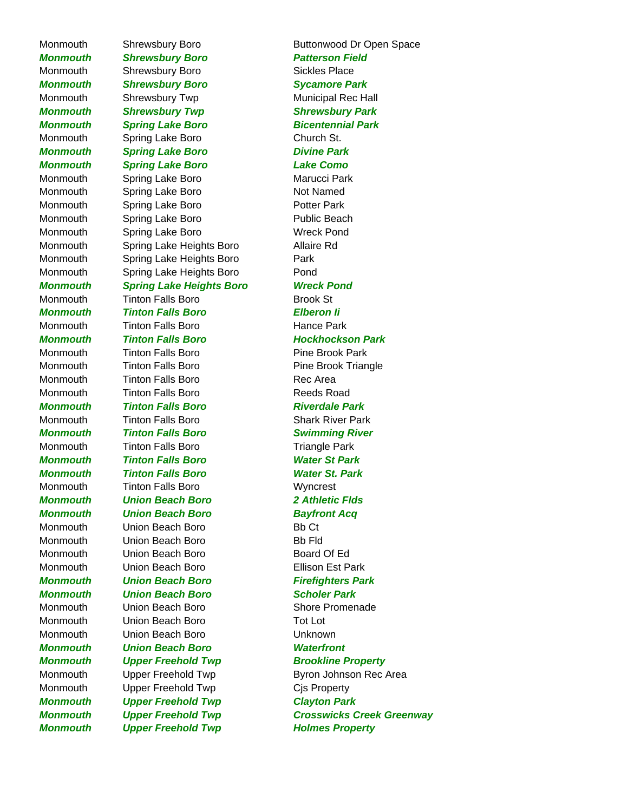Monmouth Shrewsbury Boro Buttonwood Dr Open Space *Monmouth Shrewsbury Boro Patterson Field* Monmouth Shrewsbury Boro Sickles Place *Monmouth Shrewsbury Boro Sycamore Park* Monmouth Shrewsbury Twp Municipal Rec Hall *Monmouth Shrewsbury Twp Shrewsbury Park Monmouth Spring Lake Boro Bicentennial Park* Monmouth Spring Lake Boro **Church St.** *Monmouth Spring Lake Boro Divine Park Monmouth Spring Lake Boro Lake Como* Monmouth Spring Lake Boro **Marucci Park** Monmouth Spring Lake Boro Not Named Monmouth Spring Lake Boro **Potter Park** Monmouth Spring Lake Boro **Public Beach** Monmouth Spring Lake Boro **Wreck Pond** Monmouth Spring Lake Heights Boro Allaire Rd Monmouth Spring Lake Heights Boro Park Monmouth Spring Lake Heights Boro Pond *Monmouth Spring Lake Heights Boro Wreck Pond* Monmouth Tinton Falls Boro **Brook St** *Monmouth Tinton Falls Boro Elberon Ii* Monmouth Tinton Falls Boro **Hance Park** *Monmouth Tinton Falls Boro Hockhockson Park* Monmouth Tinton Falls Boro **Pine Brook Park** Monmouth Tinton Falls Boro **Pine Brook Triangle** Monmouth Tinton Falls Boro **Rec** Area Monmouth Tinton Falls Boro Reeds Road *Monmouth* Tinton Falls Boro **Riverdale Park** Monmouth Tinton Falls Boro Shark River Park *Monmouth Tinton Falls Boro Swimming River* Monmouth Tinton Falls Boro Triangle Park *Monmouth Tinton Falls Boro Water St Park Monmouth Tinton Falls Boro Water St. Park* Monmouth Tinton Falls Boro **Wyncrest** *Monmouth Union Beach Boro 2 Athletic Flds Monmouth Union Beach Boro Bayfront Acq* Monmouth Union Beach Boro **Branch** Bb Ct Monmouth Union Beach Boro **Branch Branch Branch Branch Branch Branch Branch Branch Branch Branch Branch Branch** Monmouth Union Beach Boro Board Of Ed Monmouth Union Beach Boro **Ellison Est Park** *Monmouth Union Beach Boro Firefighters Park Monmouth Union Beach Boro Scholer Park* Monmouth Union Beach Boro Shore Promenade Monmouth Union Beach Boro Tot Lot Monmouth Union Beach Boro Unknown *Monmouth Union Beach Boro Waterfront* **Monmouth Upper Freehold Twp Brookline Property** Monmouth Upper Freehold Twp Cis Property *Monmouth Upper Freehold Twp Clayton Park* **Monmouth Upper Freehold Twp Transform Holmes Property** 

Monmouth Upper Freehold Twp **Byron Johnson Rec Area** *Monmouth Upper Freehold Twp Crosswicks Creek Greenway*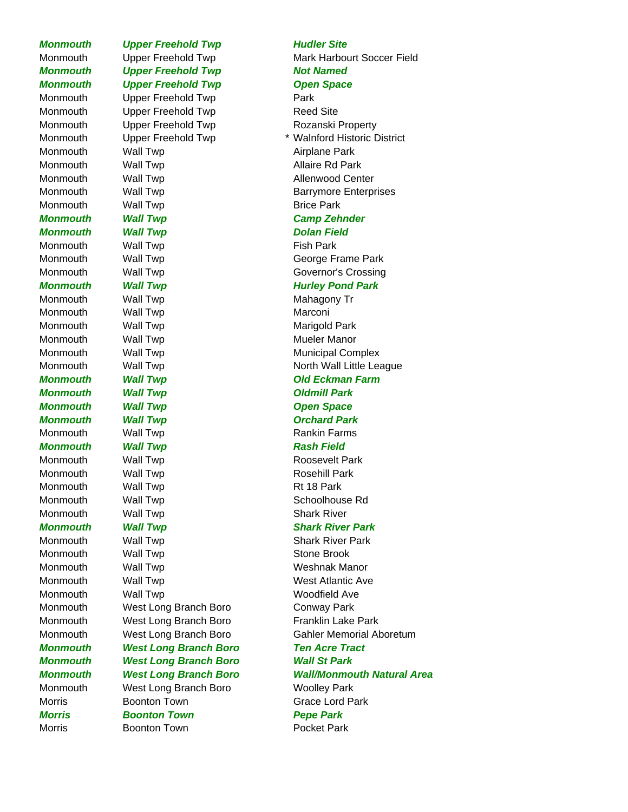

**Monmouth Upper Freehold Twp Not Named Monmouth Upper Freehold Twp Charles Common Space** Monmouth Upper Freehold Twp **Park** Monmouth Upper Freehold Twp **Reed Site** Monmouth Upper Freehold Twp **Rozanski Property** Monmouth Wall Twp **Airplane Park** Monmouth Wall Twp **Allaire Rd Park** Monmouth Wall Twp **Allenwood Center** Monmouth Wall Twp **Barrymore Enterprises** Monmouth Wall Twp **Brice Park** *Monmouth Wall Twp Camp Zehnder* **Monmouth Wall Twp Construction Colombia Property** Monmouth Wall Twp **Fish Park** Monmouth Wall Twp **George Frame Park** Monmouth Wall Twp **Governor's Crossing** *Monmouth Wall Twp Monmouth Wall Twp Mulley Pond Park* Monmouth Wall Twp **Mahagony Transform** Mahagony Tr Monmouth Wall Twp **Marconi** Monmouth Wall Twp **Marigold Park** Monmouth Wall Twp **Mueler Manor** Monmouth Wall Twp **Municipal Complex** *Monmouth Wall Twp Old Eckman Farm Monmouth* Wall Twp **Contains Wall Twp Contains Mondair Park Monmouth Wall Twp Contract Contract Contract Contract Contract Contract Contract Contract Contract Contract Contract Contract Contract Contract Contract Contract Contract Contract Contract Contract Contract Contract Contr Monmouth Wall Twp Construction Construction Monmouth Wall Twp** Construction Construction Construction Constructio Monmouth Wall Twp **Rankin Farms Monmouth Wall Twp Contract Rash Field** Monmouth Wall Twp **Roosevelt Park** Monmouth Wall Twp **Rosehill Park** Monmouth Wall Twp **Rt 18 Park** Monmouth Wall Twp Schoolhouse Rd Monmouth Wall Twp **Shark River** *Monmouth* Wall Twp **Shark River Park** Monmouth Wall Twp **Shark River Park** Monmouth Wall Twp **Stone Brook** Monmouth Wall Twp Weshnak Manor Monmouth Wall Twp West Atlantic Ave Monmouth Wall Twp Woodfield Ave Monmouth West Long Branch Boro Conway Park Monmouth West Long Branch Boro Franklin Lake Park *Monmouth West Long Branch Boro Ten Acre Tract Monmouth West Long Branch Boro Wall St Park* Monmouth West Long Branch Boro Woolley Park Morris Boonton Town Grace Lord Park *Morris Boonton Town Pepe Park*

# Monmouth Upper Freehold Twp Mark Harbourt Soccer Field Monmouth Upper Freehold Twp \* Walnford Historic District Monmouth Wall Twp North Wall Little League Monmouth West Long Branch Boro Gahler Memorial Aboretum *Monmouth West Long Branch Boro Wall/Monmouth Natural Area*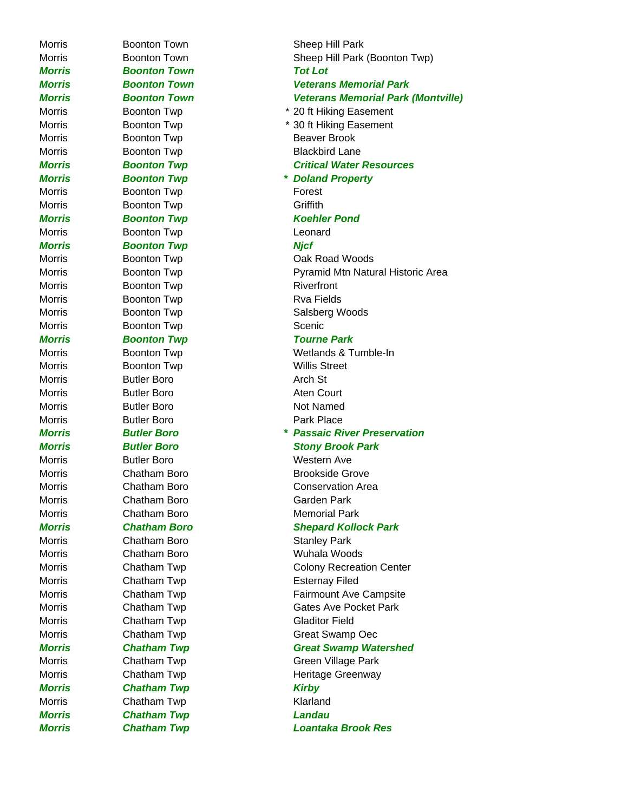*Morris Boonton Town Tot Lot* Morris Boonton Twp Beaver Brook Morris **Boonton Twp** Blackbird Lane Morris **Boonton Twp Forest** Morris **Boonton Twp** Griffith *Morris Boonton Twp Koehler Pond* Morris **Boonton Twp Leonard** *Morris Boonton Twp Njcf* Morris Boonton Twp **Riverfront** Morris **Boonton Twp** Rva Fields Morris **Boonton Twp Scenic** *Morris Boonton Twp Tourne Park* Morris **Boonton Twp** Willis Street Morris **Butler Boro Arch St** Morris **Butler Boro Aten Court** Morris **Butler Boro Not Named** Morris **Butler Boro Park Place** Morris Butler Boro Western Ave Morris Chatham Boro Garden Park Morris Chatham Boro Memorial Park Morris Chatham Boro **Stanley Park** Morris Chatham Boro Wuhala Woods Morris Chatham Twp **Esternay Filed** Morris Chatham Twp Gladitor Field **Morris Chatham Twp Chatham Kirby** Morris Chatham Twp **Klarland** *Morris Chatham Twp Landau*

Morris **Boonton Town** Sheep Hill Park Morris **Boonton Town** Sheep Hill Park (Boonton Twp) *Morris Boonton Town Veterans Memorial Park Morris Boonton Town Veterans Memorial Park (Montville)* Morris Boonton Twp \* 20 ft Hiking Easement Morris **Boonton Twp** \* 30 ft Hiking Easement *Morris Boonton Twp Critical Water Resources Morris Boonton Twp \* Doland Property* Morris **Boonton Twp Cak Road Woods** Morris **Boonton Twp BILARY READING METAL PROPERTY Pyramid Mtn Natural Historic Area** Morris Boonton Twp **Salsberg Woods** Morris **Boonton Twp** Wetlands & Tumble-In *Morris Butler Boro \* Passaic River Preservation Morris Butler Boro Stony Brook Park* Morris Chatham Boro **Brookside Grove** Morris Chatham Boro Conservation Area *Morris Chatham Boro Shepard Kollock Park* Morris Chatham Twp Colony Recreation Center Morris **Chatham Twp Fairmount Ave Campsite** Morris Chatham Twp Gates Ave Pocket Park Morris Chatham Twp Great Swamp Oec *Morris Chatham Twp Great Swamp Watershed* Morris Chatham Twp Green Village Park Morris Chatham Twp **Example 20 Heritage Greenway** *Morris Chatham Twp Loantaka Brook Res*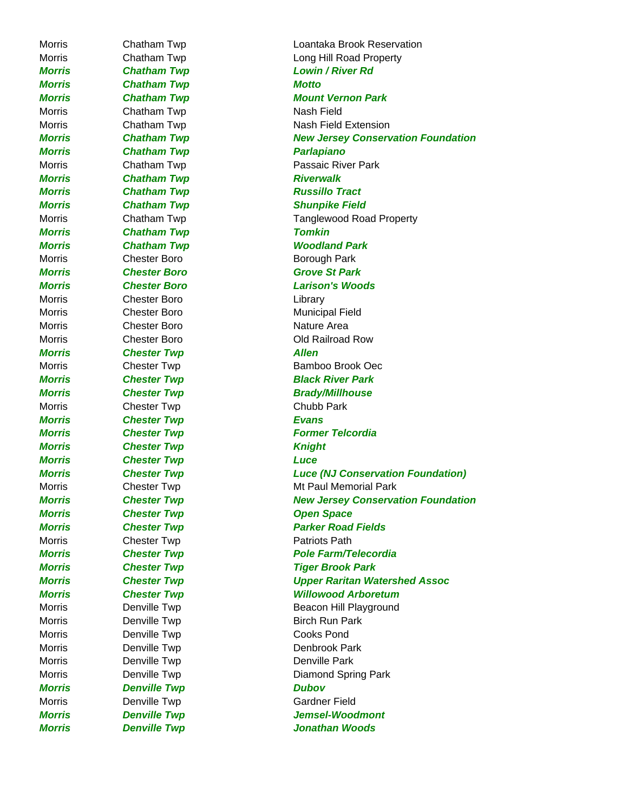*Morris Chatham Twp Motto* Morris Chatham Twp Chatham Nash Field *Morris Chatham Twp Parlapiano Morris* Chatham Twp **Riverwalk** *Morris Chatham Twp Tomkin* Morris **Chester Boro Borough Park** *Morris Chester Boro Grove St Park* Morris Chester Boro **Library** Morris Chester Boro Municipal Field Morris Chester Boro **Nature Area** *Morris* **Chester Twp Allen** Morris Chester Twp Chubb Park *Morris Chester Twp Evans Morris* Chester Twp **Changes** Chester Twp *Morris Chester Twp Luce Morris* Chester Twp **Change Chester Twp Chester Twp Change Change Cheen** Space Morris Chester Twp **Patriots Path** Morris **Denville Twp** Cooks Pond Morris **Denville Twp** Denville Park *Morris Denville Twp Dubov* Morris **Denville Twp Gardner Field** 

Morris Chatham Twp Loantaka Brook Reservation Morris Chatham Twp **Long Hill Road Property** *Morris Chatham Twp Lowin / River Rd Morris Chatham Twp Mount Vernon Park* Morris Chatham Twp Nash Field Extension *Morris Chatham Twp New Jersey Conservation Foundation* Morris Chatham Twp **Passaic River Park** *Morris* Chatham Twp **Russillo Tract** *Morris* Chatham Twp **Shunpike Field** Morris **Chatham Twp** Tanglewood Road Property *Morris Chatham Twp Woodland Park Morris Chester Boro Larison's Woods* Morris Chester Boro Chester Boro Cold Railroad Row Morris Chester Twp **Bamboo Brook Oec** *Morris Chester Twp Black River Park Morris* Chester Twp **Brady/Millhouse Morris Chester Twp Former Telcordia** *Morris Chester Twp Luce (NJ Conservation Foundation)* Morris **Chester Twp** Mired Mt Paul Memorial Park *Morris Chester Twp New Jersey Conservation Foundation Morris Chester Twp Parker Road Fields Morris Chester Twp Pole Farm/Telecordia Morris Chester Twp Tiger Brook Park Morris Chester Twp Upper Raritan Watershed Assoc Morris Chester Twp Willowood Arboretum* Morris **Denville Twp** Beacon Hill Playground Morris **Denville Twp** Birch Run Park Morris **Denville Twp** Denbrook Park Morris **Denville Twp** Densile **Diamond Spring Park** *Morris Denville Twp Jemsel-Woodmont Morris Denville Twp Jonathan Woods*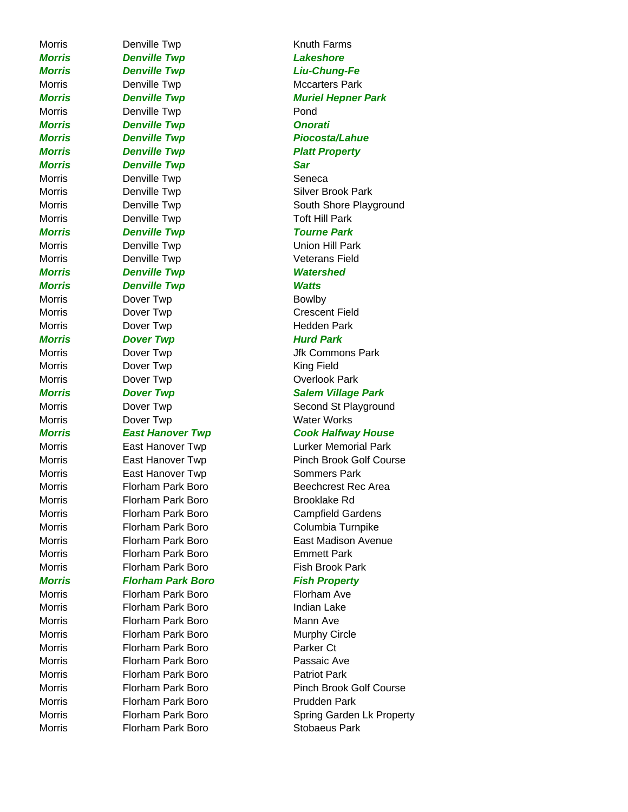*Morris Denville Twp Lakeshore Morris Denville Twp Liu-Chung-Fe* Morris **Denville Twp Mccarters Park** Morris Denville Twp **Pond** *Morris* Denville Twp **Denville Twp Denville Twp Onorati** *Morris* Denville Twp **Piocosta/Lahue** *Morris Denville Twp Platt Property Morris Denville Twp Sar* Morris **Denville Twp Seneca** Morris **Denville Twp Silver Brook Park** Morris **Denville Twp Toft Hill Park** *Morris Denville Twp Tourne Park* Morris **Denville Twp Union Hill Park** Morris **Denville Twp Veterans Field** *Morris Denville Twp Watershed Morris Denville Twp Watts* Morris **Dover Twp** Bowlby Morris **Dover Twp Crescent Field** Morris **Dover Twp Hedden Park** *Morris* Dover Twp **Hurd Park** Morris **Dover Twp** Dover Twp Jfk Commons Park Morris **Dover Twp CONFIGURER CONFIDENT CONFIDENT CONFIDENT CONFIDENT CONFIDENT** Morris **Dover Twp Contract Contract Dover Twp Contract Contract Contract Park** Morris **Dover Twp Water Works** Morris **East Hanover Twp** Sommers Park Morris Florham Park Boro Brooklake Rd Morris Florham Park Boro Campfield Gardens Morris **Florham Park Boro** Columbia Turnpike Morris Florham Park Boro **Emmett Park** Morris Florham Park Boro Fish Brook Park *Morris Florham Park Boro Fish Property* Morris Florham Park Boro Florham Ave Morris **Florham Park Boro Indian Lake** Morris Florham Park Boro Mann Ave Morris Florham Park Boro Murphy Circle Morris Florham Park Boro Parker Ct Morris **Florham Park Boro** Passaic Ave Morris Florham Park Boro Patriot Park Morris Florham Park Boro Prudden Park

Morris Florham Park Boro Stobaeus Park

Morris **Denville Twp Knuth Farms** *Morris Denville Twp Muriel Hepner Park* Morris **Denville Twp South Shore Playground** South Shore Playground *Morris Dover Twp Salem Village Park* Morris **Dover Twp CONFIGLARY** Second St Playground *Morris East Hanover Twp Cook Halfway House* Morris East Hanover Twp Lurker Memorial Park Morris **East Hanover Twp** Pinch Brook Golf Course Morris Florham Park Boro Beechcrest Rec Area Morris Florham Park Boro East Madison Avenue Morris Florham Park Boro Pinch Brook Golf Course Morris **Florham Park Boro** Spring Garden Lk Property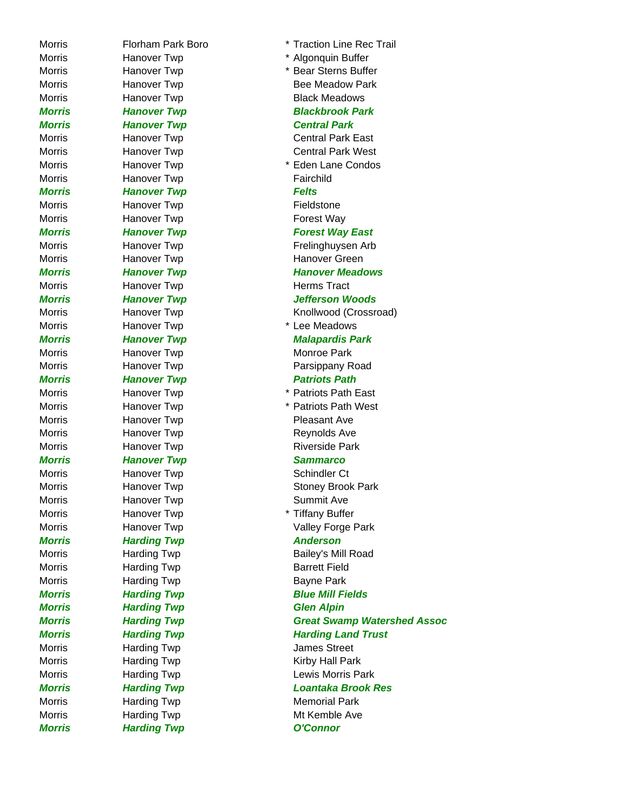Morris **Hanover Twp Fairchild** *Morris Hanover Twp Felts* Morris **Hanover Twp Fieldstone** Morris **Hanover Twp Forest Way** Morris **Hanover Twp** Herms Tract Morris **Hanover Twp** Monroe Park *Morris Hanover Twp Sammarco* Morris **Hanover Twp** Schindler Ct Morris **Hanover Twp** Summit Ave *Morris* **Harding Twp Anderson** Morris **Harding Twp Barrett Field** Morris **Harding Twp** Bayne Park *Morris Harding Twp Glen Alpin*

Morris Florham Park Boro \* Traction Line Rec Trail Morris **Hanover Twp \* Algonquin Buffer** Morris **Hanover Twp** \* Bear Sterns Buffer Morris **Hanover Twp** Bee Meadow Park Morris **Hanover Twp Black Meadows** *Morris Hanover Twp Blackbrook Park Morris Hanover Twp Central Park* Morris **Hanover Twp** Central Park East Morris **Hanover Twp** Central Park West Morris **Hanover Twp** \* Eden Lane Condos **Morris Hanover Twp Forest Way East** Morris **Hanover Twp Frelinghuysen Arb** Frelinghuysen Arb Morris **Hanover Twp Hanover Green Morris Hanover Twp Hanover Hanover Meadows** *Morris Hanover Twp Jefferson Woods* Morris **Hanover Twp Knollwood (Crossroad)** Morris **Hanover Twp** \* Lee Meadows *Morris Hanover Twp Malapardis Park* Morris **Hanover Twp Parsippany Road** *Morris Hanover Twp Patriots Path* Morris **Hanover Twp** \* Patriots Path East Morris **Hanover Twp \*** Patriots Path West Morris **Hanover Twp Pleasant Ave** Morris **Hanover Twp** Reynolds Ave Morris **Hanover Twp** Riverside Park Morris **Hanover Twp** Stoney Brook Park Morris **Hanover Twp** \* Tiffany Buffer Morris **Hanover Twp** Valley Forge Park Morris **Harding Twp** Bailey's Mill Road **Morris 6-12 Harding Twp Blue Mill Fields** *Morris Harding Twp Great Swamp Watershed Assoc* **Morris Farding Twp Farm Harding Land Trust** Morris **Harding Twp** James Street Morris **Harding Twp Kirby Hall Park** Morris **Harding Twp Lewis Morris Park** *Morris Harding Twp Loantaka Brook Res* Morris **Harding Twp** Memorial Park Morris **Harding Twp** Mt Kemble Ave *Morris Harding Twp O'Connor*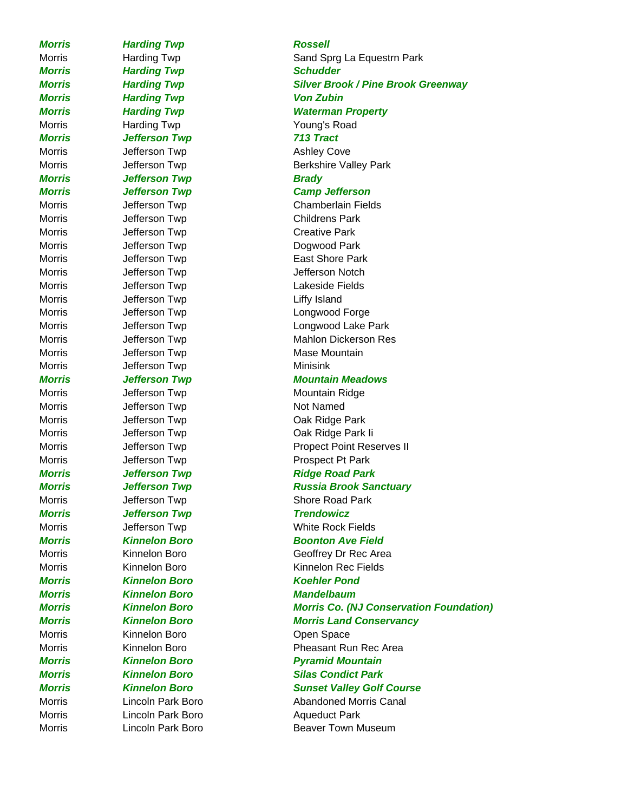*Morris Harding Twp Rossell* **Morris Farding Twp Schudder** *Morris Harding Twp Von Zubin* Morris **Harding Twp Young's Road** *Morris Jefferson Twp 713 Tract* Morris **Morris** Jefferson Twp **Ashley Cove** *Morris Jefferson Twp Brady* Morris **Internal University Childrens Park** Childrens Park Morris **Morris** Jefferson Twp **Creative Park** Morris Jefferson Twp Dogwood Park Morris **In the United States** Jefferson Twp **Liffy** Island Morris **Morris** Jefferson Twp **Minisink** Morris **Morris** Jefferson Twp **Not Named** *Morris Jefferson Twp Trendowicz Morris Kinnelon Boro Koehler Pond Morris Kinnelon Boro Mandelbaum* Morris Morris Kinnelon Boro **Communist Communist Communist Communist Communist Communist Communist Communist Communist Communist Communist Communist Communist Communist Communist Communist Communist Communist Communist Com** Morris **Lincoln Park Boro Aqueduct Park** 

# Morris **Harding Twp** Sand Sprg La Equestrn Park *Morris Harding Twp Silver Brook / Pine Brook Greenway Morris Harding Twp Waterman Property* Morris **Morris** Jefferson Twp **Berkshire Valley Park** *Morris Jefferson Twp Camp Jefferson* Morris Jefferson Twp Chamberlain Fields Morris **Internal Section Twp** East Shore Park Morris **Jefferson Twp** Jefferson Notch Morris Jefferson Twp Lakeside Fields Morris Jefferson Twp Longwood Forge Morris **Internal University Conducts** Longwood Lake Park Morris **Mahlon Dickerson Cupy** Mahlon Dickerson Res Morris **Morris** Jefferson Twp **Mase Mountain** *Morris Jefferson Twp Mountain Meadows* Morris **Mountain Ridge** Jefferson Twp **Mountain Ridge** Morris **Internal University Cak Ridge Park** Morris **Internal University Community** Cak Ridge Park li Morris **Morris** Jefferson Twp **Propect Point Reserves II** Morris **Morris** Jefferson Twp **Prospect Pt Park Morris 6-19 Jefferson Twp 19 Julie 2018** Ridge Road Park *Morris Jefferson Twp Russia Brook Sanctuary* Morris **Morris** Jefferson Twp **Shore Road Park** Morris **Morris** Jefferson Twp **White Rock Fields** *Morris Kinnelon Boro Boonton Ave Field* Morris Kinnelon Boro Geoffrey Dr Rec Area Morris Kinnelon Boro Kinnelon Rec Fields *Morris Kinnelon Boro Morris Co. (NJ Conservation Foundation) Morris Kinnelon Boro Morris Land Conservancy* Morris Kinnelon Boro Pheasant Run Rec Area *Morris Kinnelon Boro Pyramid Mountain Morris Kinnelon Boro Silas Condict Park Morris Kinnelon Boro Sunset Valley Golf Course* Morris **Communist Communist Canal Abandoned Morris Canal** Morris **Communist Club Lincoln Park Boro Beaver Town Museum**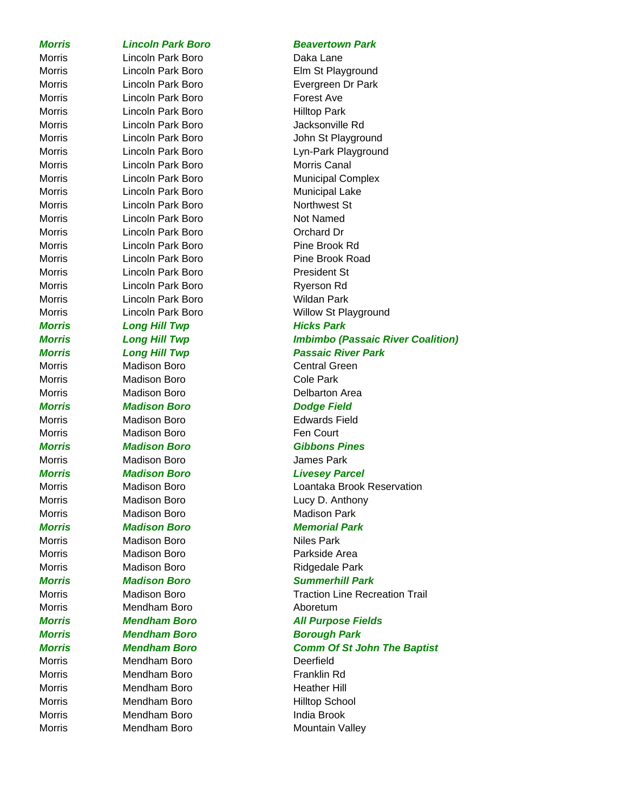# Morris **Lincoln Park Boro Daka Lane** Morris **Lincoln Park Boro Forest Ave** Morris **Lincoln Park Boro Hilltop Park** Morris **Lincoln Park Boro** Jacksonville Rd Morris **Lincoln Park Boro** Morris Canal Morris **Lincoln Park Boro** Municipal Lake Morris **Lincoln Park Boro Northwest St** Morris **Lincoln Park Boro** Not Named Morris **Lincoln Park Boro Contact Draw Orchard Dr** Morris **Lincoln Park Boro Pine Brook Rd** Morris Lincoln Park Boro Pine Brook Road Morris **Lincoln Park Boro President St** Morris **Lincoln Park Boro** Ryerson Rd Morris **Lincoln Park Boro** Wildan Park *Morris* Long Hill Twp **Hicks Park** Morris Madison Boro Central Green Morris Madison Boro **Cole Park** Morris **Madison Boro Delbarton Area** *Morris Madison Boro Dodge Field* Morris Madison Boro **Edwards Field** Morris Madison Boro **Fen Court** *Morris Madison Boro Gibbons Pines* Morris Madison Boro James Park *Morris Madison Boro Livesey Parcel* Morris Madison Boro **Lucy D. Anthony** Morris Madison Boro **Madison Park** *Morris Madison Boro Memorial Park* Morris Madison Boro Niles Park Morris Madison Boro **Parkside Area** Morris Madison Boro **Madison Boro Ridgedale Park** *Morris Madison Boro Summerhill Park* Morris Mendham Boro **Mendham Boro Aboretum** *Morris Mendham Boro Borough Park* Morris Mendham Boro Deerfield Morris Mendham Boro Franklin Rd Morris Mendham Boro **Heather Hill** Morris Mendham Boro **Hilltop School** Morris **Mendham Boro India Brook**

# *Morris Lincoln Park Boro Beavertown Park*

Morris **Lincoln Park Boro** Elm St Playground Morris **Lincoln Park Boro** Evergreen Dr Park Morris Lincoln Park Boro John St Playground Morris **Lincoln Park Boro** Lyn-Park Playground Morris **Lincoln Park Boro** Municipal Complex Morris **Lincoln Park Boro** Willow St Playground *Morris Long Hill Twp Imbimbo (Passaic River Coalition) Morris Long Hill Twp Passaic River Park* Morris Madison Boro Loantaka Brook Reservation Morris Madison Boro Traction Line Recreation Trail *Morris Mendham Boro All Purpose Fields Morris Mendham Boro Comm Of St John The Baptist* Morris Mendham Boro **Mountain Valley**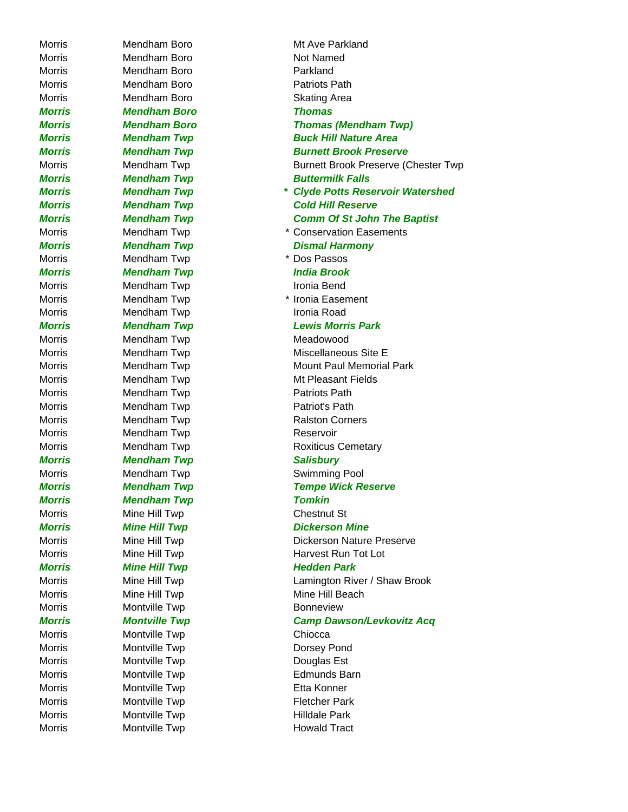Morris Mendham Boro Not Named Morris Mendham Boro Parkland Morris Mendham Boro **Patriots Path** Morris Mendham Boro Skating Area *Morris Mendham Boro Thomas* Morris Mendham Twp **\*** Dos Passos *Morris Mendham Twp India Brook* Morris Mendham Twp **Ironia Bend** Morris Mendham Twp **Ironia Road** Morris Mendham Twp Meadowood Morris Mendham Twp **Patriots Path** Morris Mendham Twp **Patriot's Path** Morris Mendham Twp **Reservoir** *Morris Mendham Twp Salisbury* Morris Mendham Twp **Swimming Pool** *Morris Mendham Twp Tomkin* Morris Mine Hill Twp Chestnut St **Morris Mine Hill Twp Hedden Park** Morris Mine Hill Twp Mine Mine Hill Beach Morris Montville Twp **Bonneview** Morris Montville Twp Chiocca Morris Montville Twp **Dorsey Pond** Morris Montville Twp **Douglas Est** Morris Montville Twp **Edmunds Barn** Morris Montville Twp **Etta Konner** Morris Montville Twp **Fletcher Park** Morris Montville Twp **Montville Twp** Hilldale Park

Morris Mendham Boro Mt Ave Parkland *Morris Mendham Boro Thomas (Mendham Twp) Morris Mendham Twp Buck Hill Nature Area* **Morris Mendham Twp Communist Burnett Brook Preserve** Morris **Mendham Twp** Burnett Brook Preserve (Chester Twp) *Morris* Mendham Twp **Buttermilk Falls** *Morris Mendham Twp \* Clyde Potts Reservoir Watershed Morris Mendham Twp Cold Hill Reserve Morris Mendham Twp Comm Of St John The Baptist* Morris Mendham Twp **\* Conservation Easements** *Morris* Mendham Twp **Dismal Harmony** Morris Mendham Twp **\*** Ironia Easement *Morris Mendham Twp Lewis Morris Park* Morris Mendham Twp Miscellaneous Site E Morris Mendham Twp Mount Paul Memorial Park Morris Mendham Twp Mentham Mendham Mendham Mentham Muslem Muslem Muslem Muslem Muslem Muslem Muslem Muslem Muslem Muslem Muslem Muslem Muslem Muslem Muslem Muslem Muslem Muslem Muslem Muslem Muslem Muslem Muslem Muslem Mus Morris Mendham Twp **Ralston Corners** Morris **Mendham Twp Roxiticus Cemetary** *Morris Mendham Twp Tempe Wick Reserve Morris Mine Hill Twp* **Dickerson Mine** Morris **Mine Hill Twp Dickerson Nature Preserve** Morris Mine Hill Twp Harvest Run Tot Lot Morris Mine Hill Twp Lamington River / Shaw Brook *Morris Montville Twp Camp Dawson/Levkovitz Acq* Morris Montville Twp **Howald Tract**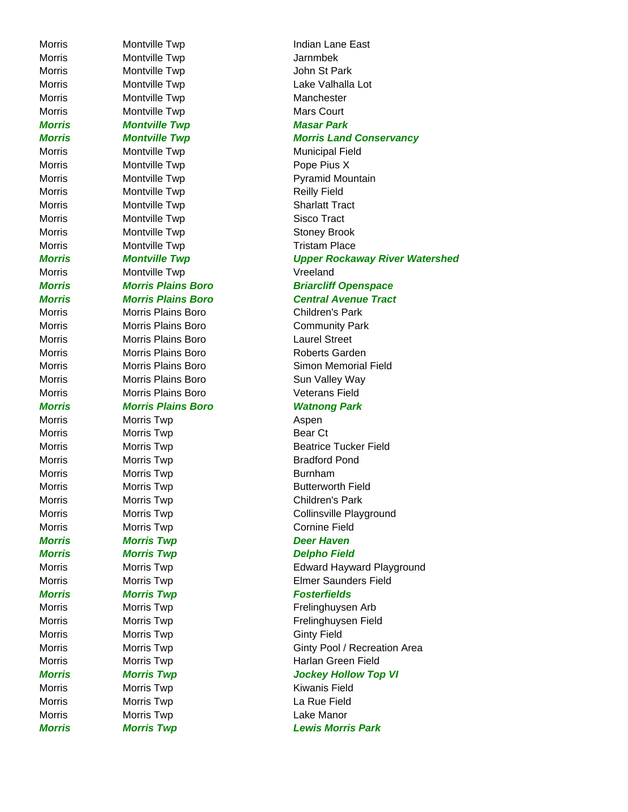Morris Montville Twp Jarnmbek Morris Montville Twp John St Park Morris Montville Twp Manchester Morris Montville Twp Mars Court *Morris Montville Twp Masar Park* Morris Montville Twp Municipal Field Morris Montville Twp **Pope Pius X** Morris Montville Twp **Reilly Field** Morris Montville Twp **Sharlatt Tract** Morris Montville Twp Sisco Tract Morris Montville Twp Stoney Brook Morris Montville Twp Tristam Place Morris Montville Twp **Vreeland** Morris Morris Plains Boro Children's Park Morris Morris Plains Boro Laurel Street Morris Morris Plains Boro Veterans Field *Morris Morris Plains Boro Watnong Park* Morris Morris Twp **Aspen** Morris Morris Twp **Bear Ct** Morris Morris Twp **Bradford Pond** Morris Morris Twp **Burnham** Morris Morris Twp **Children's Park** Morris Morris Twp **Cornine Field** *Morris Morris Twp Deer Haven Morris Morris Twp Delpho Field Morris Morris Twp Fosterfields* Morris Morris Twp **Ginty Field** Morris Morris Twp **Kiwanis Field** Morris Morris Twp **La Rue Field** Morris Morris Twp **Lake Manor** 

Morris Montville Twp **Indian Lane East** Morris Montville Twp **Lake Valhalla** Lot *Morris Montville Twp Morris Land Conservancy* Morris **Montville Twp Pyramid Mountain** *Morris Montville Twp Upper Rockaway River Watershed Morris Morris Plains Boro Briarcliff Openspace Morris Morris Plains Boro Central Avenue Tract* Morris Morris Plains Boro **Community Park** Morris Morris Plains Boro Roberts Garden Morris Morris Plains Boro Simon Memorial Field Morris Morris Plains Boro **Sun Valley Way** Morris Morris Twp **Beatrice Tucker Field** Morris Morris Twp **Morris Two Communist Communist Communist** Butterworth Field Morris Morris Twp **Collinsville Playground** Morris Morris Twp **Edward Hayward Playground** Morris Morris Twp **Elmer Saunders Field** Morris Morris Twp **Morris Twing Communist Communist Communist Communist Communist Communist Communist Communist Communist Communist Communist Communist Communist Communist Communist Communist Communist Communist Communist** Morris Morris Twp **Frelinghuysen Field** Morris Morris Twp Ginty Pool / Recreation Area Morris Morris Twp **Harlan Green Field** *Morris Morris Twp Jockey Hollow Top VI Morris Morris Twp Lewis Morris Park*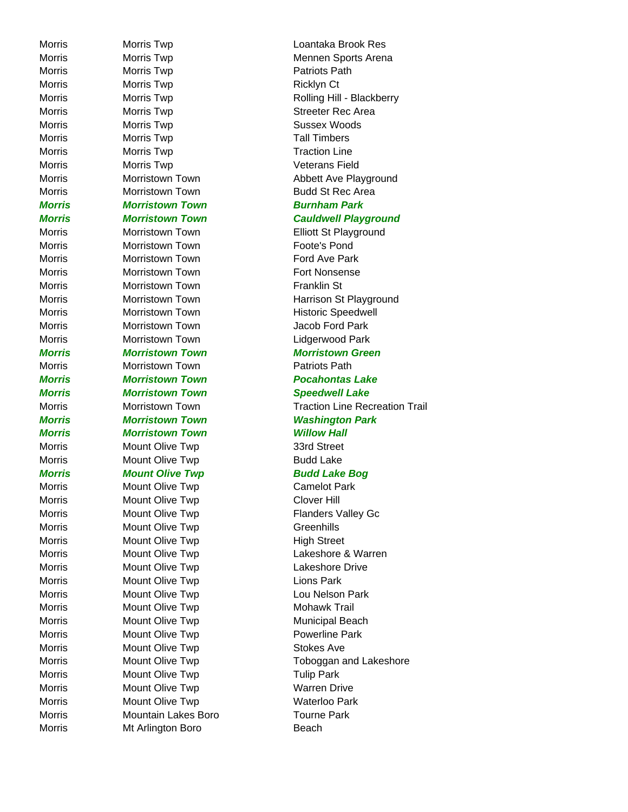Morris Mt Arlington Boro **Beach** 

Morris Morris Twp **Patriots Path** Morris Morris Twp **Morris Twing Communism Ricklyn Ct** Morris Morris Twp **Streeter Rec Area** Morris Morris Twp **Sussex Woods** Morris Morris Twp **Tall Timbers** Morris Morris Twp Traction Line Morris Morris Twp **Veterans Field** Morris Morristown Town **Budd St Rec Area** *Morris Morristown Town Burnham Park* Morris Morristown Town **Elliott St Playground** Morris Morristown Town **Foote's Pond** Morris Morristown Town **Ford Ave Park** Morris Morristown Town **Fort Nonsense** Morris Morristown Town **Franklin St** Morris Morristown Town Morristown Historic Speedwell Morris Morristown Town **Morristown Morristown** Morristown **Jacob** Ford Park Morris Morristown Town Lidgerwood Park *Morris Morristown Town Morristown Green* Morris Morristown Town **Patriots Path** *Morris Morristown Town Pocahontas Lake Morris Morristown Town Speedwell Lake Morris Morristown Town Washington Park Morris Morristown Town Willow Hall* Morris Mount Olive Twp 33rd Street Morris Mount Olive Twp **Budd Lake** *Morris* Mount Olive Twp **Budd Lake Bog** Morris Mount Olive Twp Camelot Park Morris Mount Olive Twp Clover Hill Morris Mount Olive Twp Flanders Valley Gc Morris Mount Olive Twp Greenhills Morris Mount Olive Twp Morris High Street Morris Mount Olive Twp **Lakeshore Drive** Morris Mount Olive Twp **Lions Park** Morris Mount Olive Twp **Lou Nelson Park** Morris Mount Olive Twp Mohawk Trail Morris Mount Olive Twp Municipal Beach Morris Mount Olive Twp **Powerline Park** Morris Mount Olive Twp **Stokes Ave** Morris Mount Olive Twp Tulip Park Morris Mount Olive Twp Morris Warren Drive Morris Mount Olive Twp Morris Waterloo Park Morris Mountain Lakes Boro Tourne Park

Morris Morris Twp Loantaka Brook Res Morris Morris Twp **Morris Twing Communism Mennen Sports Arena** Morris Morris Twp **Morris Twp** Rolling Hill - Blackberry Morris Morristown Town **Abbett Ave Playground** *Morris Morristown Town Cauldwell Playground* Morris Morristown Town Morristown Harrison St Playground Morris **Morristown Town Traction Line Recreation Trail** Morris Mount Olive Twp **Lakeshore & Warren** Morris Mount Olive Twp Toboggan and Lakeshore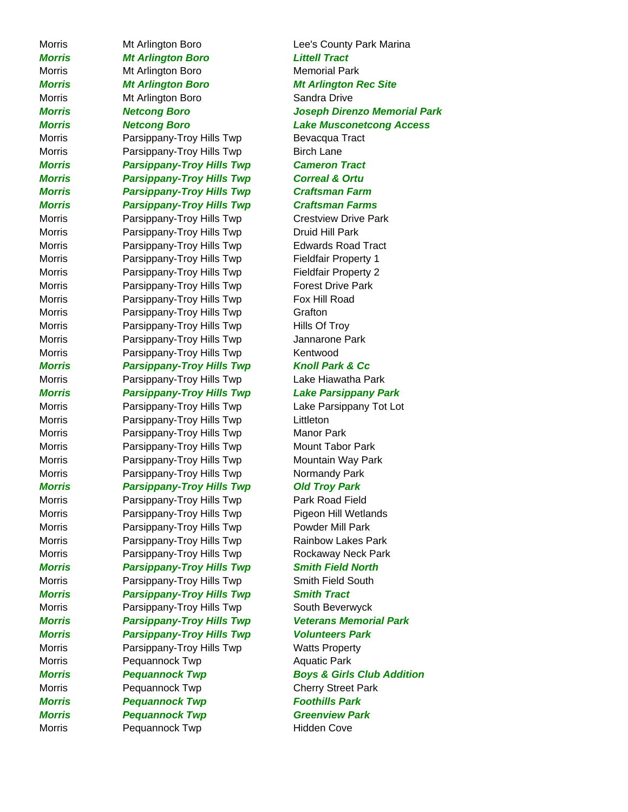Morris **MIT Arlington Boro Lee's County Park Marina** *Morris Mt Arlington Boro Littell Tract* Morris Mt Arlington Boro Memorial Park *Morris Mt Arlington Boro Mt Arlington Rec Site* Morris Mt Arlington Boro **Sandra Drive** Morris **Parsippany-Troy Hills Twp** Bevacqua Tract Morris **Parsippany-Troy Hills Twp** Birch Lane *Morris Parsippany-Troy Hills Twp Cameron Tract Morris Parsippany-Troy Hills Twp Correal & Ortu Morris Parsippany-Troy Hills Twp Craftsman Farm Morris Parsippany-Troy Hills Twp Craftsman Farms* Morris **Parsippany-Troy Hills Twp** Crestview Drive Park Morris **Parsippany-Troy Hills Twp** Druid Hill Park Morris Parsippany-Troy Hills Twp Edwards Road Tract Morris **Parsippany-Troy Hills Twp** Fieldfair Property 1 Morris **Parsippany-Troy Hills Twp** Fieldfair Property 2 Morris **Parsippany-Troy Hills Twp** Forest Drive Park Morris **Parsippany-Troy Hills Twp** Fox Hill Road Morris **Parsippany-Troy Hills Twp** Grafton Morris **Parsippany-Troy Hills Twp** Hills Of Troy Morris **Parsippany-Troy Hills Twp** Jannarone Park Morris **Parsippany-Troy Hills Twp** Kentwood *Morris Parsippany-Troy Hills Twp Knoll Park & Cc* Morris Parsippany-Troy Hills Twp Lake Hiawatha Park *Morris Parsippany-Troy Hills Twp Lake Parsippany Park* Morris **Parsippany-Troy Hills Twp** Lake Parsippany Tot Lot Morris **Parsippany-Troy Hills Twp** Littleton Morris Parsippany-Troy Hills Twp Manor Park Morris **Parsippany-Troy Hills Twp** Mount Tabor Park Morris Parsippany-Troy Hills Twp Mountain Way Park Morris **Parsippany-Troy Hills Twp** Normandy Park *Morris Parsippany-Troy Hills Twp Old Troy Park* Morris **Parsippany-Troy Hills Twp** Park Road Field Morris **Parsippany-Troy Hills Twp** Pigeon Hill Wetlands Morris Parsippany-Troy Hills Twp Powder Mill Park Morris **Parsippany-Troy Hills Twp** Rainbow Lakes Park Morris Parsippany-Troy Hills Twp Rockaway Neck Park *Morris Parsippany-Troy Hills Twp Smith Field North* Morris **Parsippany-Troy Hills Twp** Smith Field South *Morris Parsippany-Troy Hills Twp Smith Tract* Morris **Parsippany-Troy Hills Twp** South Beverwyck *Morris Parsippany-Troy Hills Twp Veterans Memorial Park Morris Parsippany-Troy Hills Twp Volunteers Park* Morris **Parsippany-Troy Hills Twp** Watts Property Morris Pequannock Twp **Aquatic Park** Morris **Pequannock Twp** Cherry Street Park *Morris Pequannock Twp Foothills Park Morris Pequannock Twp Greenview Park* Morris Pequannock Twp Fidden Cove

*Morris Netcong Boro Joseph Direnzo Memorial Park Morris Netcong Boro Lake Musconetcong Access Morris Pequannock Twp Boys & Girls Club Addition*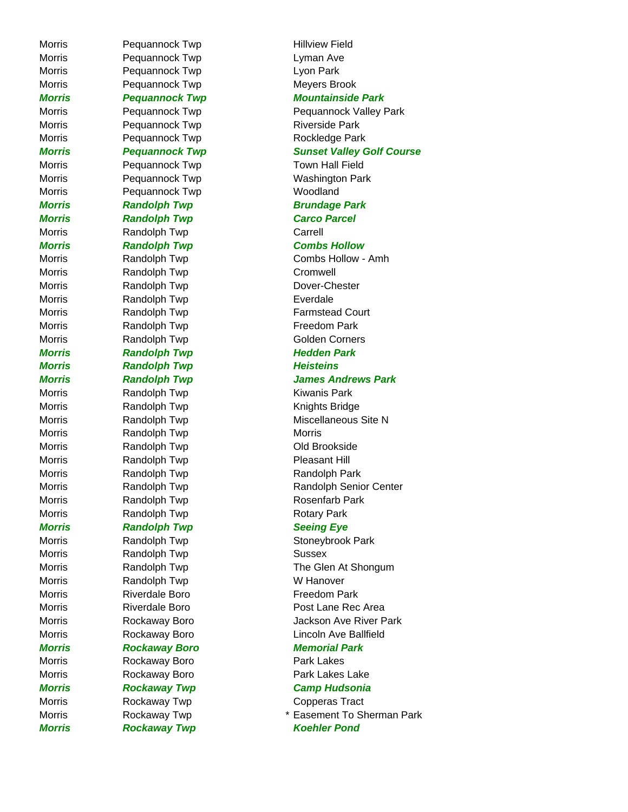Morris **Pequannock Twp Hillview Field** Morris **Pequannock Twp Lyman Ave** Morris **Pequannock Twp Lyon Park** Morris Pequannock Twp Meyers Brook Morris Pequannock Twp Riverside Park Morris Pequannock Twp Rockledge Park Morris Pequannock Twp Town Hall Field Morris Pequannock Twp Woodland *Morris* Randolph Twp **Brundage Park** *Morris Randolph Twp Carco Parcel* Morris **Randolph Twp** Carrell *Morris Randolph Twp Combs Hollow* Morris **Randolph Twp** Cromwell Morris Randolph Twp Dover-Chester Morris **Randolph Twp Everdale** Morris **Randolph Twp Freedom Park** Morris Randolph Twp Golden Corners *Morris Randolph Twp Hedden Park* **Morris Chandolph Twp Morris Administration Randolph Twp** Meisteins Morris **Randolph Twp Kiwanis Park** Morris **Randolph Twp Knights Bridge** Morris **Randolph Twp** Morris Morris Morris Randolph Twp Cold Brookside Morris **Randolph Twp Pleasant Hill** Morris Randolph Twp Randolph Park Morris Randolph Twp Rosenfarb Park Morris Randolph Twp Rotary Park *Morris* Randolph Twp **Seeing Eye** Morris **Randolph Twp** Sussex Morris **Randolph Twp W Hanover** Morris Riverdale Boro **Freedom Park** *Morris Rockaway Boro Memorial Park* Morris **Rockaway Boro Park Lakes** Morris **Rockaway Boro Park Lakes Lake** Morris **Rockaway Twp** Copperas Tract

*Morris Pequannock Twp Mountainside Park* Morris Pequannock Twp Pequannock Pequannock Valley Park **Morris Fequannock Twp Sunset Valley Golf Course** Morris **Pequannock Twp** Washington Park Morris **Randolph Twp** Combs Hollow - Amh Morris Randolph Twp Farmstead Court *Morris Randolph Twp James Andrews Park* Morris Randolph Twp Miscellaneous Site N Morris **Randolph Twp** Randolph Senior Center Morris **Randolph Twp** Stoneybrook Park Morris **Randolph Twp** The Glen At Shongum Morris **Riverdale Boro Post Lane Rec Area** Morris Rockaway Boro Jackson Ave River Park Morris Rockaway Boro **Lincoln Ave Ballfield** *Morris Rockaway Twp Camp Hudsonia* Morris **Rockaway Twp Easement To Sherman Park** *Morris Rockaway Twp Koehler Pond*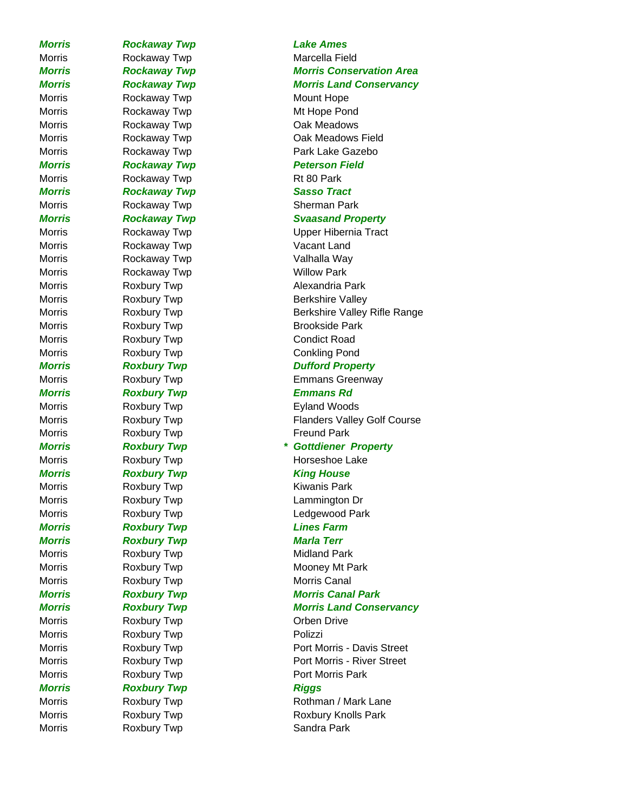*Morris Rockaway Twp Lake Ames* Morris Rockaway Twp Mount Hope Morris Rockaway Twp Rt 80 Park **Morris 6-12 Rockaway Twp 5-12-12 Rockaway Twp** Morris **Rockaway Twp Vacant Land** Morris Rockaway Twp **Valhalla Way** Morris **Rockaway Twp Willow Park** Morris Roxbury Twp **Condict Road** *Morris Roxbury Twp Emmans Rd* Morris **Roxbury Twp Freund Park Morris Moxbury Twp Morris Accompany Roxbury Twp** Morris Ring House Morris **Roxbury Twp Kiwanis Park** *Morris Roxbury Twp Lines Farm Morris Roxbury Twp Marla Terr* Morris **Roxbury Twp Midland Park** Morris **Roxbury Twp Morris Canal** Morris **Roxbury Twp Crben Drive** Morris **Roxbury Twp Polizzi** *Morris* Roxbury Twp **Riggs** 

# Morris **Rockaway Twp** Marcella Field *Morris Rockaway Twp Morris Conservation Area Morris Rockaway Twp Morris Land Conservancy* Morris Rockaway Twp **Mt Hope Pond** Morris **Rockaway Twp Cak Meadows** Morris Rockaway Twp Cak Meadows Field Morris Rockaway Twp **Park Lake Gazebo** *Morris Rockaway Twp Peterson Field* Morris **Rockaway Twp Sherman Park** *Morris* Rockaway Twp **Syaasand Property** Morris Rockaway Twp **North Channel Accompany** Upper Hibernia Tract Morris **Roxbury Twp Alexandria Park** Morris **Roxbury Twp** Roxbury Rexone Roxbury Russell Reflexible Reflexible Valley Morris **Roxbury Twp** Berkshire Valley Rifle Range Morris **Roxbury Twp** Roxbury Roxbury Research Research Research Research Research Research Research Research Research Research Research Research Research Research Research Research Research Research Research Research Resea Morris **Roxbury Twp Conkling Pond Morris Roxbury Twp Community Property** Morris **Roxbury Twp Emmans Greenway** Morris **Roxbury Twp Eyland Woods** Morris **Roxbury Twp Flanders Valley Golf Course** *Morris Roxbury Twp \* Gottdiener Property* Morris **Roxbury Twp Horseshoe Lake** Morris **Roxbury Twp Lammington Dr** Morris Roxbury Twp **Communist Communist Roxbury Twp** Ledgewood Park Morris **Roxbury Twp Mooney Mt Park** *Morris Roxbury Twp Morris Canal Park Morris Roxbury Twp Morris Land Conservancy* Morris **Roxbury Twp Port Morris - Davis Street** Morris **Roxbury Twp Port Morris - River Street** Morris **Roxbury Twp Port Morris Park** Morris **Roxbury Twp** Rothman / Mark Lane Morris **Roxbury Twp** Roxbury Roxbury Roxbury Knolls Park Morris **Roxbury Twp CONFIGUARY CONTROLLY** Sandra Park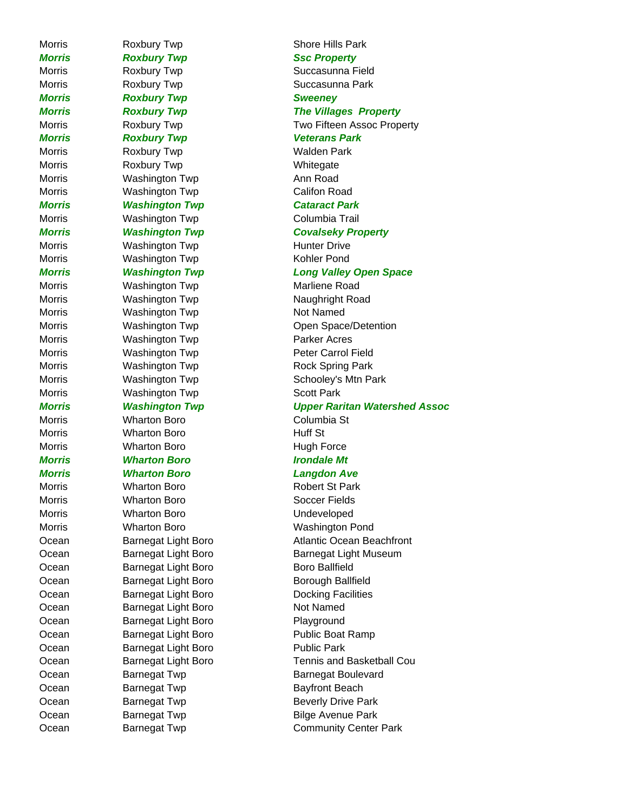*Morris* Roxbury Twp **SSC Property** Morris **Roxbury Twp CONFIGUATE:** Succasunna Field Morris Roxbury Twp **Succasunna Park** *Morris Roxbury Twp Sweeney Morris Roxbury Twp Veterans Park* Morris **Roxbury Twp Walden Park** Morris **Roxbury Twp Whitegate** Morris **Mashington Twp** Morris Ann Road Morris **Washington Twp** Califon Road *Morris Washington Twp Cataract Park* Morris **Washington Twp** Columbia Trail Morris **Mashington Twp** Hunter Drive Morris Washington Twp **Kohler Pond** Morris **Marliene Road** Washington Twp **Marliene Road** Morris **Washington Twp Naughright Road** Morris Washington Twp Not Named Morris **Washington Twp Parker Acres** Morris **Washington Twp Peter Carrol Field** Morris **Washington Twp** Rock Spring Park Morris **Washington Twp** Scott Park Morris **Morris** Wharton Boro **Columbia St** Morris **Morris** Wharton Boro **Morris** Huff St Morris **Morris** Wharton Boro **Martion** Boro **Hugh Force** *Morris Wharton Boro Irondale Mt Morris Wharton Boro Langdon Ave* Morris **Morris** Wharton Boro **Robert St Park** Morris **Montage Microsoft Morris Montage Microsoft Soccer Fields** Morris **Morris** Wharton Boro **No. 2018** Undeveloped Morris Wharton Boro Washington Pond Ocean Barnegat Light Boro **Ballfield** Boro Ballfield Ocean Barnegat Light Boro Borough Ballfield Ocean Barnegat Light Boro Docking Facilities Ocean Barnegat Light Boro Not Named Ocean Barnegat Light Boro Playground Ocean Barnegat Light Boro Public Boat Ramp Ocean Barnegat Light Boro Public Park Ocean Barnegat Twp Bayfront Beach Ocean Barnegat Twp Beverly Drive Park Ocean Barnegat Twp Bilge Avenue Park

Morris **Roxbury Twp Roxbury Twp** Shore Hills Park *Morris Roxbury Twp The Villages Property* Morris **Roxbury Twp Two Fifteen Assoc Property** *Morris Washington Twp Covalseky Property Morris Washington Twp Long Valley Open Space* Morris **Mashington Twp** Open Space/Detention Morris **Mashington Twp** Schooley's Mtn Park *Morris Washington Twp Upper Raritan Watershed Assoc* Ocean Barnegat Light Boro **Atlantic Ocean Beachfront** Ocean Barnegat Light Boro Barnegat Light Museum Ocean Barnegat Light Boro Tennis and Basketball Cou Ocean Barnegat Twp Barnegat Boulevard Ocean Barnegat Twp Community Center Park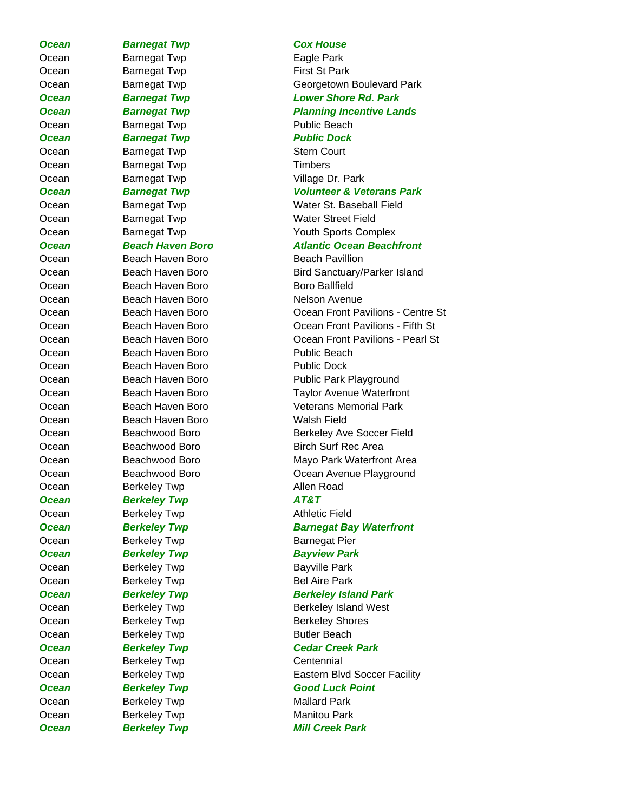**Ocean Barnegat Twp Cox House** Ocean Barnegat Twp **Eagle Park** Ocean Barnegat Twp **First St Park** Ocean Barnegat Twp **Public Beach Ocean** Barnegat Twp **Public Dock** Ocean Barnegat Twp Stern Court Ocean Barnegat Twp **Timbers** Ocean Barnegat Twp **Village Dr. Park** *Ocean Barnegat Twp Volunteer & Veterans Park* Ocean Beach Haven Boro Beach Pavillion Ocean Beach Haven Boro **Boro Boro Ballfield** Ocean Beach Haven Boro Nelson Avenue Ocean Beach Haven Boro Public Beach Ocean Beach Haven Boro **Public Dock** Ocean Beach Haven Boro Walsh Field Ocean Berkeley Twp **Allen Road** *Ocean Berkeley Twp AT&T* Ocean Berkeley Twp **Athletic Field** Ocean Berkeley Twp Barnegat Pier **Ocean Berkeley Twp Bayview Park** Ocean Berkeley Twp Bayville Park Ocean Berkeley Twp Bel Aire Park Ocean Berkeley Twp Butler Beach Ocean Berkeley Twp Centennial Ocean Berkeley Twp **Mallard Park** Ocean Berkeley Twp **Manitou Park** 

Ocean Barnegat Twp Georgetown Boulevard Park *Ocean Barnegat Twp Lower Shore Rd. Park Ocean Barnegat Twp Planning Incentive Lands*

Ocean Barnegat Twp Water St. Baseball Field Ocean Barnegat Twp Water Street Field Ocean Barnegat Twp Youth Sports Complex

# *Ocean Beach Haven Boro Atlantic Ocean Beachfront*

Ocean Beach Haven Boro Bird Sanctuary/Parker Island Ocean Beach Haven Boro Ocean Front Pavilions - Centre St Ocean Beach Haven Boro Ocean Front Pavilions - Fifth St Ocean Beach Haven Boro Ocean Front Pavilions - Pearl St Ocean Beach Haven Boro **Public Park Playground** Ocean Beach Haven Boro Taylor Avenue Waterfront Ocean Beach Haven Boro Veterans Memorial Park Ocean Beachwood Boro Berkeley Ave Soccer Field Ocean Beachwood Boro Birch Surf Rec Area Ocean Beachwood Boro Mayo Park Waterfront Area Ocean Beachwood Boro **Communist Communist Coean Avenue Playground Ocean** Berkeley Twp **Barnegat Bay Waterfront Ocean** Berkeley Twp Berkeley Berkeley Island Park Ocean Berkeley Twp Berkeley Berkeley Island West Ocean Berkeley Twp Berkeley Shores *Ocean Berkeley Twp Cedar Creek Park* Ocean Berkeley Twp **Eastern Blvd Soccer Facility Ocean Berkeley Twp Good Luck Point** 

**Ocean Berkeley Twp Berkeley Full Creek Park**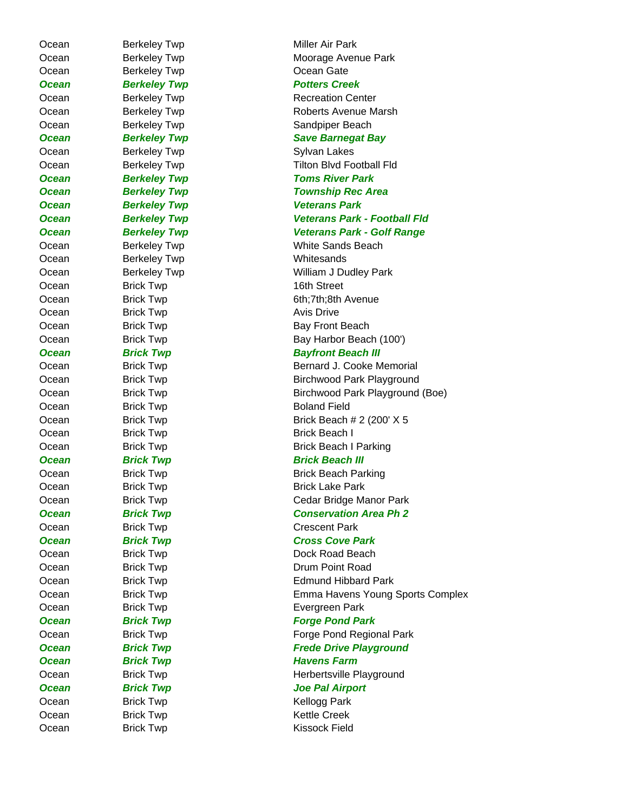Ocean Berkeley Twp **Whitesands** Ocean Brick Twp 16th Street Ocean Brick Twp **Brick Twp** Avis Drive

Ocean Berkeley Twp **Miller Air Park** Ocean Berkeley Twp **Moorage Avenue Park** Ocean Berkeley Twp **COCEAN COCEAN BERKELEY TWP Ocean Berkeley Twp Berkeley Follow Potters Creek** Ocean Berkeley Twp Recreation Center Ocean Berkeley Twp **Roberts Avenue Marsh** Ocean Berkeley Twp **Sandpiper Beach Ocean** Berkeley Twp **Save Barnegat Bay** Ocean Berkeley Twp **Sylvan Lakes** Ocean Berkeley Twp Tilton Blvd Football Fld *Ocean Berkeley Twp Toms River Park Ocean Berkeley Twp Township Rec Area Ocean Berkeley Twp Veterans Park Ocean Berkeley Twp Veterans Park - Football Fld Ocean Berkeley Twp Veterans Park - Golf Range* Ocean Berkeley Twp White Sands Beach Ocean Berkeley Twp **William J Dudley Park** Ocean Brick Twp 6th;7th;8th Avenue Ocean Brick Twp Bay Front Beach Ocean Brick Twp Bay Harbor Beach (100') **Ocean Brick Twp Bayfront Beach III** Ocean Brick Twp Bernard J. Cooke Memorial Ocean Brick Twp Birchwood Park Playground Ocean Brick Twp Brichwood Park Playground (Boe) Ocean Brick Twp Boland Field Ocean Brick Twp Brick Beach # 2 (200' X 5 Ocean Brick Twp Brick Beach I Ocean Brick Twp Brick Beach I Parking **Ocean Brick Twp Brick Beach III** Ocean Brick Twp Brick Beach Parking Ocean Brick Twp Brick Lake Park Ocean Brick Twp **Cedar Bridge Manor Park** *Ocean Brick Twp Conservation Area Ph 2* Ocean Brick Twp **Crescent Park** *Ocean Brick Twp Cross Cove Park* Ocean Brick Twp Brick Twp Dock Road Beach Ocean Brick Twp **Drum Point Road** Ocean Brick Twp **Edmund Hibbard Park** Ocean Brick Twp Emma Havens Young Sports Complex Ocean Brick Twp **Evergreen Park Ocean Brick Twp Brick Twp Forge Pond Park** Ocean Brick Twp **Forge Pond Regional Park Ocean Brick Twp Brick Twp Frede Drive Playground Ocean Brick Twp British British British British British British British British British British British British** Ocean Brick Twp Brick Twp Brick Twp Britannia Britannia Herbertsville Playground *Ocean Brick Twp Joe Pal Airport* Ocean Brick Twp Brick Twp Kellogg Park Ocean Brick Twp Brick Twp Rettle Creek Ocean Brick Twp **Kissock Field**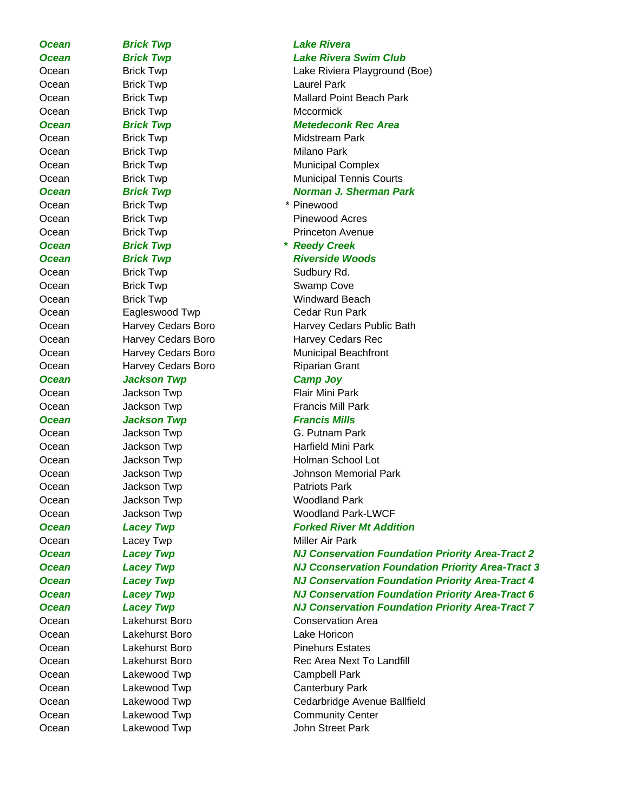*Ocean Brick Twp Lake Rivera* Ocean Brick Twp **Laurel Park** Ocean Brick Twp **Mccormick** Ocean Brick Twp Brick Twp Midstream Park Ocean Brick Twp **Brick Twp** Milano Park *Ocean Brick Twp Norman J. Sherman Park* Ocean Brick Twp **\*** Pinewood Ocean Brick Twp **Pinewood Acres** *Ocean Brick Twp \* Reedy Creek* Ocean Brick Twp Brick Twp Sudbury Rd. Ocean Brick Twp British Swamp Cove Ocean Eagleswood Twp Cedar Run Park Ocean Harvey Cedars Boro Riparian Grant **Ocean** Jackson Twp **Camp Joy** Ocean Jackson Twp Jackson Twp Flair Mini Park Ocean Jackson Twp **Francis Mill Park Ocean** Jackson Twp **Francis Mills** Ocean Jackson Twp G. Putnam Park Ocean Jackson Twp Jackson Twp Patriots Park Ocean Jackson Twp Jackson Twing Woodland Park Ocean Lacey Twp **Miller Air Park** Ocean Cakehurst Boro Conservation Area Ocean Lakehurst Boro Lake Horicon Ocean Lakehurst Boro Pinehurs Estates Ocean Lakewood Twp Campbell Park Ocean Lakewood Twp Canterbury Park

### *Ocean Brick Twp Lake Rivera Swim Club*

Ocean Brick Twp Lake Riviera Playground (Boe) Ocean Brick Twp **Mallard Point Beach Park** 

# **Ocean** Brick Twp **Brick Twp** Metedeconk Rec Area

Ocean Brick Twp **Municipal Complex** Ocean Brick Twp **Municipal Tennis Courts** 

Ocean Brick Twp **Princeton Avenue** 

**Ocean Brick Twp British Riverside Woods** Ocean Brick Twp Brick Twp Windward Beach Ocean **Harvey Cedars Boro Harvey Cedars Public Bath** Ocean Harvey Cedars Boro Harvey Cedars Rec Ocean **Harvey Cedars Boro** Municipal Beachfront

Ocean Jackson Twp Jackson Twp Harfield Mini Park Ocean Jackson Twp **Holman School Lot** Ocean Jackson Twp Johnson Memorial Park Ocean Jackson Twp Woodland Park-LWCF

# *Ocean* Lacey Twp **Example 20 Lacey Twp Forked River Mt Addition**

*Ocean Lacey Twp NJ Conservation Foundation Priority Area-Tract 2*

*Ocean Lacey Twp NJ Cconservation Foundation Priority Area-Tract 3* **Ocean Lacey Twp Conservation Foundation Priority Area-Tract 4** *Ocean Lacey Twp NJ Conservation Foundation Priority Area-Tract 6*

# *Ocean Lacey Twp NJ Conservation Foundation Priority Area-Tract 7*

Ocean Cakehurst Boro Channel Rec Area Next To Landfill Ocean Lakewood Twp Cedarbridge Avenue Ballfield Ocean Lakewood Twp Community Center Ocean Lakewood Twp John Street Park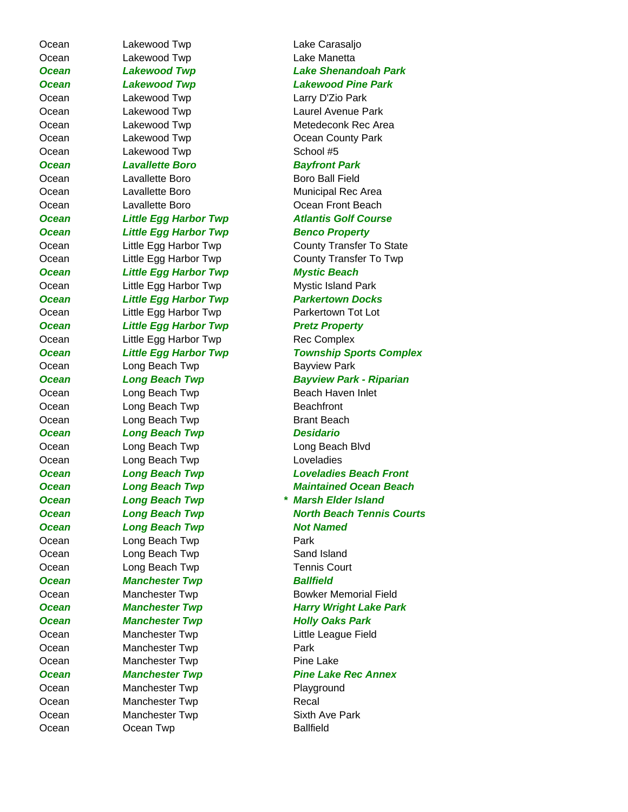Ocean Lakewood Twp Lake Carasaljo Ocean Lakewood Twp Lake Manetta Ocean Lakewood Twp Larry D'Zio Park Ocean Lakewood Twp School #5 *Ocean Lavallette Boro Bayfront Park* Ocean Cavallette Boro Communisty Boro Ball Field **Ocean** Little Egg Harbor Twp Benco Property *Ocean Little Egg Harbor Twp Mystic Beach* Ocean Little Egg Harbor Twp Mystic Island Park Ocean Little Egg Harbor Twp Parkertown Tot Lot *Ocean Little Egg Harbor Twp Pretz Property* Ocean Little Egg Harbor Twp Rec Complex Ocean Long Beach Twp **Bayview Park** Ocean Long Beach Twp Beach Haven Inlet Ocean Long Beach Twp Beachfront Ocean Long Beach Twp Brant Beach *Ocean Long Beach Twp Desidario* Ocean Long Beach Twp Long Beach Blvd Ocean Long Beach Twp Loveladies **Ocean** Long Beach Twp **Not Named** Ocean Long Beach Twp **Park** Ocean Long Beach Twp Sand Island Ocean Long Beach Twp Tennis Court **Ocean Manchester Twp Ballfield Ocean Manchester Twp Holly Oaks Park** Ocean Manchester Twp Little League Field Ocean Manchester Twp **Park** Ocean Manchester Twp **Pine Lake** Ocean Manchester Twp **Playground** Ocean Manchester Twp Recal Ocean Manchester Twp Sixth Ave Park

*Ocean Lakewood Twp Lake Shenandoah Park Ocean Lakewood Twp Lakewood Pine Park*  Ocean Lakewood Twp Laurel Avenue Park Ocean Lakewood Twp Metedeconk Rec Area Ocean Lakewood Twp Ocean County Park Ocean Lavallette Boro Municipal Rec Area Ocean Lavallette Boro Ocean Front Beach *Ocean Little Egg Harbor Twp Atlantis Golf Course* Ocean Little Egg Harbor Twp County Transfer To State Ocean Little Egg Harbor Twp County Transfer To Twp **Ocean** Little Egg Harbor Twp **Parkertown Docks** *Ocean Little Egg Harbor Twp Township Sports Complex Ocean Long Beach Twp Bayview Park - Riparian Ocean Long Beach Twp Loveladies Beach Front Ocean Long Beach Twp Maintained Ocean Beach Ocean Long Beach Twp \* Marsh Elder Island Ocean Long Beach Twp North Beach Tennis Courts* Ocean Manchester Twp Bowker Memorial Field **Ocean Manchester Twp Harry Wright Lake Park** *Ocean Manchester Twp Pine Lake Rec Annex* Ocean Coean Twp Ballfield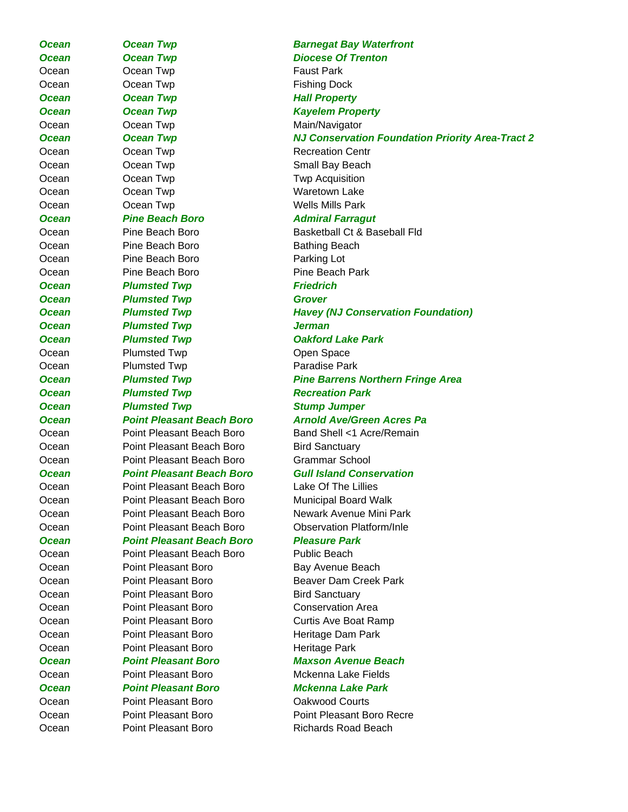Ocean **Ocean Twp Contact Park COCEAN COCEAN COCEAN COCEAN COCEAN COCEAN COCEAN COCEAN COCEAN COCEAN COCEAN COCEAN COCEAN COCEAN COCEAN COCEAN COCEAN COCEAN COCEAN COCEAN COCEAN COCEAN COCEAN COCEAN COCEAN COCEAN COCEAN** Ocean Cocean Twp **Fishing Dock Ocean Corean Twp Corean Twp Hall Property Ocean Cocean Twp Cocean Avecus** Kayelem Property Ocean Corean Twp Main/Navigator Ocean Cocean Twp Recreation Centr Ocean **Ocean Twp Contact Small Bay Beach** Ocean Corean Twp **Two Acquisition** Ocean Corean Twp **Waretown Lake** Ocean Ocean Twp Wells Mills Park **Ocean** Pine Beach Boro **Admiral Farragut** Ocean Pine Beach Boro Bathing Beach Ocean Pine Beach Boro Parking Lot Ocean Pine Beach Boro Pine Beach Park **Ocean Plumsted Twp Friedrich Ocean Plumsted Twp Grover** *Ocean Plumsted Twp Jerman* **Ocean** Plumsted Twp **Oakford Lake Park** Ocean Plumsted Twp **Open Space** Ocean Plumsted Twp **Paradise Park Ocean Plumsted Twp Recreation Park Ocean** Plumsted Twp **COVID Stump Jumper** Ocean **Point Pleasant Beach Boro** Bird Sanctuary Ocean Point Pleasant Beach Boro Grammar School Ocean Point Pleasant Beach Boro Lake Of The Lillies *Ocean Point Pleasant Beach Boro Pleasure Park* Ocean **Point Pleasant Beach Boro** Public Beach Ocean **Point Pleasant Boro** Bay Avenue Beach Ocean **Point Pleasant Boro Bird Sanctuary** Ocean **Point Pleasant Boro Conservation Area** Ocean Point Pleasant Boro **Heritage Dam Park** Ocean Point Pleasant Boro **Heritage Park** Ocean Point Pleasant Boro Oakwood Courts

**Ocean Corresponding Community Corresponding Corresponding Corresponding Corresponding Corresponding Corresponding Corresponding Corresponding Corresponding Corresponding Corresponding Corresponding Corresponding Correspon Ocean Corean Twp Diocese Of Trenton** *Ocean Ocean Twp NJ Conservation Foundation Priority Area-Tract 2* Ocean Pine Beach Boro Basketball Ct & Baseball Fld *Ocean Plumsted Twp Havey (NJ Conservation Foundation) Ocean Plumsted Twp Pine Barrens Northern Fringe Area Ocean Point Pleasant Beach Boro Arnold Ave/Green Acres Pa* Ocean Point Pleasant Beach Boro Band Shell <1 Acre/Remain *Ocean Point Pleasant Beach Boro Gull Island Conservation* Ocean Point Pleasant Beach Boro Municipal Board Walk Ocean Point Pleasant Beach Boro Newark Avenue Mini Park Ocean Point Pleasant Beach Boro Observation Platform/Inle Ocean **Point Pleasant Boro** Beaver Dam Creek Park Ocean **Point Pleasant Boro** Curtis Ave Boat Ramp *Ocean Point Pleasant Boro Maxson Avenue Beach* Ocean Point Pleasant Boro Mckenna Lake Fields *Ocean Point Pleasant Boro Mckenna Lake Park* Ocean Point Pleasant Boro Point Pleasant Boro Recre Ocean Point Pleasant Boro Richards Road Beach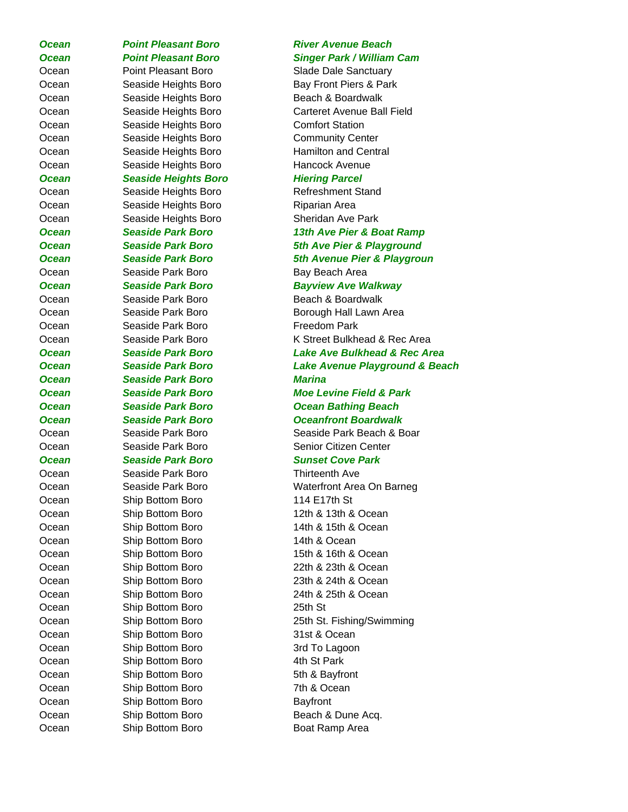*Ocean Point Pleasant Boro Singer Park / William Cam* Ocean **Point Pleasant Boro** Slade Dale Sanctuary Ocean Seaside Heights Boro Bay Front Piers & Park Ocean Seaside Heights Boro Beach & Boardwalk Ocean Seaside Heights Boro Comfort Station Ocean Seaside Heights Boro Community Center Ocean Seaside Heights Boro Hamilton and Central Ocean Seaside Heights Boro Hancock Avenue *Ocean Seaside Heights Boro Hiering Parcel* Ocean Seaside Heights Boro Refreshment Stand Ocean Seaside Heights Boro Riparian Area Ocean Seaside Heights Boro Sheridan Ave Park Ocean Seaside Park Boro Bay Beach Area Ocean Seaside Park Boro Beach & Boardwalk Ocean Seaside Park Boro Freedom Park *Ocean Seaside Park Boro Marina* Ocean Seaside Park Boro Seaside Park Beach & Boar Ocean Seaside Park Boro Senior Citizen Center *Ocean Seaside Park Boro Sunset Cove Park* Ocean Seaside Park Boro **Thirteenth Ave** Ocean Ship Bottom Boro 114 E17th St Ocean Ship Bottom Boro 12th & 13th & Ocean Ocean Ship Bottom Boro 14th & 15th & Ocean Ocean Ship Bottom Boro 14th & Ocean Ocean Ship Bottom Boro 15th & 16th & Ocean Ocean Ship Bottom Boro 22th & 23th & Ocean Ocean Ship Bottom Boro 23th & 24th & Ocean Ocean Ship Bottom Boro 24th & 25th & Ocean Ocean Ship Bottom Boro 25th St Ocean Ship Bottom Boro 31st & Ocean Ocean Ship Bottom Boro 3rd To Lagoon Ocean Ship Bottom Boro 4th St Park Ocean Ship Bottom Boro 5th & Bayfront Ocean Ship Bottom Boro 7th & Ocean Ocean Ship Bottom Boro Bayfront Ocean Ship Bottom Boro Beach & Dune Acq.

# *Ocean Point Pleasant Boro River Avenue Beach*

Ocean Seaside Heights Boro Carteret Avenue Ball Field

*Ocean Seaside Park Boro 13th Ave Pier & Boat Ramp Ocean Seaside Park Boro 5th Ave Pier & Playground Ocean Seaside Park Boro 5th Avenue Pier & Playgroun Ocean Seaside Park Boro Bayview Ave Walkway* Ocean Seaside Park Boro Borough Hall Lawn Area Ocean Seaside Park Boro K Street Bulkhead & Rec Area *Ocean Seaside Park Boro Lake Ave Bulkhead & Rec Area Ocean Seaside Park Boro Lake Avenue Playground & Beach*

*Ocean Seaside Park Boro Moe Levine Field & Park Ocean Seaside Park Boro Ocean Bathing Beach Ocean Seaside Park Boro Oceanfront Boardwalk*

Ocean Seaside Park Boro Waterfront Area On Barneg Ocean Ship Bottom Boro 25th St. Fishing/Swimming Ocean Ship Bottom Boro Boat Ramp Area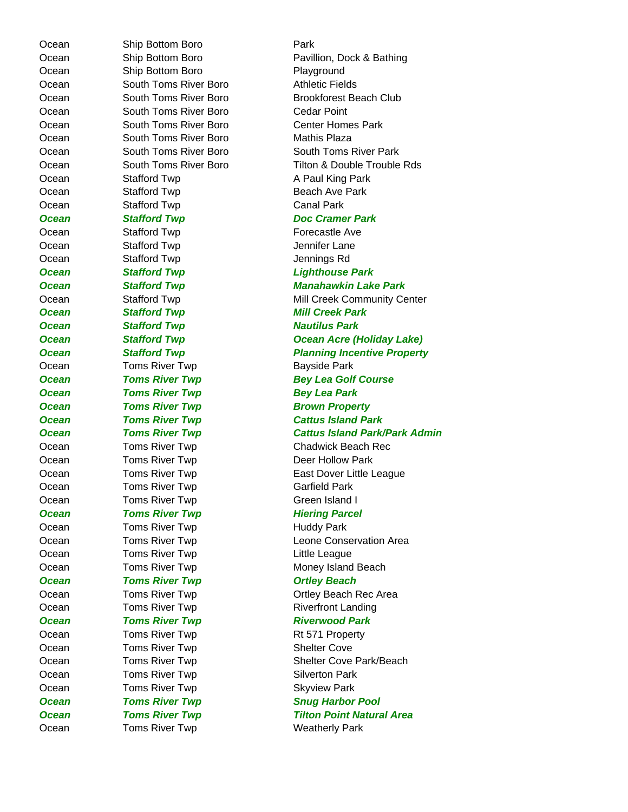Ocean Ship Bottom Boro **Park** 

Ocean Ship Bottom Boro Playground Ocean South Toms River Boro **Athletic Fields** Ocean South Toms River Boro Cedar Point Ocean South Toms River Boro Mathis Plaza Ocean Stafford Twp Beach Ave Park Ocean Stafford Twp Canal Park Ocean Stafford Twp **Forecastle Ave** Ocean Stafford Twp Jennifer Lane Ocean Stafford Twp Jennings Rd **Ocean Stafford Twp Mill Creek Park Ocean** Stafford Twp **Nautilus Park** Ocean Toms River Twp **Bayside Park Ocean Toms River Twp Bey Lea Park** Ocean Toms River Twp Controller Carrield Park Ocean Toms River Twp Green Island I **Ocean Toms River Twp Hiering Parcel** Ocean Toms River Twp **Huddy Park** Ocean **Toms River Twp Little League Ocean Toms River Twp Consumer Construction Consumer Construction Consumer Consumer Consumer Consumer Consumer Consumer Consumer Consumer Consumer Consumer Consumer Consumer Consumer Consumer Consumer Consumer Consumer Con** Ocean Toms River Twp Rt 571 Property Ocean Toms River Twp **Shelter Cove** Ocean Toms River Twp Silverton Park Ocean Toms River Twp **Skyview Park** Ocean Toms River Twp **Weatherly Park** 

Ocean Ship Bottom Boro Pavillion, Dock & Bathing Ocean South Toms River Boro Brookforest Beach Club Ocean South Toms River Boro Center Homes Park Ocean South Toms River Boro South Toms River Park Ocean South Toms River Boro Tilton & Double Trouble Rds Ocean Stafford Twp **A Paul King Park Ocean** Stafford Twp Doc Cramer Park *Ocean Stafford Twp Lighthouse Park Ocean Stafford Twp Manahawkin Lake Park* Ocean Stafford Twp Mill Creek Community Center *Ocean Stafford Twp Ocean Acre (Holiday Lake)* **Ocean** Stafford Twp **Planning Incentive Property Ocean Toms River Twp Bey Lea Golf Course Ocean Toms River Twp Brown Property** *Ocean Toms River Twp Cattus Island Park Ocean Toms River Twp Cattus Island Park/Park Admin* Ocean Toms River Twp Chadwick Beach Rec Ocean Toms River Twp **Deer Hollow Park** Ocean Toms River Twp **East Dover Little League** Ocean Toms River Twp Leone Conservation Area Ocean Toms River Twp **Money Island Beach** Ocean Toms River Twp **The Contract Contract Contract Contract Contract Contract Contract Toma** Ocean Toms River Twp Riverfront Landing **Ocean Toms River Twp Riverwood Park** Ocean Toms River Twp Shelter Cove Park/Beach **Ocean Toms River Twp Snug Harbor Pool Ocean Toms River Twp Tilton Point Natural Area**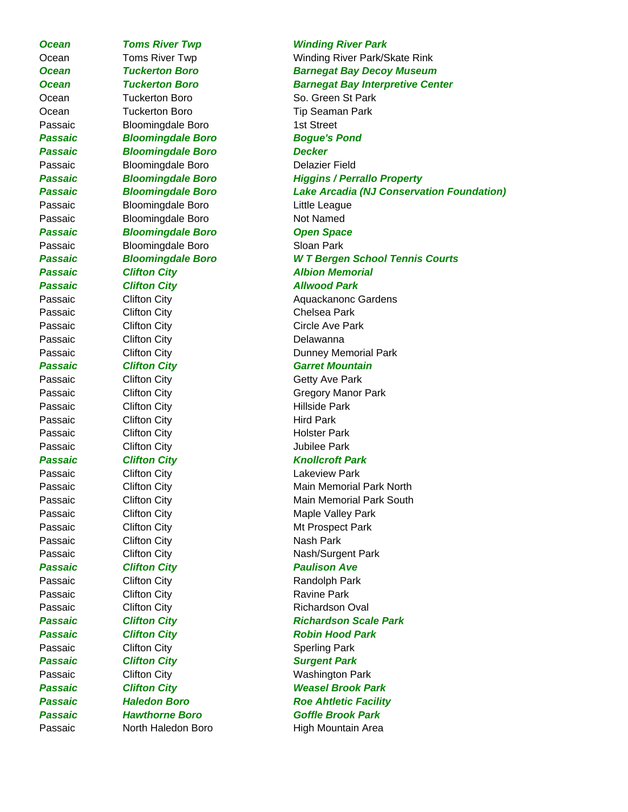Ocean Tuckerton Boro So. Green St Park Ocean Tuckerton Boro Tip Seaman Park Passaic Bloomingdale Boro 1st Street *Passaic Bloomingdale Boro Bogue's Pond Passaic Bloomingdale Boro Decker* Passaic Bloomingdale Boro Delazier Field Passaic Bloomingdale Boro Buittle League Passaic Bloomingdale Boro Not Named *Passaic Bloomingdale Boro Open Space* Passaic Bloomingdale Boro Sloan Park **Passaic Clifton City Contract Albion Memorial** Passaic **Clifton City Allwood Park** Passaic Clifton City Chelsea Park Passaic Clifton City Circle Ave Park Passaic Clifton City Charles Delawanna **Passaic Clifton City Garret Mountain** Passaic Clifton City Charles Controller Controller Clifton City Passaic Clifton City **Hillside Park** Passaic Clifton City **Hird Park** Passaic Clifton City **Clifton City Holster Park** Passaic Clifton City Clitton City Clifton City Clifton City *Passaic Clifton City Knollcroft Park* Passaic Clifton City Charles Lakeview Park Passaic Clifton City **Maple Valley Park** Passaic Clifton City **Mt Prospect Park** Passaic Clifton City Charles Nash Park Passaic Clifton City Clitton City Nash/Surgent Park *Passaic Clifton City Paulison Ave* Passaic Clifton City Charles Randolph Park Passaic Clifton City Charles Ravine Park Passaic Clifton City **Richardson Oval** Passaic **Clifton City** Character **Robin Hood Park** Passaic Clifton City Contact Clifton City **Passaic Clifton City Constructs Clifton City** Surgent Park Passaic Clifton City Clitton City Washington Park

# **Ocean Toms River Twp Winding River Park** Ocean Toms River Twp **The Contract Contract Contract Contract Contract Contract Contract Contract Contract Contract Contract Contract Contract Contract Contract Contract Contract Contract Contract Contract Contract Contrac** *Ocean Tuckerton Boro Barnegat Bay Decoy Museum Ocean Tuckerton Boro Barnegat Bay Interpretive Center Passaic Bloomingdale Boro Higgins / Perrallo Property Passaic Bloomingdale Boro Lake Arcadia (NJ Conservation Foundation) Passaic Bloomingdale Boro W T Bergen School Tennis Courts* Passaic Clifton City **Aquackanonc Gardens** Passaic Clifton City **Dunney Memorial Park** Passaic Clifton City Gregory Manor Park Passaic Clifton City Clitton City Main Memorial Park North Passaic Clifton City **Main Memorial Park South** Main Memorial Park South Passaic **Clifton City Clifton City Richardson Scale Park** *Passaic Clifton City Weasel Brook Park Passaic Haledon Boro Roe Ahtletic Facility Passaic Hawthorne Boro Goffle Brook Park* Passaic **North Haledon Boro High Mountain Area**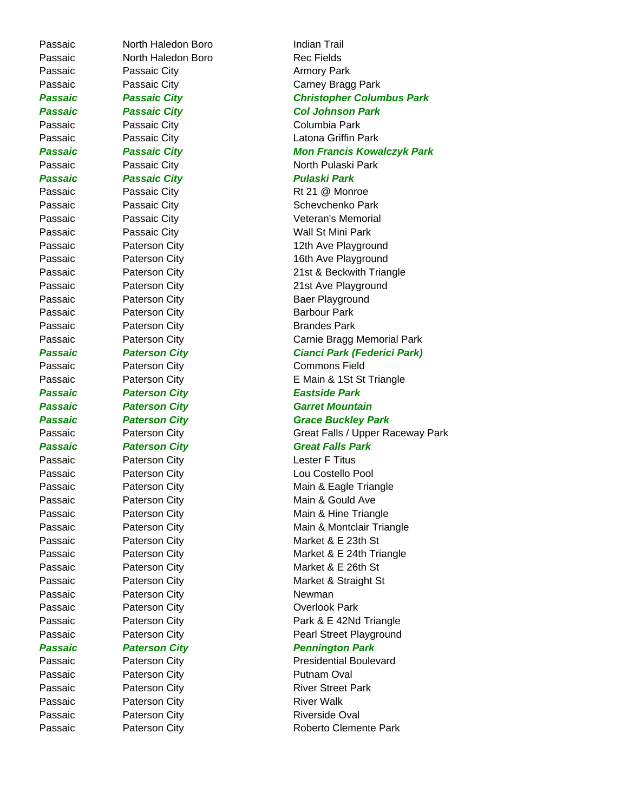Passaic **Paterson City Paters Paters Park** Roberto Clemente Park

Passaic North Haledon Boro Indian Trail Passaic **North Haledon Boro** Rec Fields Passaic Passaic City **Passaic Armory Park** Passaic Passaic City Columbia Park *Passaic Passaic City Pulaski Park* Passaic Paterson City **Barbour Park** Passaic **Paterson City Paterson City Brandes Park** *Passaic Paterson City Eastside Park* Passaic Paterson City **Paterson City Lester F Titus** Passaic Paterson City **Newman** Passaic Paterson City **Paterson City Passaic** Park Passaic **Paterson City Paterson City Putnam Oval** Passaic **Paterson City Paterson City River Walk** Passaic **Paterson City Paters** Paters Paters **Riverside Oval** 

Passaic Passaic City Carney Bragg Park *Passaic Passaic City Christopher Columbus Park* Passaic Passaic City **Col Johnson Park** Passaic Passaic City Latona Griffin Park *Passaic Passaic City Mon Francis Kowalczyk Park* Passaic Passaic City North Pulaski Park Passaic Passaic City **Passaic City** Rt 21 @ Monroe Passaic Passaic City **Schevchenko Park** Passaic Passaic City **Passaic City** Veteran's Memorial Passaic **Passaic City Passaic Particle Passaic Particle Particle Particle Particle Particle Particle Particle Particle Particle Particle Particle Particle Particle Particle Particle Particle Particle Particle Particle Pa** Passaic **Paterson City Pater 12th Ave Playground** Passaic Paterson City 16th Ave Playground Passaic **Paterson City 21st & Beckwith Triangle** Passaic **Paterson City Paters** Passaic **Paters** Paters **Paters** Paters **Paters** Payground Passaic **Paterson City Pater Playground** Passaic **Paterson City Carnie Bragg Memorial Park** *Passaic Paterson City Cianci Park (Federici Park)* Passaic Paterson City Commons Field Passaic **Paterson City Paters** Paters **E Main & 1St St Triangle** Passaic **Paterson City Carret Mountain** Passaic **Paterson City Paters Pater Park** Grace Buckley Park Passaic **Paterson City Paterson City** Great Falls / Upper Raceway Park *Passaic Paterson City Great Falls Park* Passaic Paterson City **Paterson City Lou Costello Pool** Passaic **Paterson City Paterson City** Main & Eagle Triangle Passaic **Paterson City Main & Gould Ave** Passaic **Paterson City Paters** Paters Passaic **Paters** Paters **Paters** Paters **Main & Hine Triangle** Passaic **Paterson City Charlotter Main & Montclair Triangle** Passaic Paterson City **Market & E 23th St** Passaic **Paterson City Paters Market & E 24th Triangle** Passaic **Paterson City Market & E 26th St** Passaic Paterson City **Market & Straight St** Passaic Paterson City Park & E 42Nd Triangle Passaic **Paterson City Paters** Pearl Street Playground Passaic **Paterson City Paters Park** *Pennington Park* Passaic **Paterson City Paters Presidential Boulevard** Passaic **Paterson City Paterson City River Street Park**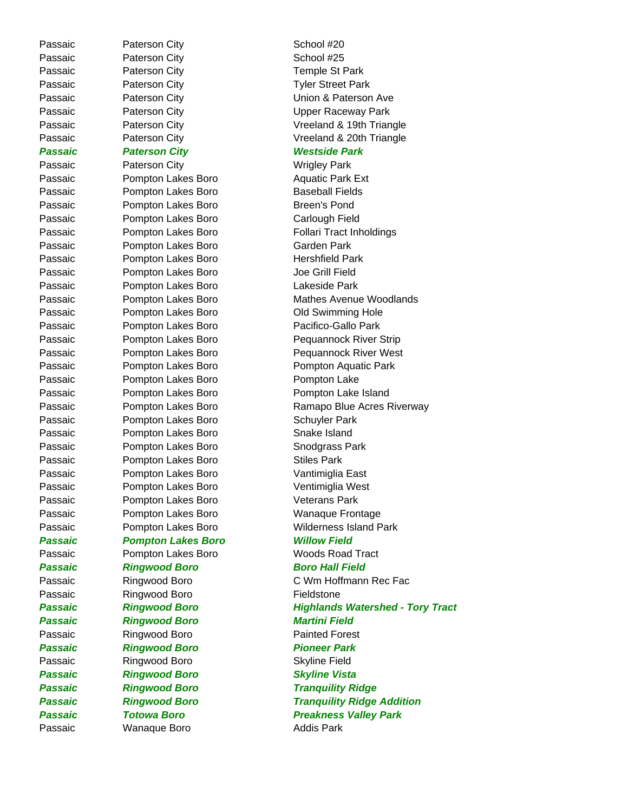Passaic Paterson City **Paterson City Passaic** Paterson City Passaic Paterson City **School #25** Passaic Paterson City **Paterson City Passaic** Park Passaic **Paterson City Paterson City Passaic** Park Passaic Paterson City **Paterson City Passaic** Park *Passaic Paterson City Westside Park* Passaic Paterson City **Wrigley Park** Passaic **Pompton Lakes Boro Passaic Park Ext** Passaic **Pompton Lakes Boro** Baseball Fields Passaic **Pompton Lakes Boro** Breen's Pond Passaic Pompton Lakes Boro Carlough Field Passaic **Pompton Lakes Boro** Garden Park Passaic **Pompton Lakes Boro Hershfield Park** Passaic **Pompton Lakes Boro** Joe Grill Field Passaic **Pompton Lakes Boro** Lakeside Park Passaic **Pompton Lakes Boro Prompton Lakes Poro Prompton Constructs** Old Swimming Hole Passaic **Pompton Lakes Boro** Pacifico-Gallo Park Passaic Pompton Lakes Boro Pompton Lake Passaic **Pompton Lakes Boro** Pompton Lake Island Passaic Pompton Lakes Boro Schuyler Park Passaic Pompton Lakes Boro Snake Island Passaic **Pompton Lakes Boro Prompton Lakes Park** Passaic **Pompton Lakes Boro** Stiles Park Passaic Pompton Lakes Boro Vantimiglia East Passaic Pompton Lakes Boro Ventimiglia West Passaic **Pompton Lakes Boro** Veterans Park Passaic **Pompton Lakes Boro Prompton Lakes Prompton** Wanaque Frontage *Passaic Pompton Lakes Boro Willow Field* Passaic **Pompton Lakes Boro** Woods Road Tract *Passaic Ringwood Boro Boro Hall Field* Passaic Ringwood Boro **Fieldstone** Passaic Ringwood Boro **Martini Field** Passaic Ringwood Boro Painted Forest **Passaic Ringwood Boro Pioneer Park** Passaic Ringwood Boro Skyline Field *Passaic Ringwood Boro Skyline Vista Passaic Ringwood Boro Tranquility Ridge* Passaic **Manaque Boro Addis Park** 

Passaic **Paterson City Paterson Ave Union & Paterson Ave** Passaic Paterson City **Paterson City** Vreeland & 19th Triangle Passaic **Paterson City Paters** Paters **Paters** Paters **Paters Parameters** Paters **Paters** Paters **Paters** Paters **Paters** Paters **Paters** Paters **Paters** Paters **Paters** Paters **Paters** Paters **Paters** Paters **Paters** Passaic **Pompton Lakes Boro Follari Tract Inholdings** Passaic Pompton Lakes Boro Mathes Avenue Woodlands Passaic Pompton Lakes Boro **Pequannock River Strip** Passaic **Pompton Lakes Boro** Pequannock River West Passaic **Pompton Lakes Boro** Pompton Aquatic Park Passaic **Pompton Lakes Boro** Ramapo Blue Acres Riverway Passaic Pompton Lakes Boro Wilderness Island Park Passaic Ringwood Boro C Wm Hoffmann Rec Fac *Passaic Ringwood Boro Highlands Watershed - Tory Tract Passaic Ringwood Boro Tranquility Ridge Addition* **Passaic Forowa Boro Preakness Valley Park**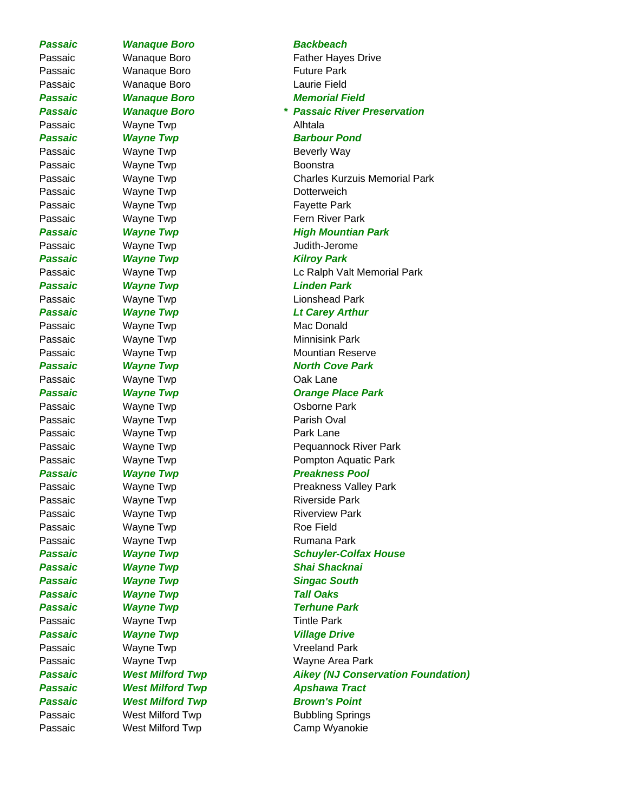Passaic Wanaque Boro **Future Park** Passaic Wanaque Boro **Laurie Field** Passaic Wayne Twp **Alhtala Passaic Wayne Twp Barbour Pond** Passaic Wayne Twp **Beverly Way** Passaic Wayne Twp **Boonstra** Passaic Wayne Twp **Dotterweich** Passaic **Wayne Twp Fayette Park** Passaic Wayne Twp **Judith-Jerome** Passaic **Wayne Twp Contract Contract Contract Contract Contract Contract Contract Contract Contract Contract Contract Contract Contract Contract Contract Contract Contract Contract Contract Contract Contract Contract Con** *Passaic Wayne Twp Linden Park* Passaic Wayne Twp Mac Donald Passaic Wayne Twp **Minnisink Park** Passaic Wayne Twp **Cak Lane** Passaic Wayne Twp **CONFIDENT CONFIDENT** Osborne Park Passaic Wayne Twp **Parish Oval** Passaic Wayne Twp **Park Lane** Passaic Wayne Twp **Riverside Park** Passaic Wayne Twp **Riverview Park** Passaic Wayne Twp **Roe Field** Passaic Wayne Twp **Rumana Park Passaic Wayne Twp Singac South** Passaic **Wayne Twp Tall Oaks** Passaic **Wayne Twp Terhune Park** Passaic Wayne Twp **Tintle Park Passaic Wayne Twp Constructs Constructs Village Drive** Passaic Wayne Twp Vreeland Park **Passaic** West Milford Twp **Brown's Point** 

# **Passaic Wanaque Boro Backbeach** Passaic Wanaque Boro Father Hayes Drive *Passaic Wanaque Boro Memorial Field Passaic Wanaque Boro \* Passaic River Preservation* Passaic Wayne Twp Charles Kurzuis Memorial Park Passaic Wayne Twp **Fern River Park Passaic Mayne Twp Magnus Research Mountian Park** Passaic **Wayne Twp Lc Ralph Valt Memorial Park** Passaic Wayne Twp Contract Conshead Park *Passaic Wayne Twp Lt Carey Arthur* Passaic Wayne Twp Mountian Reserve Passaic Wayne Twp **North Cove Park** Passaic **Wayne Twp Cange Place Park** Passaic **Wayne Twp Pequannock River Park** Passaic Wayne Twp **Pompton Aquatic Park** Passaic **Wayne Twp** *Preakness Pool* Passaic **Wayne Twp Preakness Valley Park Passaic Calculation Wayne Twp Schuyler-Colfax House** Passaic **Wayne Twp Shai Shacknai** Passaic Wayne Twp Wayne Area Park Passaic West Milford Twp **Aikey (NJ Conservation Foundation) Passaic 6 West Milford Twp 6 Apshawa Tract** Passaic West Milford Twp **Bubbling Springs** Passaic **West Milford Twp** Camp Wyanokie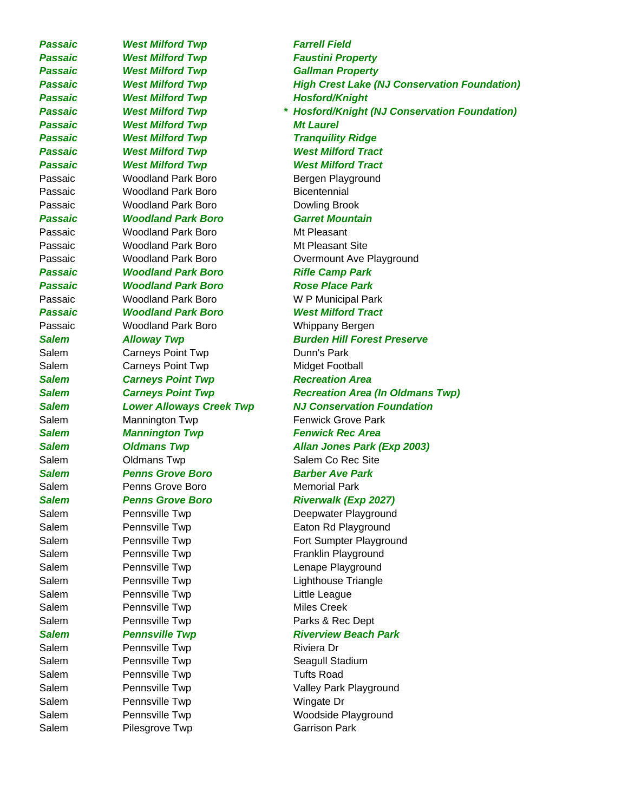**Passaic West Milford Twp Farrell Field** Passaic **West Milford Twp Faustini Property** Passaic **West Milford Twp Gallman Property Passaic** West Milford Twp **Hosford/Knight Passaic 6 West Milford Twp 6 Mt Laurel** *Passaic West Milford Twp Tranquility Ridge Passaic West Milford Twp West Milford Tract Passaic West Milford Twp West Milford Tract*  Passaic **Woodland Park Boro Bergen Playground** Passaic **Woodland Park Boro** Bicentennial Passaic **Woodland Park Boro** Dowling Brook *Passaic Woodland Park Boro Garret Mountain* Passaic Woodland Park Boro Mt Pleasant Passaic **Woodland Park Boro** Mt Pleasant Site Passaic **Moodland Park Boro** Rifle Camp Park *Passaic Woodland Park Boro Rose Place Park* Passaic Woodland Park Boro W P Municipal Park *Passaic Woodland Park Boro West Milford Tract* Passaic Woodland Park Boro Whippany Bergen Salem Carneys Point Twp Dunn's Park Salem Carneys Point Twp Midget Football **Salem Carneys Point Twp Recreation Area** Salem Mannington Twp **Fenwick Grove Park Salem Mannington Twp Fenwick Rec Area** Salem **Salem** Oldmans Twp Salem Co Rec Site *Salem Penns Grove Boro Barber Ave Park* Salem **Penns Grove Boro Memorial Park** Salem **Pennsville Twp Eaton Rd Playground** Salem Pennsville Twp Franklin Playground Salem Pennsville Twp **Communist Contract Contract Playground** Salem Pennsville Twp **Lighthouse Triangle** Salem Pennsville Twp **Example 20** Little League Salem Pennsville Twp **Miles Creek** Salem Pennsville Twp Parks & Rec Dept Salem Pennsville Twp **Riviera Dr** Riviera Dr Salem **Pennsville Twp Calculate Seagull Stadium** Salem Pennsville Twp **Tufts Road** Salem Pennsville Twp **Wingate Dr** Salem **Pennsville Twp Woodside Playground** 

*Passaic West Milford Twp High Crest Lake (NJ Conservation Foundation) Passaic West Milford Twp \* Hosford/Knight (NJ Conservation Foundation)* Passaic **Woodland Park Boro Conservery Overmount Ave Playground** *Salem Alloway Twp Burden Hill Forest Preserve Salem Carneys Point Twp Recreation Area (In Oldmans Twp) Salem Lower Alloways Creek Twp NJ Conservation Foundation Salem Oldmans Twp Allan Jones Park (Exp 2003)* Salem **Penns Grove Boro** *Riverwalk (Exp 2027)* Salem Pennsville Twp **Deepwater Playground** Salem **Pennsville Twp Fort Sumpter Playground Salem** *Pennsville Twp* Riverview Beach Park Salem Pennsville Twp Valley Park Playground Salem Pilesgrove Twp Carrison Park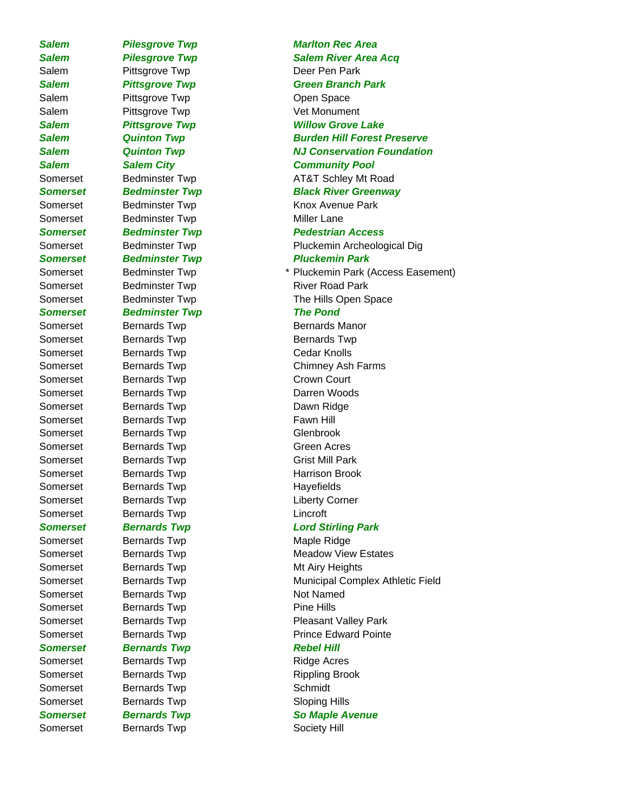Salem Pittsgrove Twp Deer Pen Park Salem Pittsgrove Twp **Channel Statem** Open Space Salem Pittsgrove Twp **Vet Monument** Somerset Bedminster Twp Miller Lane **Somerset Bedminster Twp Pluckemin Park** Somerset Bedminster Twp River Road Park *Somerset Bedminster Twp The Pond* Somerset Bernards Twp Bernards Manor Somerset Bernards Twp Bernards Twp Somerset Bernards Twp Cedar Knolls Somerset Bernards Twp Crown Court Somerset Bernards Twp **Darren Woods** Somerset Bernards Twp **Dawn Ridge** Somerset Bernards Twp **Fawn Hill** Somerset Bernards Twp Glenbrook Somerset Bernards Twp Green Acres Somerset Bernards Twp Grist Mill Park Somerset Bernards Twp **Harrison Brook** Somerset Bernards Twp **Example 20** Havefields Somerset Bernards Twp **Liberty Corner** Somerset Bernards Twp **Example 20** Lincroft Somerset Bernards Twp Maple Ridge Somerset Bernards Twp Mt Airy Heights Somerset Bernards Twp Not Named Somerset Bernards Twp **Pine Hills Somerset Bernards Twp Rebel Hill** Somerset Bernards Twp **Ridge Acres** Somerset Bernards Twp Rippling Brook Somerset Bernards Twp Schmidt Somerset Bernards Twp Sloping Hills **Somerset Bernards Twp So Maple Avenue** Somerset Bernards Twp **Society Hill** 

# **Salem Pilesgrove Twp Marlton Rec Area** *Salem Pilesgrove Twp Salem River Area Acq* **Salem Fittsgrove Twp Green Branch Park** *Salem Pittsgrove Twp Willow Grove Lake Salem Quinton Twp Burden Hill Forest Preserve Salem Quinton Twp NJ Conservation Foundation Salem Salem City Community Pool* Somerset Bedminster Twp **AT&T Schley Mt Road** *Somerset Bedminster Twp Black River Greenway* Somerset Bedminster Twp **Knox Avenue Park Somerset Bedminster Twp Pedestrian Access** Somerset Bedminster Twp **Pluckemin Archeological Dig** Somerset Bedminster Twp **\*** Pluckemin Park (Access Easement) Somerset Bedminster Twp The Hills Open Space Somerset Bernards Twp Chimney Ash Farms *Somerset Bernards Twp Lord Stirling Park* Somerset Bernards Twp **Meadow View Estates** Somerset Bernards Twp **Municipal Complex Athletic Field** Somerset Bernards Twp **Pleasant Valley Park** Somerset Bernards Twp **Prince Edward Pointe**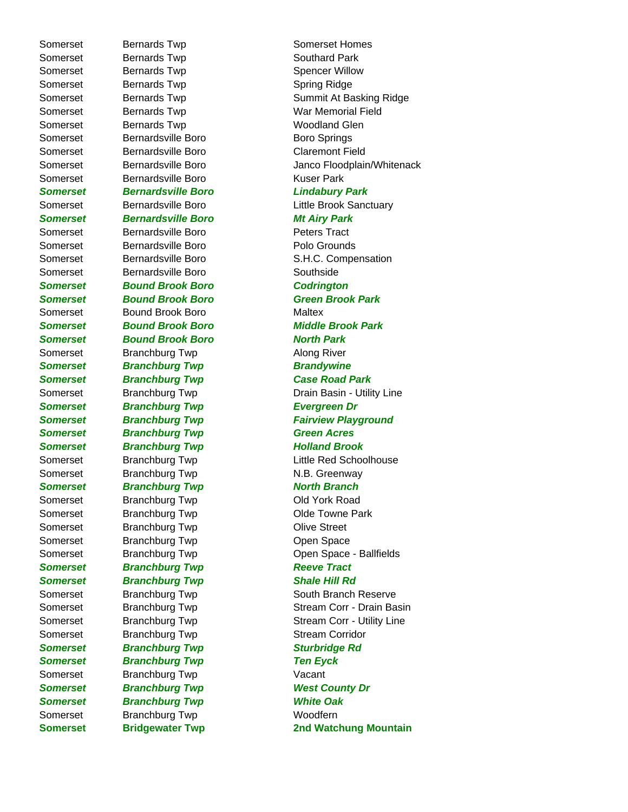Somerset Bernards Twp Somerset Homes Somerset Bernards Twp **Southard Park** Somerset Bernards Twp Spencer Willow Somerset Bernards Twp **Spring Ridge** Spring Ridge Somerset Bernards Twp **Woodland Glen** Somerset Bernardsville Boro **Boro Boro Springs** Somerset Bernardsville Boro Claremont Field Somerset Bernardsville Boro **Kuser Park** *Somerset Bernardsville Boro Lindabury Park Somerset Bernardsville Boro Mt Airy Park* Somerset Bernardsville Boro **Peters Tract** Somerset Bernardsville Boro **Britannia Boro Browners** Polo Grounds Somerset Bernardsville Boro Southside *Somerset Bound Brook Boro Codrington Somerset Bound Brook Boro Green Brook Park*  Somerset Bound Brook Boro Maltex *Somerset Bound Brook Boro North Park* Somerset Branchburg Twp **Along River Somerset Branchburg Twp Brandywine** *Somerset Branchburg Twp Case Road Park* **Somerset Branchburg Twp Evergreen Dr Somerset Branchburg Twp Green Acres** *Somerset Branchburg Twp Holland Brook* Somerset Branchburg Twp N.B. Greenway **Somerset Branchburg Twp North Branch** Somerset Branchburg Twp Contract Contract Contract Books Road Somerset Branchburg Twp Clde Towne Park Somerset Branchburg Twp Clive Street Somerset Branchburg Twp Copen Space **Somerset Branchburg Twp Reeve Tract** *Somerset Branchburg Twp Shale Hill Rd* Somerset Branchburg Twp Stream Corridor **Somerset Branchburg Twp Sturbridge Rd Somerset Branchburg Twp Ten Eyck** Somerset Branchburg Twp **Vacant Somerset Branchburg Twp West County Dr** *Somerset Branchburg Twp White Oak* Somerset Branchburg Twp **Woodfern** 

Somerset Bernards Twp Summit At Basking Ridge Somerset Bernards Twp **War Memorial Field** Somerset Bernardsville Boro **Brue Constants** Janco Floodplain/Whitenack Somerset Bernardsville Boro **Little Brook Sanctuary** Somerset Bernardsville Boro S.H.C. Compensation *Somerset Bound Brook Boro Middle Brook Park* Somerset Branchburg Twp Drain Basin - Utility Line **Somerset Branchburg Twp Fairview Playground** Somerset Branchburg Twp Little Red Schoolhouse Somerset Branchburg Twp Copen Space - Ballfields Somerset Branchburg Twp South Branch Reserve Somerset Branchburg Twp Stream Corr - Drain Basin Somerset Branchburg Twp Stream Corr - Utility Line **Somerset Bridgewater Twp 2nd Watchung Mountain**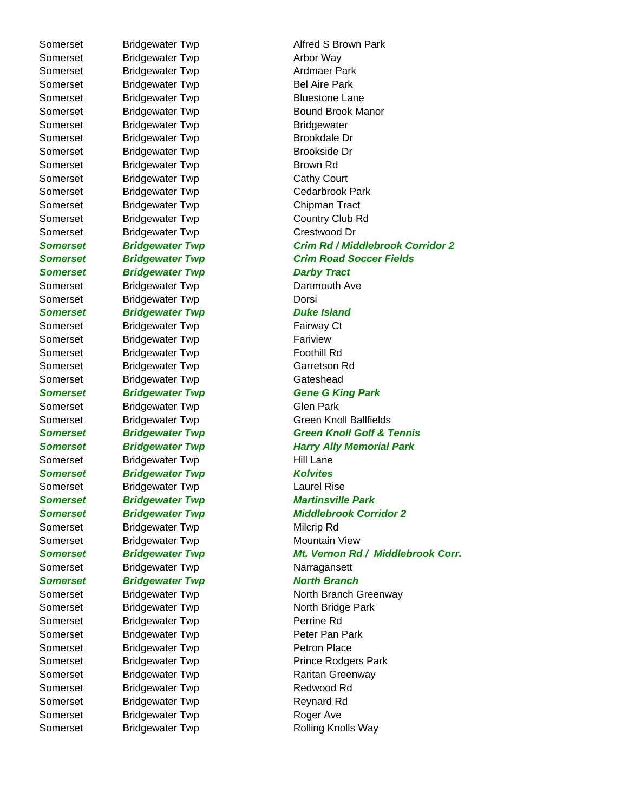Somerset Bridgewater Twp **Arbor Way** Somerset Bridgewater Twp **Ardmaer Park** Somerset Bridgewater Twp Bel Aire Park Somerset Bridgewater Twp Bluestone Lane Somerset Bridgewater Twp Bridgewater Somerset Bridgewater Twp Brookdale Dr Somerset Bridgewater Twp Brookside Dr Somerset Bridgewater Twp Brown Rd Somerset Bridgewater Twp Cathy Court Somerset Bridgewater Twp Cedarbrook Park Somerset Bridgewater Twp Chipman Tract Somerset Bridgewater Twp Country Club Rd Somerset Bridgewater Twp Crestwood Dr **Somerset Bridgewater Twp Darby Tract** Somerset Bridgewater Twp Dartmouth Ave Somerset Bridgewater Twp **Dorsi Somerset Bridgewater Twp Duke Island** Somerset Bridgewater Twp Fairway Ct Somerset Bridgewater Twp Fariview Somerset Bridgewater Twp Foothill Rd Somerset Bridgewater Twp Garretson Rd Somerset Bridgewater Twp Gateshead Somerset Bridgewater Twp Glen Park Somerset Bridgewater Twp Hill Lane **Somerset Bridgewater Twp Kolvites** Somerset Bridgewater Twp **Laurel Rise** *Somerset Bridgewater Twp Martinsville Park* Somerset Bridgewater Twp Milcrip Rd Somerset Bridgewater Twp Mountain View Somerset Bridgewater Twp Narragansett **Somerset Bridgewater Twp North Branch** Somerset Bridgewater Twp North Bridge Park Somerset Bridgewater Twp **Perrine Rd** Somerset Bridgewater Twp **Peter Pan Park** Somerset Bridgewater Twp **Petron Place** Somerset Bridgewater Twp Raritan Greenway Somerset Bridgewater Twp Redwood Rd Somerset Bridgewater Twp Reynard Rd Somerset Bridgewater Twp Roger Ave

Somerset Bridgewater Twp **Alfred S Brown Park** Somerset Bridgewater Twp Bound Brook Manor *Somerset Bridgewater Twp Crim Rd / Middlebrook Corridor 2* **Somerset Bridgewater Twp Crim Road Soccer Fields Somerset Bridgewater Twp Gene G King Park** Somerset Bridgewater Twp Green Knoll Ballfields **Somerset Bridgewater Twp Green Knoll Golf & Tennis** *Somerset Bridgewater Twp Harry Ally Memorial Park Somerset Bridgewater Twp Middlebrook Corridor 2 Somerset Bridgewater Twp Mt. Vernon Rd / Middlebrook Corr.* Somerset Bridgewater Twp North Branch Greenway Somerset Bridgewater Twp Prince Rodgers Park Somerset Bridgewater Twp Rolling Knolls Way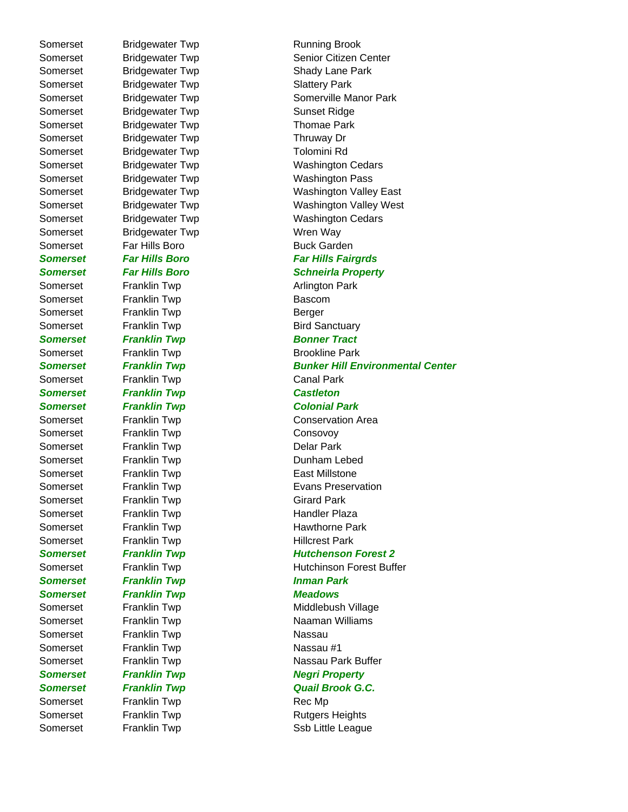Somerset Bridgewater Twp Slattery Park Somerset Bridgewater Twp Sunset Ridge Somerset Bridgewater Twp Thomae Park Somerset Bridgewater Twp Thruway Dr Somerset Bridgewater Twp Tolomini Rd Somerset Bridgewater Twp **Wren Way** Somerset Far Hills Boro **Buck Garden** Somerset Franklin Twp **Arlington Park** Somerset Franklin Twp **Bascom** Somerset Franklin Twp **Berger** Somerset Franklin Twp **Bird Sanctuary Somerset Franklin Twp Franklin Twp Bonner Tract** Somerset Franklin Twp **Brookline Park** Somerset Franklin Twp Canal Park *Somerset Franklin Twp Castleton Somerset Franklin Twp Colonial Park* Somerset Franklin Twp **Consovoy** Somerset Franklin Twp **Delar Park** Somerset Franklin Twp **East Millstone** Somerset Franklin Twp Girard Park Somerset Franklin Twp Franklin Twp Handler Plaza Somerset Franklin Twp **Hillcrest Park** *Somerset Franklin Twp Inman Park Somerset Franklin Twp Meadows* Somerset Franklin Twp **Nassau** Somerset Franklin Twp **Nassau #1** Somerset Franklin Twp **Rec Mp** 

Somerset Bridgewater Twp Running Brook Somerset Bridgewater Twp Senior Citizen Center Somerset Bridgewater Twp Shady Lane Park Somerset Bridgewater Twp Somerville Manor Park Somerset Bridgewater Twp Washington Cedars Somerset Bridgewater Twp **Washington Pass** Somerset Bridgewater Twp Washington Valley East Somerset Bridgewater Twp Washington Valley West Somerset Bridgewater Twp Washington Cedars *Somerset Far Hills Boro Far Hills Fairgrds Somerset Far Hills Boro Schneirla Property* **Somerset Franklin Twp Franklin Twp Bunker Hill Environmental Center** Somerset Franklin Twp Conservation Area Somerset Franklin Twp **Dunham Lebed** Somerset Franklin Twp Evans Preservation Somerset Franklin Twp **Hawthorne Park Somerset Franklin Twp Franklin Twp Franklin Twp** Hutchenson Forest 2 Somerset Franklin Twp **Hutchinson Forest Buffer** Somerset Franklin Twp **Middlebush Village** Somerset Franklin Twp **Naaman Williams** Somerset Franklin Twp Nassau Park Buffer **Somerset Franklin Twp Negri Property Somerset Franklin Twp Construction Construction Construction Construction Construction Construction Construction** Somerset Franklin Twp **Rutgers Heights** Somerset Franklin Twp Ssb Little League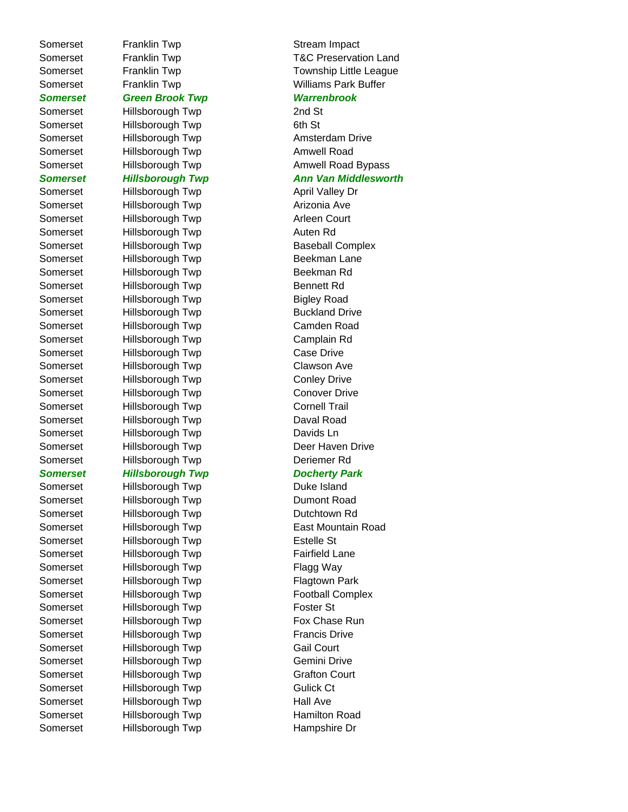Somerset Franklin Twp **Stream Impact** *Somerset Green Brook Twp Warrenbrook* Somerset Hillsborough Twp 2nd St Somerset Hillsborough Twp 6th St Somerset Hillsborough Twp **Amsterdam Drive** Somerset Hillsborough Twp **Amwell Road** Somerset Hillsborough Twp Manus April Valley Dr Somerset Hillsborough Twp **Arizonia Ave** Somerset Hillsborough Twp **Arleen Court** Somerset Hillsborough Twp **Auten Rd** Somerset Hillsborough Twp Baseball Complex Somerset Hillsborough Twp Beekman Lane Somerset Hillsborough Twp **Beekman Rd** Somerset Hillsborough Twp Bennett Rd Somerset Hillsborough Twp Bigley Road Somerset Hillsborough Twp Buckland Drive Somerset Hillsborough Twp Camden Road Somerset Hillsborough Twp Camplain Rd Somerset Hillsborough Twp Case Drive Somerset Hillsborough Twp Clawson Ave Somerset Hillsborough Twp Conley Drive Somerset Hillsborough Twp Conover Drive Somerset Hillsborough Twp Cornell Trail Somerset Hillsborough Twp Daval Road Somerset Hillsborough Twp **Davids Ln** Somerset Hillsborough Twp Deer Haven Drive Somerset Hillsborough Twp Deriemer Rd **Somerset Hillsborough Twp Docherty Park** Somerset Hillsborough Twp **Duke Island** Somerset Hillsborough Twp Dumont Road Somerset Hillsborough Twp **Dutchtown Rd** Somerset Hillsborough Twp East Mountain Road Somerset Hillsborough Twp Estelle St Somerset Hillsborough Twp Fairfield Lane Somerset Hillsborough Twp Flagg Way Somerset Hillsborough Twp Flagtown Park Somerset Hillsborough Twp Football Complex Somerset Hillsborough Twp Foster St Somerset Hillsborough Twp Fox Chase Run Somerset Hillsborough Twp Francis Drive Somerset Hillsborough Twp Gail Court Somerset Hillsborough Twp Gemini Drive Somerset Hillsborough Twp Grafton Court Somerset Hillsborough Twp Gulick Ct Somerset Hillsborough Twp Hall Ave Somerset Hillsborough Twp Hamilton Road

Somerset Franklin Twp T&C Preservation Land Somerset Franklin Twp Township Little League Somerset Franklin Twp **Williams Park Buffer** 

Somerset Hillsborough Twp **Amwell Road Bypass** 

## *Somerset Hillsborough Twp Ann Van Middlesworth*

Somerset Hillsborough Twp Hampshire Dr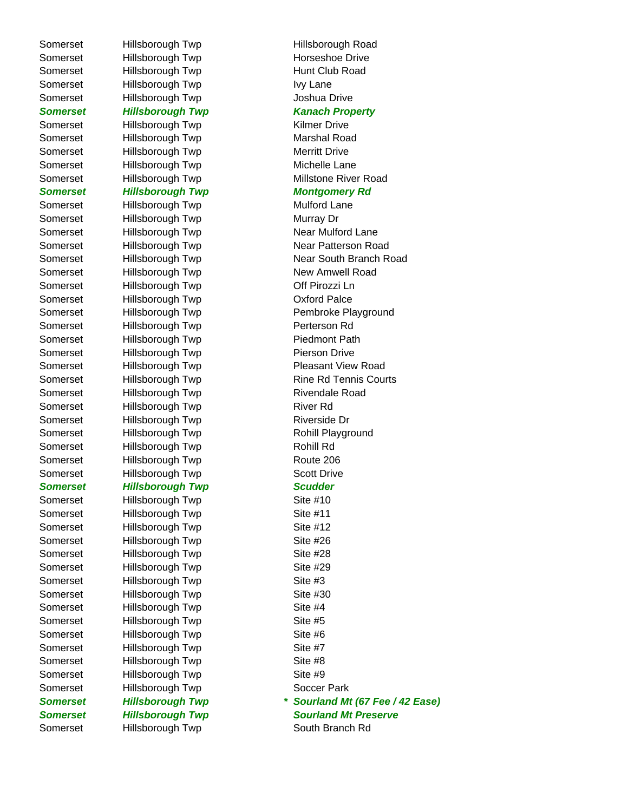Somerset Hillsborough Twp South Branch Rd

Somerset Hillsborough Twp Hillsborough Road Somerset Hillsborough Twp Horseshoe Drive Somerset Hillsborough Twp Hunt Club Road Somerset Hillsborough Twp Ivy Lane Somerset Hillsborough Twp Joshua Drive *Somerset Hillsborough Twp Kanach Property* Somerset Hillsborough Twp Kilmer Drive Somerset Hillsborough Twp Marshal Road Somerset Hillsborough Twp Merritt Drive Somerset Hillsborough Twp Michelle Lane **Somerset Hillsborough Twp Montgomery Rd** Somerset Hillsborough Twp Mulford Lane Somerset Hillsborough Twp Murray Dr Somerset Hillsborough Twp Near Mulford Lane Somerset Hillsborough Twp New Amwell Road Somerset Hillsborough Twp **Off Pirozzi Ln** Somerset Hillsborough Twp **Canadian Communist Contract Palce** Somerset Hillsborough Twp **Perterson Rd** Somerset Hillsborough Twp Piedmont Path Somerset Hillsborough Twp Pierson Drive Somerset Hillsborough Twp Rivendale Road Somerset Hillsborough Twp River Rd Somerset Hillsborough Twp Riverside Dr Somerset Hillsborough Twp Rohill Playground Somerset Hillsborough Twp Rohill Rd Somerset Hillsborough Twp Route 206 Somerset Hillsborough Twp Scott Drive *Somerset Hillsborough Twp Scudder* Somerset Hillsborough Twp Site #10 Somerset Hillsborough Twp Site #11 Somerset Hillsborough Twp Site #12 Somerset Hillsborough Twp Site #26 Somerset Hillsborough Twp Site #28 Somerset Hillsborough Twp Site #29 Somerset Hillsborough Twp Site #3 Somerset Hillsborough Twp Site #30 Somerset Hillsborough Twp Site #4 Somerset Hillsborough Twp Site #5 Somerset Hillsborough Twp Site #6 Somerset Hillsborough Twp Site #7 Somerset Hillsborough Twp Site #8 Somerset Hillsborough Twp Site #9 Somerset Hillsborough Twp Soccer Park

Somerset Hillsborough Twp Millstone River Road Somerset Hillsborough Twp Near Patterson Road Somerset Hillsborough Twp Near South Branch Road Somerset Hillsborough Twp Pembroke Playground Somerset Hillsborough Twp Pleasant View Road Somerset Hillsborough Twp Rine Rd Tennis Courts *Somerset Hillsborough Twp \* Sourland Mt (67 Fee / 42 Ease) Somerset Hillsborough Twp Sourland Mt Preserve*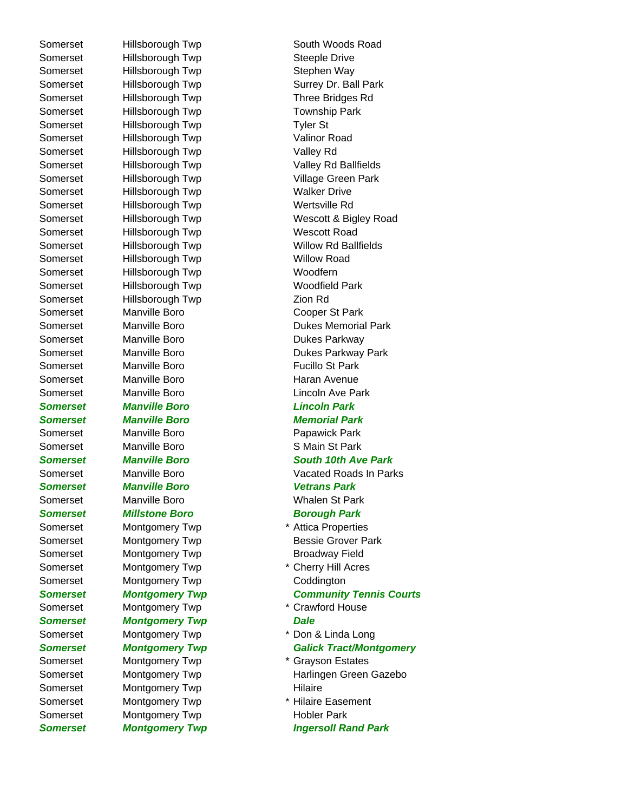Somerset Hillsborough Twp Steeple Drive Somerset Hillsborough Twp Stephen Way Somerset Hillsborough Twp Three Bridges Rd Somerset Hillsborough Twp Township Park Somerset Hillsborough Twp Tyler St Somerset Hillsborough Twp Valinor Road Somerset Hillsborough Twp Valley Rd Somerset Hillsborough Twp Valley Rd Ballfields Somerset Hillsborough Twp **Village Green Park** Somerset Hillsborough Twp Malker Drive Somerset Hillsborough Twp Wertsville Rd Somerset Hillsborough Twp Wescott Road Somerset Hillsborough Twp Willow Road Somerset Hillsborough Twp Moodfern Somerset Hillsborough Twp Woodfield Park Somerset Hillsborough Twp Zion Rd Somerset Manville Boro Cooper St Park Somerset Manville Boro **Dukes Parkway** Somerset Manville Boro **Fucillo St Park** Somerset Manville Boro **Haran Avenue** Somerset Manville Boro **Lincoln** Ave Park *Somerset Manville Boro Lincoln Park Somerset Manville Boro Memorial Park* Somerset Manville Boro **Papawick Park** Somerset Manville Boro SMain St Park **Somerset Manville Boro Vetrans Park** Somerset Manville Boro New York Malen St Park **Somerset Millstone Boro Borough Park Construction Borough Park** Somerset Montgomery Twp **\*** Attica Properties Somerset Montgomery Twp **Broadway Field** Somerset Montgomery Twp \* Cherry Hill Acres Somerset Montgomery Twp Coddington Somerset Montgomery Twp \* Crawford House **Somerset Montgomery Twp Dale** Somerset Montgomery Twp \* Don & Linda Long Somerset Montgomery Twp \* Grayson Estates Somerset Montgomery Twp **Hilaire** Somerset Montgomery Twp \* Hilaire Easement Somerset Montgomery Twp **Hobler Park** 

Somerset Hillsborough Twp South Woods Road Somerset Hillsborough Twp Surrey Dr. Ball Park Somerset Hillsborough Twp Wescott & Bigley Road Somerset Hillsborough Twp Willow Rd Ballfields Somerset Manville Boro Dukes Memorial Park Somerset Manville Boro Dukes Parkway Park *Somerset Manville Boro South 10th Ave Park* Somerset Manville Boro **Vacated Roads In Parks** Vacated Roads In Parks Somerset Montgomery Twp **Bessie Grover Park** *Somerset Montgomery Twp Community Tennis Courts Somerset Montgomery Twp Galick Tract/Montgomery* Somerset Montgomery Twp **Harlingen Green Gazebo Somerset Montgomery Twp Ingersoll Rand Park**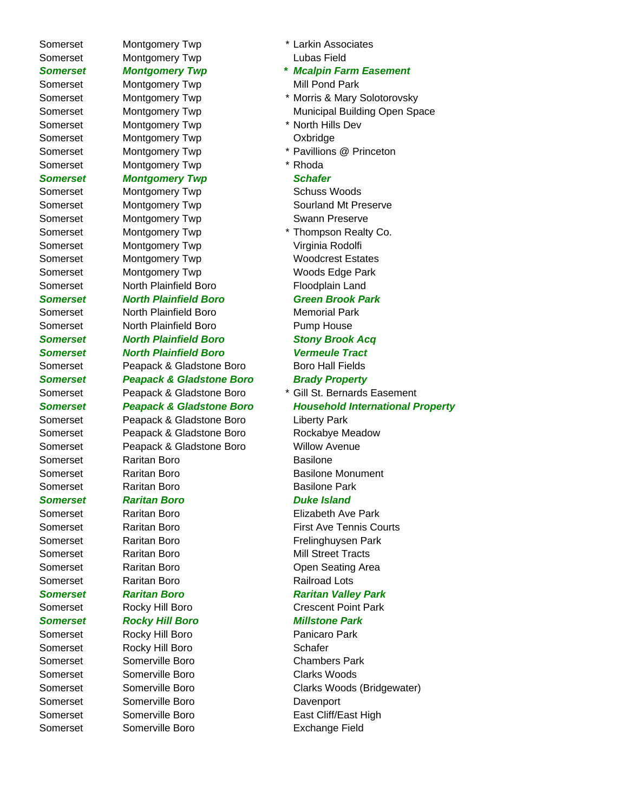Somerset Montgomery Twp \* North Hills Dev Somerset Montgomery Twp Cxbridge Somerset Montgomery Twp \* Rhoda *Somerset Montgomery Twp Schafer* Somerset Montgomery Twp Schuss Woods

- 
- Somerset Montgomery Twp Swann Preserve Somerset Montgomery Twp Virginia Rodolfi Somerset Montgomery Twp Woods Edge Park Somerset North Plainfield Boro Floodplain Land

## *Somerset North Plainfield Boro Green Brook Park*

Somerset North Plainfield Boro Memorial Park Somerset North Plainfield Boro **Pump House** 

*Somerset North Plainfield Boro Stony Brook Acq Somerset North Plainfield Boro Vermeule Tract* Somerset Peapack & Gladstone Boro Boro Hall Fields *Somerset Peapack & Gladstone Boro Brady Property*

Somerset Peapack & Gladstone Boro Liberty Park Somerset Peapack & Gladstone Boro Rockabye Meadow Somerset Peapack & Gladstone Boro Willow Avenue Somerset Raritan Boro **Basilone** Somerset Raritan Boro **Basilone Monument** Somerset Raritan Boro **Basilone Park** 

## *Somerset Raritan Boro Duke Island*

Somerset Raritan Boro **Railroad Lots** 

- Somerset Rocky Hill Boro Panicaro Park Somerset Rocky Hill Boro Schafer
- Somerset Somerville Boro Chambers Park Somerset Somerville Boro Clarks Woods Somerset Somerville Boro **Davenport** Somerset Somerville Boro **Exchange Field**
- Somerset Montgomery Twp **\*** Larkin Associates Somerset Montgomery Twp Comercial Lubas Field
- *Somerset Montgomery Twp \* Mcalpin Farm Easement* Somerset Montgomery Twp Mill Pond Park
- Somerset Montgomery Twp **\* Morris & Mary Solotorovsky** Somerset Montgomery Twp Municipal Building Open Space
	-
- Somerset Montgomery Twp \* \* Pavillions @ Princeton
	-

Somerset Montgomery Twp Sourland Mt Preserve

Somerset Montgomery Twp **\*** Thompson Realty Co. Somerset Montgomery Twp Woodcrest Estates

- Somerset Peapack & Gladstone Boro \* Gill St. Bernards Easement *Somerset Peapack & Gladstone Boro Household International Property*
	-

Somerset Raritan Boro **Elizabeth Ave Park** Somerset **Raritan Boro Register Avelong Courts** Reports Somerset Raritan Boro **Frelinghuysen Park** Somerset **Raritan Boro Mill Street Tracts** Somerset Raritan Boro **Comerset** Raritan Boro **Comerset** Comerset Bonders Readers

## *Somerset Raritan Boro Raritan Valley Park*

## Somerset Rocky Hill Boro Crescent Point Park

- *Somerset Rocky Hill Boro Millstone Park*
- Somerset Somerville Boro Clarks Woods (Bridgewater) Somerset Somerville Boro **East Cliff/East High**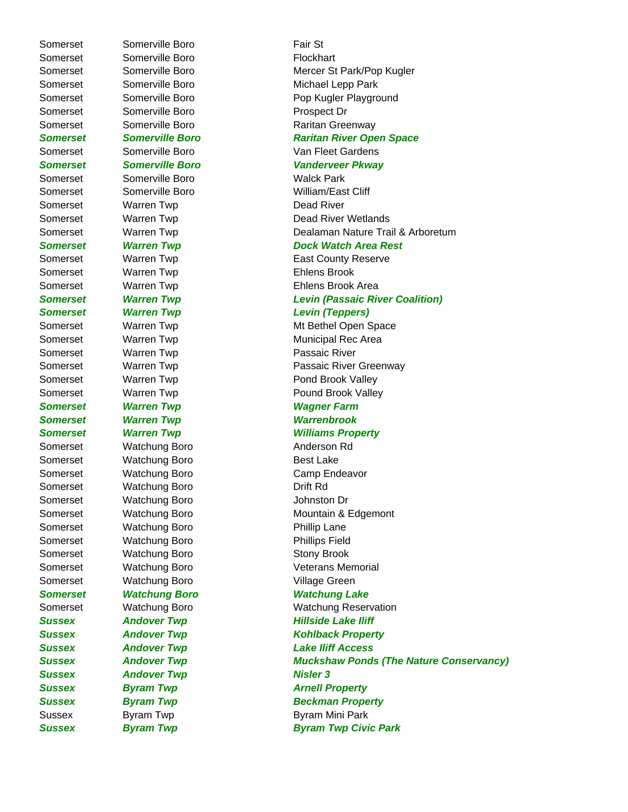Somerset Somerville Boro **Fair St** Somerset Somerville Boro **Flockhart** Somerset Somerville Boro **Prospect Dr** Somerset Somerville Boro Walck Park Somerset Warren Twp **Dead River** Somerset Warren Twp **Ehlens Brook** Somerset Warren Twp **Passaic River** *Somerset Warren Twp Wagner Farm Somerset Warren Twp Warrenbrook* Somerset Watchung Boro **Anderson Rd** Somerset Watchung Boro Best Lake Somerset Watchung Boro Camp Endeavor Somerset Watchung Boro **Drift Rd** Somerset Watchung Boro **Grand Somerset** View Watchung Boro Somerset Watchung Boro Phillip Lane Somerset Watchung Boro **Phillips Field** Somerset Watchung Boro Stony Brook Somerset **Watchung Boro Village Green Sussex Andover Twp Nisler 3 Sussex Byram Twp Byram Arnell Property** 

Somerset Somerville Boro Somerville Boro Mercer St Park/Pop Kugler Somerset Somerville Boro Somerset Somerville Boro Somerville Boro Michael Lepp Park Somerset Somerville Boro **Pop Kugler Playground** Somerset Somerville Boro **Raritan Greenway** *Somerset Somerville Boro Raritan River Open Space* Somerset Somerville Boro Somerville Van Fleet Gardens *Somerset Somerville Boro Vanderveer Pkway* Somerset Somerville Boro William/East Cliff Somerset Warren Twp **Dead River Wetlands** Somerset **Warren Twp Comerset** Warren Twp **Dealaman Nature Trail & Arboretum** *Somerset Warren Twp Dock Watch Area Rest*  Somerset Warren Twp **East County Reserve** Somerset Warren Twp **Ehlens Brook Area** *Somerset Warren Twp Levin (Passaic River Coalition) Somerset Warren Twp Levin (Teppers)* Somerset Marren Twp Mt Bethel Open Space Somerset Warren Twp Municipal Rec Area Somerset Warren Twp **Passaic River Greenway** Somerset Warren Twp **Pond Brook Valley** Somerset Warren Twp **Pound Brook Valley** *Somerset Warren Twp Williams Property* Somerset Watchung Boro Mountain & Edgemont Somerset Watchung Boro Veterans Memorial *Somerset Watchung Boro Watchung Lake* Somerset Watchung Boro Watchung Reservation **Sussex Andover Twp Fillside Lake Iliff Sussex Andover Twp Contract Andover Twp Kohlback Property** *Sussex Andover Twp Lake Iliff Access Sussex Andover Twp Muckshaw Ponds (The Nature Conservancy)* **Sussex Byram Twp Beckman Property** Sussex Byram Twp Byram Byram Mini Park *Sussex Byram Twp Byram Twp Civic Park*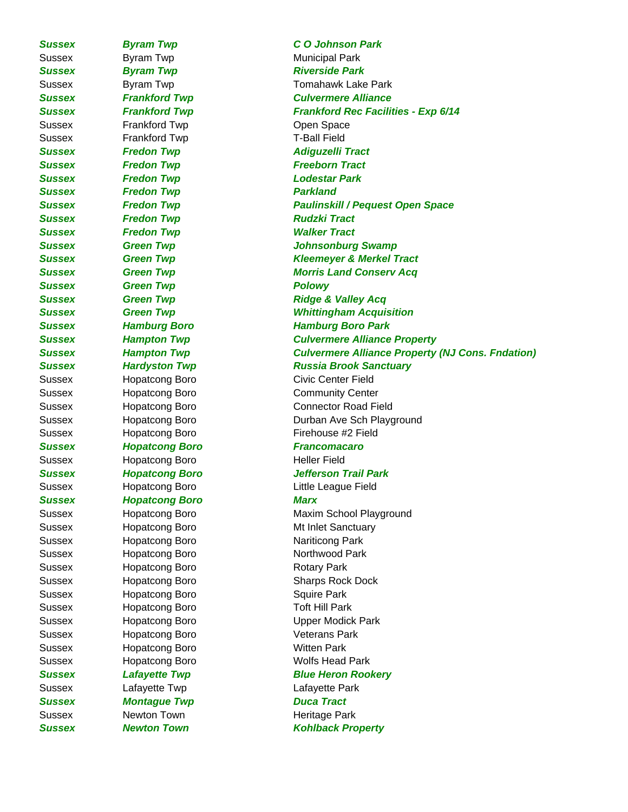Sussex Byram Twp **Municipal Park Sussex Byram Twp Byram Fixel Contract Park** Sussex Frankford Twp Copen Space Sussex Frankford Twp T-Ball Field *Sussex Fredon Twp Adiguzelli Tract Sussex Fredon Twp Freeborn Tract Sussex Fredon Twp Lodestar Park* **Sussex Fredon Twp Parkland Sussex Fredon Twp Fredon Twp Rudzki Tract** *Sussex Fredon Twp Walker Tract* **Sussex Green Twp Cromodel Contract Contract Polowy** *Sussex Hopatcong Boro Francomacaro* Sussex Hopatcong Boro **Heller Field** *Sussex Hopatcong Boro Marx* Sussex Hopatcong Boro Nariticong Park Sussex Hopatcong Boro Northwood Park Sussex Hopatcong Boro Rotary Park Sussex Hopatcong Boro **Squire Park** Sussex Hopatcong Boro Toft Hill Park Sussex Hopatcong Boro Veterans Park Sussex Hopatcong Boro **Witten Park** Sussex Hopatcong Boro Wolfs Head Park Sussex Lafayette Twp Lafayette Park **Sussex Montague Twp Duca Tract** Sussex Newton Town Newton Newton Newton Newton Newton Newton Newton Newton Newton Newton Newton Newton Newton

*Sussex Byram Twp C O Johnson Park* Sussex Byram Twp **Tomahawk Lake Park** *Sussex Frankford Twp Culvermere Alliance Sussex Frankford Twp Frankford Rec Facilities - Exp 6/14 Sussex Fredon Twp Paulinskill / Pequest Open Space Sussex Green Twp Johnsonburg Swamp Sussex Green Twp Kleemeyer & Merkel Tract Sussex Green Twp Morris Land Conserv Acq* **Sussex Green Twp CGREET Ridge & Valley Acq** *Sussex Green Twp Whittingham Acquisition Sussex Hamburg Boro Hamburg Boro Park Sussex Hampton Twp Culvermere Alliance Property Sussex Hampton Twp Culvermere Alliance Property (NJ Cons. Fndation) Sussex Hardyston Twp Russia Brook Sanctuary* Sussex **Hopatcong Boro Civic Center Field** Sussex **Hopatcong Boro** Community Center Sussex Hopatcong Boro Connector Road Field Sussex Hopatcong Boro **Durban Ave Sch Playground** Sussex Hopatcong Boro Firehouse #2 Field *Sussex Hopatcong Boro Jefferson Trail Park* Sussex Hopatcong Boro Little League Field Sussex Hopatcong Boro Maxim School Playground Sussex **Hopatcong Boro** Mt Inlet Sanctuary Sussex Hopatcong Boro Sharps Rock Dock Sussex Hopatcong Boro **Canadian Control Control** Upper Modick Park **Sussex Lafayette Twp Blue Heron Rookery** *Sussex Newton Town Kohlback Property*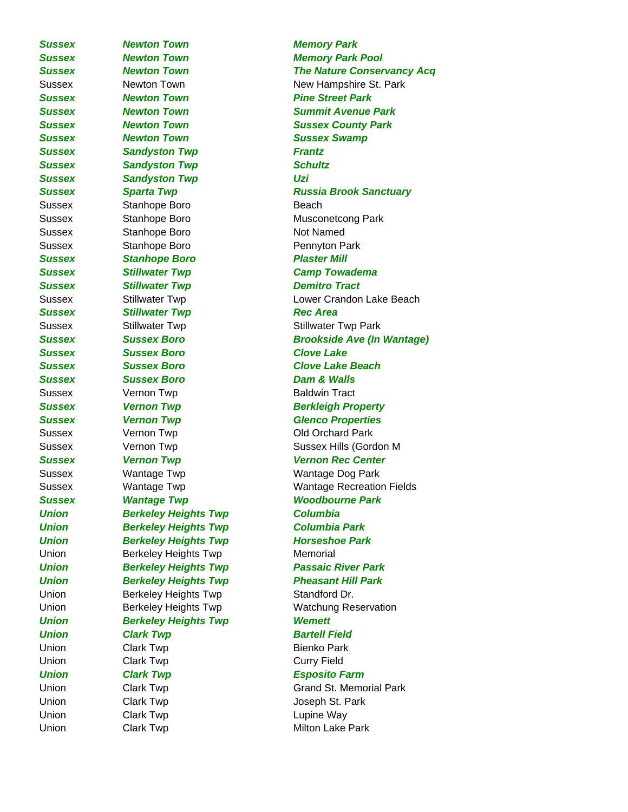*Sussex Newton Town Memory Park Sussex Newton Town Pine Street Park Sussex Newton Town Sussex Swamp* **Sussex Sandyston Twp Frantz Sussex Sandyston Twp Schultz** *Sussex Sandyston Twp Uzi* Sussex Stanhope Boro Beach Sussex Stanhope Boro Not Named Sussex Stanhope Boro **Pennyton Park Sussex Stanhope Boro Plaster Mill** *Sussex Stillwater Twp Camp Towadema* **Sussex Stillwater Twp Demitro Tract Sussex Stillwater Twp Rec Area** Sussex Stillwater Twp Stillwater Twp Stillwater Twp Park *Sussex Sussex Boro Clove Lake Sussex Sussex Boro Clove Lake Beach Sussex Sussex Boro Dam & Walls* Sussex Vernon Twp **Baldwin Tract Sussex Vernon Twp Glenco Properties** Sussex Vernon Twp Controller Controller Controller Controller Controller Controller Controller Controller Controller Sussex Wantage Twp Wantage Dog Park *Union Berkeley Heights Twp Columbia Union Berkeley Heights Twp Columbia Park Union Berkeley Heights Twp Horseshoe Park* Union Berkeley Heights Twp Memorial Union Berkeley Heights Twp Standford Dr. *Union Berkeley Heights Twp Wemett* **Union Clark Twp Bartell Field** Union Clark Twp **Bienko Park** Union Clark Twp Clares Curry Field *Union Clark Twp Esposito Farm* Union Clark Twp Clark Twp Joseph St. Park Union Clark Twp Clare Clark Twp Lupine Way

*Sussex Newton Town Memory Park Pool Sussex Newton Town The Nature Conservancy Acq* Sussex Newton Town New Hampshire St. Park *Sussex Newton Town Summit Avenue Park Sussex Newton Town Sussex County Park Sussex Sparta Twp Russia Brook Sanctuary* Sussex Stanhope Boro Musconetcong Park Sussex Stillwater Twp Contract Lower Crandon Lake Beach *Sussex Sussex Boro Brookside Ave (In Wantage)* **Sussex Vernon Twp Community Realty Berkleigh Property** Sussex **Sussex** Vernon Twp **Sussex Hills (Gordon M** *Sussex Vernon Twp Vernon Rec Center* Sussex Wantage Twp Wantage Recreation Fields *Sussex Wantage Twp Woodbourne Park Union Berkeley Heights Twp Passaic River Park Union Berkeley Heights Twp Pheasant Hill Park* Union **Berkeley Heights Twp** Watchung Reservation Union Clark Twp Grand St. Memorial Park Union Clark Twp Clark Twp Milton Lake Park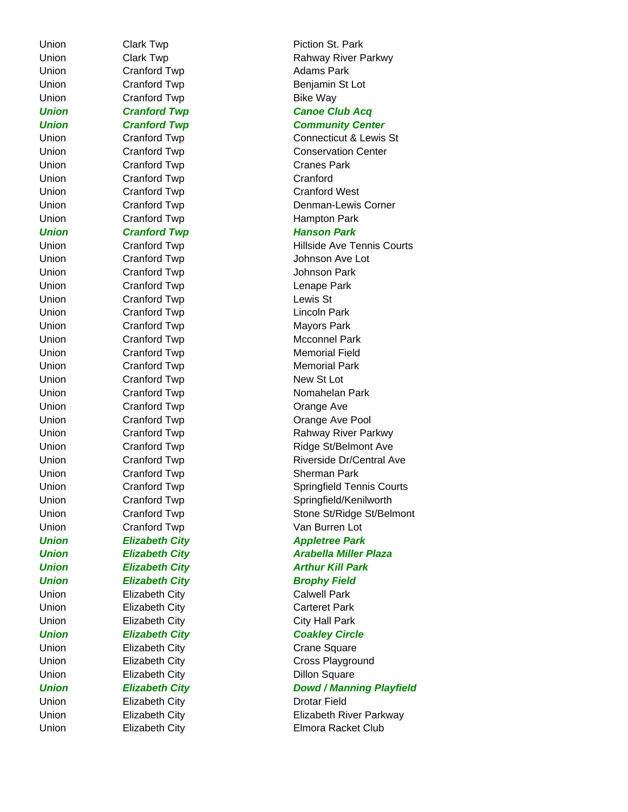Union Cranford Twp Crantors Adams Park Union Cranford Twp **Bike Way** Union Cranford Twp Cranes Park Union Cranford Twp Crantord Cranford *Union Cranford Twp Hanson Park* Union Cranford Twp Crantore Crantore Crantore Crantore Crantore Crantore Crantore Crantore Crantore Crantore Johnson Park Union Cranford Twp Lenape Park Union Cranford Twp Lewis St Union Cranford Twp Lincoln Park Union Cranford Twp Crantors Park Union Cranford Twp New St Lot Union Cranford Twp Crange Ave **Union Elizabeth City Brophy Field** Union Elizabeth City **Calwell Park** Union Elizabeth City Carteret Park Union Elizabeth City City City Hall Park Union Elizabeth City Crane Square Union Elizabeth City Dillon Square Union Elizabeth City **Drotar Field** 

Union Clark Twp **Piction St. Park** Union Clark Twp Clares Rahway River Parkwy Union Cranford Twp **Benjamin St Lot** *Union Cranford Twp Canoe Club Acq Union Cranford Twp Community Center* Union Cranford Twp Connecticut & Lewis St Union Cranford Twp Conservation Center Union Cranford Twp Crantes Cranford West Union Cranford Twp **Denman-Lewis Corner** Union Cranford Twp **Hampton Park** Union Cranford Twp **Hillside Ave Tennis Courts** Union Cranford Twp Johnson Ave Lot Union Cranford Twp Mcconnel Park Union Cranford Twp Memorial Field Union Cranford Twp Crantore Nemorial Park Union Cranford Twp **Nomahelan Park** Union Cranford Twp Crange Ave Pool Union Cranford Twp Rahway River Parkwy Union Cranford Twp **Ridge St/Belmont Ave** Union Cranford Twp Crantors Riverside Dr/Central Ave Union Cranford Twp Sherman Park Union Cranford Twp Springfield Tennis Courts Union Cranford Twp Springfield/Kenilworth Union Cranford Twp Stone St/Ridge St/Belmont Union Cranford Twp Van Burren Lot *Union Elizabeth City* Appletree Park *Union Elizabeth City Arabella Miller Plaza Union Elizabeth City* Arthur Kill Park *Union Elizabeth City* Coakley Circle Union Elizabeth City Cross Playground *Union Elizabeth City Dowd / Manning Playfield* Union Elizabeth City Elizabeth River Parkway Union Elizabeth City Elmora Racket Club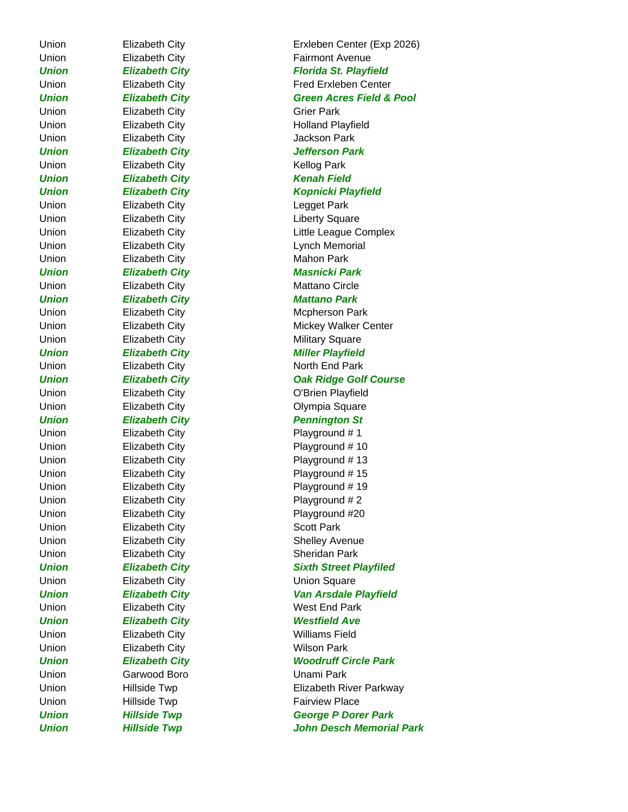Union Elizabeth City Grier Park Union Elizabeth City **Jackson Park** Union Elizabeth City **Kellog Park** *Union Elizabeth City Kenah Field* Union Elizabeth City **Legget Park** Union Elizabeth City **Elizabeth City Liberty Square** Union Elizabeth City **Mahon Park** *Union Elizabeth City Masnicki Park* Union Elizabeth City **Mattano Circle** *Union Elizabeth City Mattano Park* Union Elizabeth City **Military Square** Union Elizabeth City **North End Park** *Union Elizabeth City Pennington St* Union Elizabeth City **Playground #1** Union Elizabeth City **Playground # 2** Union Elizabeth City Scott Park Union Elizabeth City Sheridan Park Union **Elizabeth City Elizabeth City Elizabeth City Elizabeth City Elizabeth City** Union Elizabeth City **West End Park** *Union Elizabeth City Westfield Ave* Union **Elizabeth City Williams Field** Union Elizabeth City **Wilson Park** Union Garwood Boro Unami Park Union Hillside Twp **Fairview Place** 

Union Elizabeth City Erxleben Center (Exp 2026) Union Elizabeth City **Fairmont Avenue Union Elizabeth City Florida St. Playfield** Union Elizabeth City Fred Erxleben Center *Union Elizabeth City Green Acres Field & Pool* Union Elizabeth City **Holland Playfield** *Union Elizabeth City Jefferson Park Union Elizabeth City Kopnicki Playfield* Union Elizabeth City Little League Complex Union Elizabeth City **Lynch Memorial** Union Elizabeth City Mcpherson Park Union Elizabeth City Mickey Walker Center *Union Elizabeth City Miller Playfield Union Elizabeth City Oak Ridge Golf Course* Union Elizabeth City **O'Brien Playfield** Union Elizabeth City **Contains Containers** Olympia Square Union Elizabeth City **Playground # 10** Union Elizabeth City **Playground # 13** Union Elizabeth City **Playground # 15** Union Elizabeth City Playground # 19 Union Elizabeth City **Playground #20** Union Elizabeth City **Shelley Avenue** *Union Elizabeth City Sixth Street Playfiled Union Elizabeth City Van Arsdale Playfield Union Elizabeth City Woodruff Circle Park* Union **Hillside Twp Elizabeth River Parkway** *Union Hillside Twp George P Dorer Park Union Hillside Twp John Desch Memorial Park*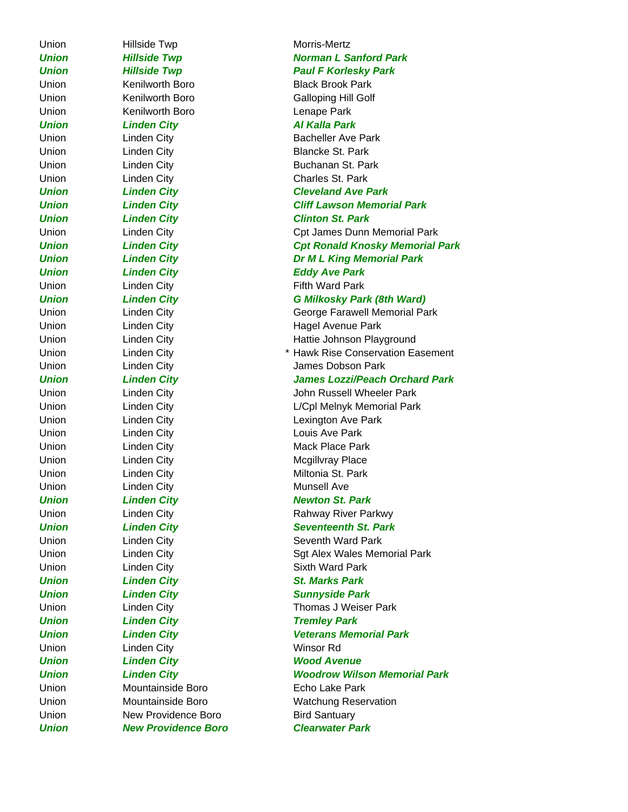Union Hillside Twp **Morris-Mertz** Union **Kenilworth Boro Communist Contract Contract Contract Contract Contract Contract Contract Contract Contract Contract Contract Contract Contract Contract Contract Contract Contract Contract Contract Contract Contrac** *Union Linden City Al Kalla Park* Union Linden City **Blancke St. Park** Union City Charles St. Park *Union Linden City Clinton St. Park Union Linden City Eddy Ave Park* Union Linden City **Fifth Ward Park** Union Linden City Louis Ave Park Union Linden City **Mack Place Park** Union City Linden City **Mcgillvray Place** Union City Contract City Miltonia St. Park Union City Linden City **Munsell** Ave Union **Linden City Contract Contract City** Sixth Ward Park *Union Linden City St. Marks Park Union Linden City Tremley Park* Union **Linden City Winsor Rd** *Union Linden City Wood Avenue* Union Mountainside Boro **Echo Lake Park** Union Mew Providence Boro Bird Santuary

## *Union Hillside Twp Norman L Sanford Park Union Hillside Twp Paul F Korlesky Park* Union Kenilworth Boro Black Brook Park Union Kenilworth Boro Galloping Hill Golf Union City **Bacheller Ave Park** Union **Linden City Buchanan St. Park** *Union Linden City Cleveland Ave Park Union Linden City Cliff Lawson Memorial Park* Union Linden City Cpt James Dunn Memorial Park *Union Linden City Cpt Ronald Knosky Memorial Park Union Linden City Dr M L King Memorial Park Union Linden City G Milkosky Park (8th Ward)* Union Linden City George Farawell Memorial Park Union Linden City **Hagel Avenue Park** Union **Linden City Hattie Johnson Playground** Union **Linden City Example 2** Linden City **All 2018 Example 2** Linden City Union Linden City James Dobson Park *Union Linden City James Lozzi/Peach Orchard Park* Union **Linden City Communist Club Linden City** John Russell Wheeler Park Union Linden City Linden City L/Cpl Melnyk Memorial Park Union Linden City **Lexington Ave Park** *Union Linden City Newton St. Park* Union Linden City **Example 20 Example 20 Hills Engine Property** Rahway River Parkwy *Union Linden City Seventeenth St. Park* Union Linden City **Seventh Ward Park** Union City Communication City Sgt Alex Wales Memorial Park *Union Linden City Sunnyside Park* Union Linden City Thomas J Weiser Park *Union Linden City Veterans Memorial Park Union Linden City Woodrow Wilson Memorial Park* Union Mountainside Boro Watchung Reservation *Union New Providence Boro Clearwater Park*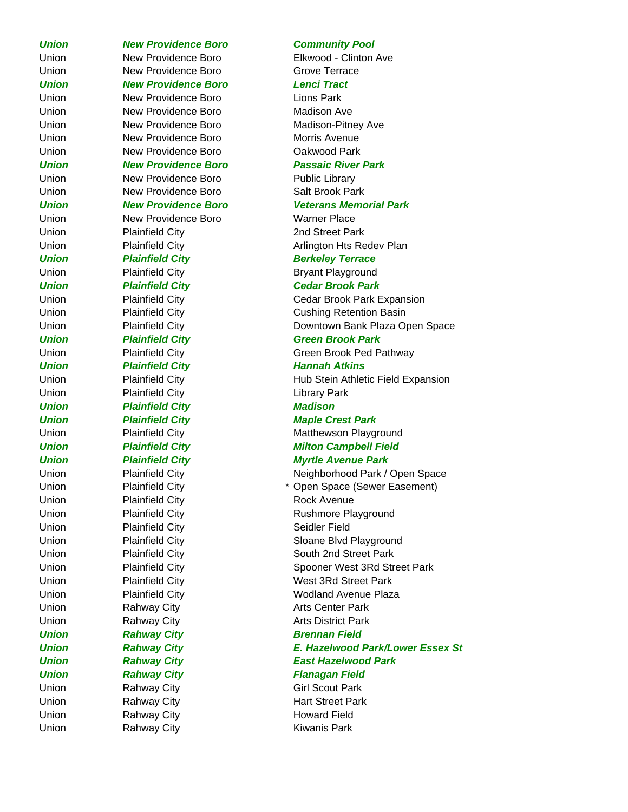Union Rahway City **Kiwanis Park** 

*Union New Providence Boro Community Pool* Union New Providence Boro Grove Terrace *Union New Providence Boro Lenci Tract* Union **New Providence Boro Lions Park** Union New Providence Boro Madison Ave Union New Providence Boro Madison-Pitney Ave Union New Providence Boro Morris Avenue Union New Providence Boro Cakwood Park *Union New Providence Boro Passaic River Park* Union **New Providence Boro** Public Library Union New Providence Boro Salt Brook Park *Union New Providence Boro Veterans Memorial Park* Union New Providence Boro Warner Place Union Plainfield City **2nd Street Park Union Plainfield City Berkeley Terrace** Union Plainfield City **Bryant Playground** *Union Plainfield City Cedar Brook Park Union Plainfield City Green Brook Park Union Plainfield City Plainfield City Plannah Atkins* Union Plainfield City **Library Park** *Union Plainfield City Madison Union Plainfield City Maple Crest Park* Union Plainfield City Neighborhood Park / Open Space Union Plainfield City **Rock Avenue** Union Plainfield City Seidler Field Union Rahway City **Arts Center Park** Union Rahway City **Arts District Park Union Rahway City Charles Brennan Field** *Union Rahway City Flanagan Field* Union Rahway City Girl Scout Park Union Rahway City **Hart Street Park** Union Rahway City **Howard Field** 

Union New Providence Boro Elkwood - Clinton Ave

Union **Plainfield City Arlington Hts Redev Plan** 

Union **Plainfield City** Cedar Brook Park Expansion Union **Plainfield City** Cushing Retention Basin Union **Plainfield City Downtown Bank Plaza Open Space** 

Union **Plainfield City** Chronic Green Brook Ped Pathway

Union **Plainfield City Hub Stein Athletic Field Expansion** 

Union Plainfield City **Matthewson Playground** *Union Plainfield City Milton Campbell Field*

## *Union Plainfield City Myrtle Avenue Park*

Union Plainfield City \* Open Space (Sewer Easement) Union Plainfield City Rushmore Playground Union Plainfield City **Sloane Blvd Playground** Union Plainfield City South 2nd Street Park Union **Plainfield City Conserver Spooner West 3Rd Street Park** Union Plainfield City West 3Rd Street Park Union **Plainfield City Plainfield City Woolland Avenue Plaza** *Union Rahway City E. Hazelwood Park/Lower Essex St Union Rahway City East Hazelwood Park*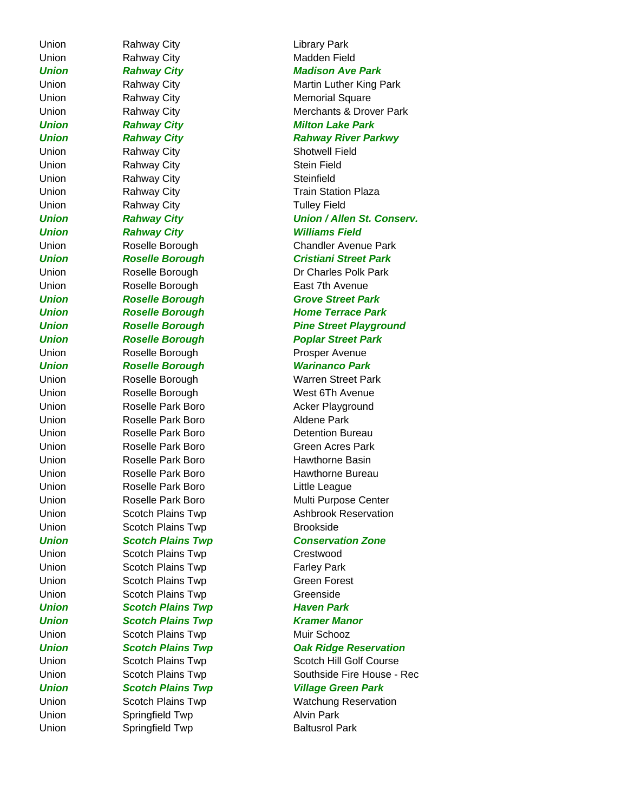Union Rahway City **Charles Contains Contains Contains Contains Contains Contains Contains Contains Contains Conta** Union Rahway City **Madden Field** Union Rahway City **Memorial Square** *Union Rahway City* Milton Lake Park Union Rahway City **Shotwell Field** Union Rahway City **Stein Field** Union **Rahway City Charles Contract Contract Rahway City Steinfield** Union Rahway City **Tulley Field Union Rahway City Charles And American Williams Field** Union Roselle Borough **East 7th Avenue** Union Roselle Borough **Prosper Avenue** *Union Roselle Borough Warinanco Park* Union **Roselle Borough** West 6Th Avenue Union Roselle Park Boro Recker Playground Union Roselle Park Boro Aldene Park Union **Roselle Park Boro Detention Bureau** Union **Roselle Park Boro Green Acres Park** Union Roselle Park Boro Hawthorne Basin Union **Roselle Park Boro Little League** Union Scotch Plains Twp Brookside Union Scotch Plains Twp Crestwood Union Scotch Plains Twp **Farley Park** Union Scotch Plains Twp Green Forest Union Scotch Plains Twp Greenside **Union Scotch Plains Twp Haven Park Union Scotch Plains Twp Kramer Manor** Union Scotch Plains Twp Muir Schooz Union Springfield Twp **Alvin Park** Union Springfield Twp Baltusrol Park

*Union Rahway City Madison Ave Park* Union **Rahway City Martin Luther King Park** Union **Rahway City Merchants & Drover Park** *Union Rahway City Rahway River Parkwy* Union Rahway City **Train Station Plaza** *Union Rahway City Union / Allen St. Conserv.* Union Roselle Borough Chandler Avenue Park *Union Roselle Borough Cristiani Street Park* Union Roselle Borough Dr Charles Polk Park *Union Roselle Borough Grove Street Park Union Roselle Borough Home Terrace Park Union Roselle Borough Pine Street Playground Union* Roselle Borough Poplar Street Park Union Roselle Borough Warren Street Park Union Roselle Park Boro Hawthorne Bureau Union **Roselle Park Boro** Multi Purpose Center Union Scotch Plains Twp Ashbrook Reservation *Union Scotch Plains Twp Conservation Zone Union Scotch Plains Twp Oak Ridge Reservation* Union Scotch Plains Twp Scotch Hill Golf Course Union Scotch Plains Twp Southside Fire House - Rec *Union Scotch Plains Twp Village Green Park* Union Scotch Plains Twp Watchung Reservation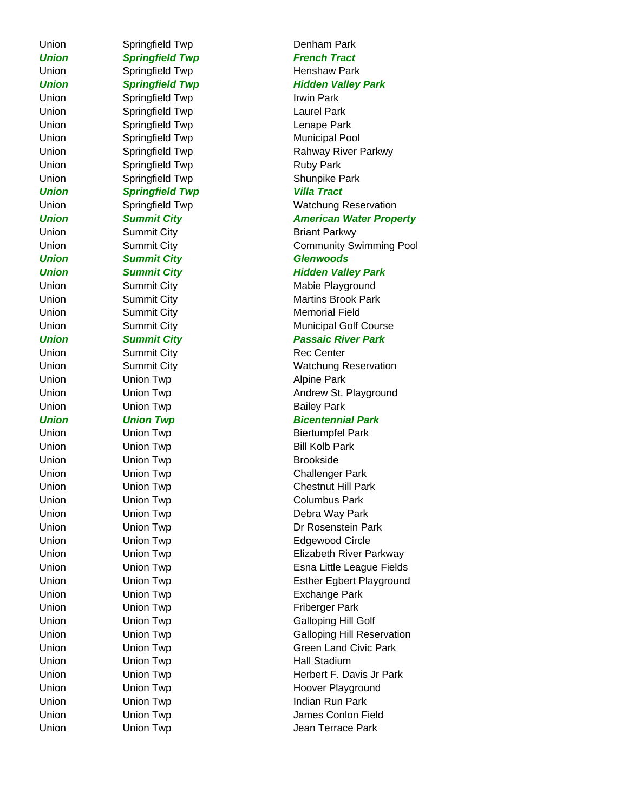**Union Springfield Twp French Tract** Union Springfield Twp **Henshaw Park** Union Springfield Twp Irwin Park Union Springfield Twp **Laurel Park** Union Springfield Twp Lenape Park Union Springfield Twp Municipal Pool Union Springfield Twp Ruby Park Union Springfield Twp Shunpike Park *Union Springfield Twp Villa Tract* Union Summit City **Briant Parkwy** *Union Summit City Glenwoods* Union Summit City **Memorial Field** Union Summit City **Rec** Center Union Union Twp **Alpine Park** Union Union Twp **Bailey Park** Union Union Twp **Bill Kolb Park** Union Union Twp **Brookside** Union Union Twp Columbus Park Union Union Twp Exchange Park Union Union Twp **Friberger Park** Union Union Twp **Hall Stadium** 

## Union Springfield Twp **Denham Park Union Springfield Twp Hidden Valley Park** Union Springfield Twp Rahway River Parkwy Union Springfield Twp Watchung Reservation **Union Summit City Change American Water Property** Union Summit City Community Swimming Pool **Union Summit City Summit City Rightary Park** Union Summit City **Mabie Playground** Union Summit City **Martins Brook Park** Union Summit City **Municipal Golf Course** *Union Summit City Passaic River Park* Union Summit City **Watchung Reservation** Union Union Twp **Andrew St. Playground** *Union Union Twp Bicentennial Park* Union Union Twp Biertumpfel Park Union Union Twp Challenger Park Union Union Twp Chestnut Hill Park Union Union Twp Debra Way Park Union **Disk Union Twp** Dr Rosenstein Park Union Union Twp **Edgewood Circle** Union Union Twp Elizabeth River Parkway Union **Example 2** Union Twp **Esna Little League Fields** Union Union Twp **Esther Egbert Playground** Union Union Twp Galloping Hill Golf Union Union Twp Galloping Hill Reservation Union Union Twp Green Land Civic Park Union **Union Twp Herbert F. Davis Jr Park** Union Union Twp **Hoover Playground** Union Union Twp Indian Run Park Union **Union Twp** James Conlon Field Union **Union Twp** Jean Terrace Park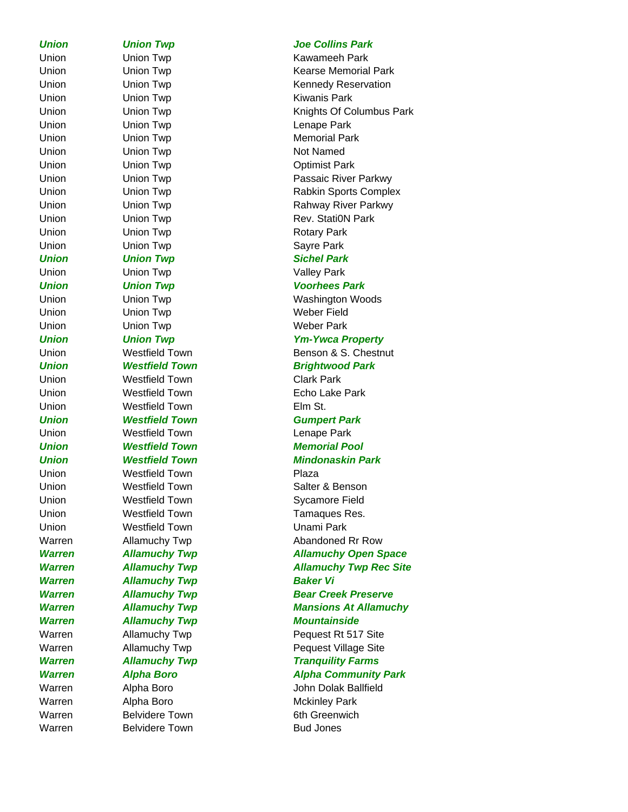Warren Belvidere Town Bud Jones

Union Union Twp **Kawameeh Park** Union Union Twp **Kiwanis Park** Union Union Twp Lenape Park Union Union Twp **Memorial Park** Union Union Twp Not Named Union Union Twp **Optimist Park** Union Union Twp **Rotary Park** Union Union Twp Contract Contract Contract Contract Contract Contract Contract Contract Contract Contract Contract Contract Contract Contract Contract Contract Contract Contract Contract Contract Contract Contract Contract *Union Union Twp Sichel Park* Union Union Twp Valley Park *Union Union Twp Voorhees Park* Union Union Twp Weber Field Union Union Twp **Weber Park** Union Westfield Town Clark Park Union Westfield Town Echo Lake Park Union **Westfield Town Elm St.** *Union Westfield Town Gumpert Park* Union Westfield Town Lenape Park *Union Westfield Town Memorial Pool* Union **Westfield Town Plaza** Union **Westfield Town** Salter & Benson Union **Westfield Town** Sycamore Field Union **Westfield Town Tamaques Res.** Union Westfield Town Unami Park **Warren Allamuchy Twp Baker Vi** *Warren Allamuchy Twp Mountainside* Warren Mckinley Park Warren Belvidere Town 6th Greenwich

## *Union Union Twp Joe Collins Park*

Union **Union Twp Contains Container Contains Container** Kearse Memorial Park Union Union Twp **Kennedy Reservation** Union **Union Twp Knights Of Columbus Park** Union Union Twp Passaic River Parkwy Union Union Twp **Rabkin Sports Complex** Union **Communist Union Twp Communist Communist Communist Communist Communist Communist Communist Communist Communist Communist Communist Communist Communist Communist Communist Communist Communist Communist Communist Com** Union Union Twp Rev. Stati0N Park Union Union Twp Washington Woods *Union Union Twp Ym-Ywca Property* Union Westfield Town Benson & S. Chestnut **Union Westfield Town Brightwood Park** *Union Westfield Town Mindonaskin Park* Warren Milamuchy Twp **Abandoned Rr Row** *Warren Allamuchy Twp Allamuchy Open Space Warren Allamuchy Twp Allamuchy Twp Rec Site Warren Allamuchy Twp Bear Creek Preserve Warren Allamuchy Twp Mansions At Allamuchy* Warren Milamuchy Twp **Pequest Rt 517** Site Warren Mallamuchy Twp **Pequest Village Site Warren Manuchy Twp Tranquility Farms** *Warren Alpha Boro Alpha Community Park* Warren Alpha Boro John Dolak Ballfield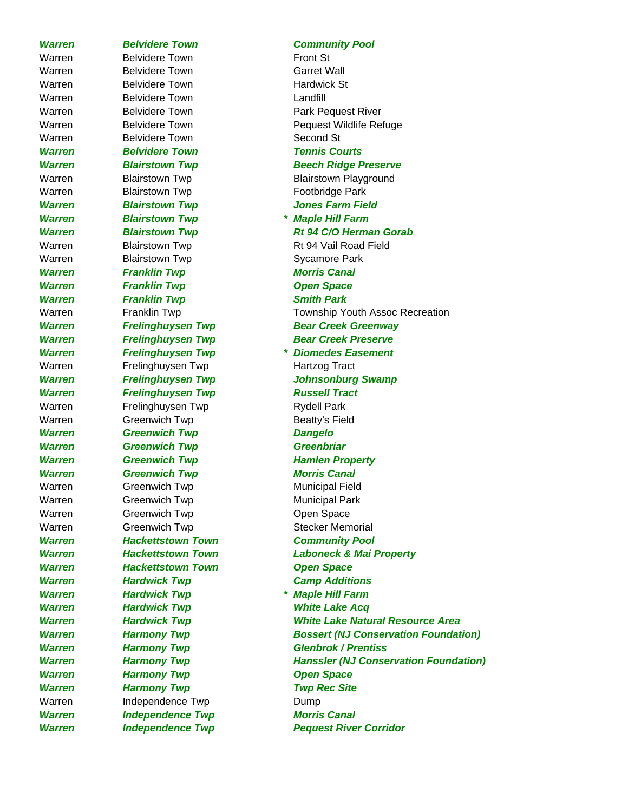Warren Belvidere Town Front St Warren Belvidere Town Garret Wall Warren Belvidere Town **Hardwick St** Warren Belvidere Town **Landfill** Warren Belvidere Town **Park Pequest River** Warren Belvidere Town Second St *Warren Belvidere Town Tennis Courts* Warren Blairstown Twp **Footbridge Park** *Warren Blairstown Twp Jones Farm Field Warren Blairstown Twp \* Maple Hill Farm* Warren Blairstown Twp **Sycamore Park** *Warren Franklin Twp Morris Canal* **Warren Franklin Twp Concernsive Concernsive Concernsive Concernsive Concernsive Concernsive Concernsive Concernsive Concernsive Concernsive Concernsive Concernsive Concernsive Concernsive Concernsive Concernsive Concernsi Warren Franklin Twp Smith Park** Warren Frelinghuysen Twp Fract Hartzog Tract *Warren Frelinghuysen Twp Russell Tract* Warren Frelinghuysen Twp **Rydell Park** Warren Greenwich Twp **Beatty's Field** *Warren Greenwich Twp Dangelo Warren Greenwich Twp Greenbriar Warren Greenwich Twp Hamlen Property Warren Greenwich Twp Morris Canal* Warren Greenwich Twp **Municipal Field** Warren Greenwich Twp **Municipal Park** Warren Greenwich Twp Copen Space Warren Greenwich Twp Stecker Memorial *Warren Hackettstown Town Community Pool Warren Hackettstown Town Open Space* **Warren Hardwick Twp Camp Additions** *Warren Hardwick Twp \* Maple Hill Farm Warren Hardwick Twp White Lake Acq* **Warren Harmony Twp Concernsive Consumersion Concernsive Consumersion Concernsive Consumersion Concernsive Consumersion Consumersion Consumersion Consumersion Consumersion Consumersion Consumersion Consumersion Consumersio** *Warren Harmony Twp Twp Rec Site* Warren Independence Twp Dump *Warren Independence Twp Morris Canal*

## *Warren Belvidere Town Community Pool*

Warren Belvidere Town **Pequest Wildlife Refuge** *Warren Blairstown Twp Beech Ridge Preserve* Warren Blairstown Twp Blairstown Playground *Warren Blairstown Twp Rt 94 C/O Herman Gorab* Warren Blairstown Twp Rt 94 Vail Road Field Warren Franklin Twp Township Youth Assoc Recreation *Warren Frelinghuysen Twp Bear Creek Greenway Warren Frelinghuysen Twp Bear Creek Preserve Warren Frelinghuysen Twp \* Diomedes Easement Warren Frelinghuysen Twp Johnsonburg Swamp Warren Hackettstown Town Laboneck & Mai Property Warren Hardwick Twp White Lake Natural Resource Area Warren Harmony Twp Bossert (NJ Conservation Foundation) Warren Harmony Twp Glenbrok / Prentiss Warren Harmony Twp Hanssler (NJ Conservation Foundation) Warren Independence Twp Pequest River Corridor*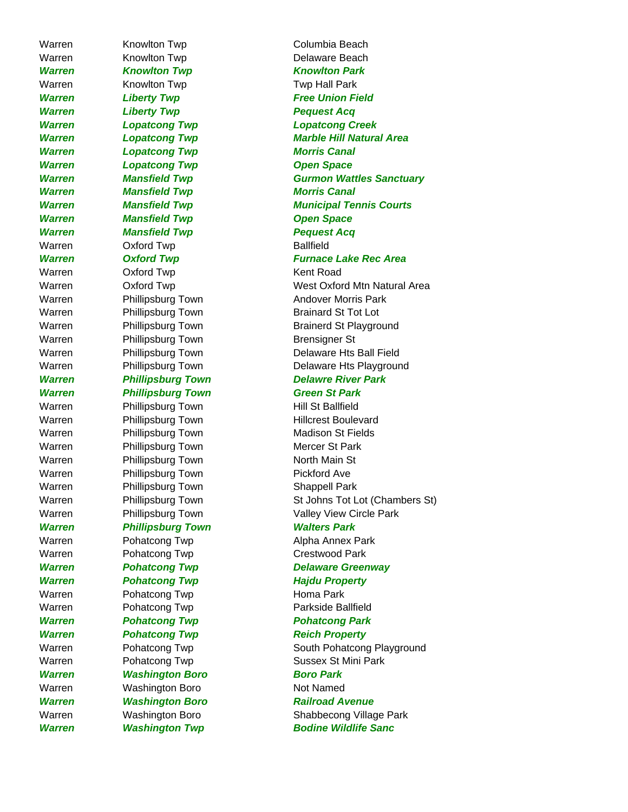Warren Knowlton Twp **Delaware Beach** *Warren Knowlton Twp Knowlton Park* Warren Knowlton Twp Twp Twp Hall Park **Warren Liberty Twp Constructs Acquest Acquest Acquest Acquest Acquest Acquest Acquest Acquest Acquest Acquest Acquest Acquest Acquest Acquest Acquest Acquest Acquest Acquest Acquest Acquest Acquest Acquest Acquest Acquest** *Warren Lopatcong Twp Morris Canal* **Warren Lopatcong Twp Congress Congress** Congress Congress Congress Congress Congress Congress Congress Congress Congress Congress Congress Congress Congress Congress Congress Congress Congress Congress Congress Congress C *Warren Mansfield Twp Morris Canal* **Warren Mansfield Twp Concernsive Convention Concernsive Convention Concernsive Convention Concernsive Convention Convention Convention Convention Convention Convention Convention Convention Convention Convention Conventio** *Warren Mansfield Twp Pequest Acq* Warren **Oxford Twp Ballfield** Warren **Oxford Twp Kent Road** Warren Phillipsburg Town Brensigner St *Warren Phillipsburg Town Green St Park*  Warren Phillipsburg Town Hill St Ballfield Warren Phillipsburg Town Mercer St Park Warren Phillipsburg Town North Main St Warren Phillipsburg Town Pickford Ave Warren Phillipsburg Town Shappell Park *Warren Phillipsburg Town Walters Park* Warren Pohatcong Twp Crestwood Park **Warren Pohatcong Twp Figure 2018 Hajdu Property** Warren Pohatcong Twp **Homa Park** Warren Pohatcong Twp **Parkside Ballfield** *Warren Pohatcong Twp Pohatcong Park* **Warren Pohatcong Twp Reich Property** *Warren Washington Boro Boro Park* Warren Washington Boro Not Named

Warren Knowlton Twp Columbia Beach **Warren Liberty Twp Free Union Field** *Warren Lopatcong Twp Lopatcong Creek Warren Lopatcong Twp Marble Hill Natural Area Warren Mansfield Twp Gurmon Wattles Sanctuary Warren Mansfield Twp Municipal Tennis Courts Warren Oxford Twp Furnace Lake Rec Area* Warren **Oxford Twp West Oxford Mtn Natural Area** Warren Phillipsburg Town **Andover Morris Park** Warren Phillipsburg Town Brainard St Tot Lot Warren Phillipsburg Town Brainerd St Playground Warren **Phillipsburg Town** Delaware Hts Ball Field Warren Phillipsburg Town Delaware Hts Playground *Warren Phillipsburg Town Delawre River Park* Warren Phillipsburg Town Hillcrest Boulevard Warren Phillipsburg Town Madison St Fields Warren Phillipsburg Town St Johns Tot Lot (Chambers St) Warren Phillipsburg Town Valley View Circle Park Warren Pohatcong Twp **Alpha Annex Park** *Warren Pohatcong Twp Delaware Greenway* Warren Pohatcong Twp **South Pohatcong Playground** Warren Pohatcong Twp **Sussex St Mini Park** *Warren Washington Boro Railroad Avenue* Warren **Washington Boro Shabbecong Village Park** *Warren Washington Twp Bodine Wildlife Sanc*